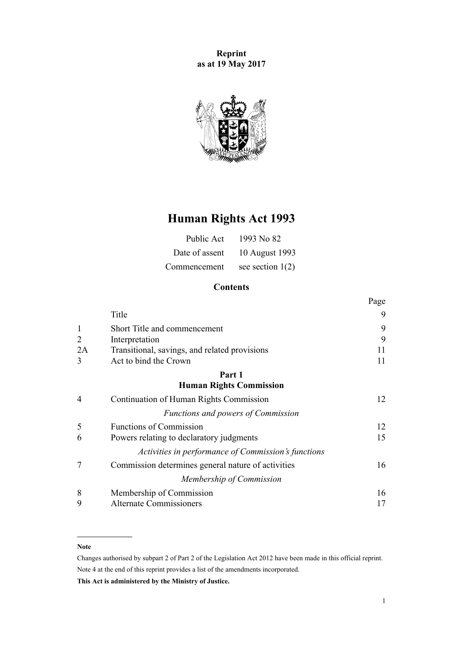**Reprint as at 19 May 2017**



# **Human Rights Act 1993**

| Public Act     | 1993 No 82         |
|----------------|--------------------|
| Date of assent | 10 August 1993     |
| Commencement   | see section $1(2)$ |

# **Contents**

|                |                                                     | Page |
|----------------|-----------------------------------------------------|------|
|                | Title                                               | 9    |
| 1              | Short Title and commencement                        | 9    |
| 2              | Interpretation                                      | 9    |
| 2A             | Transitional, savings, and related provisions       | 11   |
| 3              | Act to bind the Crown                               | 11   |
|                | Part 1                                              |      |
|                | <b>Human Rights Commission</b>                      |      |
| $\overline{4}$ | Continuation of Human Rights Commission             | 12   |
|                | Functions and powers of Commission                  |      |
| 5              | <b>Functions of Commission</b>                      | 12   |
| 6              | Powers relating to declaratory judgments            | 15   |
|                | Activities in performance of Commission's functions |      |
|                | Commission determines general nature of activities  | 16   |
|                | Membership of Commission                            |      |
| 8              | Membership of Commission                            | 16   |
| 9              | <b>Alternate Commissioners</b>                      | 17   |

#### **Note**

Changes authorised by [subpart 2](http://prd-lgnz-nlb.prd.pco.net.nz/pdflink.aspx?id=DLM2998524) of Part 2 of the Legislation Act 2012 have been made in this official reprint. Note 4 at the end of this reprint provides a list of the amendments incorporated.

**This Act is administered by the Ministry of Justice.**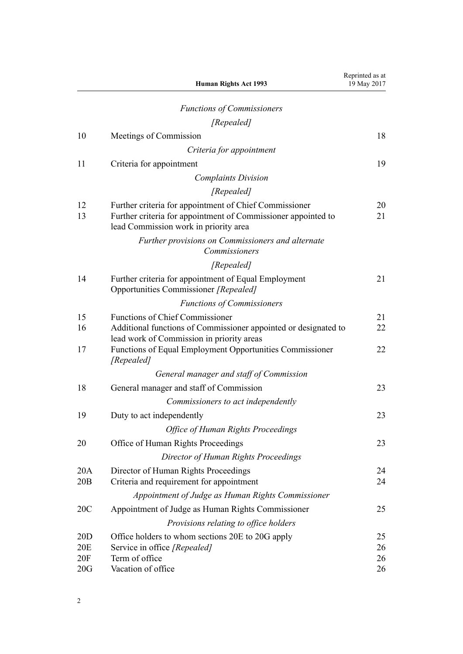|            | Human Rights Act 1993                                                                                                                                            | Reprinted as at<br>19 May 2017 |
|------------|------------------------------------------------------------------------------------------------------------------------------------------------------------------|--------------------------------|
|            | <b>Functions of Commissioners</b>                                                                                                                                |                                |
|            | [Repealed]                                                                                                                                                       |                                |
| 10         | Meetings of Commission                                                                                                                                           | 18                             |
|            | Criteria for appointment                                                                                                                                         |                                |
| 11         | Criteria for appointment                                                                                                                                         | 19                             |
|            | <b>Complaints Division</b>                                                                                                                                       |                                |
|            | [Repealed]                                                                                                                                                       |                                |
| 12<br>13   | Further criteria for appointment of Chief Commissioner<br>Further criteria for appointment of Commissioner appointed to<br>lead Commission work in priority area | 20<br>21                       |
|            | Further provisions on Commissioners and alternate<br>Commissioners                                                                                               |                                |
|            | [Repealed]                                                                                                                                                       |                                |
| 14         | Further criteria for appointment of Equal Employment<br>Opportunities Commissioner [Repealed]                                                                    | 21                             |
|            | <b>Functions of Commissioners</b>                                                                                                                                |                                |
| 15<br>16   | <b>Functions of Chief Commissioner</b><br>Additional functions of Commissioner appointed or designated to<br>lead work of Commission in priority areas           | 21<br>22                       |
| 17         | Functions of Equal Employment Opportunities Commissioner<br>[Repealed]                                                                                           | 22                             |
|            | General manager and staff of Commission                                                                                                                          |                                |
| 18         | General manager and staff of Commission                                                                                                                          | 23                             |
|            | Commissioners to act independently                                                                                                                               |                                |
| 19         | Duty to act independently                                                                                                                                        | 23                             |
|            | <b>Office of Human Rights Proceedings</b>                                                                                                                        |                                |
| 20         | Office of Human Rights Proceedings                                                                                                                               | 23                             |
|            | Director of Human Rights Proceedings                                                                                                                             |                                |
| 20A<br>20B | Director of Human Rights Proceedings<br>Criteria and requirement for appointment                                                                                 | 24<br>24                       |
|            | Appointment of Judge as Human Rights Commissioner                                                                                                                |                                |
| 20C        | Appointment of Judge as Human Rights Commissioner                                                                                                                | 25                             |
|            | Provisions relating to office holders                                                                                                                            |                                |
| 20D<br>20E | Office holders to whom sections 20E to 20G apply<br>Service in office [Repealed]                                                                                 | 25<br>26                       |
| 20F        | Term of office                                                                                                                                                   | 26                             |
| 20G        | Vacation of office                                                                                                                                               | 26                             |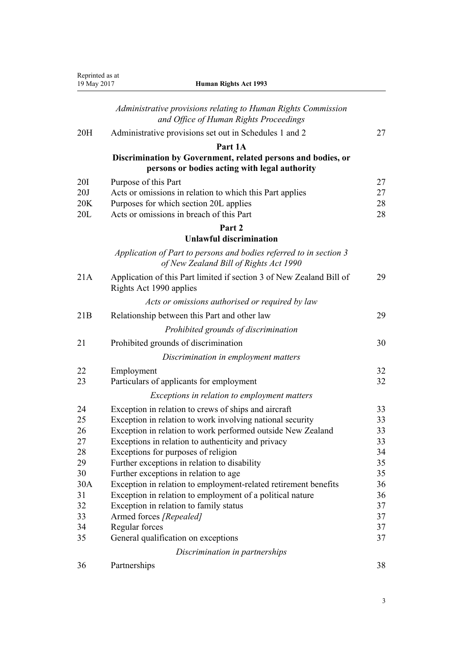| Reprinted as at<br>19 May 2017 | Human Rights Act 1993                                                                                         |          |
|--------------------------------|---------------------------------------------------------------------------------------------------------------|----------|
|                                | Administrative provisions relating to Human Rights Commission<br>and Office of Human Rights Proceedings       |          |
| 20H                            | Administrative provisions set out in Schedules 1 and 2                                                        | 27       |
|                                | Part 1A                                                                                                       |          |
|                                | Discrimination by Government, related persons and bodies, or<br>persons or bodies acting with legal authority |          |
| <b>20I</b>                     | Purpose of this Part                                                                                          | 27       |
| 20J                            | Acts or omissions in relation to which this Part applies                                                      | 27       |
| 20K                            | Purposes for which section 20L applies                                                                        | 28       |
| 20L                            | Acts or omissions in breach of this Part                                                                      | 28       |
|                                | Part 2                                                                                                        |          |
|                                | <b>Unlawful discrimination</b>                                                                                |          |
|                                | Application of Part to persons and bodies referred to in section 3<br>of New Zealand Bill of Rights Act 1990  |          |
| 21A                            | Application of this Part limited if section 3 of New Zealand Bill of<br>Rights Act 1990 applies               | 29       |
|                                | Acts or omissions authorised or required by law                                                               |          |
| 21B                            | Relationship between this Part and other law                                                                  | 29       |
|                                | Prohibited grounds of discrimination                                                                          |          |
| 21                             | Prohibited grounds of discrimination                                                                          | 30       |
|                                | Discrimination in employment matters                                                                          |          |
| 22                             |                                                                                                               | 32       |
| 23                             | Employment<br>Particulars of applicants for employment                                                        | 32       |
|                                |                                                                                                               |          |
|                                | Exceptions in relation to employment matters                                                                  |          |
| 24                             | Exception in relation to crews of ships and aircraft                                                          | 33       |
| 25                             | Exception in relation to work involving national security                                                     | 33       |
| 26<br>27                       | Exception in relation to work performed outside New Zealand                                                   | 33       |
| 28                             | Exceptions in relation to authenticity and privacy<br>Exceptions for purposes of religion                     | 33<br>34 |
| 29                             | Further exceptions in relation to disability                                                                  | 35       |
| 30                             | Further exceptions in relation to age                                                                         | 35       |
| 30A                            | Exception in relation to employment-related retirement benefits                                               | 36       |
| 31                             | Exception in relation to employment of a political nature                                                     | 36       |
| 32                             | Exception in relation to family status                                                                        | 37       |
| 33                             | Armed forces [Repealed]                                                                                       | 37       |
| 34                             | Regular forces                                                                                                | 37       |
| 35                             | General qualification on exceptions                                                                           | 37       |
|                                | Discrimination in partnerships                                                                                |          |
| 36                             | Partnerships                                                                                                  | 38       |
|                                |                                                                                                               |          |

3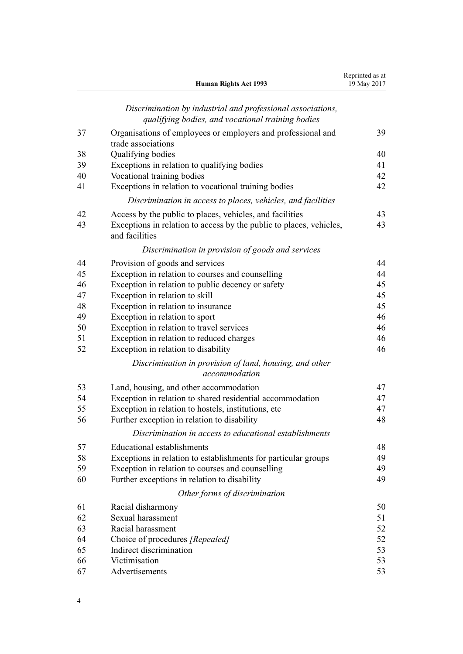|    | Human Rights Act 1993                                                                                            | Reprinted as at<br>19 May 2017 |
|----|------------------------------------------------------------------------------------------------------------------|--------------------------------|
|    | Discrimination by industrial and professional associations,<br>qualifying bodies, and vocational training bodies |                                |
| 37 | Organisations of employees or employers and professional and<br>trade associations                               | 39                             |
| 38 | Qualifying bodies                                                                                                | 40                             |
| 39 | Exceptions in relation to qualifying bodies                                                                      | 41                             |
| 40 | Vocational training bodies                                                                                       | 42                             |
| 41 | Exceptions in relation to vocational training bodies                                                             | 42                             |
|    | Discrimination in access to places, vehicles, and facilities                                                     |                                |
| 42 | Access by the public to places, vehicles, and facilities                                                         | 43                             |
| 43 | Exceptions in relation to access by the public to places, vehicles,<br>and facilities                            | 43                             |
|    | Discrimination in provision of goods and services                                                                |                                |
| 44 | Provision of goods and services                                                                                  | 44                             |
| 45 | Exception in relation to courses and counselling                                                                 | 44                             |
| 46 | Exception in relation to public decency or safety                                                                | 45                             |
| 47 | Exception in relation to skill                                                                                   | 45                             |
| 48 | Exception in relation to insurance                                                                               | 45                             |
| 49 | Exception in relation to sport                                                                                   | 46                             |
| 50 | Exception in relation to travel services                                                                         | 46                             |
| 51 | Exception in relation to reduced charges                                                                         | 46                             |
| 52 | Exception in relation to disability                                                                              | 46                             |
|    | Discrimination in provision of land, housing, and other<br>accommodation                                         |                                |
| 53 | Land, housing, and other accommodation                                                                           | 47                             |
| 54 | Exception in relation to shared residential accommodation                                                        | 47                             |
| 55 | Exception in relation to hostels, institutions, etc                                                              | 47                             |
| 56 | Further exception in relation to disability                                                                      | 48                             |
|    | Discrimination in access to educational establishments                                                           |                                |
| 57 | Educational establishments                                                                                       | 48                             |
| 58 | Exceptions in relation to establishments for particular groups                                                   | 49                             |
| 59 | Exception in relation to courses and counselling                                                                 | 49                             |
| 60 | Further exceptions in relation to disability                                                                     | 49                             |
|    | Other forms of discrimination                                                                                    |                                |
| 61 | Racial disharmony                                                                                                | 50                             |
| 62 | Sexual harassment                                                                                                | 51                             |
| 63 | Racial harassment                                                                                                | 52                             |
| 64 | Choice of procedures [Repealed]                                                                                  | 52                             |
| 65 | Indirect discrimination                                                                                          | 53                             |
| 66 | Victimisation                                                                                                    | 53                             |
| 67 | Advertisements                                                                                                   | 53                             |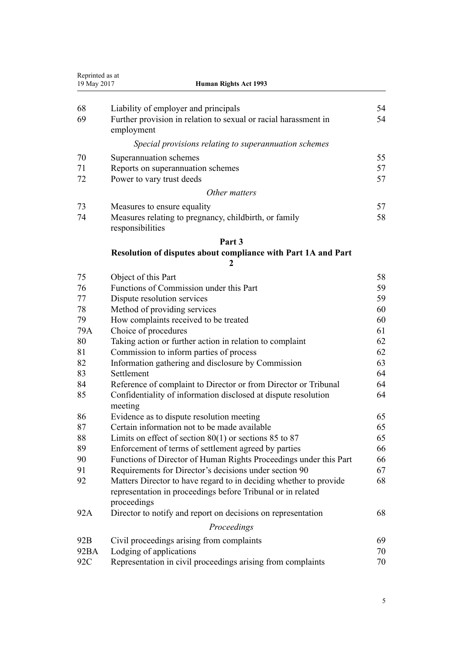| Reprinted as at<br>19 May 2017 | Human Rights Act 1993                                                         |    |
|--------------------------------|-------------------------------------------------------------------------------|----|
| 68                             | Liability of employer and principals                                          | 54 |
| 69                             | Further provision in relation to sexual or racial harassment in<br>employment | 54 |
|                                | Special provisions relating to superannuation schemes                         |    |
| 70                             | Superannuation schemes                                                        | 55 |
| 71                             | Reports on superannuation schemes                                             | 57 |
| 72                             | Power to vary trust deeds                                                     | 57 |
|                                | Other matters                                                                 |    |
| 73                             | Measures to ensure equality                                                   | 57 |
| 74                             | Measures relating to pregnancy, childbirth, or family<br>responsibilities     | 58 |
|                                | Part 3                                                                        |    |
|                                | Resolution of disputes about compliance with Part 1A and Part                 |    |
|                                | 2                                                                             |    |
| 75                             | Object of this Part                                                           | 58 |
| 76                             | Functions of Commission under this Part                                       | 59 |
| 77                             | Dispute resolution services                                                   | 59 |
| 78                             | Method of providing services                                                  | 60 |
| 79                             | How complaints received to be treated                                         | 60 |
| 79A                            | Choice of procedures                                                          | 61 |
| 80                             | Taking action or further action in relation to complaint                      | 62 |
| 81                             | Commission to inform parties of process                                       | 62 |
| 82                             | Information gathering and disclosure by Commission                            | 63 |
| 83                             | Settlement                                                                    | 64 |
| 84                             | Reference of complaint to Director or from Director or Tribunal               | 64 |
| 85                             | Confidentiality of information disclosed at dispute resolution<br>meeting     | 64 |
| 86                             | Evidence as to dispute resolution meeting                                     | 65 |
| 87                             | Certain information not to be made available                                  | 65 |
| 88                             | Limits on effect of section $80(1)$ or sections 85 to 87                      | 65 |
| 89                             | Enforcement of terms of settlement agreed by parties                          | 66 |
| 90                             | Functions of Director of Human Rights Proceedings under this Part             | 66 |
| 91                             | Requirements for Director's decisions under section 90                        | 67 |
| 92                             | Matters Director to have regard to in deciding whether to provide             | 68 |
|                                | representation in proceedings before Tribunal or in related<br>proceedings    |    |
| 92A                            | Director to notify and report on decisions on representation                  | 68 |
|                                | Proceedings                                                                   |    |
| 92 <sub>B</sub>                | Civil proceedings arising from complaints                                     | 69 |
| 92BA                           | Lodging of applications                                                       | 70 |
| 92C                            | Representation in civil proceedings arising from complaints                   | 70 |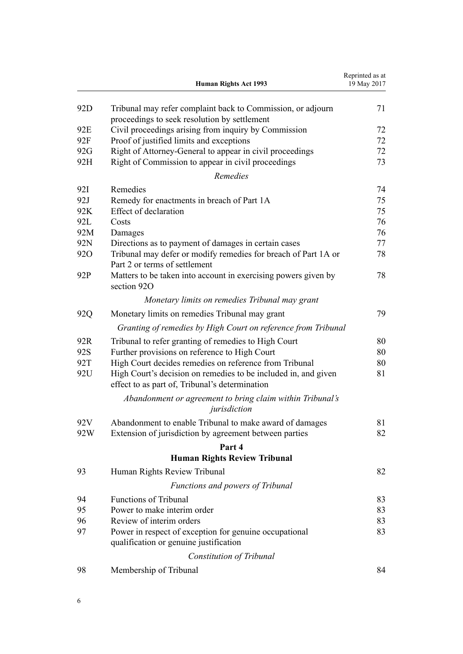|            | Human Rights Act 1993                                                                                            | Reprinted as at<br>19 May 2017 |
|------------|------------------------------------------------------------------------------------------------------------------|--------------------------------|
| 92D        | Tribunal may refer complaint back to Commission, or adjourn                                                      | 71                             |
|            | proceedings to seek resolution by settlement                                                                     |                                |
| 92E        | Civil proceedings arising from inquiry by Commission                                                             | 72                             |
| 92F        | Proof of justified limits and exceptions                                                                         | 72                             |
| 92G        | Right of Attorney-General to appear in civil proceedings                                                         | 72                             |
| 92H        | Right of Commission to appear in civil proceedings                                                               | 73                             |
|            | Remedies                                                                                                         |                                |
| 92I        | Remedies                                                                                                         | 74                             |
| 92J        | Remedy for enactments in breach of Part 1A                                                                       | 75                             |
| 92K        | <b>Effect of declaration</b>                                                                                     | 75                             |
| 92L        | Costs                                                                                                            | 76                             |
| 92M        | Damages                                                                                                          | 76                             |
| 92N        | Directions as to payment of damages in certain cases                                                             | 77                             |
| <b>920</b> | Tribunal may defer or modify remedies for breach of Part 1A or<br>Part 2 or terms of settlement                  | 78                             |
| 92P        | Matters to be taken into account in exercising powers given by<br>section 92O                                    | 78                             |
|            | Monetary limits on remedies Tribunal may grant                                                                   |                                |
| 92Q        | Monetary limits on remedies Tribunal may grant                                                                   | 79                             |
|            | Granting of remedies by High Court on reference from Tribunal                                                    |                                |
| 92R        | Tribunal to refer granting of remedies to High Court                                                             | 80                             |
| 92S        | Further provisions on reference to High Court                                                                    | 80                             |
| 92T        | High Court decides remedies on reference from Tribunal                                                           | 80                             |
| 92U        | High Court's decision on remedies to be included in, and given<br>effect to as part of, Tribunal's determination | 81                             |
|            | Abandonment or agreement to bring claim within Tribunal's<br>jurisdiction                                        |                                |
| 92V        | Abandonment to enable Tribunal to make award of damages                                                          | 81                             |
| 92W        | Extension of jurisdiction by agreement between parties                                                           | 82                             |
|            | Part 4                                                                                                           |                                |
|            | <b>Human Rights Review Tribunal</b>                                                                              |                                |
| 93         | Human Rights Review Tribunal                                                                                     | 82                             |
|            | Functions and powers of Tribunal                                                                                 |                                |
| 94         | <b>Functions of Tribunal</b>                                                                                     | 83                             |
| 95         | Power to make interim order                                                                                      | 83                             |
| 96         | Review of interim orders                                                                                         | 83                             |
| 97         | Power in respect of exception for genuine occupational<br>qualification or genuine justification                 | 83                             |
|            | Constitution of Tribunal                                                                                         |                                |
| 98         | Membership of Tribunal                                                                                           | 84                             |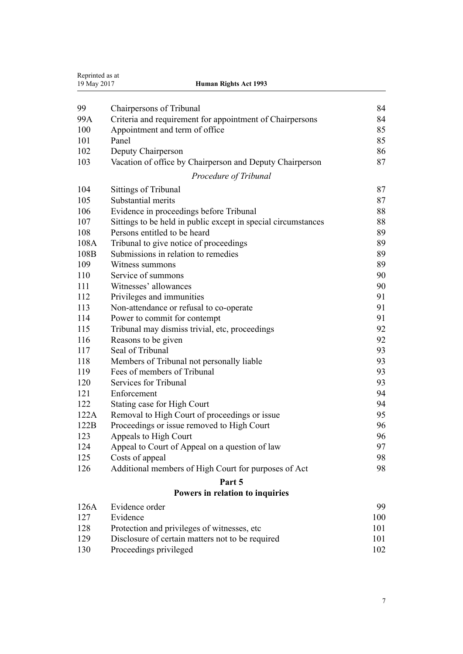| Reprinted as at<br>19 May 2017 | <b>Human Rights Act 1993</b>                                                                                                                                                                            |     |
|--------------------------------|---------------------------------------------------------------------------------------------------------------------------------------------------------------------------------------------------------|-----|
| 99                             | Chairpersons of Tribunal                                                                                                                                                                                | 84  |
| 99A                            | Criteria and requirement for appointment of Chairpersons                                                                                                                                                | 84  |
| 100                            |                                                                                                                                                                                                         | 85  |
| 101                            |                                                                                                                                                                                                         | 85  |
| 102                            | Appointment and term of office<br>Panel<br>Deputy Chairperson<br>Vacation of office by Chairperson and Deputy Chairperson<br>Procedure of Tribunal<br><b>Sittings of Tribunal</b><br>Substantial merits | 86  |
| 103                            |                                                                                                                                                                                                         | 87  |
|                                |                                                                                                                                                                                                         |     |
| 104                            |                                                                                                                                                                                                         | 87  |
| 105                            |                                                                                                                                                                                                         | 87  |
| 106                            | Evidence in proceedings before Tribunal                                                                                                                                                                 | 88  |
| 107                            | Sittings to be held in public except in special circumstances                                                                                                                                           | 88  |
| 108                            | Persons entitled to be heard                                                                                                                                                                            | 89  |
| 108A                           | Tribunal to give notice of proceedings                                                                                                                                                                  | 89  |
| 108B                           | Submissions in relation to remedies                                                                                                                                                                     | 89  |
| 109                            | Witness summons                                                                                                                                                                                         | 89  |
| 110                            | Service of summons                                                                                                                                                                                      | 90  |
| 111                            | Witnesses' allowances                                                                                                                                                                                   | 90  |
| 112                            | Privileges and immunities                                                                                                                                                                               | 91  |
| 113                            | Non-attendance or refusal to co-operate                                                                                                                                                                 | 91  |
| 114                            | Power to commit for contempt                                                                                                                                                                            | 91  |
| 115                            | Tribunal may dismiss trivial, etc, proceedings                                                                                                                                                          | 92  |
| 116                            | Reasons to be given                                                                                                                                                                                     | 92  |
| 117                            | Seal of Tribunal                                                                                                                                                                                        | 93  |
| 118                            | Members of Tribunal not personally liable                                                                                                                                                               | 93  |
| 119                            | Fees of members of Tribunal                                                                                                                                                                             | 93  |
| 120                            | Services for Tribunal                                                                                                                                                                                   | 93  |
| 121                            | Enforcement                                                                                                                                                                                             | 94  |
| 122                            | Stating case for High Court                                                                                                                                                                             | 94  |
| 122A                           | Removal to High Court of proceedings or issue                                                                                                                                                           | 95  |
| 122B                           | Proceedings or issue removed to High Court                                                                                                                                                              | 96  |
| 123                            | Appeals to High Court                                                                                                                                                                                   | 96  |
| 124                            | Appeal to Court of Appeal on a question of law                                                                                                                                                          | 97  |
| 125                            | Costs of appeal                                                                                                                                                                                         | 98  |
| 126                            | Additional members of High Court for purposes of Act                                                                                                                                                    | 98  |
|                                | Part 5                                                                                                                                                                                                  |     |
|                                | Powers in relation to inquiries                                                                                                                                                                         |     |
| 126A                           | Evidence order                                                                                                                                                                                          | 99  |
| 127                            | Evidence                                                                                                                                                                                                | 100 |
| 128                            | Protection and privileges of witnesses, etc.                                                                                                                                                            | 101 |
| 129                            | Disclosure of certain matters not to be required                                                                                                                                                        | 101 |
| 130                            | Proceedings privileged                                                                                                                                                                                  | 102 |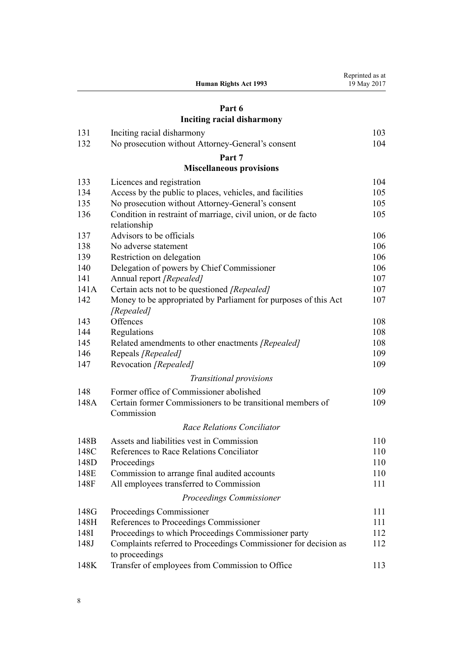|                              | Reprinted as at |
|------------------------------|-----------------|
| <b>Human Rights Act 1993</b> | 19 May 2017     |
|                              |                 |

# **[Part 6](#page-102-0) [Inciting racial disharmony](#page-102-0)**

| 131  | Inciting racial disharmony                                                    | 103 |
|------|-------------------------------------------------------------------------------|-----|
| 132  | No prosecution without Attorney-General's consent                             | 104 |
|      | Part 7                                                                        |     |
|      | <b>Miscellaneous provisions</b>                                               |     |
| 133  | Licences and registration                                                     | 104 |
| 134  | Access by the public to places, vehicles, and facilities                      | 105 |
| 135  | No prosecution without Attorney-General's consent                             | 105 |
| 136  | Condition in restraint of marriage, civil union, or de facto                  | 105 |
|      | relationship                                                                  |     |
| 137  | Advisors to be officials                                                      | 106 |
| 138  | No adverse statement                                                          | 106 |
| 139  | Restriction on delegation                                                     | 106 |
| 140  | Delegation of powers by Chief Commissioner                                    | 106 |
| 141  | Annual report [Repealed]                                                      | 107 |
| 141A | Certain acts not to be questioned [Repealed]                                  | 107 |
| 142  | Money to be appropriated by Parliament for purposes of this Act<br>[Repealed] | 107 |
| 143  | Offences                                                                      | 108 |
| 144  | Regulations                                                                   | 108 |
| 145  | Related amendments to other enactments [Repealed]                             | 108 |
| 146  | Repeals [Repealed]                                                            | 109 |
| 147  | Revocation [Repealed]                                                         | 109 |
|      | Transitional provisions                                                       |     |
| 148  | Former office of Commissioner abolished                                       | 109 |
| 148A | Certain former Commissioners to be transitional members of<br>Commission      | 109 |
|      | <b>Race Relations Conciliator</b>                                             |     |
| 148B | Assets and liabilities vest in Commission                                     | 110 |
| 148C | References to Race Relations Conciliator                                      | 110 |
| 148D | Proceedings                                                                   | 110 |
| 148E | Commission to arrange final audited accounts                                  | 110 |
| 148F | All employees transferred to Commission                                       | 111 |
|      | Proceedings Commissioner                                                      |     |
| 148G | Proceedings Commissioner                                                      | 111 |
| 148H | References to Proceedings Commissioner                                        | 111 |
| 148I | Proceedings to which Proceedings Commissioner party                           | 112 |
| 148J | Complaints referred to Proceedings Commissioner for decision as               | 112 |
|      | to proceedings                                                                |     |
| 148K | Transfer of employees from Commission to Office                               | 113 |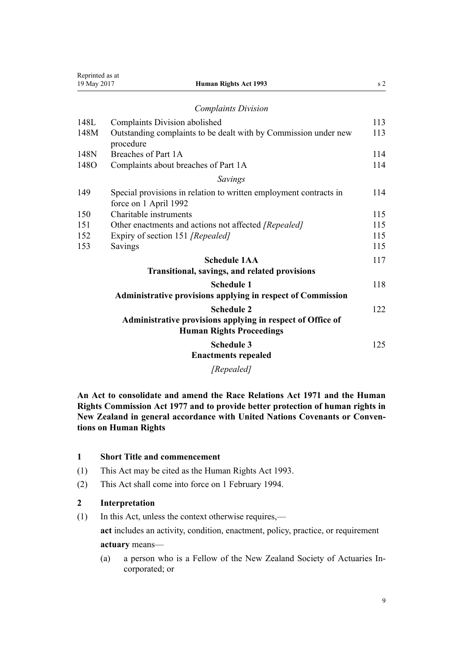<span id="page-8-0"></span>

| Reprinted as at<br>19 May 2017 | Human Rights Act 1993                                                                         | s <sub>2</sub> |
|--------------------------------|-----------------------------------------------------------------------------------------------|----------------|
|                                | <b>Complaints Division</b>                                                                    |                |
| 148L                           | Complaints Division abolished                                                                 | 113            |
| 148M                           | Outstanding complaints to be dealt with by Commission under new<br>procedure                  | 113            |
| 148N                           | Breaches of Part 1A                                                                           | 114            |
| 148O                           | Complaints about breaches of Part 1A                                                          | 114            |
|                                | Savings                                                                                       |                |
| 149                            | Special provisions in relation to written employment contracts in<br>force on 1 April 1992    | 114            |
| 150                            | Charitable instruments                                                                        | 115            |
| 151                            | Other enactments and actions not affected [Repealed]                                          | 115            |
| 152                            | Expiry of section 151 [Repealed]                                                              | 115            |
| 153                            | Savings                                                                                       | 115            |
|                                | <b>Schedule 1AA</b>                                                                           | 117            |
|                                | Transitional, savings, and related provisions                                                 |                |
|                                | <b>Schedule 1</b>                                                                             | 118            |
|                                | Administrative provisions applying in respect of Commission                                   |                |
|                                | <b>Schedule 2</b>                                                                             | 122            |
|                                | Administrative provisions applying in respect of Office of<br><b>Human Rights Proceedings</b> |                |
|                                | <b>Schedule 3</b><br><b>Enactments repealed</b>                                               | 125            |
|                                | [Repealed]                                                                                    |                |

**An Act to consolidate and amend the Race Relations Act 1971 and the Human Rights Commission Act 1977 and to provide better protection of human rights in New Zealand in general accordance with United Nations Covenants or Conventions on Human Rights**

# **1 Short Title and commencement**

- (1) This Act may be cited as the Human Rights Act 1993.
- (2) This Act shall come into force on 1 February 1994.

# **2 Interpretation**

(1) In this Act, unless the context otherwise requires,—

**act** includes an activity, condition, enactment, policy, practice, or requirement **actuary** means—

(a) a person who is a Fellow of the New Zealand Society of Actuaries Incorporated; or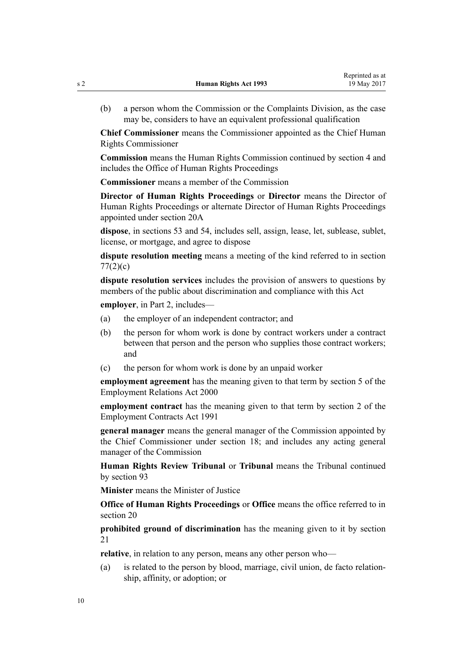(b) a person whom the Commission or the Complaints Division, as the case may be, considers to have an equivalent professional qualification

**Chief Commissioner** means the Commissioner appointed as the Chief Human Rights Commissioner

**Commission** means the Human Rights Commission continued by [section 4](#page-11-0) and includes the Office of Human Rights Proceedings

**Commissioner** means a member of the Commission

**Director of Human Rights Proceedings** or **Director** means the Director of Human Rights Proceedings or alternate Director of Human Rights Proceedings appointed under [section 20A](#page-23-0)

**dispose**, in [sections 53](#page-46-0) and [54,](#page-46-0) includes sell, assign, lease, let, sublease, sublet, license, or mortgage, and agree to dispose

**dispute resolution meeting** means a meeting of the kind referred to in [section](#page-58-0) [77\(2\)\(c\)](#page-58-0)

**dispute resolution services** includes the provision of answers to questions by members of the public about discrimination and compliance with this Act

**employer**, in [Part 2,](#page-28-0) includes—

- (a) the employer of an independent contractor; and
- (b) the person for whom work is done by contract workers under a contract between that person and the person who supplies those contract workers; and
- (c) the person for whom work is done by an unpaid worker

**employment agreement** has the meaning given to that term by [section 5](http://prd-lgnz-nlb.prd.pco.net.nz/pdflink.aspx?id=DLM58337) of the Employment Relations Act 2000

**employment contract** has the meaning given to that term by section 2 of the Employment Contracts Act 1991

**general manager** means the general manager of the Commission appointed by the Chief Commissioner under [section 18;](#page-22-0) and includes any acting general manager of the Commission

**Human Rights Review Tribunal** or **Tribunal** means the Tribunal continued by [section 93](#page-81-0)

**Minister** means the Minister of Justice

**Office of Human Rights Proceedings** or **Office** means the office referred to in [section 20](#page-22-0)

**prohibited ground of discrimination** has the meaning given to it by [section](#page-29-0) [21](#page-29-0)

**relative**, in relation to any person, means any other person who—

(a) is related to the person by blood, marriage, civil union, de facto relationship, affinity, or adoption; or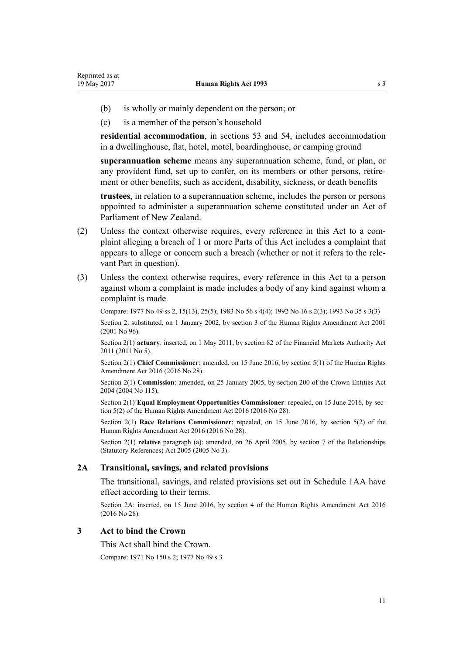- <span id="page-10-0"></span>(b) is wholly or mainly dependent on the person; or
- (c) is a member of the person's household

**residential accommodation**, in [sections 53](#page-46-0) and [54,](#page-46-0) includes accommodation in a dwellinghouse, flat, hotel, motel, boardinghouse, or camping ground

**superannuation scheme** means any superannuation scheme, fund, or plan, or any provident fund, set up to confer, on its members or other persons, retirement or other benefits, such as accident, disability, sickness, or death benefits

**trustees**, in relation to a superannuation scheme, includes the person or persons appointed to administer a superannuation scheme constituted under an Act of Parliament of New Zealand.

- (2) Unless the context otherwise requires, every reference in this Act to a complaint alleging a breach of 1 or more Parts of this Act includes a complaint that appears to allege or concern such a breach (whether or not it refers to the relevant Part in question).
- (3) Unless the context otherwise requires, every reference in this Act to a person against whom a complaint is made includes a body of any kind against whom a complaint is made.

Compare: 1977 No 49 ss 2, 15(13), 25(5); 1983 No 56 s 4(4); 1992 No 16 s 2(3); 1993 No 35 s 3(3) Section 2: substituted, on 1 January 2002, by [section 3](http://prd-lgnz-nlb.prd.pco.net.nz/pdflink.aspx?id=DLM121292) of the Human Rights Amendment Act 2001 (2001 No 96).

Section 2(1) **actuary**: inserted, on 1 May 2011, by [section 82](http://prd-lgnz-nlb.prd.pco.net.nz/pdflink.aspx?id=DLM3231793) of the Financial Markets Authority Act 2011 (2011 No 5).

Section 2(1) **Chief Commissioner**: amended, on 15 June 2016, by [section 5\(1\)](http://prd-lgnz-nlb.prd.pco.net.nz/pdflink.aspx?id=DLM4097513) of the Human Rights Amendment Act 2016 (2016 No 28).

Section 2(1) **Commission**: amended, on 25 January 2005, by [section 200](http://prd-lgnz-nlb.prd.pco.net.nz/pdflink.aspx?id=DLM331111) of the Crown Entities Act 2004 (2004 No 115).

Section 2(1) **Equal Employment Opportunities Commissioner**: repealed, on 15 June 2016, by [sec](http://prd-lgnz-nlb.prd.pco.net.nz/pdflink.aspx?id=DLM4097513)[tion 5\(2\)](http://prd-lgnz-nlb.prd.pco.net.nz/pdflink.aspx?id=DLM4097513) of the Human Rights Amendment Act 2016 (2016 No 28).

Section 2(1) **Race Relations Commissioner**: repealed, on 15 June 2016, by [section 5\(2\)](http://prd-lgnz-nlb.prd.pco.net.nz/pdflink.aspx?id=DLM4097513) of the Human Rights Amendment Act 2016 (2016 No 28).

Section 2(1) **relative** paragraph (a): amended, on 26 April 2005, by [section 7](http://prd-lgnz-nlb.prd.pco.net.nz/pdflink.aspx?id=DLM333795) of the Relationships (Statutory References) Act 2005 (2005 No 3).

#### **2A Transitional, savings, and related provisions**

The transitional, savings, and related provisions set out in [Schedule 1AA](#page-116-0) have effect according to their terms.

Section 2A: inserted, on 15 June 2016, by [section 4](http://prd-lgnz-nlb.prd.pco.net.nz/pdflink.aspx?id=DLM6069201) of the Human Rights Amendment Act 2016 (2016 No 28).

#### **3 Act to bind the Crown**

This Act shall bind the Crown.

Compare: 1971 No 150 s 2; 1977 No 49 s 3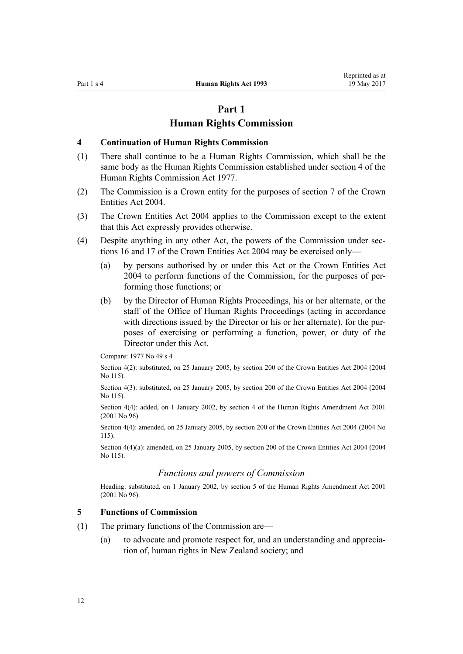# **Part 1**

# **Human Rights Commission**

#### <span id="page-11-0"></span>**4 Continuation of Human Rights Commission**

- (1) There shall continue to be a Human Rights Commission, which shall be the same body as the Human Rights Commission established under section 4 of the Human Rights Commission Act 1977.
- (2) The Commission is a Crown entity for the purposes of [section 7](http://prd-lgnz-nlb.prd.pco.net.nz/pdflink.aspx?id=DLM329641) of the Crown Entities Act 2004.
- (3) The [Crown Entities Act 2004](http://prd-lgnz-nlb.prd.pco.net.nz/pdflink.aspx?id=DLM329630) applies to the Commission except to the extent that this Act expressly provides otherwise.
- (4) Despite anything in any other Act, the powers of the Commission under [sec](http://prd-lgnz-nlb.prd.pco.net.nz/pdflink.aspx?id=DLM329930)[tions 16](http://prd-lgnz-nlb.prd.pco.net.nz/pdflink.aspx?id=DLM329930) and [17](http://prd-lgnz-nlb.prd.pco.net.nz/pdflink.aspx?id=DLM329931) of the Crown Entities Act 2004 may be exercised only—
	- (a) by persons authorised by or under this Act or the [Crown Entities Act](http://prd-lgnz-nlb.prd.pco.net.nz/pdflink.aspx?id=DLM329630) [2004](http://prd-lgnz-nlb.prd.pco.net.nz/pdflink.aspx?id=DLM329630) to perform functions of the Commission, for the purposes of performing those functions; or
	- (b) by the Director of Human Rights Proceedings, his or her alternate, or the staff of the Office of Human Rights Proceedings (acting in accordance with directions issued by the Director or his or her alternate), for the purposes of exercising or performing a function, power, or duty of the Director under this Act.

Compare: 1977 No 49 s 4

Section 4(2): substituted, on 25 January 2005, by [section 200](http://prd-lgnz-nlb.prd.pco.net.nz/pdflink.aspx?id=DLM331111) of the Crown Entities Act 2004 (2004 No 115).

Section 4(3): substituted, on 25 January 2005, by [section 200](http://prd-lgnz-nlb.prd.pco.net.nz/pdflink.aspx?id=DLM331111) of the Crown Entities Act 2004 (2004 No 115).

Section 4(4): added, on 1 January 2002, by [section 4](http://prd-lgnz-nlb.prd.pco.net.nz/pdflink.aspx?id=DLM121842) of the Human Rights Amendment Act 2001 (2001 No 96).

Section 4(4): amended, on 25 January 2005, by [section 200](http://prd-lgnz-nlb.prd.pco.net.nz/pdflink.aspx?id=DLM331111) of the Crown Entities Act 2004 (2004 No 115).

Section  $4(4)(a)$ : amended, on 25 January 2005, by [section 200](http://prd-lgnz-nlb.prd.pco.net.nz/pdflink.aspx?id=DLM331111) of the Crown Entities Act 2004 (2004) No 115).

#### *Functions and powers of Commission*

Heading: substituted, on 1 January 2002, by [section 5](http://prd-lgnz-nlb.prd.pco.net.nz/pdflink.aspx?id=DLM121843) of the Human Rights Amendment Act 2001 (2001 No 96).

#### **5 Functions of Commission**

- (1) The primary functions of the Commission are—
	- (a) to advocate and promote respect for, and an understanding and appreciation of, human rights in New Zealand society; and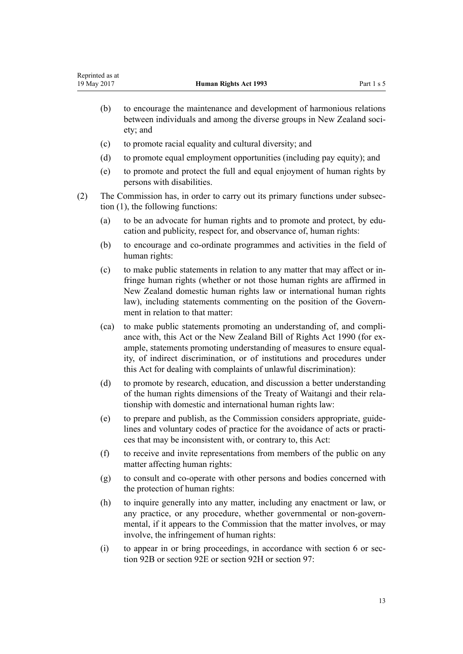- (b) to encourage the maintenance and development of harmonious relations between individuals and among the diverse groups in New Zealand society; and
- (c) to promote racial equality and cultural diversity; and
- (d) to promote equal employment opportunities (including pay equity); and
- (e) to promote and protect the full and equal enjoyment of human rights by persons with disabilities.
- (2) The Commission has, in order to carry out its primary functions under subsection (1), the following functions:
	- (a) to be an advocate for human rights and to promote and protect, by education and publicity, respect for, and observance of, human rights:
	- (b) to encourage and co-ordinate programmes and activities in the field of human rights:
	- (c) to make public statements in relation to any matter that may affect or infringe human rights (whether or not those human rights are affirmed in New Zealand domestic human rights law or international human rights law), including statements commenting on the position of the Government in relation to that matter:
	- (ca) to make public statements promoting an understanding of, and compliance with, this Act or the [New Zealand Bill of Rights Act 1990](http://prd-lgnz-nlb.prd.pco.net.nz/pdflink.aspx?id=DLM224791) (for example, statements promoting understanding of measures to ensure equality, of indirect discrimination, or of institutions and procedures under this Act for dealing with complaints of unlawful discrimination):
	- (d) to promote by research, education, and discussion a better understanding of the human rights dimensions of the [Treaty of Waitangi](http://prd-lgnz-nlb.prd.pco.net.nz/pdflink.aspx?id=DLM435834) and their relationship with domestic and international human rights law:
	- (e) to prepare and publish, as the Commission considers appropriate, guidelines and voluntary codes of practice for the avoidance of acts or practices that may be inconsistent with, or contrary to, this Act:
	- (f) to receive and invite representations from members of the public on any matter affecting human rights:
	- (g) to consult and co-operate with other persons and bodies concerned with the protection of human rights:
	- (h) to inquire generally into any matter, including any enactment or law, or any practice, or any procedure, whether governmental or non-governmental, if it appears to the Commission that the matter involves, or may involve, the infringement of human rights:
	- (i) to appear in or bring proceedings, in accordance with [section 6](#page-14-0) or [sec](#page-68-0)[tion 92B](#page-68-0) or [section 92E](#page-71-0) or [section 92H](#page-72-0) or [section 97](#page-82-0):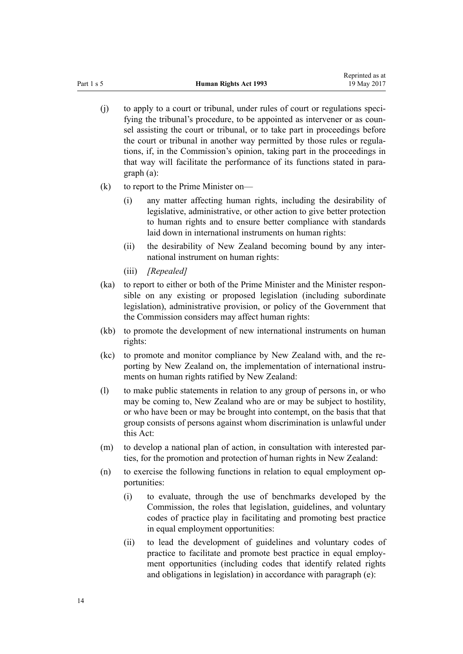- (j) to apply to a court or tribunal, under rules of court or regulations specifying the tribunal's procedure, to be appointed as intervener or as counsel assisting the court or tribunal, or to take part in proceedings before the court or tribunal in another way permitted by those rules or regulations, if, in the Commission's opinion, taking part in the proceedings in that way will facilitate the performance of its functions stated in paragraph (a):
- (k) to report to the Prime Minister on—
	- (i) any matter affecting human rights, including the desirability of legislative, administrative, or other action to give better protection to human rights and to ensure better compliance with standards laid down in international instruments on human rights:
	- (ii) the desirability of New Zealand becoming bound by any international instrument on human rights:
	- (iii) *[Repealed]*
- (ka) to report to either or both of the Prime Minister and the Minister responsible on any existing or proposed legislation (including subordinate legislation), administrative provision, or policy of the Government that the Commission considers may affect human rights:
- (kb) to promote the development of new international instruments on human rights:
- (kc) to promote and monitor compliance by New Zealand with, and the reporting by New Zealand on, the implementation of international instruments on human rights ratified by New Zealand:
- (l) to make public statements in relation to any group of persons in, or who may be coming to, New Zealand who are or may be subject to hostility, or who have been or may be brought into contempt, on the basis that that group consists of persons against whom discrimination is unlawful under this Act:
- (m) to develop a national plan of action, in consultation with interested parties, for the promotion and protection of human rights in New Zealand:
- (n) to exercise the following functions in relation to equal employment opportunities:
	- (i) to evaluate, through the use of benchmarks developed by the Commission, the roles that legislation, guidelines, and voluntary codes of practice play in facilitating and promoting best practice in equal employment opportunities:
	- (ii) to lead the development of guidelines and voluntary codes of practice to facilitate and promote best practice in equal employment opportunities (including codes that identify related rights and obligations in legislation) in accordance with paragraph (e):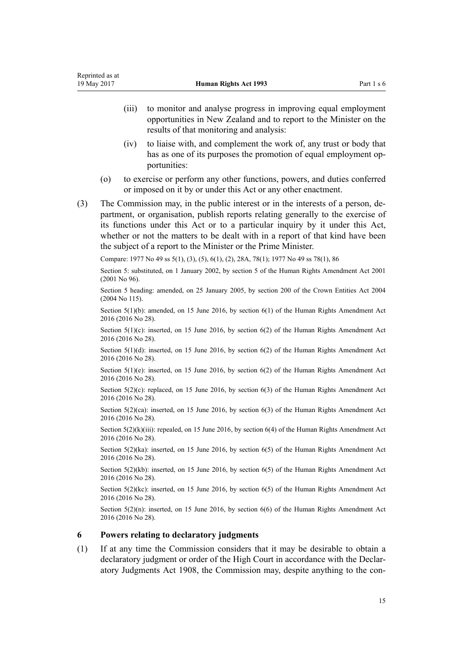- <span id="page-14-0"></span>(iii) to monitor and analyse progress in improving equal employment opportunities in New Zealand and to report to the Minister on the results of that monitoring and analysis:
- (iv) to liaise with, and complement the work of, any trust or body that has as one of its purposes the promotion of equal employment opportunities:
- (o) to exercise or perform any other functions, powers, and duties conferred or imposed on it by or under this Act or any other enactment.
- (3) The Commission may, in the public interest or in the interests of a person, department, or organisation, publish reports relating generally to the exercise of its functions under this Act or to a particular inquiry by it under this Act, whether or not the matters to be dealt with in a report of that kind have been the subject of a report to the Minister or the Prime Minister.

Compare: 1977 No 49 ss 5(1), (3), (5), 6(1), (2), 28A, 78(1); 1977 No 49 ss 78(1), 86

Section 5: substituted, on 1 January 2002, by [section 5](http://prd-lgnz-nlb.prd.pco.net.nz/pdflink.aspx?id=DLM121843) of the Human Rights Amendment Act 2001 (2001 No 96).

Section 5 heading: amended, on 25 January 2005, by [section 200](http://prd-lgnz-nlb.prd.pco.net.nz/pdflink.aspx?id=DLM331111) of the Crown Entities Act 2004 (2004 No 115).

Section 5(1)(b): amended, on 15 June 2016, by [section 6\(1\)](http://prd-lgnz-nlb.prd.pco.net.nz/pdflink.aspx?id=DLM4097517) of the Human Rights Amendment Act 2016 (2016 No 28).

Section  $5(1)(c)$ : inserted, on 15 June 2016, by section  $6(2)$  of the Human Rights Amendment Act 2016 (2016 No 28).

Section 5(1)(d): inserted, on 15 June 2016, by [section 6\(2\)](http://prd-lgnz-nlb.prd.pco.net.nz/pdflink.aspx?id=DLM4097517) of the Human Rights Amendment Act 2016 (2016 No 28).

Section  $5(1)(e)$ : inserted, on 15 June 2016, by [section 6\(2\)](http://prd-lgnz-nlb.prd.pco.net.nz/pdflink.aspx?id=DLM4097517) of the Human Rights Amendment Act 2016 (2016 No 28).

Section  $5(2)(c)$ : replaced, on 15 June 2016, by section  $6(3)$  of the Human Rights Amendment Act 2016 (2016 No 28).

Section 5(2)(ca): inserted, on 15 June 2016, by [section 6\(3\)](http://prd-lgnz-nlb.prd.pco.net.nz/pdflink.aspx?id=DLM4097517) of the Human Rights Amendment Act 2016 (2016 No 28).

Section 5(2)(k)(iii): repealed, on 15 June 2016, by [section 6\(4\)](http://prd-lgnz-nlb.prd.pco.net.nz/pdflink.aspx?id=DLM4097517) of the Human Rights Amendment Act 2016 (2016 No 28).

Section 5(2)(ka): inserted, on 15 June 2016, by [section 6\(5\)](http://prd-lgnz-nlb.prd.pco.net.nz/pdflink.aspx?id=DLM4097517) of the Human Rights Amendment Act 2016 (2016 No 28).

Section 5(2)(kb): inserted, on 15 June 2016, by [section 6\(5\)](http://prd-lgnz-nlb.prd.pco.net.nz/pdflink.aspx?id=DLM4097517) of the Human Rights Amendment Act 2016 (2016 No 28).

Section 5(2)(kc): inserted, on 15 June 2016, by [section 6\(5\)](http://prd-lgnz-nlb.prd.pco.net.nz/pdflink.aspx?id=DLM4097517) of the Human Rights Amendment Act 2016 (2016 No 28).

Section  $5(2)(n)$ : inserted, on 15 June 2016, by [section 6\(6\)](http://prd-lgnz-nlb.prd.pco.net.nz/pdflink.aspx?id=DLM4097517) of the Human Rights Amendment Act 2016 (2016 No 28).

#### **6 Powers relating to declaratory judgments**

(1) If at any time the Commission considers that it may be desirable to obtain a declaratory judgment or order of the High Court in accordance with the [Declar](http://prd-lgnz-nlb.prd.pco.net.nz/pdflink.aspx?id=DLM176192)[atory Judgments Act 1908,](http://prd-lgnz-nlb.prd.pco.net.nz/pdflink.aspx?id=DLM176192) the Commission may, despite anything to the con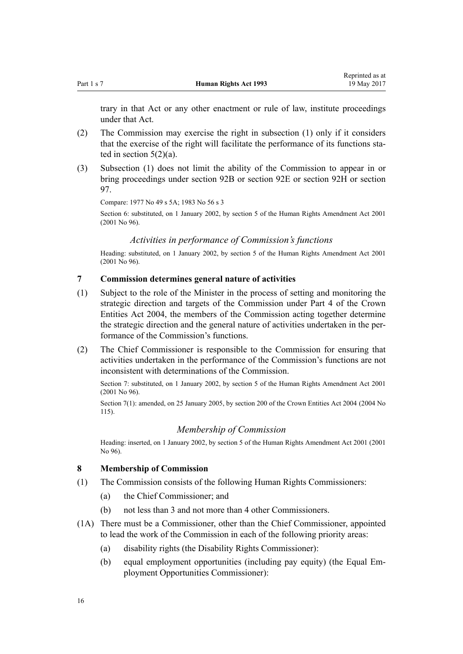<span id="page-15-0"></span>trary in that Act or any other enactment or rule of law, institute proceedings under that Act.

- (2) The Commission may exercise the right in subsection (1) only if it considers that the exercise of the right will facilitate the performance of its functions stated in section  $5(2)(a)$ .
- (3) Subsection (1) does not limit the ability of the Commission to appear in or bring proceedings under [section 92B](#page-68-0) or [section 92E](#page-71-0) or [section 92H](#page-72-0) or [section](#page-82-0) [97.](#page-82-0)

Compare: 1977 No 49 s 5A; 1983 No 56 s 3

Section 6: substituted, on 1 January 2002, by [section 5](http://prd-lgnz-nlb.prd.pco.net.nz/pdflink.aspx?id=DLM121843) of the Human Rights Amendment Act 2001 (2001 No 96).

#### *Activities in performance of Commission's functions*

Heading: substituted, on 1 January 2002, by [section 5](http://prd-lgnz-nlb.prd.pco.net.nz/pdflink.aspx?id=DLM121843) of the Human Rights Amendment Act 2001 (2001 No 96).

# **7 Commission determines general nature of activities**

- (1) Subject to the role of the Minister in the process of setting and monitoring the strategic direction and targets of the Commission under [Part 4](http://prd-lgnz-nlb.prd.pco.net.nz/pdflink.aspx?id=DLM330504) of the Crown Entities Act 2004, the members of the Commission acting together determine the strategic direction and the general nature of activities undertaken in the performance of the Commission's functions.
- (2) The Chief Commissioner is responsible to the Commission for ensuring that activities undertaken in the performance of the Commission's functions are not inconsistent with determinations of the Commission.

Section 7: substituted, on 1 January 2002, by [section 5](http://prd-lgnz-nlb.prd.pco.net.nz/pdflink.aspx?id=DLM121843) of the Human Rights Amendment Act 2001 (2001 No 96).

Section 7(1): amended, on 25 January 2005, by [section 200](http://prd-lgnz-nlb.prd.pco.net.nz/pdflink.aspx?id=DLM331111) of the Crown Entities Act 2004 (2004 No 115).

#### *Membership of Commission*

Heading: inserted, on 1 January 2002, by [section 5](http://prd-lgnz-nlb.prd.pco.net.nz/pdflink.aspx?id=DLM121843) of the Human Rights Amendment Act 2001 (2001 No 96).

#### **8 Membership of Commission**

- (1) The Commission consists of the following Human Rights Commissioners:
	- (a) the Chief Commissioner; and
	- (b) not less than 3 and not more than 4 other Commissioners.
- (1A) There must be a Commissioner, other than the Chief Commissioner, appointed to lead the work of the Commission in each of the following priority areas:
	- (a) disability rights (the Disability Rights Commissioner):
	- (b) equal employment opportunities (including pay equity) (the Equal Employment Opportunities Commissioner):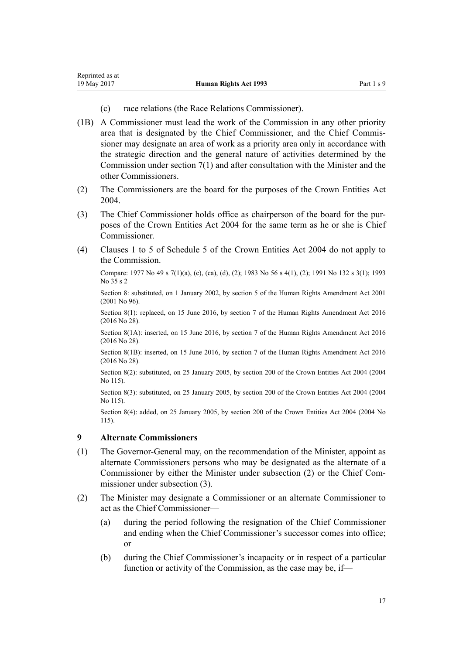- (c) race relations (the Race Relations Commissioner).
- <span id="page-16-0"></span>(1B) A Commissioner must lead the work of the Commission in any other priority area that is designated by the Chief Commissioner, and the Chief Commissioner may designate an area of work as a priority area only in accordance with the strategic direction and the general nature of activities determined by the Commission under [section 7\(1\)](#page-15-0) and after consultation with the Minister and the other Commissioners.
- (2) The Commissioners are the board for the purposes of the [Crown Entities Act](http://prd-lgnz-nlb.prd.pco.net.nz/pdflink.aspx?id=DLM329630) [2004](http://prd-lgnz-nlb.prd.pco.net.nz/pdflink.aspx?id=DLM329630).
- (3) The Chief Commissioner holds office as chairperson of the board for the purposes of the [Crown Entities Act 2004](http://prd-lgnz-nlb.prd.pco.net.nz/pdflink.aspx?id=DLM329630) for the same term as he or she is Chief Commissioner.
- (4) [Clauses 1 to 5](http://prd-lgnz-nlb.prd.pco.net.nz/pdflink.aspx?id=DLM331133) of Schedule 5 of the Crown Entities Act 2004 do not apply to the Commission.

Compare: 1977 No 49 s 7(1)(a), (c), (ca), (d), (2); 1983 No 56 s 4(1), (2); 1991 No 132 s 3(1); 1993 No 35 s 2

Section 8: substituted, on 1 January 2002, by [section 5](http://prd-lgnz-nlb.prd.pco.net.nz/pdflink.aspx?id=DLM121843) of the Human Rights Amendment Act 2001 (2001 No 96).

Section 8(1): replaced, on 15 June 2016, by [section 7](http://prd-lgnz-nlb.prd.pco.net.nz/pdflink.aspx?id=DLM4097518) of the Human Rights Amendment Act 2016 (2016 No 28).

Section 8(1A): inserted, on 15 June 2016, by [section 7](http://prd-lgnz-nlb.prd.pco.net.nz/pdflink.aspx?id=DLM4097518) of the Human Rights Amendment Act 2016 (2016 No 28).

Section 8(1B): inserted, on 15 June 2016, by [section 7](http://prd-lgnz-nlb.prd.pco.net.nz/pdflink.aspx?id=DLM4097518) of the Human Rights Amendment Act 2016 (2016 No 28).

Section 8(2): substituted, on 25 January 2005, by [section 200](http://prd-lgnz-nlb.prd.pco.net.nz/pdflink.aspx?id=DLM331111) of the Crown Entities Act 2004 (2004) No 115).

Section 8(3): substituted, on 25 January 2005, by [section 200](http://prd-lgnz-nlb.prd.pco.net.nz/pdflink.aspx?id=DLM331111) of the Crown Entities Act 2004 (2004 No 115).

Section 8(4): added, on 25 January 2005, by [section 200](http://prd-lgnz-nlb.prd.pco.net.nz/pdflink.aspx?id=DLM331111) of the Crown Entities Act 2004 (2004 No 115).

#### **9 Alternate Commissioners**

- (1) The Governor-General may, on the recommendation of the Minister, appoint as alternate Commissioners persons who may be designated as the alternate of a Commissioner by either the Minister under subsection (2) or the Chief Commissioner under subsection (3).
- (2) The Minister may designate a Commissioner or an alternate Commissioner to act as the Chief Commissioner—
	- (a) during the period following the resignation of the Chief Commissioner and ending when the Chief Commissioner's successor comes into office; or
	- (b) during the Chief Commissioner's incapacity or in respect of a particular function or activity of the Commission, as the case may be, if—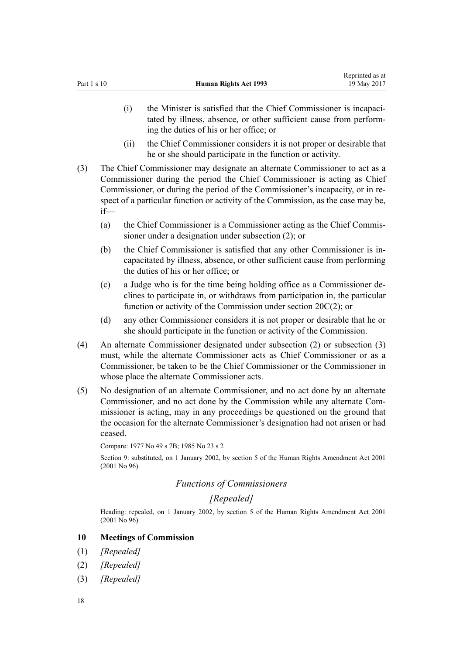| (a)<br>the Chief Commissioner is a Commissioner acting as the Chief Commis-<br>sioner under a designation under subsection (2); or<br>the Chief Commissioner is satisfied that any other Commissioner is in-<br>(b)<br>capacitated by illness, absence, or other sufficient cause from performing<br>the duties of his or her office; or<br>a Judge who is for the time being holding office as a Commissioner de-<br>(c)<br>clines to participate in, or withdraws from participation in, the particular<br>function or activity of the Commission under section $20C(2)$ ; or<br>(d)<br>any other Commissioner considers it is not proper or desirable that he or<br>she should participate in the function or activity of the Commission.<br>An alternate Commissioner designated under subsection (2) or subsection (3)<br>(4)<br>must, while the alternate Commissioner acts as Chief Commissioner or as a<br>Commissioner, be taken to be the Chief Commissioner or the Commissioner in<br>whose place the alternate Commissioner acts.<br>No designation of an alternate Commissioner, and no act done by an alternate<br>(5)<br>Commissioner, and no act done by the Commission while any alternate Com-<br>missioner is acting, may in any proceedings be questioned on the ground that<br>the occasion for the alternate Commissioner's designation had not arisen or had<br>ceased.<br>Compare: 1977 No 49 s 7B; 1985 No 23 s 2<br>Section 9: substituted, on 1 January 2002, by section 5 of the Human Rights Amendment Act 2001<br>$(2001$ No 96).<br><b>Functions of Commissioners</b><br>[Repealed]<br>Heading: repealed, on 1 January 2002, by section 5 of the Human Rights Amendment Act 2001<br>(2001 No 96).<br><b>Meetings of Commission</b><br>10<br>(1)<br>[Repealed]<br>(2)<br>[Repealed] |  |
|-------------------------------------------------------------------------------------------------------------------------------------------------------------------------------------------------------------------------------------------------------------------------------------------------------------------------------------------------------------------------------------------------------------------------------------------------------------------------------------------------------------------------------------------------------------------------------------------------------------------------------------------------------------------------------------------------------------------------------------------------------------------------------------------------------------------------------------------------------------------------------------------------------------------------------------------------------------------------------------------------------------------------------------------------------------------------------------------------------------------------------------------------------------------------------------------------------------------------------------------------------------------------------------------------------------------------------------------------------------------------------------------------------------------------------------------------------------------------------------------------------------------------------------------------------------------------------------------------------------------------------------------------------------------------------------------------------------------------------------------------------------------------------------------------------------------|--|
|                                                                                                                                                                                                                                                                                                                                                                                                                                                                                                                                                                                                                                                                                                                                                                                                                                                                                                                                                                                                                                                                                                                                                                                                                                                                                                                                                                                                                                                                                                                                                                                                                                                                                                                                                                                                                   |  |
|                                                                                                                                                                                                                                                                                                                                                                                                                                                                                                                                                                                                                                                                                                                                                                                                                                                                                                                                                                                                                                                                                                                                                                                                                                                                                                                                                                                                                                                                                                                                                                                                                                                                                                                                                                                                                   |  |
|                                                                                                                                                                                                                                                                                                                                                                                                                                                                                                                                                                                                                                                                                                                                                                                                                                                                                                                                                                                                                                                                                                                                                                                                                                                                                                                                                                                                                                                                                                                                                                                                                                                                                                                                                                                                                   |  |
|                                                                                                                                                                                                                                                                                                                                                                                                                                                                                                                                                                                                                                                                                                                                                                                                                                                                                                                                                                                                                                                                                                                                                                                                                                                                                                                                                                                                                                                                                                                                                                                                                                                                                                                                                                                                                   |  |
|                                                                                                                                                                                                                                                                                                                                                                                                                                                                                                                                                                                                                                                                                                                                                                                                                                                                                                                                                                                                                                                                                                                                                                                                                                                                                                                                                                                                                                                                                                                                                                                                                                                                                                                                                                                                                   |  |
|                                                                                                                                                                                                                                                                                                                                                                                                                                                                                                                                                                                                                                                                                                                                                                                                                                                                                                                                                                                                                                                                                                                                                                                                                                                                                                                                                                                                                                                                                                                                                                                                                                                                                                                                                                                                                   |  |
|                                                                                                                                                                                                                                                                                                                                                                                                                                                                                                                                                                                                                                                                                                                                                                                                                                                                                                                                                                                                                                                                                                                                                                                                                                                                                                                                                                                                                                                                                                                                                                                                                                                                                                                                                                                                                   |  |
|                                                                                                                                                                                                                                                                                                                                                                                                                                                                                                                                                                                                                                                                                                                                                                                                                                                                                                                                                                                                                                                                                                                                                                                                                                                                                                                                                                                                                                                                                                                                                                                                                                                                                                                                                                                                                   |  |
|                                                                                                                                                                                                                                                                                                                                                                                                                                                                                                                                                                                                                                                                                                                                                                                                                                                                                                                                                                                                                                                                                                                                                                                                                                                                                                                                                                                                                                                                                                                                                                                                                                                                                                                                                                                                                   |  |
|                                                                                                                                                                                                                                                                                                                                                                                                                                                                                                                                                                                                                                                                                                                                                                                                                                                                                                                                                                                                                                                                                                                                                                                                                                                                                                                                                                                                                                                                                                                                                                                                                                                                                                                                                                                                                   |  |
|                                                                                                                                                                                                                                                                                                                                                                                                                                                                                                                                                                                                                                                                                                                                                                                                                                                                                                                                                                                                                                                                                                                                                                                                                                                                                                                                                                                                                                                                                                                                                                                                                                                                                                                                                                                                                   |  |
|                                                                                                                                                                                                                                                                                                                                                                                                                                                                                                                                                                                                                                                                                                                                                                                                                                                                                                                                                                                                                                                                                                                                                                                                                                                                                                                                                                                                                                                                                                                                                                                                                                                                                                                                                                                                                   |  |
|                                                                                                                                                                                                                                                                                                                                                                                                                                                                                                                                                                                                                                                                                                                                                                                                                                                                                                                                                                                                                                                                                                                                                                                                                                                                                                                                                                                                                                                                                                                                                                                                                                                                                                                                                                                                                   |  |
|                                                                                                                                                                                                                                                                                                                                                                                                                                                                                                                                                                                                                                                                                                                                                                                                                                                                                                                                                                                                                                                                                                                                                                                                                                                                                                                                                                                                                                                                                                                                                                                                                                                                                                                                                                                                                   |  |
| [Repealed]<br>(3)                                                                                                                                                                                                                                                                                                                                                                                                                                                                                                                                                                                                                                                                                                                                                                                                                                                                                                                                                                                                                                                                                                                                                                                                                                                                                                                                                                                                                                                                                                                                                                                                                                                                                                                                                                                                 |  |
| 18                                                                                                                                                                                                                                                                                                                                                                                                                                                                                                                                                                                                                                                                                                                                                                                                                                                                                                                                                                                                                                                                                                                                                                                                                                                                                                                                                                                                                                                                                                                                                                                                                                                                                                                                                                                                                |  |
|                                                                                                                                                                                                                                                                                                                                                                                                                                                                                                                                                                                                                                                                                                                                                                                                                                                                                                                                                                                                                                                                                                                                                                                                                                                                                                                                                                                                                                                                                                                                                                                                                                                                                                                                                                                                                   |  |
|                                                                                                                                                                                                                                                                                                                                                                                                                                                                                                                                                                                                                                                                                                                                                                                                                                                                                                                                                                                                                                                                                                                                                                                                                                                                                                                                                                                                                                                                                                                                                                                                                                                                                                                                                                                                                   |  |

- <span id="page-17-0"></span>(i) the Minister is satisfied that the Chief Commissioner is incapacitated by illness, absence, or other sufficient cause from performing the duties of his or her office; or
- (ii) the Chief Commissioner considers it is not proper or desirable that he or she should participate in the function or activity.
- (3) The Chief Commissioner may designate an alternate Commissioner to act as a Commissioner during the period the Chief Commissioner is acting as Chief Commissioner, or during the period of the Commissioner's incapacity, or in respect of a particular function or activity of the Commission, as the case may be,
	-
	- capacitated by illness, absence, or other sufficient cause from performing
	- clines to participate in, or withdraws from participation in, the particular
	-
- must, while the alternate Commissioner acts as Chief Commissioner or as a Commissioner, be taken to be the Chief Commissioner or the Commissioner in
- Commissioner, and no act done by the Commission while any alternate Commissioner is acting, may in any proceedings be questioned on the ground that the occasion for the alternate Commissioner's designation had not arisen or had

- 
- (2) *[Repealed]*
- (3) *[Repealed]*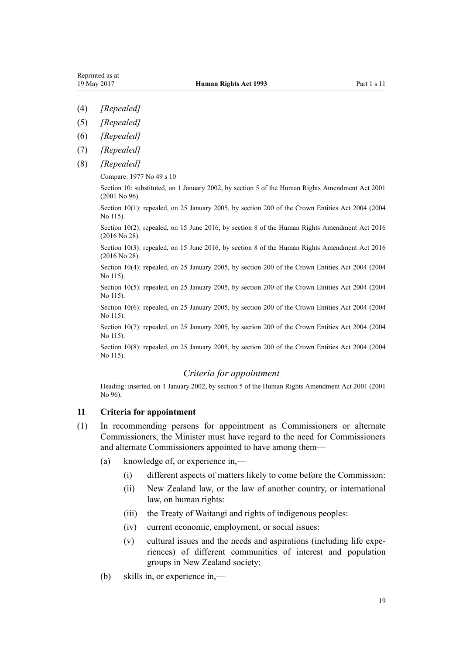- <span id="page-18-0"></span>(4) *[Repealed]*
- (5) *[Repealed]*
- (6) *[Repealed]*
- (7) *[Repealed]*
- (8) *[Repealed]*
	- Compare: 1977 No 49 s 10

Section 10: substituted, on 1 January 2002, by [section 5](http://prd-lgnz-nlb.prd.pco.net.nz/pdflink.aspx?id=DLM121843) of the Human Rights Amendment Act 2001 (2001 No 96).

Section 10(1): repealed, on 25 January 2005, by [section 200](http://prd-lgnz-nlb.prd.pco.net.nz/pdflink.aspx?id=DLM331111) of the Crown Entities Act 2004 (2004) No 115).

Section 10(2): repealed, on 15 June 2016, by [section 8](http://prd-lgnz-nlb.prd.pco.net.nz/pdflink.aspx?id=DLM4097519) of the Human Rights Amendment Act 2016 (2016 No 28).

Section 10(3): repealed, on 15 June 2016, by [section 8](http://prd-lgnz-nlb.prd.pco.net.nz/pdflink.aspx?id=DLM4097519) of the Human Rights Amendment Act 2016 (2016 No 28).

Section 10(4): repealed, on 25 January 2005, by [section 200](http://prd-lgnz-nlb.prd.pco.net.nz/pdflink.aspx?id=DLM331111) of the Crown Entities Act 2004 (2004 No 115).

Section 10(5): repealed, on 25 January 2005, by [section 200](http://prd-lgnz-nlb.prd.pco.net.nz/pdflink.aspx?id=DLM331111) of the Crown Entities Act 2004 (2004) No 115).

Section 10(6): repealed, on 25 January 2005, by [section 200](http://prd-lgnz-nlb.prd.pco.net.nz/pdflink.aspx?id=DLM331111) of the Crown Entities Act 2004 (2004 No 115).

Section 10(7): repealed, on 25 January 2005, by [section 200](http://prd-lgnz-nlb.prd.pco.net.nz/pdflink.aspx?id=DLM331111) of the Crown Entities Act 2004 (2004) No 115).

Section 10(8): repealed, on 25 January 2005, by [section 200](http://prd-lgnz-nlb.prd.pco.net.nz/pdflink.aspx?id=DLM331111) of the Crown Entities Act 2004 (2004 No 115).

# *Criteria for appointment*

Heading: inserted, on 1 January 2002, by [section 5](http://prd-lgnz-nlb.prd.pco.net.nz/pdflink.aspx?id=DLM121843) of the Human Rights Amendment Act 2001 (2001 No 96).

#### **11 Criteria for appointment**

- (1) In recommending persons for appointment as Commissioners or alternate Commissioners, the Minister must have regard to the need for Commissioners and alternate Commissioners appointed to have among them—
	- (a) knowledge of, or experience in,—
		- (i) different aspects of matters likely to come before the Commission:
		- (ii) New Zealand law, or the law of another country, or international law, on human rights:
		- (iii) the [Treaty of Waitangi](http://prd-lgnz-nlb.prd.pco.net.nz/pdflink.aspx?id=DLM435834) and rights of indigenous peoples:
		- (iv) current economic, employment, or social issues:
		- (v) cultural issues and the needs and aspirations (including life experiences) of different communities of interest and population groups in New Zealand society:
	- (b) skills in, or experience in,—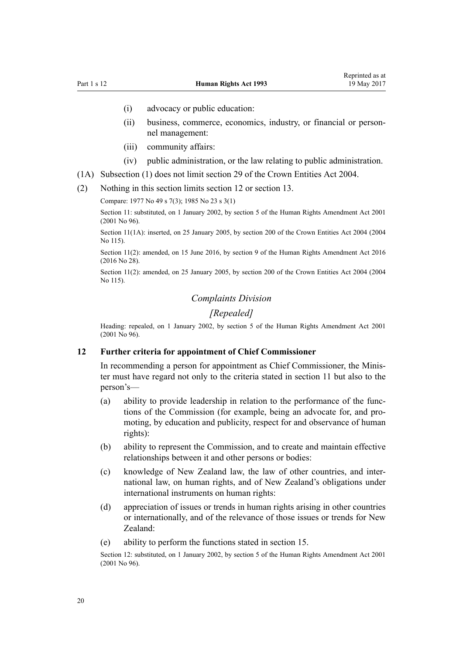- <span id="page-19-0"></span>(i) advocacy or public education:
- (ii) business, commerce, economics, industry, or financial or personnel management:
- (iii) community affairs:
- (iv) public administration, or the law relating to public administration.
- (1A) Subsection (1) does not limit [section 29](http://prd-lgnz-nlb.prd.pco.net.nz/pdflink.aspx?id=DLM329955) of the Crown Entities Act 2004.
- (2) Nothing in this section limits section 12 or [section 13.](#page-20-0)

Compare: 1977 No 49 s 7(3); 1985 No 23 s 3(1)

Section 11: substituted, on 1 January 2002, by [section 5](http://prd-lgnz-nlb.prd.pco.net.nz/pdflink.aspx?id=DLM121843) of the Human Rights Amendment Act 2001 (2001 No 96).

Section 11(1A): inserted, on 25 January 2005, by [section 200](http://prd-lgnz-nlb.prd.pco.net.nz/pdflink.aspx?id=DLM331111) of the Crown Entities Act 2004 (2004 No 115).

Section 11(2): amended, on 15 June 2016, by [section 9](http://prd-lgnz-nlb.prd.pco.net.nz/pdflink.aspx?id=DLM4097520) of the Human Rights Amendment Act 2016 (2016 No 28).

Section 11(2): amended, on 25 January 2005, by [section 200](http://prd-lgnz-nlb.prd.pco.net.nz/pdflink.aspx?id=DLM331111) of the Crown Entities Act 2004 (2004) No 115).

#### *Complaints Division*

#### *[Repealed]*

Heading: repealed, on 1 January 2002, by [section 5](http://prd-lgnz-nlb.prd.pco.net.nz/pdflink.aspx?id=DLM121843) of the Human Rights Amendment Act 2001 (2001 No 96).

#### **12 Further criteria for appointment of Chief Commissioner**

In recommending a person for appointment as Chief Commissioner, the Minister must have regard not only to the criteria stated in [section 11](#page-18-0) but also to the person's—

- (a) ability to provide leadership in relation to the performance of the functions of the Commission (for example, being an advocate for, and promoting, by education and publicity, respect for and observance of human rights):
- (b) ability to represent the Commission, and to create and maintain effective relationships between it and other persons or bodies:
- (c) knowledge of New Zealand law, the law of other countries, and international law, on human rights, and of New Zealand's obligations under international instruments on human rights:
- (d) appreciation of issues or trends in human rights arising in other countries or internationally, and of the relevance of those issues or trends for New Zealand:
- (e) ability to perform the functions stated in [section 15](#page-20-0).

Section 12: substituted, on 1 January 2002, by [section 5](http://prd-lgnz-nlb.prd.pco.net.nz/pdflink.aspx?id=DLM121843) of the Human Rights Amendment Act 2001 (2001 No 96).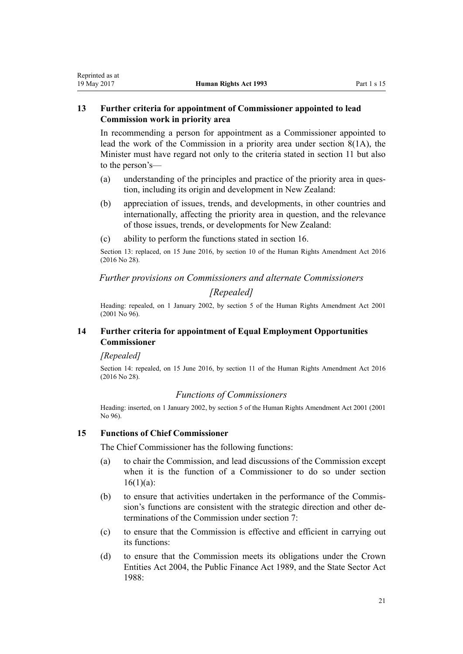# <span id="page-20-0"></span>**13 Further criteria for appointment of Commissioner appointed to lead Commission work in priority area**

In recommending a person for appointment as a Commissioner appointed to lead the work of the Commission in a priority area under [section 8\(1A\),](#page-15-0) the Minister must have regard not only to the criteria stated in [section 11](#page-18-0) but also to the person's—

- (a) understanding of the principles and practice of the priority area in question, including its origin and development in New Zealand:
- (b) appreciation of issues, trends, and developments, in other countries and internationally, affecting the priority area in question, and the relevance of those issues, trends, or developments for New Zealand:
- (c) ability to perform the functions stated in [section 16](#page-21-0).

Section 13: replaced, on 15 June 2016, by [section 10](http://prd-lgnz-nlb.prd.pco.net.nz/pdflink.aspx?id=DLM4097521) of the Human Rights Amendment Act 2016 (2016 No 28).

*Further provisions on Commissioners and alternate Commissioners*

# *[Repealed]*

Heading: repealed, on 1 January 2002, by [section 5](http://prd-lgnz-nlb.prd.pco.net.nz/pdflink.aspx?id=DLM121843) of the Human Rights Amendment Act 2001 (2001 No 96).

#### **14 Further criteria for appointment of Equal Employment Opportunities Commissioner**

#### *[Repealed]*

Section 14: repealed, on 15 June 2016, by [section 11](http://prd-lgnz-nlb.prd.pco.net.nz/pdflink.aspx?id=DLM4097523) of the Human Rights Amendment Act 2016 (2016 No 28).

#### *Functions of Commissioners*

Heading: inserted, on 1 January 2002, by [section 5](http://prd-lgnz-nlb.prd.pco.net.nz/pdflink.aspx?id=DLM121843) of the Human Rights Amendment Act 2001 (2001 No 96).

### **15 Functions of Chief Commissioner**

The Chief Commissioner has the following functions:

- (a) to chair the Commission, and lead discussions of the Commission except when it is the function of a Commissioner to do so under [section](#page-21-0)  $16(1)(a)$ :
- (b) to ensure that activities undertaken in the performance of the Commission's functions are consistent with the strategic direction and other determinations of the Commission under [section 7](#page-15-0):
- (c) to ensure that the Commission is effective and efficient in carrying out its functions:
- (d) to ensure that the Commission meets its obligations under the [Crown](http://prd-lgnz-nlb.prd.pco.net.nz/pdflink.aspx?id=DLM329630) [Entities Act 2004](http://prd-lgnz-nlb.prd.pco.net.nz/pdflink.aspx?id=DLM329630), the [Public Finance Act 1989](http://prd-lgnz-nlb.prd.pco.net.nz/pdflink.aspx?id=DLM160808), and the [State Sector Act](http://prd-lgnz-nlb.prd.pco.net.nz/pdflink.aspx?id=DLM129109) [1988](http://prd-lgnz-nlb.prd.pco.net.nz/pdflink.aspx?id=DLM129109):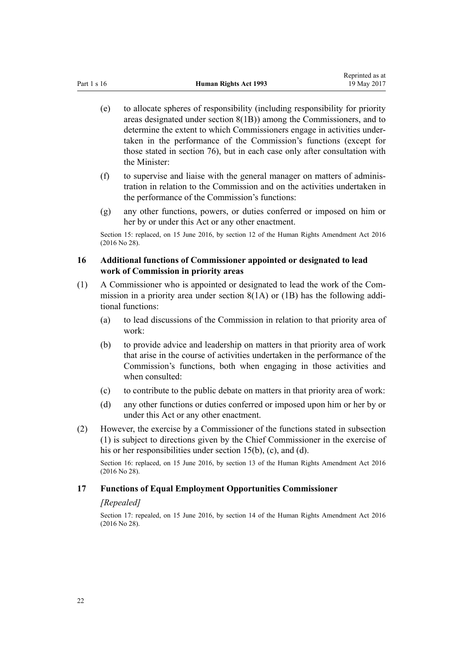- <span id="page-21-0"></span>(e) to allocate spheres of responsibility (including responsibility for priority areas designated under [section 8\(1B\)\)](#page-15-0) among the Commissioners, and to determine the extent to which Commissioners engage in activities undertaken in the performance of the Commission's functions (except for those stated in [section 76\)](#page-58-0), but in each case only after consultation with the Minister:
- (f) to supervise and liaise with the general manager on matters of administration in relation to the Commission and on the activities undertaken in the performance of the Commission's functions:
- (g) any other functions, powers, or duties conferred or imposed on him or her by or under this Act or any other enactment.

Section 15: replaced, on 15 June 2016, by [section 12](http://prd-lgnz-nlb.prd.pco.net.nz/pdflink.aspx?id=DLM4097524) of the Human Rights Amendment Act 2016 (2016 No 28).

## **16 Additional functions of Commissioner appointed or designated to lead work of Commission in priority areas**

- (1) A Commissioner who is appointed or designated to lead the work of the Commission in a priority area under [section 8\(1A\) or \(1B\)](#page-15-0) has the following additional functions:
	- (a) to lead discussions of the Commission in relation to that priority area of work:
	- (b) to provide advice and leadership on matters in that priority area of work that arise in the course of activities undertaken in the performance of the Commission's functions, both when engaging in those activities and when consulted:
	- (c) to contribute to the public debate on matters in that priority area of work:
	- (d) any other functions or duties conferred or imposed upon him or her by or under this Act or any other enactment.
- (2) However, the exercise by a Commissioner of the functions stated in subsection (1) is subject to directions given by the Chief Commissioner in the exercise of his or her responsibilities under [section 15\(b\), \(c\), and \(d\).](#page-20-0)

Section 16: replaced, on 15 June 2016, by [section 13](http://prd-lgnz-nlb.prd.pco.net.nz/pdflink.aspx?id=DLM4097526) of the Human Rights Amendment Act 2016 (2016 No 28).

# **17 Functions of Equal Employment Opportunities Commissioner**

# *[Repealed]*

Section 17: repealed, on 15 June 2016, by [section 14](http://prd-lgnz-nlb.prd.pco.net.nz/pdflink.aspx?id=DLM4097528) of the Human Rights Amendment Act 2016 (2016 No 28).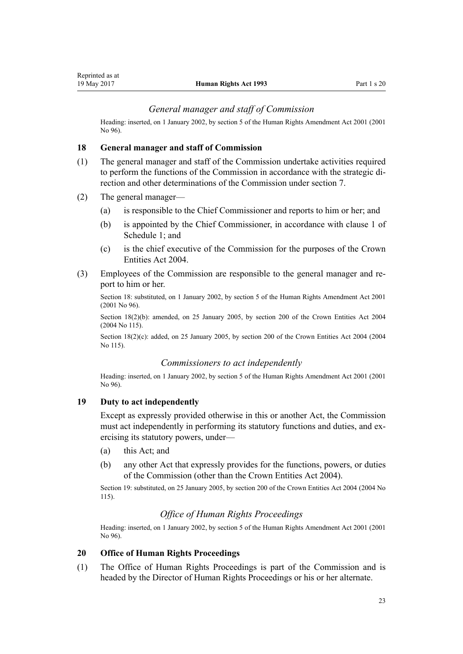#### *General manager and staff of Commission*

<span id="page-22-0"></span>Heading: inserted, on 1 January 2002, by [section 5](http://prd-lgnz-nlb.prd.pco.net.nz/pdflink.aspx?id=DLM121843) of the Human Rights Amendment Act 2001 (2001 No 96).

#### **18 General manager and staff of Commission**

- (1) The general manager and staff of the Commission undertake activities required to perform the functions of the Commission in accordance with the strategic direction and other determinations of the Commission under [section 7.](#page-15-0)
- (2) The general manager—
	- (a) is responsible to the Chief Commissioner and reports to him or her; and
	- (b) is appointed by the Chief Commissioner, in accordance with [clause 1](#page-117-0) of Schedule 1; and
	- (c) is the chief executive of the Commission for the purposes of the [Crown](http://prd-lgnz-nlb.prd.pco.net.nz/pdflink.aspx?id=DLM329630) [Entities Act 2004.](http://prd-lgnz-nlb.prd.pco.net.nz/pdflink.aspx?id=DLM329630)
- (3) Employees of the Commission are responsible to the general manager and report to him or her.

Section 18: substituted, on 1 January 2002, by [section 5](http://prd-lgnz-nlb.prd.pco.net.nz/pdflink.aspx?id=DLM121843) of the Human Rights Amendment Act 2001 (2001 No 96).

Section 18(2)(b): amended, on 25 January 2005, by [section 200](http://prd-lgnz-nlb.prd.pco.net.nz/pdflink.aspx?id=DLM331111) of the Crown Entities Act 2004 (2004 No 115).

Section 18(2)(c): added, on 25 January 2005, by [section 200](http://prd-lgnz-nlb.prd.pco.net.nz/pdflink.aspx?id=DLM331111) of the Crown Entities Act 2004 (2004) No 115).

#### *Commissioners to act independently*

Heading: inserted, on 1 January 2002, by [section 5](http://prd-lgnz-nlb.prd.pco.net.nz/pdflink.aspx?id=DLM121843) of the Human Rights Amendment Act 2001 (2001 No 96).

#### **19 Duty to act independently**

Except as expressly provided otherwise in this or another Act, the Commission must act independently in performing its statutory functions and duties, and exercising its statutory powers, under—

- (a) this Act; and
- (b) any other Act that expressly provides for the functions, powers, or duties of the Commission (other than the [Crown Entities Act 2004](http://prd-lgnz-nlb.prd.pco.net.nz/pdflink.aspx?id=DLM329630)).

Section 19: substituted, on 25 January 2005, by [section 200](http://prd-lgnz-nlb.prd.pco.net.nz/pdflink.aspx?id=DLM331111) of the Crown Entities Act 2004 (2004 No 115).

#### *Office of Human Rights Proceedings*

Heading: inserted, on 1 January 2002, by [section 5](http://prd-lgnz-nlb.prd.pco.net.nz/pdflink.aspx?id=DLM121843) of the Human Rights Amendment Act 2001 (2001 No 96).

#### **20 Office of Human Rights Proceedings**

(1) The Office of Human Rights Proceedings is part of the Commission and is headed by the Director of Human Rights Proceedings or his or her alternate.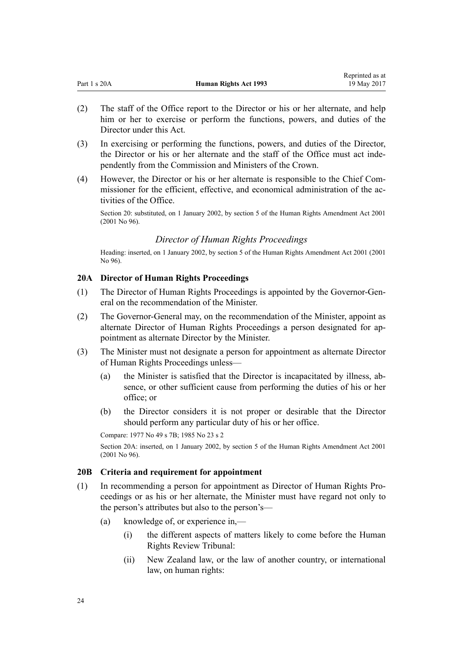<span id="page-23-0"></span>

| Part 1 s 20A | <b>Human Rights Act 1993</b> | 19 May 2017 |
|--------------|------------------------------|-------------|
|              |                              |             |

Reprinted as at

- (2) The staff of the Office report to the Director or his or her alternate, and help him or her to exercise or perform the functions, powers, and duties of the Director under this Act.
- (3) In exercising or performing the functions, powers, and duties of the Director, the Director or his or her alternate and the staff of the Office must act independently from the Commission and Ministers of the Crown.
- (4) However, the Director or his or her alternate is responsible to the Chief Commissioner for the efficient, effective, and economical administration of the activities of the Office.

Section 20: substituted, on 1 January 2002, by [section 5](http://prd-lgnz-nlb.prd.pco.net.nz/pdflink.aspx?id=DLM121843) of the Human Rights Amendment Act 2001 (2001 No 96).

# *Director of Human Rights Proceedings*

Heading: inserted, on 1 January 2002, by [section 5](http://prd-lgnz-nlb.prd.pco.net.nz/pdflink.aspx?id=DLM121843) of the Human Rights Amendment Act 2001 (2001 No 96).

#### **20A Director of Human Rights Proceedings**

- (1) The Director of Human Rights Proceedings is appointed by the Governor-General on the recommendation of the Minister.
- (2) The Governor-General may, on the recommendation of the Minister, appoint as alternate Director of Human Rights Proceedings a person designated for appointment as alternate Director by the Minister.
- (3) The Minister must not designate a person for appointment as alternate Director of Human Rights Proceedings unless—
	- (a) the Minister is satisfied that the Director is incapacitated by illness, absence, or other sufficient cause from performing the duties of his or her office; or
	- (b) the Director considers it is not proper or desirable that the Director should perform any particular duty of his or her office.

Compare: 1977 No 49 s 7B; 1985 No 23 s 2

Section 20A: inserted, on 1 January 2002, by [section 5](http://prd-lgnz-nlb.prd.pco.net.nz/pdflink.aspx?id=DLM121843) of the Human Rights Amendment Act 2001 (2001 No 96).

#### **20B Criteria and requirement for appointment**

- (1) In recommending a person for appointment as Director of Human Rights Proceedings or as his or her alternate, the Minister must have regard not only to the person's attributes but also to the person's—
	- (a) knowledge of, or experience in,—
		- (i) the different aspects of matters likely to come before the Human Rights Review Tribunal:
		- (ii) New Zealand law, or the law of another country, or international law, on human rights: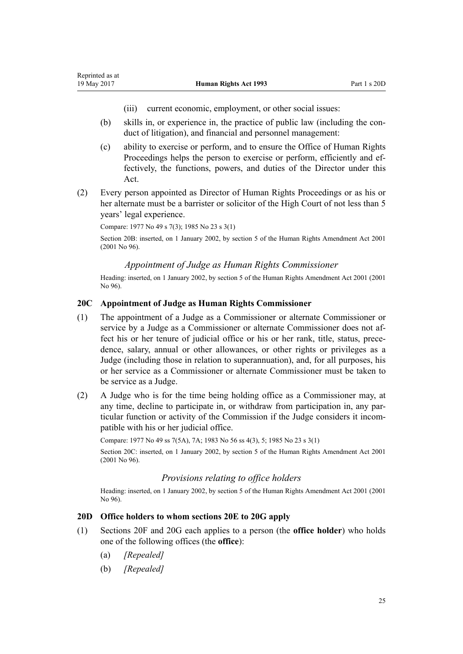- (iii) current economic, employment, or other social issues:
- <span id="page-24-0"></span>(b) skills in, or experience in, the practice of public law (including the conduct of litigation), and financial and personnel management:
- (c) ability to exercise or perform, and to ensure the Office of Human Rights Proceedings helps the person to exercise or perform, efficiently and effectively, the functions, powers, and duties of the Director under this Act.
- (2) Every person appointed as Director of Human Rights Proceedings or as his or her alternate must be a barrister or solicitor of the High Court of not less than 5 years' legal experience.

Compare: 1977 No 49 s 7(3); 1985 No 23 s 3(1)

Section 20B: inserted, on 1 January 2002, by [section 5](http://prd-lgnz-nlb.prd.pco.net.nz/pdflink.aspx?id=DLM121843) of the Human Rights Amendment Act 2001 (2001 No 96).

#### *Appointment of Judge as Human Rights Commissioner*

Heading: inserted, on 1 January 2002, by [section 5](http://prd-lgnz-nlb.prd.pco.net.nz/pdflink.aspx?id=DLM121843) of the Human Rights Amendment Act 2001 (2001 No 96).

### **20C Appointment of Judge as Human Rights Commissioner**

- (1) The appointment of a Judge as a Commissioner or alternate Commissioner or service by a Judge as a Commissioner or alternate Commissioner does not affect his or her tenure of judicial office or his or her rank, title, status, precedence, salary, annual or other allowances, or other rights or privileges as a Judge (including those in relation to superannuation), and, for all purposes, his or her service as a Commissioner or alternate Commissioner must be taken to be service as a Judge.
- (2) A Judge who is for the time being holding office as a Commissioner may, at any time, decline to participate in, or withdraw from participation in, any particular function or activity of the Commission if the Judge considers it incompatible with his or her judicial office.

Compare: 1977 No 49 ss 7(5A), 7A; 1983 No 56 ss 4(3), 5; 1985 No 23 s 3(1)

Section 20C: inserted, on 1 January 2002, by [section 5](http://prd-lgnz-nlb.prd.pco.net.nz/pdflink.aspx?id=DLM121843) of the Human Rights Amendment Act 2001 (2001 No 96).

#### *Provisions relating to office holders*

Heading: inserted, on 1 January 2002, by [section 5](http://prd-lgnz-nlb.prd.pco.net.nz/pdflink.aspx?id=DLM121843) of the Human Rights Amendment Act 2001 (2001 No 96).

#### **20D Office holders to whom sections 20E to 20G apply**

- (1) [Sections 20F](#page-25-0) and [20G](#page-25-0) each applies to a person (the **office holder**) who holds one of the following offices (the **office**):
	- (a) *[Repealed]*
	- (b) *[Repealed]*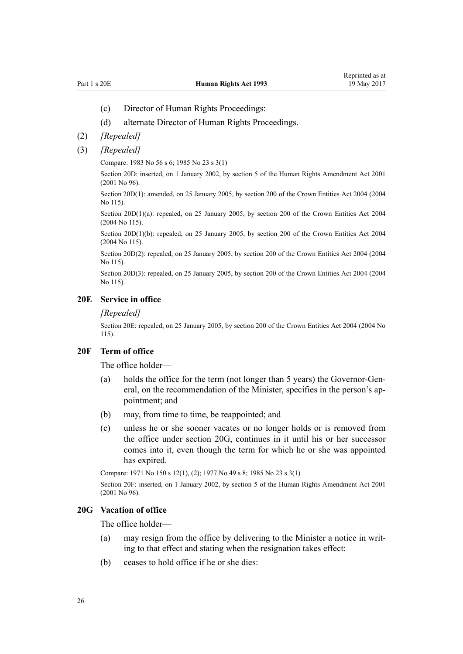- <span id="page-25-0"></span>(c) Director of Human Rights Proceedings:
- (d) alternate Director of Human Rights Proceedings.
- (2) *[Repealed]*
- (3) *[Repealed]*

Compare: 1983 No 56 s 6; 1985 No 23 s 3(1)

Section 20D: inserted, on 1 January 2002, by [section 5](http://prd-lgnz-nlb.prd.pco.net.nz/pdflink.aspx?id=DLM121843) of the Human Rights Amendment Act 2001 (2001 No 96).

Section 20D(1): amended, on 25 January 2005, by [section 200](http://prd-lgnz-nlb.prd.pco.net.nz/pdflink.aspx?id=DLM331111) of the Crown Entities Act 2004 (2004 No 115).

Section 20D(1)(a): repealed, on 25 January 2005, by [section 200](http://prd-lgnz-nlb.prd.pco.net.nz/pdflink.aspx?id=DLM331111) of the Crown Entities Act 2004 (2004 No 115).

Section 20D(1)(b): repealed, on 25 January 2005, by [section 200](http://prd-lgnz-nlb.prd.pco.net.nz/pdflink.aspx?id=DLM331111) of the Crown Entities Act 2004 (2004 No 115).

Section 20D(2): repealed, on 25 January 2005, by [section 200](http://prd-lgnz-nlb.prd.pco.net.nz/pdflink.aspx?id=DLM331111) of the Crown Entities Act 2004 (2004 No 115).

Section 20D(3): repealed, on 25 January 2005, by [section 200](http://prd-lgnz-nlb.prd.pco.net.nz/pdflink.aspx?id=DLM331111) of the Crown Entities Act 2004 (2004 No 115).

#### **20E Service in office**

#### *[Repealed]*

Section 20E: repealed, on 25 January 2005, by [section 200](http://prd-lgnz-nlb.prd.pco.net.nz/pdflink.aspx?id=DLM331111) of the Crown Entities Act 2004 (2004 No 115).

#### **20F Term of office**

The office holder—

- (a) holds the office for the term (not longer than 5 years) the Governor-General, on the recommendation of the Minister, specifies in the person's appointment; and
- (b) may, from time to time, be reappointed; and
- (c) unless he or she sooner vacates or no longer holds or is removed from the office under section 20G, continues in it until his or her successor comes into it, even though the term for which he or she was appointed has expired.

Compare: 1971 No 150 s 12(1), (2); 1977 No 49 s 8; 1985 No 23 s 3(1)

Section 20F: inserted, on 1 January 2002, by [section 5](http://prd-lgnz-nlb.prd.pco.net.nz/pdflink.aspx?id=DLM121843) of the Human Rights Amendment Act 2001 (2001 No 96).

#### **20G Vacation of office**

The office holder—

- (a) may resign from the office by delivering to the Minister a notice in writing to that effect and stating when the resignation takes effect:
- (b) ceases to hold office if he or she dies: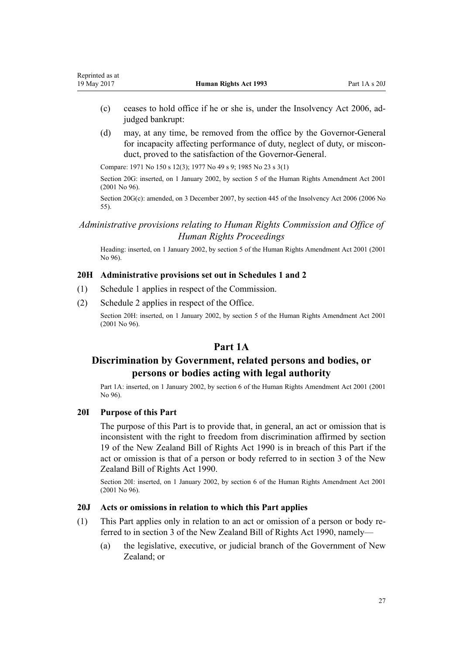- <span id="page-26-0"></span>(c) ceases to hold office if he or she is, under the Insolvency Act 2006, adjudged bankrupt:
- (d) may, at any time, be removed from the office by the Governor-General for incapacity affecting performance of duty, neglect of duty, or misconduct, proved to the satisfaction of the Governor-General.

Compare: 1971 No 150 s 12(3); 1977 No 49 s 9; 1985 No 23 s 3(1)

Section 20G: inserted, on 1 January 2002, by [section 5](http://prd-lgnz-nlb.prd.pco.net.nz/pdflink.aspx?id=DLM121843) of the Human Rights Amendment Act 2001 (2001 No 96).

Section 20G(c): amended, on 3 December 2007, by [section 445](http://prd-lgnz-nlb.prd.pco.net.nz/pdflink.aspx?id=DLM387857) of the Insolvency Act 2006 (2006 No 55).

# *Administrative provisions relating to Human Rights Commission and Office of Human Rights Proceedings*

Heading: inserted, on 1 January 2002, by [section 5](http://prd-lgnz-nlb.prd.pco.net.nz/pdflink.aspx?id=DLM121843) of the Human Rights Amendment Act 2001 (2001 No 96).

## **20H Administrative provisions set out in Schedules 1 and 2**

- (1) [Schedule 1](#page-117-0) applies in respect of the Commission.
- (2) [Schedule 2](#page-121-0) applies in respect of the Office.

Section 20H: inserted, on 1 January 2002, by [section 5](http://prd-lgnz-nlb.prd.pco.net.nz/pdflink.aspx?id=DLM121843) of the Human Rights Amendment Act 2001 (2001 No 96).

# **Part 1A**

# **Discrimination by Government, related persons and bodies, or persons or bodies acting with legal authority**

Part 1A: inserted, on 1 January 2002, by [section 6](http://prd-lgnz-nlb.prd.pco.net.nz/pdflink.aspx?id=DLM121882) of the Human Rights Amendment Act 2001 (2001 No 96).

#### **20I Purpose of this Part**

The purpose of this Part is to provide that, in general, an act or omission that is inconsistent with the right to freedom from discrimination affirmed by [section](http://prd-lgnz-nlb.prd.pco.net.nz/pdflink.aspx?id=DLM225519) [19](http://prd-lgnz-nlb.prd.pco.net.nz/pdflink.aspx?id=DLM225519) of the New Zealand Bill of Rights Act 1990 is in breach of this Part if the act or omission is that of a person or body referred to in [section 3](http://prd-lgnz-nlb.prd.pco.net.nz/pdflink.aspx?id=DLM224799) of the New Zealand Bill of Rights Act 1990.

Section 20I: inserted, on 1 January 2002, by [section 6](http://prd-lgnz-nlb.prd.pco.net.nz/pdflink.aspx?id=DLM121882) of the Human Rights Amendment Act 2001 (2001 No 96).

#### **20J Acts or omissions in relation to which this Part applies**

- (1) This Part applies only in relation to an act or omission of a person or body referred to in [section 3](http://prd-lgnz-nlb.prd.pco.net.nz/pdflink.aspx?id=DLM224799) of the New Zealand Bill of Rights Act 1990, namely—
	- (a) the legislative, executive, or judicial branch of the Government of New Zealand; or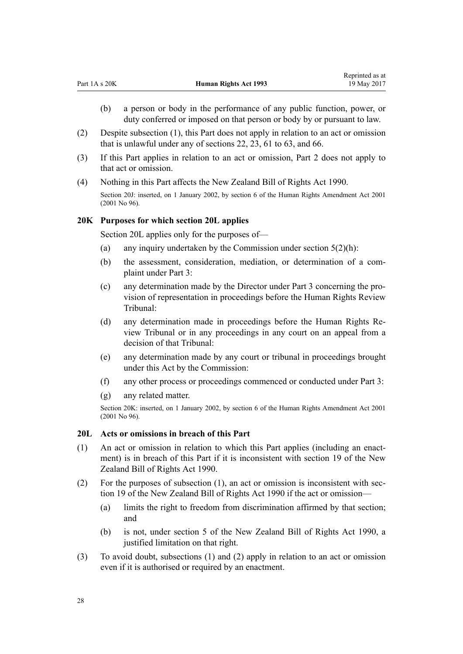- <span id="page-27-0"></span>(b) a person or body in the performance of any public function, power, or duty conferred or imposed on that person or body by or pursuant to law.
- (2) Despite subsection (1), this Part does not apply in relation to an act or omission that is unlawful under any of [sections 22](#page-31-0), [23](#page-31-0), [61 to 63,](#page-49-0) and [66](#page-52-0).
- (3) If this Part applies in relation to an act or omission, [Part 2](#page-28-0) does not apply to that act or omission.
- (4) Nothing in this Part affects the [New Zealand Bill of Rights Act 1990](http://prd-lgnz-nlb.prd.pco.net.nz/pdflink.aspx?id=DLM224791). Section 20J: inserted, on 1 January 2002, by [section 6](http://prd-lgnz-nlb.prd.pco.net.nz/pdflink.aspx?id=DLM121882) of the Human Rights Amendment Act 2001 (2001 No 96).

#### **20K Purposes for which section 20L applies**

Section 20L applies only for the purposes of—

- (a) any inquiry undertaken by the Commission under section  $5(2)(h)$ :
- (b) the assessment, consideration, mediation, or determination of a complaint under [Part 3](#page-57-0):
- (c) any determination made by the Director under [Part 3](#page-57-0) concerning the provision of representation in proceedings before the Human Rights Review Tribunal:
- (d) any determination made in proceedings before the Human Rights Review Tribunal or in any proceedings in any court on an appeal from a decision of that Tribunal:
- (e) any determination made by any court or tribunal in proceedings brought under this Act by the Commission:
- (f) any other process or proceedings commenced or conducted under [Part 3:](#page-57-0)
- (g) any related matter.

Section 20K: inserted, on 1 January 2002, by [section 6](http://prd-lgnz-nlb.prd.pco.net.nz/pdflink.aspx?id=DLM121882) of the Human Rights Amendment Act 2001 (2001 No 96).

#### **20L Acts or omissions in breach of this Part**

- (1) An act or omission in relation to which this Part applies (including an enactment) is in breach of this Part if it is inconsistent with [section 19](http://prd-lgnz-nlb.prd.pco.net.nz/pdflink.aspx?id=DLM225519) of the New Zealand Bill of Rights Act 1990.
- (2) For the purposes of subsection (1), an act or omission is inconsistent with [sec](http://prd-lgnz-nlb.prd.pco.net.nz/pdflink.aspx?id=DLM225519)[tion 19](http://prd-lgnz-nlb.prd.pco.net.nz/pdflink.aspx?id=DLM225519) of the New Zealand Bill of Rights Act 1990 if the act or omission—
	- (a) limits the right to freedom from discrimination affirmed by that section; and
	- (b) is not, under [section 5](http://prd-lgnz-nlb.prd.pco.net.nz/pdflink.aspx?id=DLM225501) of the New Zealand Bill of Rights Act 1990, a justified limitation on that right.
- (3) To avoid doubt, subsections (1) and (2) apply in relation to an act or omission even if it is authorised or required by an enactment.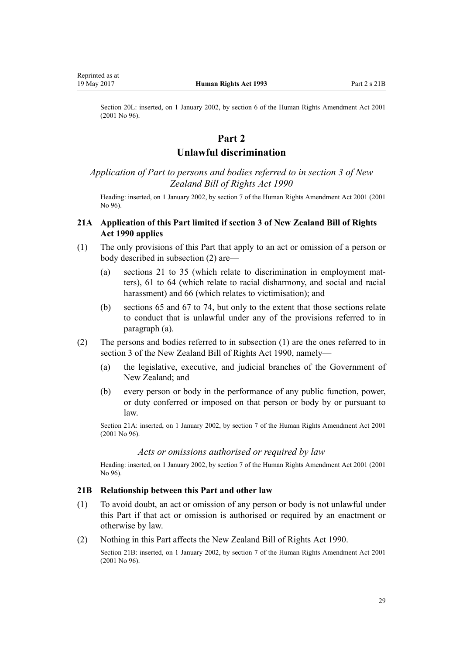<span id="page-28-0"></span>Section 20L: inserted, on 1 January 2002, by [section 6](http://prd-lgnz-nlb.prd.pco.net.nz/pdflink.aspx?id=DLM121882) of the Human Rights Amendment Act 2001 (2001 No 96).

# **Part 2 Unlawful discrimination**

# *Application of Part to persons and bodies referred to in section 3 of New Zealand Bill of Rights Act 1990*

Heading: inserted, on 1 January 2002, by [section 7](http://prd-lgnz-nlb.prd.pco.net.nz/pdflink.aspx?id=DLM121889) of the Human Rights Amendment Act 2001 (2001 No 96).

# **21A Application of this Part limited if section 3 of New Zealand Bill of Rights Act 1990 applies**

- (1) The only provisions of this Part that apply to an act or omission of a person or body described in subsection (2) are—
	- (a) [sections 21 to 35](#page-29-0) (which relate to discrimination in employment matters), [61 to 64](#page-49-0) (which relate to racial disharmony, and social and racial harassment) and [66](#page-52-0) (which relates to victimisation); and
	- (b) [sections 65](#page-52-0) and [67 to 74,](#page-52-0) but only to the extent that those sections relate to conduct that is unlawful under any of the provisions referred to in paragraph (a).
- (2) The persons and bodies referred to in subsection (1) are the ones referred to in [section 3](http://prd-lgnz-nlb.prd.pco.net.nz/pdflink.aspx?id=DLM224799) of the New Zealand Bill of Rights Act 1990, namely—
	- (a) the legislative, executive, and judicial branches of the Government of New Zealand; and
	- (b) every person or body in the performance of any public function, power, or duty conferred or imposed on that person or body by or pursuant to law.

Section 21A: inserted, on 1 January 2002, by [section 7](http://prd-lgnz-nlb.prd.pco.net.nz/pdflink.aspx?id=DLM121889) of the Human Rights Amendment Act 2001 (2001 No 96).

#### *Acts or omissions authorised or required by law*

Heading: inserted, on 1 January 2002, by [section 7](http://prd-lgnz-nlb.prd.pco.net.nz/pdflink.aspx?id=DLM121889) of the Human Rights Amendment Act 2001 (2001 No 96).

#### **21B Relationship between this Part and other law**

- (1) To avoid doubt, an act or omission of any person or body is not unlawful under this Part if that act or omission is authorised or required by an enactment or otherwise by law.
- (2) Nothing in this Part affects the [New Zealand Bill of Rights Act 1990](http://prd-lgnz-nlb.prd.pco.net.nz/pdflink.aspx?id=DLM224791).

Section 21B: inserted, on 1 January 2002, by [section 7](http://prd-lgnz-nlb.prd.pco.net.nz/pdflink.aspx?id=DLM121889) of the Human Rights Amendment Act 2001 (2001 No 96).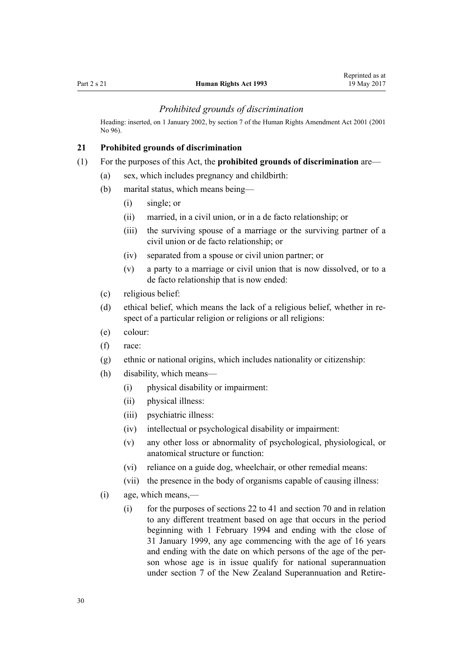#### *Prohibited grounds of discrimination*

<span id="page-29-0"></span>Heading: inserted, on 1 January 2002, by [section 7](http://prd-lgnz-nlb.prd.pco.net.nz/pdflink.aspx?id=DLM121889) of the Human Rights Amendment Act 2001 (2001 No 96).

#### **21 Prohibited grounds of discrimination**

- (1) For the purposes of this Act, the **prohibited grounds of discrimination** are—
	- (a) sex, which includes pregnancy and childbirth:
	- (b) marital status, which means being—
		- (i) single; or
		- (ii) married, in a civil union, or in a de facto relationship; or
		- (iii) the surviving spouse of a marriage or the surviving partner of a civil union or de facto relationship; or
		- (iv) separated from a spouse or civil union partner; or
		- (v) a party to a marriage or civil union that is now dissolved, or to a de facto relationship that is now ended:
	- (c) religious belief:
	- (d) ethical belief, which means the lack of a religious belief, whether in respect of a particular religion or religions or all religions:
	- (e) colour:
	- (f) race:
	- (g) ethnic or national origins, which includes nationality or citizenship:
	- (h) disability, which means—
		- (i) physical disability or impairment:
		- (ii) physical illness:
		- (iii) psychiatric illness:
		- (iv) intellectual or psychological disability or impairment:
		- (v) any other loss or abnormality of psychological, physiological, or anatomical structure or function:
		- (vi) reliance on a guide dog, wheelchair, or other remedial means:
		- (vii) the presence in the body of organisms capable of causing illness:
	- (i) age, which means,—
		- $(i)$  for the purposes of [sections 22 to 41](#page-31-0) and [section 70](#page-54-0) and in relation to any different treatment based on age that occurs in the period beginning with 1 February 1994 and ending with the close of 31 January 1999, any age commencing with the age of 16 years and ending with the date on which persons of the age of the person whose age is in issue qualify for national superannuation under [section 7](http://prd-lgnz-nlb.prd.pco.net.nz/pdflink.aspx?id=DLM113987) of the New Zealand Superannuation and Retire-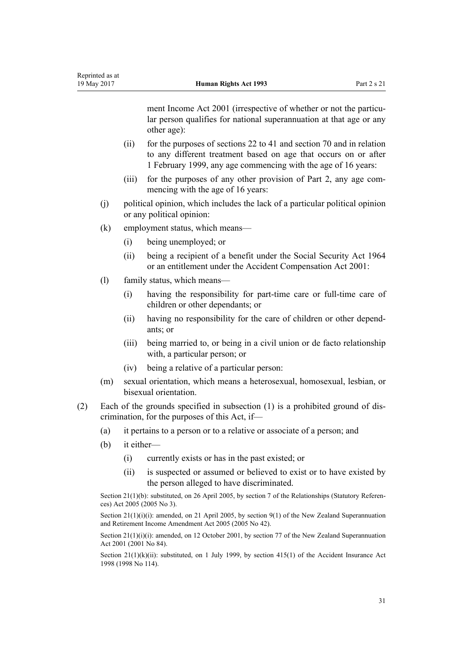|      | ment Income Act 2001 (irrespective of whether or not the particu-<br>lar person qualifies for national superannuation at that age or any<br>other age): |
|------|---------------------------------------------------------------------------------------------------------------------------------------------------------|
| (11) | for the purposes of sections 22 to 41 and section 70 and in relation                                                                                    |

- d in relation to any different treatment based on age that occurs on or after 1 February 1999, any age commencing with the age of 16 years:
- (iii) for the purposes of any other provision of [Part 2,](#page-28-0) any age commencing with the age of 16 years:
- (j) political opinion, which includes the lack of a particular political opinion or any political opinion:
- (k) employment status, which means—
	- (i) being unemployed; or
	- (ii) being a recipient of a benefit under the [Social Security Act 1964](http://prd-lgnz-nlb.prd.pco.net.nz/pdflink.aspx?id=DLM359106) or an entitlement under the [Accident Compensation Act 2001](http://prd-lgnz-nlb.prd.pco.net.nz/pdflink.aspx?id=DLM99493):
- (l) family status, which means—
	- (i) having the responsibility for part-time care or full-time care of children or other dependants; or
	- (ii) having no responsibility for the care of children or other dependants; or
	- (iii) being married to, or being in a civil union or de facto relationship with, a particular person; or
	- (iv) being a relative of a particular person:
- (m) sexual orientation, which means a heterosexual, homosexual, lesbian, or bisexual orientation.
- (2) Each of the grounds specified in subsection (1) is a prohibited ground of discrimination, for the purposes of this Act, if—
	- (a) it pertains to a person or to a relative or associate of a person; and
	- (b) it either—
		- (i) currently exists or has in the past existed; or
		- (ii) is suspected or assumed or believed to exist or to have existed by the person alleged to have discriminated.

Section 21(1)(b): substituted, on 26 April 2005, by [section 7](http://prd-lgnz-nlb.prd.pco.net.nz/pdflink.aspx?id=DLM333795) of the Relationships (Statutory References) Act 2005 (2005 No 3).

Section  $21(1)(i)(i)$ : amended, on 21 April 2005, by [section 9\(1\)](http://prd-lgnz-nlb.prd.pco.net.nz/pdflink.aspx?id=DLM346494) of the New Zealand Superannuation and Retirement Income Amendment Act 2005 (2005 No 42).

Section  $21(1)(i)(i)$ : amended, on 12 October 2001, by [section 77](http://prd-lgnz-nlb.prd.pco.net.nz/pdflink.aspx?id=DLM114875) of the New Zealand Superannuation Act 2001 (2001 No 84).

Section  $21(1)(k)(ii)$ : substituted, on 1 July 1999, by section 415(1) of the Accident Insurance Act 1998 (1998 No 114).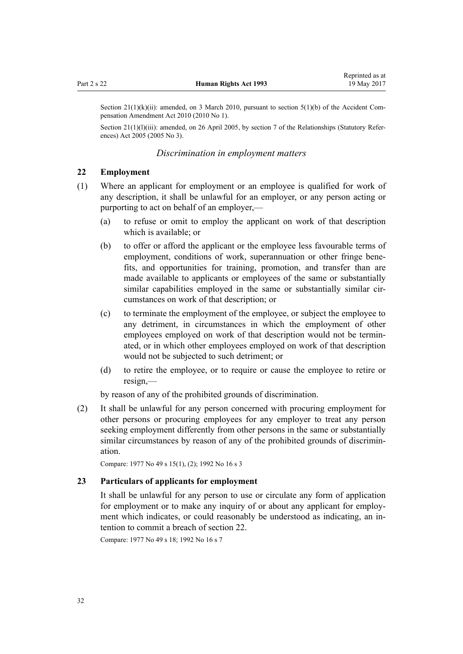<span id="page-31-0"></span>Section 21(1)(k)(ii): amended, on 3 March 2010, pursuant to [section 5\(1\)\(b\)](http://prd-lgnz-nlb.prd.pco.net.nz/pdflink.aspx?id=DLM2773701) of the Accident Compensation Amendment Act 2010 (2010 No 1).

Section 21(1)(l)(iii): amended, on 26 April 2005, by [section 7](http://prd-lgnz-nlb.prd.pco.net.nz/pdflink.aspx?id=DLM333795) of the Relationships (Statutory References) Act 2005 (2005 No 3).

#### *Discrimination in employment matters*

#### **22 Employment**

- (1) Where an applicant for employment or an employee is qualified for work of any description, it shall be unlawful for an employer, or any person acting or purporting to act on behalf of an employer,—
	- (a) to refuse or omit to employ the applicant on work of that description which is available; or
	- (b) to offer or afford the applicant or the employee less favourable terms of employment, conditions of work, superannuation or other fringe benefits, and opportunities for training, promotion, and transfer than are made available to applicants or employees of the same or substantially similar capabilities employed in the same or substantially similar circumstances on work of that description; or
	- (c) to terminate the employment of the employee, or subject the employee to any detriment, in circumstances in which the employment of other employees employed on work of that description would not be terminated, or in which other employees employed on work of that description would not be subjected to such detriment; or
	- (d) to retire the employee, or to require or cause the employee to retire or resign,—

by reason of any of the prohibited grounds of discrimination.

(2) It shall be unlawful for any person concerned with procuring employment for other persons or procuring employees for any employer to treat any person seeking employment differently from other persons in the same or substantially similar circumstances by reason of any of the prohibited grounds of discrimination.

Compare: 1977 No 49 s 15(1), (2); 1992 No 16 s 3

#### **23 Particulars of applicants for employment**

It shall be unlawful for any person to use or circulate any form of application for employment or to make any inquiry of or about any applicant for employment which indicates, or could reasonably be understood as indicating, an intention to commit a breach of section 22.

Compare: 1977 No 49 s 18; 1992 No 16 s 7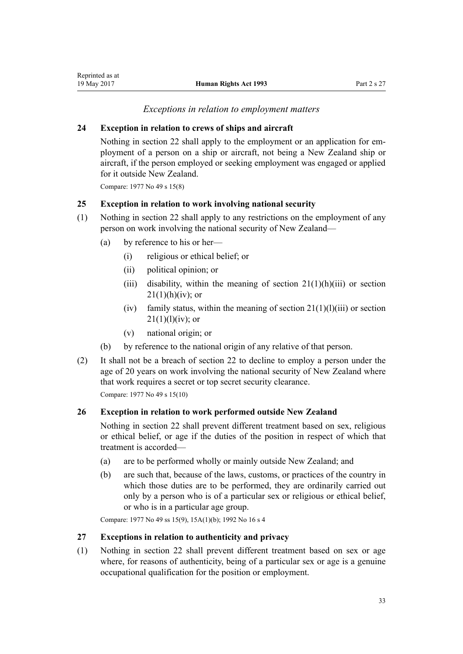*Exceptions in relation to employment matters*

# <span id="page-32-0"></span>**24 Exception in relation to crews of ships and aircraft**

Nothing in [section 22](#page-31-0) shall apply to the employment or an application for employment of a person on a ship or aircraft, not being a New Zealand ship or aircraft, if the person employed or seeking employment was engaged or applied for it outside New Zealand.

Compare: 1977 No 49 s 15(8)

# **25 Exception in relation to work involving national security**

- (1) Nothing in [section 22](#page-31-0) shall apply to any restrictions on the employment of any person on work involving the national security of New Zealand—
	- (a) by reference to his or her—
		- (i) religious or ethical belief; or
		- (ii) political opinion; or
		- (iii) disability, within the meaning of [section](#page-29-0)  $21(1)(h)(iii)$  or section  $21(1)(h)(iv)$ ; or
		- (iv) family status, within the meaning of [section](#page-29-0)  $21(1)(1)(iii)$  or section  $21(1)(1)(iv)$ ; or
		- (v) national origin; or
	- (b) by reference to the national origin of any relative of that person.
- (2) It shall not be a breach of [section 22](#page-31-0) to decline to employ a person under the age of 20 years on work involving the national security of New Zealand where that work requires a secret or top secret security clearance.

Compare: 1977 No 49 s 15(10)

#### **26 Exception in relation to work performed outside New Zealand**

Nothing in [section 22](#page-31-0) shall prevent different treatment based on sex, religious or ethical belief, or age if the duties of the position in respect of which that treatment is accorded—

- (a) are to be performed wholly or mainly outside New Zealand; and
- (b) are such that, because of the laws, customs, or practices of the country in which those duties are to be performed, they are ordinarily carried out only by a person who is of a particular sex or religious or ethical belief, or who is in a particular age group.

Compare: 1977 No 49 ss 15(9), 15A(1)(b); 1992 No 16 s 4

#### **27 Exceptions in relation to authenticity and privacy**

(1) Nothing in [section 22](#page-31-0) shall prevent different treatment based on sex or age where, for reasons of authenticity, being of a particular sex or age is a genuine occupational qualification for the position or employment.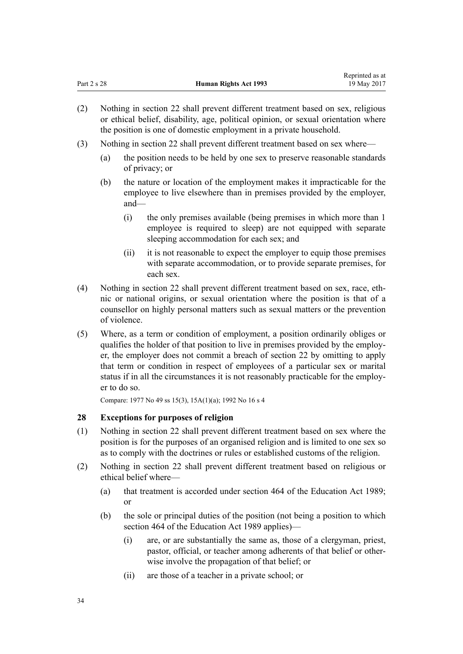<span id="page-33-0"></span>

|             |                       | Reprinted as at |
|-------------|-----------------------|-----------------|
| Part 2 s 28 | Human Rights Act 1993 | 19 May 2017     |

- (2) Nothing in [section 22](#page-31-0) shall prevent different treatment based on sex, religious or ethical belief, disability, age, political opinion, or sexual orientation where the position is one of domestic employment in a private household.
- (3) Nothing in [section 22](#page-31-0) shall prevent different treatment based on sex where—
	- (a) the position needs to be held by one sex to preserve reasonable standards of privacy; or
	- (b) the nature or location of the employment makes it impracticable for the employee to live elsewhere than in premises provided by the employer, and—
		- (i) the only premises available (being premises in which more than 1 employee is required to sleep) are not equipped with separate sleeping accommodation for each sex; and
		- (ii) it is not reasonable to expect the employer to equip those premises with separate accommodation, or to provide separate premises, for each sex.
- (4) Nothing in [section 22](#page-31-0) shall prevent different treatment based on sex, race, ethnic or national origins, or sexual orientation where the position is that of a counsellor on highly personal matters such as sexual matters or the prevention of violence.
- (5) Where, as a term or condition of employment, a position ordinarily obliges or qualifies the holder of that position to live in premises provided by the employer, the employer does not commit a breach of [section 22](#page-31-0) by omitting to apply that term or condition in respect of employees of a particular sex or marital status if in all the circumstances it is not reasonably practicable for the employer to do so.

Compare: 1977 No 49 ss 15(3), 15A(1)(a); 1992 No 16 s 4

## **28 Exceptions for purposes of religion**

- (1) Nothing in [section 22](#page-31-0) shall prevent different treatment based on sex where the position is for the purposes of an organised religion and is limited to one sex so as to comply with the doctrines or rules or established customs of the religion.
- (2) Nothing in [section 22](#page-31-0) shall prevent different treatment based on religious or ethical belief where—
	- (a) that treatment is accorded under [section 464](http://prd-lgnz-nlb.prd.pco.net.nz/pdflink.aspx?id=DLM7270093) of the Education Act 1989; or
	- (b) the sole or principal duties of the position (not being a position to which [section 464](http://prd-lgnz-nlb.prd.pco.net.nz/pdflink.aspx?id=DLM7270093) of the Education Act 1989 applies)—
		- (i) are, or are substantially the same as, those of a clergyman, priest, pastor, official, or teacher among adherents of that belief or otherwise involve the propagation of that belief; or
		- (ii) are those of a teacher in a private school; or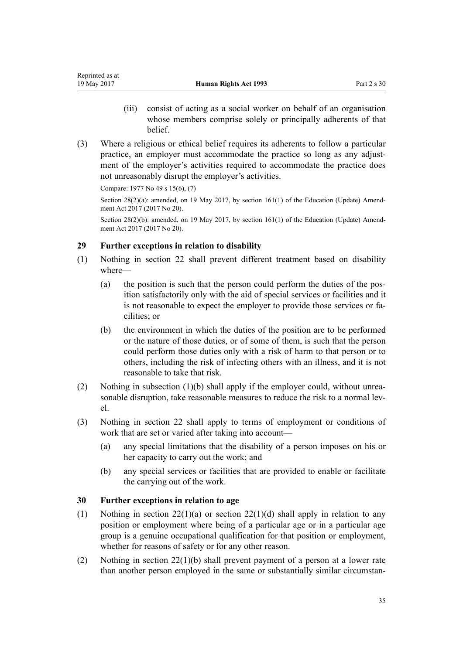- (iii) consist of acting as a social worker on behalf of an organisation whose members comprise solely or principally adherents of that belief.
- <span id="page-34-0"></span>(3) Where a religious or ethical belief requires its adherents to follow a particular practice, an employer must accommodate the practice so long as any adjustment of the employer's activities required to accommodate the practice does not unreasonably disrupt the employer's activities.

```
Compare: 1977 No 49 s 15(6), (7)
```
Section  $28(2)(a)$ : amended, on 19 May 2017, by section  $161(1)$  of the Education (Update) Amendment Act 2017 (2017 No 20).

Section 28(2)(b): amended, on 19 May 2017, by [section 161\(1\)](http://prd-lgnz-nlb.prd.pco.net.nz/pdflink.aspx?id=DLM6929049) of the Education (Update) Amendment Act 2017 (2017 No 20).

# **29 Further exceptions in relation to disability**

- (1) Nothing in [section 22](#page-31-0) shall prevent different treatment based on disability where—
	- (a) the position is such that the person could perform the duties of the position satisfactorily only with the aid of special services or facilities and it is not reasonable to expect the employer to provide those services or facilities; or
	- (b) the environment in which the duties of the position are to be performed or the nature of those duties, or of some of them, is such that the person could perform those duties only with a risk of harm to that person or to others, including the risk of infecting others with an illness, and it is not reasonable to take that risk.
- (2) Nothing in subsection (1)(b) shall apply if the employer could, without unreasonable disruption, take reasonable measures to reduce the risk to a normal level.
- (3) Nothing in [section 22](#page-31-0) shall apply to terms of employment or conditions of work that are set or varied after taking into account—
	- (a) any special limitations that the disability of a person imposes on his or her capacity to carry out the work; and
	- (b) any special services or facilities that are provided to enable or facilitate the carrying out of the work.

# **30 Further exceptions in relation to age**

- (1) Nothing in section  $22(1)(a)$  or section  $22(1)(d)$  shall apply in relation to any position or employment where being of a particular age or in a particular age group is a genuine occupational qualification for that position or employment, whether for reasons of safety or for any other reason.
- (2) Nothing in [section 22\(1\)\(b\)](#page-31-0) shall prevent payment of a person at a lower rate than another person employed in the same or substantially similar circumstan-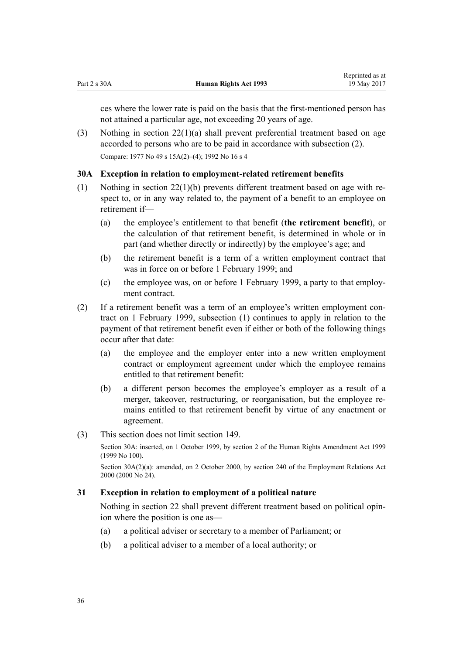<span id="page-35-0"></span>ces where the lower rate is paid on the basis that the first-mentioned person has not attained a particular age, not exceeding 20 years of age.

(3) Nothing in [section 22\(1\)\(a\)](#page-31-0) shall prevent preferential treatment based on age accorded to persons who are to be paid in accordance with subsection (2). Compare: 1977 No 49 s 15A(2)–(4); 1992 No 16 s 4

#### **30A Exception in relation to employment-related retirement benefits**

- (1) Nothing in section  $22(1)(b)$  prevents different treatment based on age with respect to, or in any way related to, the payment of a benefit to an employee on retirement if—
	- (a) the employee's entitlement to that benefit (**the retirement benefit**), or the calculation of that retirement benefit, is determined in whole or in part (and whether directly or indirectly) by the employee's age; and
	- (b) the retirement benefit is a term of a written employment contract that was in force on or before 1 February 1999; and
	- (c) the employee was, on or before 1 February 1999, a party to that employment contract.
- (2) If a retirement benefit was a term of an employee's written employment contract on 1 February 1999, subsection (1) continues to apply in relation to the payment of that retirement benefit even if either or both of the following things occur after that date:
	- (a) the employee and the employer enter into a new written employment contract or employment agreement under which the employee remains entitled to that retirement benefit:
	- (b) a different person becomes the employee's employer as a result of a merger, takeover, restructuring, or reorganisation, but the employee remains entitled to that retirement benefit by virtue of any enactment or agreement.
- (3) This section does not limit [section 149.](#page-113-0)

Section 30A: inserted, on 1 October 1999, by [section 2](http://prd-lgnz-nlb.prd.pco.net.nz/pdflink.aspx?id=DLM39233) of the Human Rights Amendment Act 1999 (1999 No 100).

Section 30A(2)(a): amended, on 2 October 2000, by [section 240](http://prd-lgnz-nlb.prd.pco.net.nz/pdflink.aspx?id=DLM61487) of the Employment Relations Act 2000 (2000 No 24).

#### **31 Exception in relation to employment of a political nature**

Nothing in [section 22](#page-31-0) shall prevent different treatment based on political opinion where the position is one as—

- (a) a political adviser or secretary to a member of Parliament; or
- (b) a political adviser to a member of a local authority; or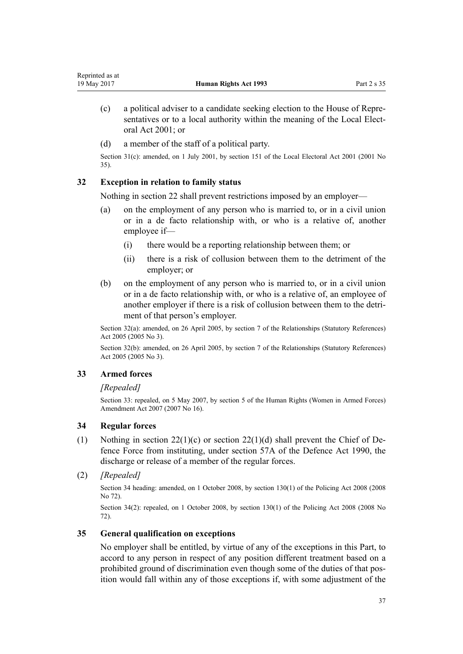- (c) a political adviser to a candidate seeking election to the House of Representatives or to a local authority within the meaning of the [Local Elect](http://prd-lgnz-nlb.prd.pco.net.nz/pdflink.aspx?id=DLM93300)[oral Act 2001](http://prd-lgnz-nlb.prd.pco.net.nz/pdflink.aspx?id=DLM93300); or
- (d) a member of the staff of a political party.

Section 31(c): amended, on 1 July 2001, by [section 151](http://prd-lgnz-nlb.prd.pco.net.nz/pdflink.aspx?id=DLM95330) of the Local Electoral Act 2001 (2001 No 35).

# **32 Exception in relation to family status**

Nothing in [section 22](#page-31-0) shall prevent restrictions imposed by an employer—

- (a) on the employment of any person who is married to, or in a civil union or in a de facto relationship with, or who is a relative of, another employee if—
	- (i) there would be a reporting relationship between them; or
	- (ii) there is a risk of collusion between them to the detriment of the employer; or
- (b) on the employment of any person who is married to, or in a civil union or in a de facto relationship with, or who is a relative of, an employee of another employer if there is a risk of collusion between them to the detriment of that person's employer.

Section 32(a): amended, on 26 April 2005, by [section 7](http://prd-lgnz-nlb.prd.pco.net.nz/pdflink.aspx?id=DLM333795) of the Relationships (Statutory References) Act 2005 (2005 No 3).

Section 32(b): amended, on 26 April 2005, by [section 7](http://prd-lgnz-nlb.prd.pco.net.nz/pdflink.aspx?id=DLM333795) of the Relationships (Statutory References) Act 2005 (2005 No 3).

# **33 Armed forces**

## *[Repealed]*

Section 33: repealed, on 5 May 2007, by [section 5](http://prd-lgnz-nlb.prd.pco.net.nz/pdflink.aspx?id=DLM407642) of the Human Rights (Women in Armed Forces) Amendment Act 2007 (2007 No 16).

# **34 Regular forces**

- (1) Nothing in section  $22(1)(c)$  or section  $22(1)(d)$  shall prevent the Chief of Defence Force from instituting, under [section 57A](http://prd-lgnz-nlb.prd.pco.net.nz/pdflink.aspx?id=DLM206409) of the Defence Act 1990, the discharge or release of a member of the regular forces.
- (2) *[Repealed]*

Section 34 heading: amended, on 1 October 2008, by [section 130\(1\)](http://prd-lgnz-nlb.prd.pco.net.nz/pdflink.aspx?id=DLM1102383) of the Policing Act 2008 (2008 No 72).

Section 34(2): repealed, on 1 October 2008, by [section 130\(1\)](http://prd-lgnz-nlb.prd.pco.net.nz/pdflink.aspx?id=DLM1102383) of the Policing Act 2008 (2008 No 72).

## **35 General qualification on exceptions**

No employer shall be entitled, by virtue of any of the exceptions in this Part, to accord to any person in respect of any position different treatment based on a prohibited ground of discrimination even though some of the duties of that position would fall within any of those exceptions if, with some adjustment of the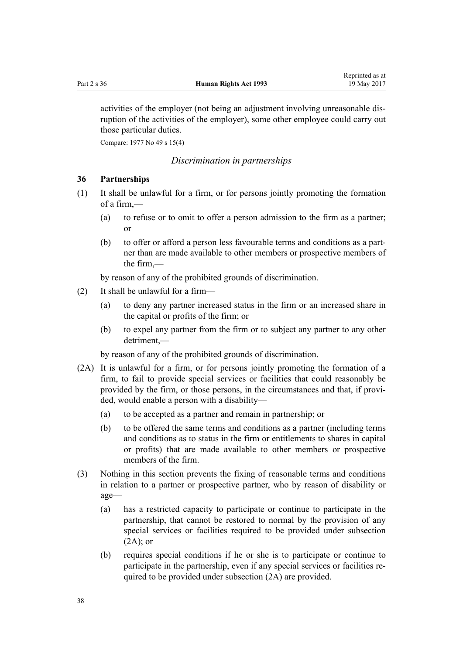activities of the employer (not being an adjustment involving unreasonable disruption of the activities of the employer), some other employee could carry out those particular duties.

Compare: 1977 No 49 s 15(4)

#### *Discrimination in partnerships*

## **36 Partnerships**

- (1) It shall be unlawful for a firm, or for persons jointly promoting the formation of a firm,—
	- (a) to refuse or to omit to offer a person admission to the firm as a partner; or
	- (b) to offer or afford a person less favourable terms and conditions as a partner than are made available to other members or prospective members of the firm,—

by reason of any of the prohibited grounds of discrimination.

- (2) It shall be unlawful for a firm—
	- (a) to deny any partner increased status in the firm or an increased share in the capital or profits of the firm; or
	- (b) to expel any partner from the firm or to subject any partner to any other detriment,—

by reason of any of the prohibited grounds of discrimination.

- (2A) It is unlawful for a firm, or for persons jointly promoting the formation of a firm, to fail to provide special services or facilities that could reasonably be provided by the firm, or those persons, in the circumstances and that, if provided, would enable a person with a disability—
	- (a) to be accepted as a partner and remain in partnership; or
	- (b) to be offered the same terms and conditions as a partner (including terms and conditions as to status in the firm or entitlements to shares in capital or profits) that are made available to other members or prospective members of the firm.
- (3) Nothing in this section prevents the fixing of reasonable terms and conditions in relation to a partner or prospective partner, who by reason of disability or age—
	- (a) has a restricted capacity to participate or continue to participate in the partnership, that cannot be restored to normal by the provision of any special services or facilities required to be provided under subsection  $(2A)$ ; or
	- (b) requires special conditions if he or she is to participate or continue to participate in the partnership, even if any special services or facilities required to be provided under subsection (2A) are provided.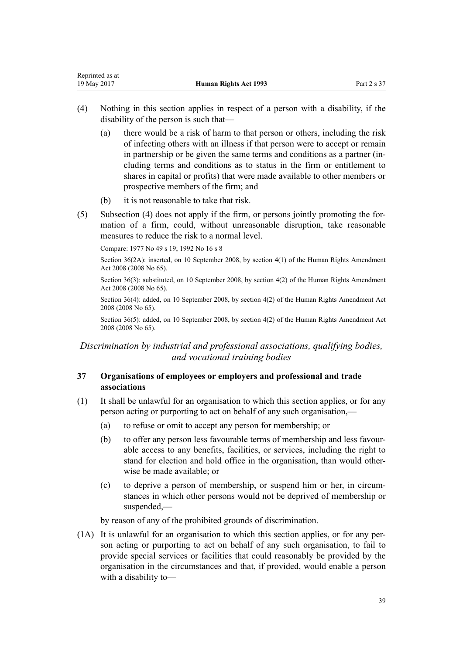| Reprinted as at |                              |             |
|-----------------|------------------------------|-------------|
| 19 May 2017     | <b>Human Rights Act 1993</b> | Part 2 s 37 |

- (4) Nothing in this section applies in respect of a person with a disability, if the disability of the person is such that—
	- (a) there would be a risk of harm to that person or others, including the risk of infecting others with an illness if that person were to accept or remain in partnership or be given the same terms and conditions as a partner (including terms and conditions as to status in the firm or entitlement to shares in capital or profits) that were made available to other members or prospective members of the firm; and
	- (b) it is not reasonable to take that risk.
- (5) Subsection (4) does not apply if the firm, or persons jointly promoting the formation of a firm, could, without unreasonable disruption, take reasonable measures to reduce the risk to a normal level.

Compare: 1977 No 49 s 19; 1992 No 16 s 8

Representative and the set

Section 36(2A): inserted, on 10 September 2008, by [section 4\(1\)](http://prd-lgnz-nlb.prd.pco.net.nz/pdflink.aspx?id=DLM1582305) of the Human Rights Amendment Act 2008 (2008 No 65).

Section 36(3): substituted, on 10 September 2008, by [section 4\(2\)](http://prd-lgnz-nlb.prd.pco.net.nz/pdflink.aspx?id=DLM1582305) of the Human Rights Amendment Act 2008 (2008 No 65).

Section 36(4): added, on 10 September 2008, by [section 4\(2\)](http://prd-lgnz-nlb.prd.pco.net.nz/pdflink.aspx?id=DLM1582305) of the Human Rights Amendment Act 2008 (2008 No 65).

Section 36(5): added, on 10 September 2008, by [section 4\(2\)](http://prd-lgnz-nlb.prd.pco.net.nz/pdflink.aspx?id=DLM1582305) of the Human Rights Amendment Act 2008 (2008 No 65).

# *Discrimination by industrial and professional associations, qualifying bodies, and vocational training bodies*

# **37 Organisations of employees or employers and professional and trade associations**

- (1) It shall be unlawful for an organisation to which this section applies, or for any person acting or purporting to act on behalf of any such organisation,—
	- (a) to refuse or omit to accept any person for membership; or
	- (b) to offer any person less favourable terms of membership and less favourable access to any benefits, facilities, or services, including the right to stand for election and hold office in the organisation, than would otherwise be made available; or
	- (c) to deprive a person of membership, or suspend him or her, in circumstances in which other persons would not be deprived of membership or suspended,—

by reason of any of the prohibited grounds of discrimination.

(1A) It is unlawful for an organisation to which this section applies, or for any person acting or purporting to act on behalf of any such organisation, to fail to provide special services or facilities that could reasonably be provided by the organisation in the circumstances and that, if provided, would enable a person with a disability to—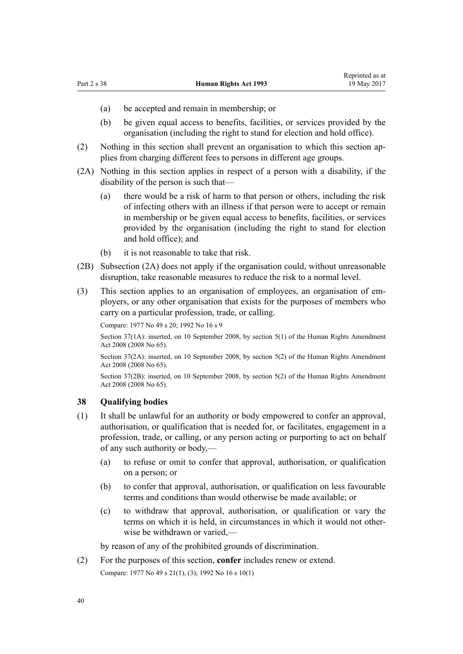- <span id="page-39-0"></span>(a) be accepted and remain in membership; or
- (b) be given equal access to benefits, facilities, or services provided by the organisation (including the right to stand for election and hold office).
- (2) Nothing in this section shall prevent an organisation to which this section applies from charging different fees to persons in different age groups.
- (2A) Nothing in this section applies in respect of a person with a disability, if the disability of the person is such that—
	- (a) there would be a risk of harm to that person or others, including the risk of infecting others with an illness if that person were to accept or remain in membership or be given equal access to benefits, facilities, or services provided by the organisation (including the right to stand for election and hold office); and
	- (b) it is not reasonable to take that risk.
- (2B) Subsection (2A) does not apply if the organisation could, without unreasonable disruption, take reasonable measures to reduce the risk to a normal level.
- (3) This section applies to an organisation of employees, an organisation of employers, or any other organisation that exists for the purposes of members who carry on a particular profession, trade, or calling.

Compare: 1977 No 49 s 20; 1992 No 16 s 9

Section 37(1A): inserted, on 10 September 2008, by [section 5\(1\)](http://prd-lgnz-nlb.prd.pco.net.nz/pdflink.aspx?id=DLM1582306) of the Human Rights Amendment Act 2008 (2008 No 65).

Section 37(2A): inserted, on 10 September 2008, by [section 5\(2\)](http://prd-lgnz-nlb.prd.pco.net.nz/pdflink.aspx?id=DLM1582306) of the Human Rights Amendment Act 2008 (2008 No 65).

Section 37(2B): inserted, on 10 September 2008, by [section 5\(2\)](http://prd-lgnz-nlb.prd.pco.net.nz/pdflink.aspx?id=DLM1582306) of the Human Rights Amendment Act 2008 (2008 No 65).

#### **38 Qualifying bodies**

- (1) It shall be unlawful for an authority or body empowered to confer an approval, authorisation, or qualification that is needed for, or facilitates, engagement in a profession, trade, or calling, or any person acting or purporting to act on behalf of any such authority or body,—
	- (a) to refuse or omit to confer that approval, authorisation, or qualification on a person; or
	- (b) to confer that approval, authorisation, or qualification on less favourable terms and conditions than would otherwise be made available; or
	- (c) to withdraw that approval, authorisation, or qualification or vary the terms on which it is held, in circumstances in which it would not otherwise be withdrawn or varied $-$

by reason of any of the prohibited grounds of discrimination.

(2) For the purposes of this section, **confer** includes renew or extend. Compare: 1977 No 49 s 21(1), (3); 1992 No 16 s 10(1)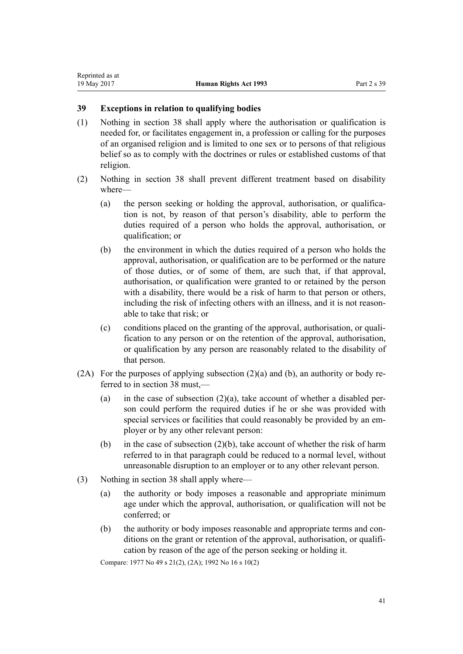# **39 Exceptions in relation to qualifying bodies**

- (1) Nothing in [section 38](#page-39-0) shall apply where the authorisation or qualification is needed for, or facilitates engagement in, a profession or calling for the purposes of an organised religion and is limited to one sex or to persons of that religious belief so as to comply with the doctrines or rules or established customs of that religion.
- (2) Nothing in [section 38](#page-39-0) shall prevent different treatment based on disability where—
	- (a) the person seeking or holding the approval, authorisation, or qualification is not, by reason of that person's disability, able to perform the duties required of a person who holds the approval, authorisation, or qualification; or
	- (b) the environment in which the duties required of a person who holds the approval, authorisation, or qualification are to be performed or the nature of those duties, or of some of them, are such that, if that approval, authorisation, or qualification were granted to or retained by the person with a disability, there would be a risk of harm to that person or others, including the risk of infecting others with an illness, and it is not reasonable to take that risk; or
	- (c) conditions placed on the granting of the approval, authorisation, or qualification to any person or on the retention of the approval, authorisation, or qualification by any person are reasonably related to the disability of that person.
- (2A) For the purposes of applying subsection (2)(a) and (b), an authority or body referred to in [section 38](#page-39-0) must,—
	- (a) in the case of subsection  $(2)(a)$ , take account of whether a disabled person could perform the required duties if he or she was provided with special services or facilities that could reasonably be provided by an employer or by any other relevant person:
	- (b) in the case of subsection  $(2)(b)$ , take account of whether the risk of harm referred to in that paragraph could be reduced to a normal level, without unreasonable disruption to an employer or to any other relevant person.
- (3) Nothing in [section 38](#page-39-0) shall apply where—
	- (a) the authority or body imposes a reasonable and appropriate minimum age under which the approval, authorisation, or qualification will not be conferred; or
	- (b) the authority or body imposes reasonable and appropriate terms and conditions on the grant or retention of the approval, authorisation, or qualification by reason of the age of the person seeking or holding it.

Compare: 1977 No 49 s 21(2), (2A); 1992 No 16 s 10(2)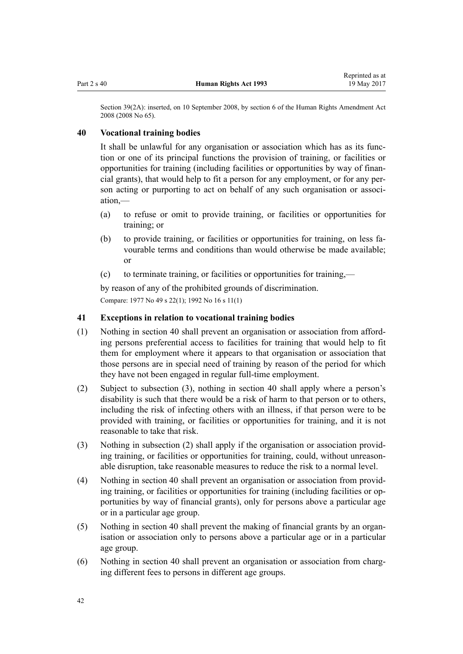<span id="page-41-0"></span>Section 39(2A): inserted, on 10 September 2008, by [section 6](http://prd-lgnz-nlb.prd.pco.net.nz/pdflink.aspx?id=DLM1582307) of the Human Rights Amendment Act 2008 (2008 No 65).

#### **40 Vocational training bodies**

It shall be unlawful for any organisation or association which has as its function or one of its principal functions the provision of training, or facilities or opportunities for training (including facilities or opportunities by way of financial grants), that would help to fit a person for any employment, or for any person acting or purporting to act on behalf of any such organisation or association,—

- (a) to refuse or omit to provide training, or facilities or opportunities for training; or
- (b) to provide training, or facilities or opportunities for training, on less favourable terms and conditions than would otherwise be made available; or
- (c) to terminate training, or facilities or opportunities for training,—

by reason of any of the prohibited grounds of discrimination. Compare: 1977 No 49 s 22(1); 1992 No 16 s 11(1)

#### **41 Exceptions in relation to vocational training bodies**

- (1) Nothing in section 40 shall prevent an organisation or association from affording persons preferential access to facilities for training that would help to fit them for employment where it appears to that organisation or association that those persons are in special need of training by reason of the period for which they have not been engaged in regular full-time employment.
- (2) Subject to subsection (3), nothing in section 40 shall apply where a person's disability is such that there would be a risk of harm to that person or to others, including the risk of infecting others with an illness, if that person were to be provided with training, or facilities or opportunities for training, and it is not reasonable to take that risk.
- (3) Nothing in subsection (2) shall apply if the organisation or association providing training, or facilities or opportunities for training, could, without unreasonable disruption, take reasonable measures to reduce the risk to a normal level.
- (4) Nothing in section 40 shall prevent an organisation or association from providing training, or facilities or opportunities for training (including facilities or opportunities by way of financial grants), only for persons above a particular age or in a particular age group.
- (5) Nothing in section 40 shall prevent the making of financial grants by an organisation or association only to persons above a particular age or in a particular age group.
- (6) Nothing in section 40 shall prevent an organisation or association from charging different fees to persons in different age groups.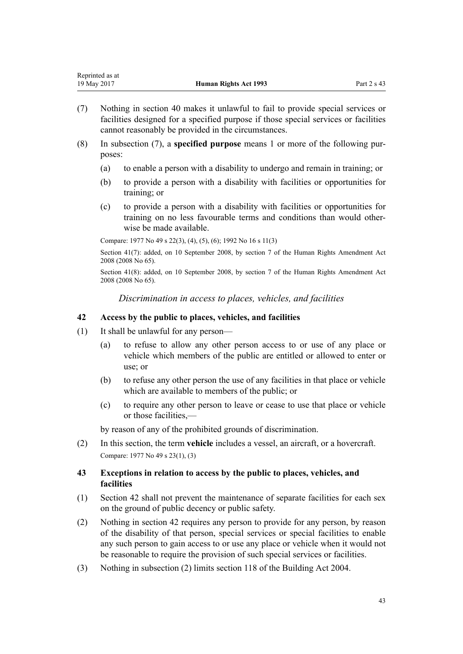- <span id="page-42-0"></span>(7) Nothing in [section 40](#page-41-0) makes it unlawful to fail to provide special services or facilities designed for a specified purpose if those special services or facilities cannot reasonably be provided in the circumstances.
- (8) In subsection (7), a **specified purpose** means 1 or more of the following purposes:
	- (a) to enable a person with a disability to undergo and remain in training; or
	- (b) to provide a person with a disability with facilities or opportunities for training; or
	- (c) to provide a person with a disability with facilities or opportunities for training on no less favourable terms and conditions than would otherwise be made available.

Compare: 1977 No 49 s 22(3), (4), (5), (6); 1992 No 16 s 11(3)

Section 41(7): added, on 10 September 2008, by [section 7](http://prd-lgnz-nlb.prd.pco.net.nz/pdflink.aspx?id=DLM1582308) of the Human Rights Amendment Act 2008 (2008 No 65).

Section 41(8): added, on 10 September 2008, by [section 7](http://prd-lgnz-nlb.prd.pco.net.nz/pdflink.aspx?id=DLM1582308) of the Human Rights Amendment Act 2008 (2008 No 65).

## *Discrimination in access to places, vehicles, and facilities*

## **42 Access by the public to places, vehicles, and facilities**

- (1) It shall be unlawful for any person—
	- (a) to refuse to allow any other person access to or use of any place or vehicle which members of the public are entitled or allowed to enter or use; or
	- (b) to refuse any other person the use of any facilities in that place or vehicle which are available to members of the public; or
	- (c) to require any other person to leave or cease to use that place or vehicle or those facilities,—

by reason of any of the prohibited grounds of discrimination.

(2) In this section, the term **vehicle** includes a vessel, an aircraft, or a hovercraft. Compare: 1977 No 49 s 23(1), (3)

# **43 Exceptions in relation to access by the public to places, vehicles, and facilities**

- (1) Section 42 shall not prevent the maintenance of separate facilities for each sex on the ground of public decency or public safety.
- (2) Nothing in section 42 requires any person to provide for any person, by reason of the disability of that person, special services or special facilities to enable any such person to gain access to or use any place or vehicle when it would not be reasonable to require the provision of such special services or facilities.
- (3) Nothing in subsection (2) limits [section 118](http://prd-lgnz-nlb.prd.pco.net.nz/pdflink.aspx?id=DLM306890) of the Building Act 2004.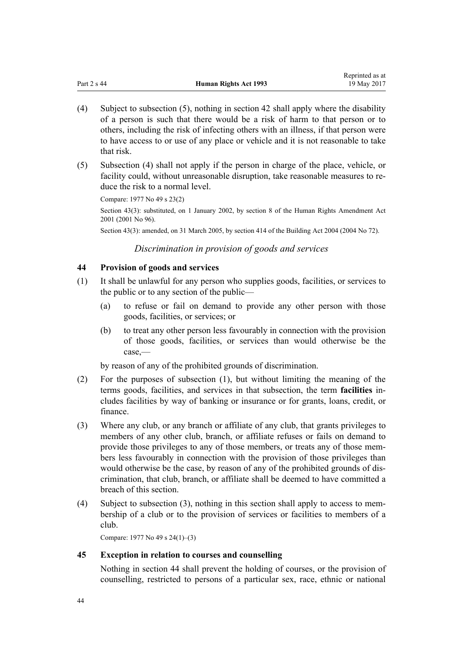<span id="page-43-0"></span>

| Part 2 s 44 | <b>Human Rights Act 1993</b> | 19 May 2017 |
|-------------|------------------------------|-------------|
|             |                              |             |

Reprinted as at

- (4) Subject to subsection (5), nothing in [section 42](#page-42-0) shall apply where the disability of a person is such that there would be a risk of harm to that person or to others, including the risk of infecting others with an illness, if that person were to have access to or use of any place or vehicle and it is not reasonable to take that risk.
- (5) Subsection (4) shall not apply if the person in charge of the place, vehicle, or facility could, without unreasonable disruption, take reasonable measures to reduce the risk to a normal level.

Compare: 1977 No 49 s 23(2)

Section 43(3): substituted, on 1 January 2002, by [section 8](http://prd-lgnz-nlb.prd.pco.net.nz/pdflink.aspx?id=DLM121895) of the Human Rights Amendment Act 2001 (2001 No 96).

Section 43(3): amended, on 31 March 2005, by [section 414](http://prd-lgnz-nlb.prd.pco.net.nz/pdflink.aspx?id=DLM309090) of the Building Act 2004 (2004 No 72).

*Discrimination in provision of goods and services*

# **44 Provision of goods and services**

- (1) It shall be unlawful for any person who supplies goods, facilities, or services to the public or to any section of the public—
	- (a) to refuse or fail on demand to provide any other person with those goods, facilities, or services; or
	- (b) to treat any other person less favourably in connection with the provision of those goods, facilities, or services than would otherwise be the case,—

by reason of any of the prohibited grounds of discrimination.

- (2) For the purposes of subsection (1), but without limiting the meaning of the terms goods, facilities, and services in that subsection, the term **facilities** includes facilities by way of banking or insurance or for grants, loans, credit, or finance.
- (3) Where any club, or any branch or affiliate of any club, that grants privileges to members of any other club, branch, or affiliate refuses or fails on demand to provide those privileges to any of those members, or treats any of those members less favourably in connection with the provision of those privileges than would otherwise be the case, by reason of any of the prohibited grounds of discrimination, that club, branch, or affiliate shall be deemed to have committed a breach of this section.
- (4) Subject to subsection (3), nothing in this section shall apply to access to membership of a club or to the provision of services or facilities to members of a club.

```
Compare: 1977 No 49 s 24(1)–(3)
```
## **45 Exception in relation to courses and counselling**

Nothing in section 44 shall prevent the holding of courses, or the provision of counselling, restricted to persons of a particular sex, race, ethnic or national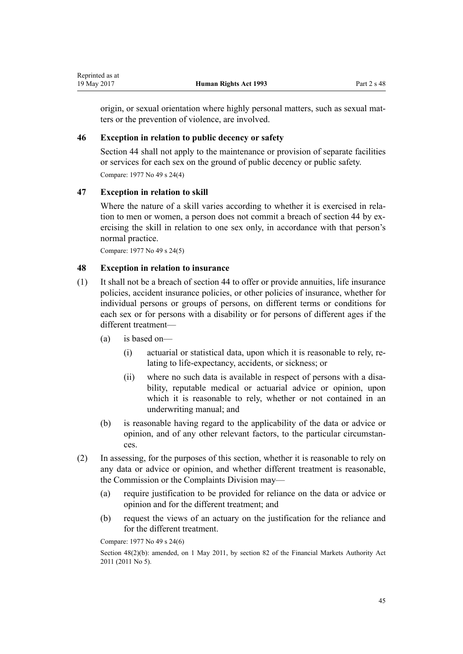origin, or sexual orientation where highly personal matters, such as sexual matters or the prevention of violence, are involved.

#### **46 Exception in relation to public decency or safety**

[Section 44](#page-43-0) shall not apply to the maintenance or provision of separate facilities or services for each sex on the ground of public decency or public safety. Compare: 1977 No 49 s 24(4)

## **47 Exception in relation to skill**

Where the nature of a skill varies according to whether it is exercised in relation to men or women, a person does not commit a breach of [section 44](#page-43-0) by exercising the skill in relation to one sex only, in accordance with that person's normal practice.

Compare: 1977 No 49 s 24(5)

## **48 Exception in relation to insurance**

- (1) It shall not be a breach of [section 44](#page-43-0) to offer or provide annuities, life insurance policies, accident insurance policies, or other policies of insurance, whether for individual persons or groups of persons, on different terms or conditions for each sex or for persons with a disability or for persons of different ages if the different treatment—
	- (a) is based on—
		- (i) actuarial or statistical data, upon which it is reasonable to rely, relating to life-expectancy, accidents, or sickness; or
		- (ii) where no such data is available in respect of persons with a disability, reputable medical or actuarial advice or opinion, upon which it is reasonable to rely, whether or not contained in an underwriting manual; and
	- (b) is reasonable having regard to the applicability of the data or advice or opinion, and of any other relevant factors, to the particular circumstances.
- (2) In assessing, for the purposes of this section, whether it is reasonable to rely on any data or advice or opinion, and whether different treatment is reasonable, the Commission or the Complaints Division may—
	- (a) require justification to be provided for reliance on the data or advice or opinion and for the different treatment; and
	- (b) request the views of an actuary on the justification for the reliance and for the different treatment.

#### Compare: 1977 No 49 s 24(6)

Section 48(2)(b): amended, on 1 May 2011, by [section 82](http://prd-lgnz-nlb.prd.pco.net.nz/pdflink.aspx?id=DLM3231793) of the Financial Markets Authority Act 2011 (2011 No 5).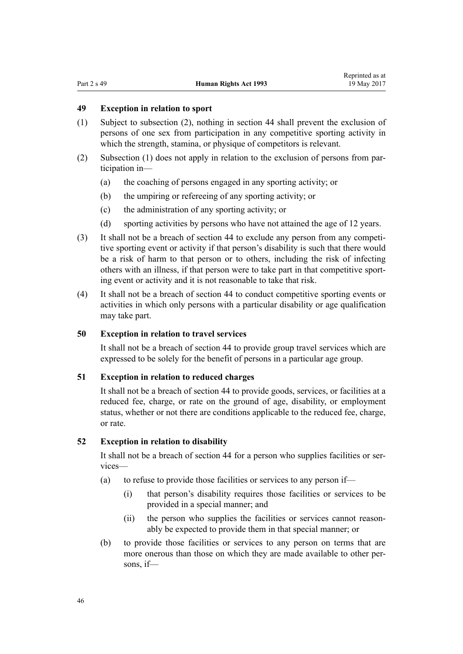# **49 Exception in relation to sport**

- (1) Subject to subsection (2), nothing in [section 44](#page-43-0) shall prevent the exclusion of persons of one sex from participation in any competitive sporting activity in which the strength, stamina, or physique of competitors is relevant.
- (2) Subsection (1) does not apply in relation to the exclusion of persons from participation in—
	- (a) the coaching of persons engaged in any sporting activity; or
	- (b) the umpiring or refereeing of any sporting activity; or
	- (c) the administration of any sporting activity; or
	- (d) sporting activities by persons who have not attained the age of 12 years.
- (3) It shall not be a breach of [section 44](#page-43-0) to exclude any person from any competitive sporting event or activity if that person's disability is such that there would be a risk of harm to that person or to others, including the risk of infecting others with an illness, if that person were to take part in that competitive sporting event or activity and it is not reasonable to take that risk.
- (4) It shall not be a breach of [section 44](#page-43-0) to conduct competitive sporting events or activities in which only persons with a particular disability or age qualification may take part.

# **50 Exception in relation to travel services**

It shall not be a breach of [section 44](#page-43-0) to provide group travel services which are expressed to be solely for the benefit of persons in a particular age group.

#### **51 Exception in relation to reduced charges**

It shall not be a breach of [section 44](#page-43-0) to provide goods, services, or facilities at a reduced fee, charge, or rate on the ground of age, disability, or employment status, whether or not there are conditions applicable to the reduced fee, charge, or rate.

## **52 Exception in relation to disability**

It shall not be a breach of [section 44](#page-43-0) for a person who supplies facilities or services—

- (a) to refuse to provide those facilities or services to any person if—
	- (i) that person's disability requires those facilities or services to be provided in a special manner; and
	- (ii) the person who supplies the facilities or services cannot reasonably be expected to provide them in that special manner; or
- (b) to provide those facilities or services to any person on terms that are more onerous than those on which they are made available to other persons, if—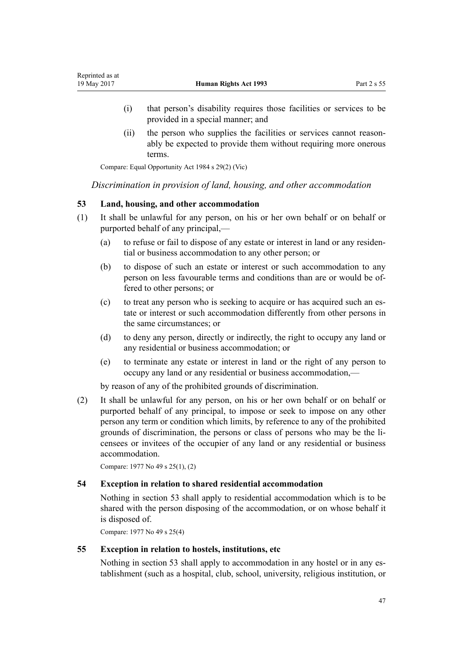- <span id="page-46-0"></span>(i) that person's disability requires those facilities or services to be provided in a special manner; and
- (ii) the person who supplies the facilities or services cannot reasonably be expected to provide them without requiring more onerous terms.

Compare: Equal Opportunity Act 1984 s 29(2) (Vic)

*Discrimination in provision of land, housing, and other accommodation*

# **53 Land, housing, and other accommodation**

- (1) It shall be unlawful for any person, on his or her own behalf or on behalf or purported behalf of any principal,—
	- (a) to refuse or fail to dispose of any estate or interest in land or any residential or business accommodation to any other person; or
	- (b) to dispose of such an estate or interest or such accommodation to any person on less favourable terms and conditions than are or would be offered to other persons; or
	- (c) to treat any person who is seeking to acquire or has acquired such an estate or interest or such accommodation differently from other persons in the same circumstances; or
	- (d) to deny any person, directly or indirectly, the right to occupy any land or any residential or business accommodation; or
	- (e) to terminate any estate or interest in land or the right of any person to occupy any land or any residential or business accommodation,—

by reason of any of the prohibited grounds of discrimination.

(2) It shall be unlawful for any person, on his or her own behalf or on behalf or purported behalf of any principal, to impose or seek to impose on any other person any term or condition which limits, by reference to any of the prohibited grounds of discrimination, the persons or class of persons who may be the licensees or invitees of the occupier of any land or any residential or business accommodation.

Compare: 1977 No 49 s 25(1), (2)

# **54 Exception in relation to shared residential accommodation**

Nothing in section 53 shall apply to residential accommodation which is to be shared with the person disposing of the accommodation, or on whose behalf it is disposed of.

Compare: 1977 No 49 s 25(4)

# **55 Exception in relation to hostels, institutions, etc**

Nothing in section 53 shall apply to accommodation in any hostel or in any establishment (such as a hospital, club, school, university, religious institution, or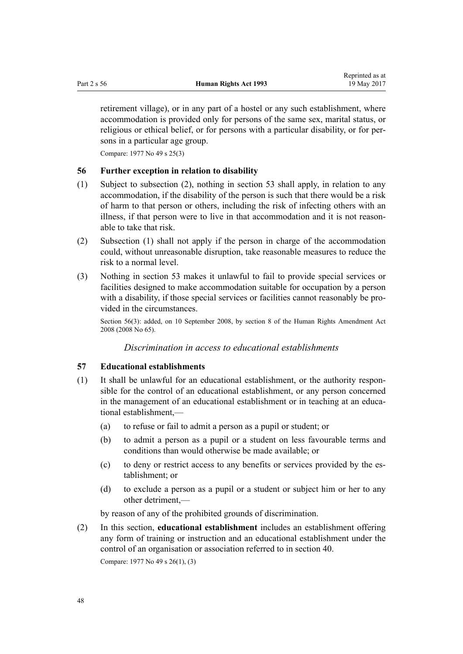<span id="page-47-0"></span>retirement village), or in any part of a hostel or any such establishment, where accommodation is provided only for persons of the same sex, marital status, or religious or ethical belief, or for persons with a particular disability, or for persons in a particular age group.

Compare: 1977 No 49 s 25(3)

#### **56 Further exception in relation to disability**

- (1) Subject to subsection (2), nothing in [section 53](#page-46-0) shall apply, in relation to any accommodation, if the disability of the person is such that there would be a risk of harm to that person or others, including the risk of infecting others with an illness, if that person were to live in that accommodation and it is not reasonable to take that risk.
- (2) Subsection (1) shall not apply if the person in charge of the accommodation could, without unreasonable disruption, take reasonable measures to reduce the risk to a normal level.
- (3) Nothing in [section 53](#page-46-0) makes it unlawful to fail to provide special services or facilities designed to make accommodation suitable for occupation by a person with a disability, if those special services or facilities cannot reasonably be provided in the circumstances.

Section 56(3): added, on 10 September 2008, by [section 8](http://prd-lgnz-nlb.prd.pco.net.nz/pdflink.aspx?id=DLM1582310) of the Human Rights Amendment Act 2008 (2008 No 65).

#### *Discrimination in access to educational establishments*

#### **57 Educational establishments**

- (1) It shall be unlawful for an educational establishment, or the authority responsible for the control of an educational establishment, or any person concerned in the management of an educational establishment or in teaching at an educational establishment,—
	- (a) to refuse or fail to admit a person as a pupil or student; or
	- (b) to admit a person as a pupil or a student on less favourable terms and conditions than would otherwise be made available; or
	- (c) to deny or restrict access to any benefits or services provided by the establishment; or
	- (d) to exclude a person as a pupil or a student or subject him or her to any other detriment,—

by reason of any of the prohibited grounds of discrimination.

(2) In this section, **educational establishment** includes an establishment offering any form of training or instruction and an educational establishment under the control of an organisation or association referred to in [section 40.](#page-41-0) Compare: 1977 No 49 s 26(1), (3)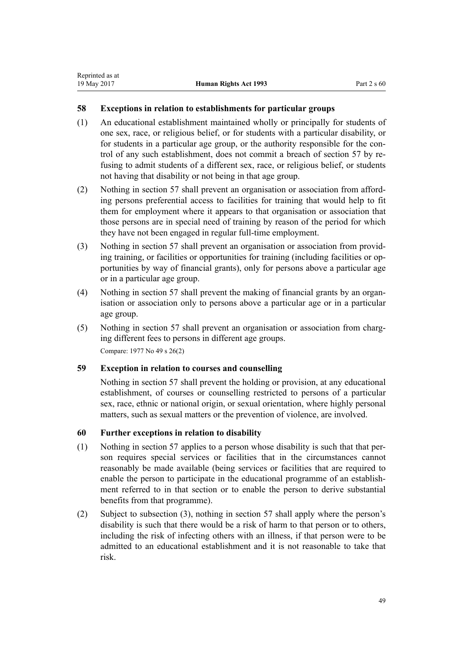## **58 Exceptions in relation to establishments for particular groups**

- (1) An educational establishment maintained wholly or principally for students of one sex, race, or religious belief, or for students with a particular disability, or for students in a particular age group, or the authority responsible for the control of any such establishment, does not commit a breach of [section 57](#page-47-0) by refusing to admit students of a different sex, race, or religious belief, or students not having that disability or not being in that age group.
- (2) Nothing in [section 57](#page-47-0) shall prevent an organisation or association from affording persons preferential access to facilities for training that would help to fit them for employment where it appears to that organisation or association that those persons are in special need of training by reason of the period for which they have not been engaged in regular full-time employment.
- (3) Nothing in [section 57](#page-47-0) shall prevent an organisation or association from providing training, or facilities or opportunities for training (including facilities or opportunities by way of financial grants), only for persons above a particular age or in a particular age group.
- (4) Nothing in [section 57](#page-47-0) shall prevent the making of financial grants by an organisation or association only to persons above a particular age or in a particular age group.
- (5) Nothing in [section 57](#page-47-0) shall prevent an organisation or association from charging different fees to persons in different age groups. Compare: 1977 No 49 s 26(2)

# **59 Exception in relation to courses and counselling**

Nothing in [section 57](#page-47-0) shall prevent the holding or provision, at any educational establishment, of courses or counselling restricted to persons of a particular sex, race, ethnic or national origin, or sexual orientation, where highly personal matters, such as sexual matters or the prevention of violence, are involved.

# **60 Further exceptions in relation to disability**

- (1) Nothing in [section 57](#page-47-0) applies to a person whose disability is such that that person requires special services or facilities that in the circumstances cannot reasonably be made available (being services or facilities that are required to enable the person to participate in the educational programme of an establishment referred to in that section or to enable the person to derive substantial benefits from that programme).
- (2) Subject to subsection (3), nothing in [section 57](#page-47-0) shall apply where the person's disability is such that there would be a risk of harm to that person or to others, including the risk of infecting others with an illness, if that person were to be admitted to an educational establishment and it is not reasonable to take that risk.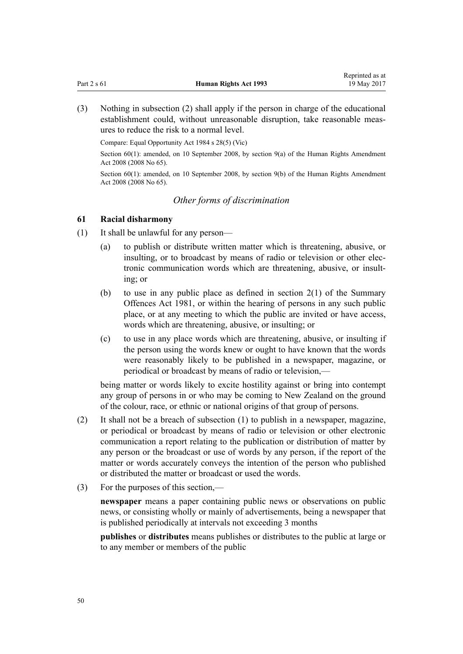<span id="page-49-0"></span>(3) Nothing in subsection (2) shall apply if the person in charge of the educational establishment could, without unreasonable disruption, take reasonable measures to reduce the risk to a normal level.

Compare: Equal Opportunity Act 1984 s 28(5) (Vic)

Section 60(1): amended, on 10 September 2008, by [section 9\(a\)](http://prd-lgnz-nlb.prd.pco.net.nz/pdflink.aspx?id=DLM1582311) of the Human Rights Amendment Act 2008 (2008 No 65).

Section 60(1): amended, on 10 September 2008, by [section 9\(b\)](http://prd-lgnz-nlb.prd.pco.net.nz/pdflink.aspx?id=DLM1582311) of the Human Rights Amendment Act 2008 (2008 No 65).

## *Other forms of discrimination*

## **61 Racial disharmony**

- (1) It shall be unlawful for any person—
	- (a) to publish or distribute written matter which is threatening, abusive, or insulting, or to broadcast by means of radio or television or other electronic communication words which are threatening, abusive, or insulting; or
	- (b) to use in any public place as defined in [section 2\(1\)](http://prd-lgnz-nlb.prd.pco.net.nz/pdflink.aspx?id=DLM53387) of the Summary Offences Act 1981, or within the hearing of persons in any such public place, or at any meeting to which the public are invited or have access, words which are threatening, abusive, or insulting; or
	- (c) to use in any place words which are threatening, abusive, or insulting if the person using the words knew or ought to have known that the words were reasonably likely to be published in a newspaper, magazine, or periodical or broadcast by means of radio or television,—

being matter or words likely to excite hostility against or bring into contempt any group of persons in or who may be coming to New Zealand on the ground of the colour, race, or ethnic or national origins of that group of persons.

- (2) It shall not be a breach of subsection (1) to publish in a newspaper, magazine, or periodical or broadcast by means of radio or television or other electronic communication a report relating to the publication or distribution of matter by any person or the broadcast or use of words by any person, if the report of the matter or words accurately conveys the intention of the person who published or distributed the matter or broadcast or used the words.
- (3) For the purposes of this section,—

**newspaper** means a paper containing public news or observations on public news, or consisting wholly or mainly of advertisements, being a newspaper that is published periodically at intervals not exceeding 3 months

**publishes** or **distributes** means publishes or distributes to the public at large or to any member or members of the public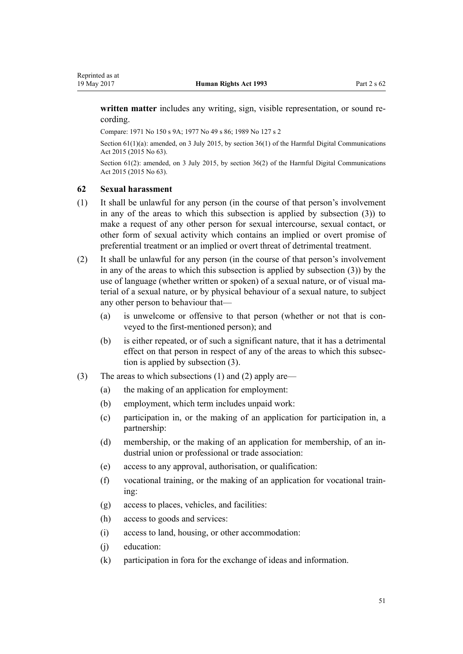<span id="page-50-0"></span>**written matter** includes any writing, sign, visible representation, or sound recording.

Compare: 1971 No 150 s 9A; 1977 No 49 s 86; 1989 No 127 s 2

Section  $61(1)(a)$ : amended, on 3 July 2015, by [section 36\(1\)](http://prd-lgnz-nlb.prd.pco.net.nz/pdflink.aspx?id=DLM5711880) of the Harmful Digital Communications Act 2015 (2015 No 63).

Section 61(2): amended, on 3 July 2015, by [section 36\(2\)](http://prd-lgnz-nlb.prd.pco.net.nz/pdflink.aspx?id=DLM5711880) of the Harmful Digital Communications Act 2015 (2015 No 63).

#### **62 Sexual harassment**

- (1) It shall be unlawful for any person (in the course of that person's involvement in any of the areas to which this subsection is applied by subsection (3)) to make a request of any other person for sexual intercourse, sexual contact, or other form of sexual activity which contains an implied or overt promise of preferential treatment or an implied or overt threat of detrimental treatment.
- (2) It shall be unlawful for any person (in the course of that person's involvement in any of the areas to which this subsection is applied by subsection (3)) by the use of language (whether written or spoken) of a sexual nature, or of visual material of a sexual nature, or by physical behaviour of a sexual nature, to subject any other person to behaviour that—
	- (a) is unwelcome or offensive to that person (whether or not that is conveyed to the first-mentioned person); and
	- (b) is either repeated, or of such a significant nature, that it has a detrimental effect on that person in respect of any of the areas to which this subsection is applied by subsection (3).
- (3) The areas to which subsections (1) and (2) apply are—
	- (a) the making of an application for employment:
	- (b) employment, which term includes unpaid work:
	- (c) participation in, or the making of an application for participation in, a partnership:
	- (d) membership, or the making of an application for membership, of an industrial union or professional or trade association:
	- (e) access to any approval, authorisation, or qualification:
	- (f) vocational training, or the making of an application for vocational training:
	- (g) access to places, vehicles, and facilities:
	- (h) access to goods and services:
	- (i) access to land, housing, or other accommodation:
	- (j) education:
	- (k) participation in fora for the exchange of ideas and information.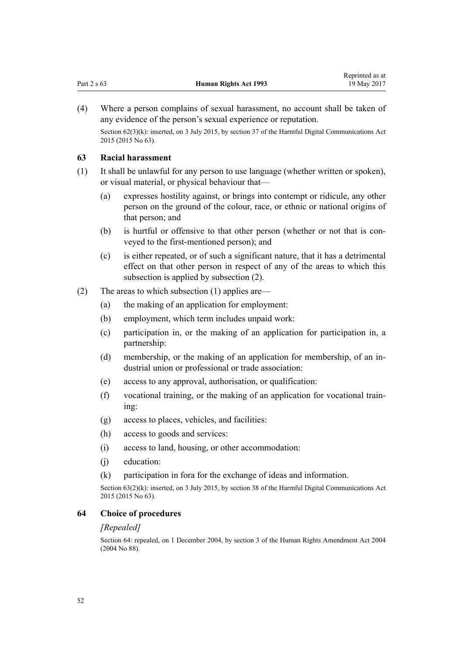<span id="page-51-0"></span>

| Part 2 s 63 | Human Rights Act 1993 | 19 May 2017 |
|-------------|-----------------------|-------------|

Reprinted as at

(4) Where a person complains of sexual harassment, no account shall be taken of any evidence of the person's sexual experience or reputation. Section 62(3)(k): inserted, on 3 July 2015, by [section 37](http://prd-lgnz-nlb.prd.pco.net.nz/pdflink.aspx?id=DLM5711881) of the Harmful Digital Communications Act 2015 (2015 No 63).

## **63 Racial harassment**

- (1) It shall be unlawful for any person to use language (whether written or spoken), or visual material, or physical behaviour that—
	- (a) expresses hostility against, or brings into contempt or ridicule, any other person on the ground of the colour, race, or ethnic or national origins of that person; and
	- (b) is hurtful or offensive to that other person (whether or not that is conveyed to the first-mentioned person); and
	- (c) is either repeated, or of such a significant nature, that it has a detrimental effect on that other person in respect of any of the areas to which this subsection is applied by subsection (2).
- (2) The areas to which subsection (1) applies are—
	- (a) the making of an application for employment:
	- (b) employment, which term includes unpaid work:
	- (c) participation in, or the making of an application for participation in, a partnership:
	- (d) membership, or the making of an application for membership, of an industrial union or professional or trade association:
	- (e) access to any approval, authorisation, or qualification:
	- (f) vocational training, or the making of an application for vocational training:
	- (g) access to places, vehicles, and facilities:
	- (h) access to goods and services:
	- (i) access to land, housing, or other accommodation:
	- (j) education:
	- (k) participation in fora for the exchange of ideas and information.

Section  $63(2)(k)$ : inserted, on 3 July 2015, by [section 38](http://prd-lgnz-nlb.prd.pco.net.nz/pdflink.aspx?id=DLM5711882) of the Harmful Digital Communications Act 2015 (2015 No 63).

## **64 Choice of procedures**

## *[Repealed]*

Section 64: repealed, on 1 December 2004, by [section 3](http://prd-lgnz-nlb.prd.pco.net.nz/pdflink.aspx?id=DLM316651) of the Human Rights Amendment Act 2004 (2004 No 88).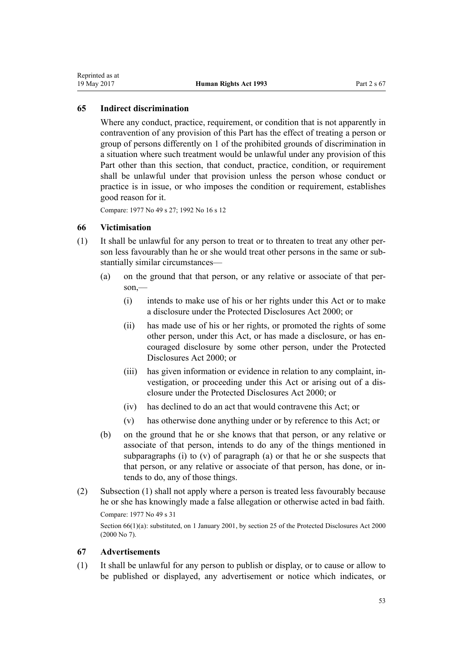## <span id="page-52-0"></span>**65 Indirect discrimination**

Where any conduct, practice, requirement, or condition that is not apparently in contravention of any provision of this Part has the effect of treating a person or group of persons differently on 1 of the prohibited grounds of discrimination in a situation where such treatment would be unlawful under any provision of this Part other than this section, that conduct, practice, condition, or requirement shall be unlawful under that provision unless the person whose conduct or practice is in issue, or who imposes the condition or requirement, establishes good reason for it.

Compare: 1977 No 49 s 27; 1992 No 16 s 12

## **66 Victimisation**

- (1) It shall be unlawful for any person to treat or to threaten to treat any other person less favourably than he or she would treat other persons in the same or substantially similar circumstances—
	- (a) on the ground that that person, or any relative or associate of that person,—
		- (i) intends to make use of his or her rights under this Act or to make a disclosure under the [Protected Disclosures Act 2000;](http://prd-lgnz-nlb.prd.pco.net.nz/pdflink.aspx?id=DLM53465) or
		- (ii) has made use of his or her rights, or promoted the rights of some other person, under this Act, or has made a disclosure, or has encouraged disclosure by some other person, under the [Protected](http://prd-lgnz-nlb.prd.pco.net.nz/pdflink.aspx?id=DLM53465) [Disclosures Act 2000](http://prd-lgnz-nlb.prd.pco.net.nz/pdflink.aspx?id=DLM53465); or
		- (iii) has given information or evidence in relation to any complaint, investigation, or proceeding under this Act or arising out of a disclosure under the [Protected Disclosures Act 2000;](http://prd-lgnz-nlb.prd.pco.net.nz/pdflink.aspx?id=DLM53465) or
		- (iv) has declined to do an act that would contravene this Act; or
		- (v) has otherwise done anything under or by reference to this Act; or
	- (b) on the ground that he or she knows that that person, or any relative or associate of that person, intends to do any of the things mentioned in subparagraphs (i) to (v) of paragraph (a) or that he or she suspects that that person, or any relative or associate of that person, has done, or intends to do, any of those things.
- (2) Subsection (1) shall not apply where a person is treated less favourably because he or she has knowingly made a false allegation or otherwise acted in bad faith. Compare: 1977 No 49 s 31

Section 66(1)(a): substituted, on 1 January 2001, by [section 25](http://prd-lgnz-nlb.prd.pco.net.nz/pdflink.aspx?id=DLM53928) of the Protected Disclosures Act 2000 (2000 No 7).

## **67 Advertisements**

(1) It shall be unlawful for any person to publish or display, or to cause or allow to be published or displayed, any advertisement or notice which indicates, or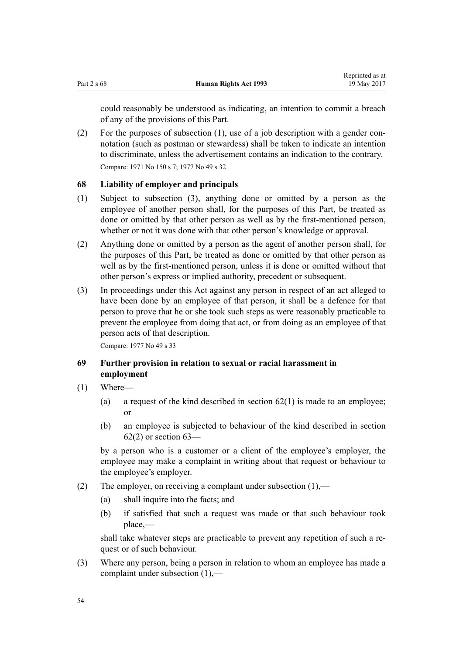could reasonably be understood as indicating, an intention to commit a breach of any of the provisions of this Part.

(2) For the purposes of subsection (1), use of a job description with a gender connotation (such as postman or stewardess) shall be taken to indicate an intention to discriminate, unless the advertisement contains an indication to the contrary. Compare: 1971 No 150 s 7; 1977 No 49 s 32

#### **68 Liability of employer and principals**

- (1) Subject to subsection (3), anything done or omitted by a person as the employee of another person shall, for the purposes of this Part, be treated as done or omitted by that other person as well as by the first-mentioned person, whether or not it was done with that other person's knowledge or approval.
- (2) Anything done or omitted by a person as the agent of another person shall, for the purposes of this Part, be treated as done or omitted by that other person as well as by the first-mentioned person, unless it is done or omitted without that other person's express or implied authority, precedent or subsequent.
- (3) In proceedings under this Act against any person in respect of an act alleged to have been done by an employee of that person, it shall be a defence for that person to prove that he or she took such steps as were reasonably practicable to prevent the employee from doing that act, or from doing as an employee of that person acts of that description.

Compare: 1977 No 49 s 33

# **69 Further provision in relation to sexual or racial harassment in employment**

- (1) Where—
	- (a) a request of the kind described in section  $62(1)$  is made to an employee; or
	- (b) an employee is subjected to behaviour of the kind described in [section](#page-50-0)  $62(2)$  or section  $63-$

by a person who is a customer or a client of the employee's employer, the employee may make a complaint in writing about that request or behaviour to the employee's employer.

- (2) The employer, on receiving a complaint under subsection (1),—
	- (a) shall inquire into the facts; and
	- (b) if satisfied that such a request was made or that such behaviour took place,—

shall take whatever steps are practicable to prevent any repetition of such a request or of such behaviour.

(3) Where any person, being a person in relation to whom an employee has made a complaint under subsection (1),—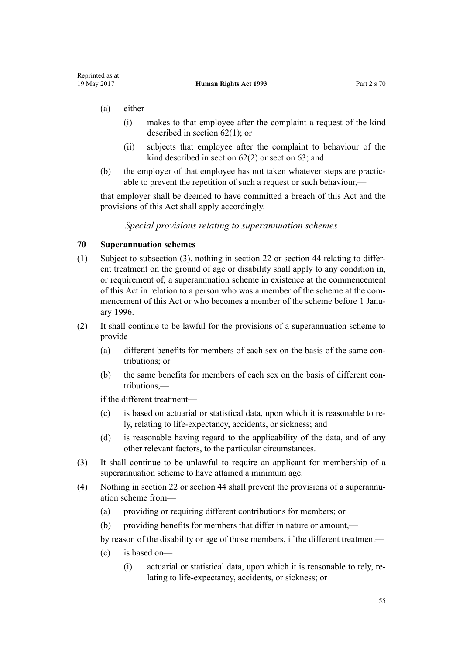- <span id="page-54-0"></span>(a) either—
	- (i) makes to that employee after the complaint a request of the kind described in section  $62(1)$ ; or
	- (ii) subjects that employee after the complaint to behaviour of the kind described in [section 62\(2\)](#page-50-0) or [section 63;](#page-51-0) and
- (b) the employer of that employee has not taken whatever steps are practicable to prevent the repetition of such a request or such behaviour,—

that employer shall be deemed to have committed a breach of this Act and the provisions of this Act shall apply accordingly.

# *Special provisions relating to superannuation schemes*

# **70 Superannuation schemes**

- (1) Subject to subsection (3), nothing in [section 22](#page-31-0) or [section 44](#page-43-0) relating to different treatment on the ground of age or disability shall apply to any condition in, or requirement of, a superannuation scheme in existence at the commencement of this Act in relation to a person who was a member of the scheme at the commencement of this Act or who becomes a member of the scheme before 1 January 1996.
- (2) It shall continue to be lawful for the provisions of a superannuation scheme to provide—
	- (a) different benefits for members of each sex on the basis of the same contributions; or
	- (b) the same benefits for members of each sex on the basis of different contributions,—

if the different treatment—

- (c) is based on actuarial or statistical data, upon which it is reasonable to rely, relating to life-expectancy, accidents, or sickness; and
- (d) is reasonable having regard to the applicability of the data, and of any other relevant factors, to the particular circumstances.
- (3) It shall continue to be unlawful to require an applicant for membership of a superannuation scheme to have attained a minimum age.
- (4) Nothing in [section 22](#page-31-0) or [section 44](#page-43-0) shall prevent the provisions of a superannuation scheme from—
	- (a) providing or requiring different contributions for members; or
	- (b) providing benefits for members that differ in nature or amount,—

by reason of the disability or age of those members, if the different treatment—

- (c) is based on—
	- (i) actuarial or statistical data, upon which it is reasonable to rely, relating to life-expectancy, accidents, or sickness; or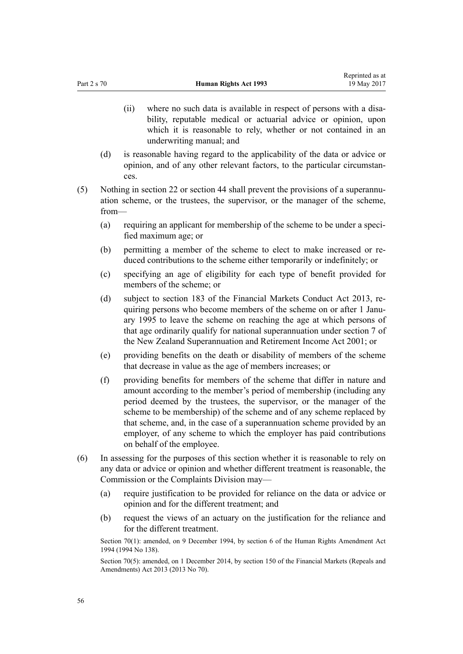- (ii) where no such data is available in respect of persons with a disability, reputable medical or actuarial advice or opinion, upon which it is reasonable to rely, whether or not contained in an underwriting manual; and
- (d) is reasonable having regard to the applicability of the data or advice or opinion, and of any other relevant factors, to the particular circumstances.
- (5) Nothing in [section 22](#page-31-0) or [section 44](#page-43-0) shall prevent the provisions of a superannuation scheme, or the trustees, the supervisor, or the manager of the scheme, from—
	- (a) requiring an applicant for membership of the scheme to be under a specified maximum age; or
	- (b) permitting a member of the scheme to elect to make increased or reduced contributions to the scheme either temporarily or indefinitely; or
	- (c) specifying an age of eligibility for each type of benefit provided for members of the scheme; or
	- (d) subject to [section 183](http://prd-lgnz-nlb.prd.pco.net.nz/pdflink.aspx?id=DLM4091190) of the Financial Markets Conduct Act 2013, requiring persons who become members of the scheme on or after 1 January 1995 to leave the scheme on reaching the age at which persons of that age ordinarily qualify for national superannuation under [section 7](http://prd-lgnz-nlb.prd.pco.net.nz/pdflink.aspx?id=DLM113987) of the New Zealand Superannuation and Retirement Income Act 2001; or
	- (e) providing benefits on the death or disability of members of the scheme that decrease in value as the age of members increases; or
	- (f) providing benefits for members of the scheme that differ in nature and amount according to the member's period of membership (including any period deemed by the trustees, the supervisor, or the manager of the scheme to be membership) of the scheme and of any scheme replaced by that scheme, and, in the case of a superannuation scheme provided by an employer, of any scheme to which the employer has paid contributions on behalf of the employee.
- (6) In assessing for the purposes of this section whether it is reasonable to rely on any data or advice or opinion and whether different treatment is reasonable, the Commission or the Complaints Division may—
	- (a) require justification to be provided for reliance on the data or advice or opinion and for the different treatment; and
	- (b) request the views of an actuary on the justification for the reliance and for the different treatment.

Section 70(1): amended, on 9 December 1994, by [section 6](http://prd-lgnz-nlb.prd.pco.net.nz/pdflink.aspx?id=DLM345613) of the Human Rights Amendment Act 1994 (1994 No 138).

Section 70(5): amended, on 1 December 2014, by [section 150](http://prd-lgnz-nlb.prd.pco.net.nz/pdflink.aspx?id=DLM5561603) of the Financial Markets (Repeals and Amendments) Act 2013 (2013 No 70).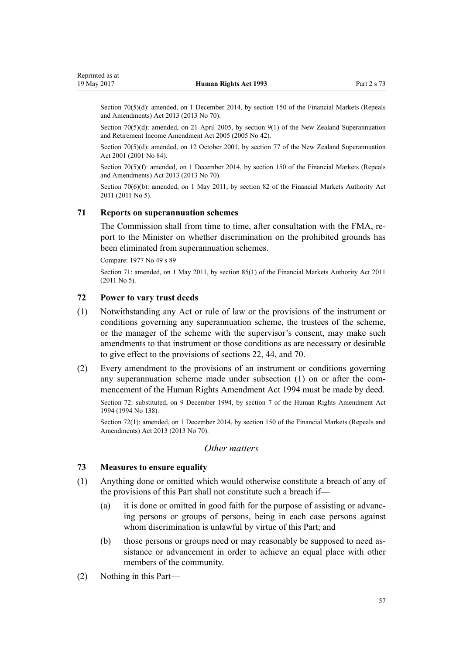Section 70(5)(d): amended, on 1 December 2014, by [section 150](http://prd-lgnz-nlb.prd.pco.net.nz/pdflink.aspx?id=DLM5561603) of the Financial Markets (Repeals and Amendments) Act 2013 (2013 No 70).

Section 70(5)(d): amended, on 21 April 2005, by [section 9\(1\)](http://prd-lgnz-nlb.prd.pco.net.nz/pdflink.aspx?id=DLM346494) of the New Zealand Superannuation and Retirement Income Amendment Act 2005 (2005 No 42).

Section 70(5)(d): amended, on 12 October 2001, by [section 77](http://prd-lgnz-nlb.prd.pco.net.nz/pdflink.aspx?id=DLM114875) of the New Zealand Superannuation Act 2001 (2001 No 84).

Section 70(5)(f): amended, on 1 December 2014, by [section 150](http://prd-lgnz-nlb.prd.pco.net.nz/pdflink.aspx?id=DLM5561603) of the Financial Markets (Repeals and Amendments) Act 2013 (2013 No 70).

Section 70(6)(b): amended, on 1 May 2011, by [section 82](http://prd-lgnz-nlb.prd.pco.net.nz/pdflink.aspx?id=DLM3231793) of the Financial Markets Authority Act 2011 (2011 No 5).

## **71 Reports on superannuation schemes**

The Commission shall from time to time, after consultation with the FMA, report to the Minister on whether discrimination on the prohibited grounds has been eliminated from superannuation schemes.

Compare: 1977 No 49 s 89

Section 71: amended, on 1 May 2011, by [section 85\(1\)](http://prd-lgnz-nlb.prd.pco.net.nz/pdflink.aspx?id=DLM3231795) of the Financial Markets Authority Act 2011 (2011 No 5).

## **72 Power to vary trust deeds**

- (1) Notwithstanding any Act or rule of law or the provisions of the instrument or conditions governing any superannuation scheme, the trustees of the scheme, or the manager of the scheme with the supervisor's consent, may make such amendments to that instrument or those conditions as are necessary or desirable to give effect to the provisions of [sections 22,](#page-31-0) [44](#page-43-0), and [70.](#page-54-0)
- (2) Every amendment to the provisions of an instrument or conditions governing any superannuation scheme made under subsection (1) on or after the commencement of the [Human Rights Amendment Act 1994](http://prd-lgnz-nlb.prd.pco.net.nz/pdflink.aspx?id=DLM345299) must be made by deed.

Section 72: substituted, on 9 December 1994, by [section 7](http://prd-lgnz-nlb.prd.pco.net.nz/pdflink.aspx?id=DLM345614) of the Human Rights Amendment Act 1994 (1994 No 138).

Section 72(1): amended, on 1 December 2014, by [section 150](http://prd-lgnz-nlb.prd.pco.net.nz/pdflink.aspx?id=DLM5561603) of the Financial Markets (Repeals and Amendments) Act 2013 (2013 No 70).

#### *Other matters*

## **73 Measures to ensure equality**

- (1) Anything done or omitted which would otherwise constitute a breach of any of the provisions of this Part shall not constitute such a breach if—
	- (a) it is done or omitted in good faith for the purpose of assisting or advancing persons or groups of persons, being in each case persons against whom discrimination is unlawful by virtue of this Part; and
	- (b) those persons or groups need or may reasonably be supposed to need assistance or advancement in order to achieve an equal place with other members of the community.
- (2) Nothing in this Part—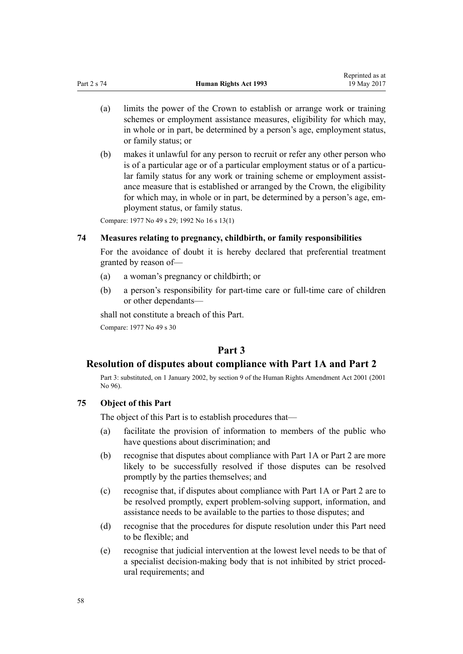|                              | Reprinted as at |
|------------------------------|-----------------|
| <b>Human Rights Act 1993</b> | 19 May 2017     |
|                              |                 |

- (a) limits the power of the Crown to establish or arrange work or training schemes or employment assistance measures, eligibility for which may, in whole or in part, be determined by a person's age, employment status, or family status; or
- (b) makes it unlawful for any person to recruit or refer any other person who is of a particular age or of a particular employment status or of a particular family status for any work or training scheme or employment assistance measure that is established or arranged by the Crown, the eligibility for which may, in whole or in part, be determined by a person's age, employment status, or family status.

Compare: 1977 No 49 s 29; 1992 No 16 s 13(1)

#### **74 Measures relating to pregnancy, childbirth, or family responsibilities**

For the avoidance of doubt it is hereby declared that preferential treatment granted by reason of—

- (a) a woman's pregnancy or childbirth; or
- (b) a person's responsibility for part-time care or full-time care of children or other dependants—

shall not constitute a breach of this Part. Compare: 1977 No 49 s 30

## **Part 3**

# **Resolution of disputes about compliance with Part 1A and Part 2**

Part 3: substituted, on 1 January 2002, by [section 9](http://prd-lgnz-nlb.prd.pco.net.nz/pdflink.aspx?id=DLM121897) of the Human Rights Amendment Act 2001 (2001 No 96).

## **75 Object of this Part**

The object of this Part is to establish procedures that—

- (a) facilitate the provision of information to members of the public who have questions about discrimination; and
- (b) recognise that disputes about compliance with [Part 1A](#page-26-0) or [Part 2](#page-28-0) are more likely to be successfully resolved if those disputes can be resolved promptly by the parties themselves; and
- (c) recognise that, if disputes about compliance with [Part 1A](#page-26-0) or [Part 2](#page-28-0) are to be resolved promptly, expert problem-solving support, information, and assistance needs to be available to the parties to those disputes; and
- (d) recognise that the procedures for dispute resolution under this Part need to be flexible; and
- (e) recognise that judicial intervention at the lowest level needs to be that of a specialist decision-making body that is not inhibited by strict procedural requirements; and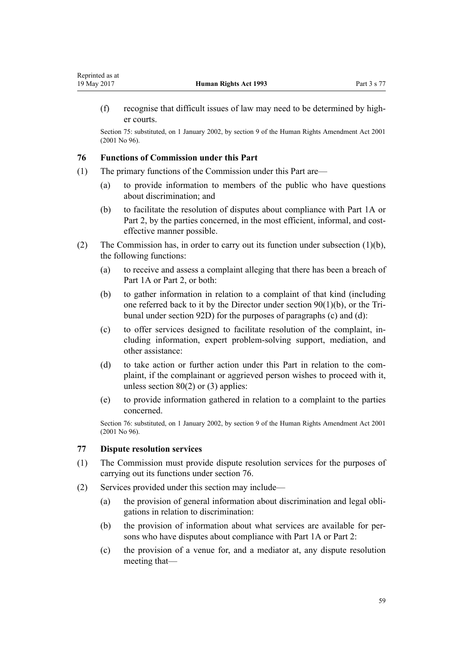<span id="page-58-0"></span>(f) recognise that difficult issues of law may need to be determined by higher courts.

Section 75: substituted, on 1 January 2002, by [section 9](http://prd-lgnz-nlb.prd.pco.net.nz/pdflink.aspx?id=DLM121897) of the Human Rights Amendment Act 2001 (2001 No 96).

## **76 Functions of Commission under this Part**

- (1) The primary functions of the Commission under this Part are—
	- (a) to provide information to members of the public who have questions about discrimination; and
	- (b) to facilitate the resolution of disputes about compliance with [Part 1A](#page-26-0) or [Part 2](#page-28-0), by the parties concerned, in the most efficient, informal, and costeffective manner possible.
- (2) The Commission has, in order to carry out its function under subsection (1)(b), the following functions:
	- (a) to receive and assess a complaint alleging that there has been a breach of [Part 1A](#page-26-0) or [Part 2](#page-28-0), or both:
	- (b) to gather information in relation to a complaint of that kind (including one referred back to it by the Director under [section 90\(1\)\(b\)](#page-65-0), or the Tribunal under [section 92D\)](#page-70-0) for the purposes of paragraphs (c) and (d):
	- (c) to offer services designed to facilitate resolution of the complaint, including information, expert problem-solving support, mediation, and other assistance:
	- (d) to take action or further action under this Part in relation to the complaint, if the complainant or aggrieved person wishes to proceed with it, unless section  $80(2)$  or  $(3)$  applies:
	- (e) to provide information gathered in relation to a complaint to the parties concerned.

Section 76: substituted, on 1 January 2002, by [section 9](http://prd-lgnz-nlb.prd.pco.net.nz/pdflink.aspx?id=DLM121897) of the Human Rights Amendment Act 2001 (2001 No 96).

## **77 Dispute resolution services**

- (1) The Commission must provide dispute resolution services for the purposes of carrying out its functions under section 76.
- (2) Services provided under this section may include—
	- (a) the provision of general information about discrimination and legal obligations in relation to discrimination:
	- (b) the provision of information about what services are available for persons who have disputes about compliance with [Part 1A](#page-26-0) or [Part 2:](#page-28-0)
	- (c) the provision of a venue for, and a mediator at, any dispute resolution meeting that—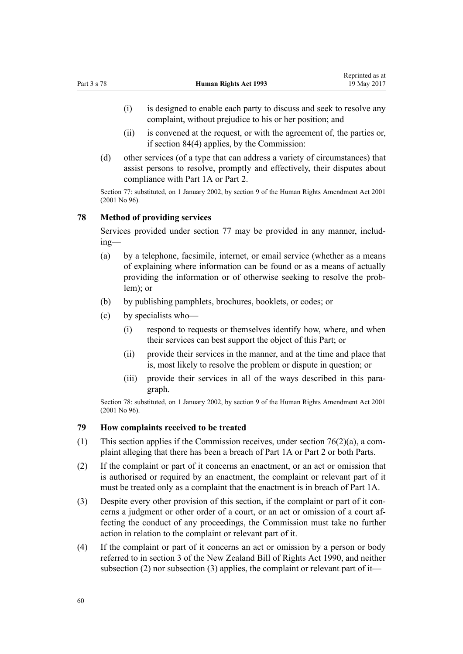- <span id="page-59-0"></span>(i) is designed to enable each party to discuss and seek to resolve any complaint, without prejudice to his or her position; and
- (ii) is convened at the request, or with the agreement of, the parties or, if [section 84\(4\)](#page-63-0) applies, by the Commission:
- (d) other services (of a type that can address a variety of circumstances) that assist persons to resolve, promptly and effectively, their disputes about compliance with [Part 1A](#page-26-0) or [Part 2](#page-28-0).

Section 77: substituted, on 1 January 2002, by [section 9](http://prd-lgnz-nlb.prd.pco.net.nz/pdflink.aspx?id=DLM121897) of the Human Rights Amendment Act 2001 (2001 No 96).

# **78 Method of providing services**

Services provided under [section 77](#page-58-0) may be provided in any manner, including—

- (a) by a telephone, facsimile, internet, or email service (whether as a means of explaining where information can be found or as a means of actually providing the information or of otherwise seeking to resolve the problem); or
- (b) by publishing pamphlets, brochures, booklets, or codes; or
- (c) by specialists who—
	- (i) respond to requests or themselves identify how, where, and when their services can best support the object of this Part; or
	- (ii) provide their services in the manner, and at the time and place that is, most likely to resolve the problem or dispute in question; or
	- (iii) provide their services in all of the ways described in this paragraph.

Section 78: substituted, on 1 January 2002, by [section 9](http://prd-lgnz-nlb.prd.pco.net.nz/pdflink.aspx?id=DLM121897) of the Human Rights Amendment Act 2001 (2001 No 96).

## **79 How complaints received to be treated**

- (1) This section applies if the Commission receives, under [section 76\(2\)\(a\)](#page-58-0), a complaint alleging that there has been a breach of [Part 1A](#page-26-0) or [Part 2](#page-28-0) or both Parts.
- (2) If the complaint or part of it concerns an enactment, or an act or omission that is authorised or required by an enactment, the complaint or relevant part of it must be treated only as a complaint that the enactment is in breach of [Part 1A.](#page-26-0)
- (3) Despite every other provision of this section, if the complaint or part of it concerns a judgment or other order of a court, or an act or omission of a court affecting the conduct of any proceedings, the Commission must take no further action in relation to the complaint or relevant part of it.
- (4) If the complaint or part of it concerns an act or omission by a person or body referred to in [section 3](http://prd-lgnz-nlb.prd.pco.net.nz/pdflink.aspx?id=DLM224799) of the New Zealand Bill of Rights Act 1990, and neither subsection (2) nor subsection (3) applies, the complaint or relevant part of it—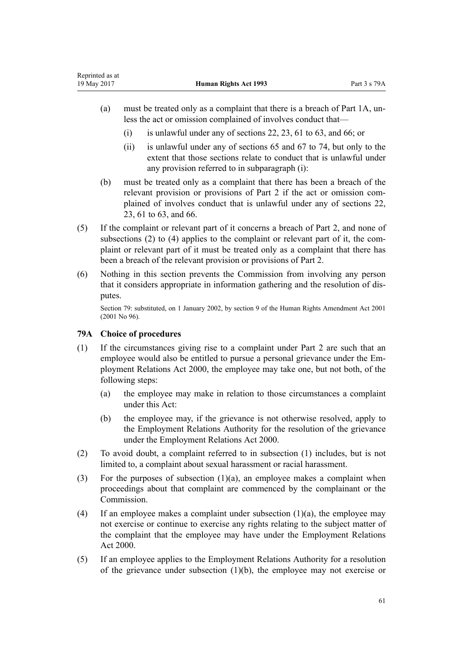- (a) must be treated only as a complaint that there is a breach of [Part 1A,](#page-26-0) unless the act or omission complained of involves conduct that
	- (i) is unlawful under any of [sections 22,](#page-31-0) [23](#page-31-0), [61 to 63,](#page-49-0) and [66](#page-52-0); or
	- (ii) is unlawful under any of [sections 65](#page-52-0) and [67 to 74](#page-52-0), but only to the extent that those sections relate to conduct that is unlawful under any provision referred to in subparagraph (i):
- (b) must be treated only as a complaint that there has been a breach of the relevant provision or provisions of [Part 2](#page-28-0) if the act or omission complained of involves conduct that is unlawful under any of [sections 22](#page-31-0), [23,](#page-31-0) [61 to 63](#page-49-0), and [66.](#page-52-0)
- (5) If the complaint or relevant part of it concerns a breach of [Part 2,](#page-28-0) and none of subsections (2) to (4) applies to the complaint or relevant part of it, the complaint or relevant part of it must be treated only as a complaint that there has been a breach of the relevant provision or provisions of [Part 2.](#page-28-0)
- (6) Nothing in this section prevents the Commission from involving any person that it considers appropriate in information gathering and the resolution of disputes.

Section 79: substituted, on 1 January 2002, by [section 9](http://prd-lgnz-nlb.prd.pco.net.nz/pdflink.aspx?id=DLM121897) of the Human Rights Amendment Act 2001 (2001 No 96).

## **79A Choice of procedures**

- (1) If the circumstances giving rise to a complaint under [Part 2](#page-28-0) are such that an employee would also be entitled to pursue a personal grievance under the [Em](http://prd-lgnz-nlb.prd.pco.net.nz/pdflink.aspx?id=DLM58316)[ployment Relations Act 2000,](http://prd-lgnz-nlb.prd.pco.net.nz/pdflink.aspx?id=DLM58316) the employee may take one, but not both, of the following steps:
	- (a) the employee may make in relation to those circumstances a complaint under this Act:
	- (b) the employee may, if the grievance is not otherwise resolved, apply to the Employment Relations Authority for the resolution of the grievance under the [Employment Relations Act 2000](http://prd-lgnz-nlb.prd.pco.net.nz/pdflink.aspx?id=DLM58316).
- (2) To avoid doubt, a complaint referred to in subsection (1) includes, but is not limited to, a complaint about sexual harassment or racial harassment.
- (3) For the purposes of subsection  $(1)(a)$ , an employee makes a complaint when proceedings about that complaint are commenced by the complainant or the Commission.
- (4) If an employee makes a complaint under subsection  $(1)(a)$ , the employee may not exercise or continue to exercise any rights relating to the subject matter of the complaint that the employee may have under the [Employment Relations](http://prd-lgnz-nlb.prd.pco.net.nz/pdflink.aspx?id=DLM58316) [Act 2000.](http://prd-lgnz-nlb.prd.pco.net.nz/pdflink.aspx?id=DLM58316)
- (5) If an employee applies to the Employment Relations Authority for a resolution of the grievance under subsection (1)(b), the employee may not exercise or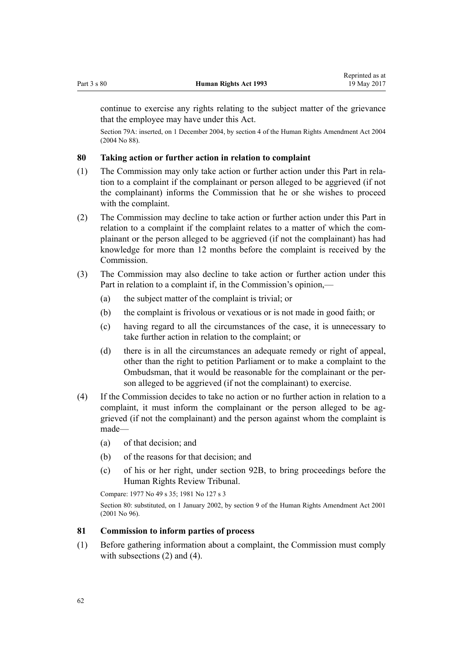<span id="page-61-0"></span>continue to exercise any rights relating to the subject matter of the grievance that the employee may have under this Act.

Section 79A: inserted, on 1 December 2004, by [section 4](http://prd-lgnz-nlb.prd.pco.net.nz/pdflink.aspx?id=DLM316652) of the Human Rights Amendment Act 2004 (2004 No 88).

## **80 Taking action or further action in relation to complaint**

- (1) The Commission may only take action or further action under this Part in relation to a complaint if the complainant or person alleged to be aggrieved (if not the complainant) informs the Commission that he or she wishes to proceed with the complaint.
- (2) The Commission may decline to take action or further action under this Part in relation to a complaint if the complaint relates to a matter of which the complainant or the person alleged to be aggrieved (if not the complainant) has had knowledge for more than 12 months before the complaint is received by the Commission.
- (3) The Commission may also decline to take action or further action under this Part in relation to a complaint if, in the Commission's opinion,—
	- (a) the subject matter of the complaint is trivial; or
	- (b) the complaint is frivolous or vexatious or is not made in good faith; or
	- (c) having regard to all the circumstances of the case, it is unnecessary to take further action in relation to the complaint; or
	- (d) there is in all the circumstances an adequate remedy or right of appeal, other than the right to petition Parliament or to make a complaint to the Ombudsman, that it would be reasonable for the complainant or the person alleged to be aggrieved (if not the complainant) to exercise.
- (4) If the Commission decides to take no action or no further action in relation to a complaint, it must inform the complainant or the person alleged to be aggrieved (if not the complainant) and the person against whom the complaint is made—
	- (a) of that decision; and
	- (b) of the reasons for that decision; and
	- (c) of his or her right, under [section 92B](#page-68-0), to bring proceedings before the Human Rights Review Tribunal.

Compare: 1977 No 49 s 35; 1981 No 127 s 3

Section 80: substituted, on 1 January 2002, by [section 9](http://prd-lgnz-nlb.prd.pco.net.nz/pdflink.aspx?id=DLM121897) of the Human Rights Amendment Act 2001 (2001 No 96).

## **81 Commission to inform parties of process**

(1) Before gathering information about a complaint, the Commission must comply with subsections (2) and (4).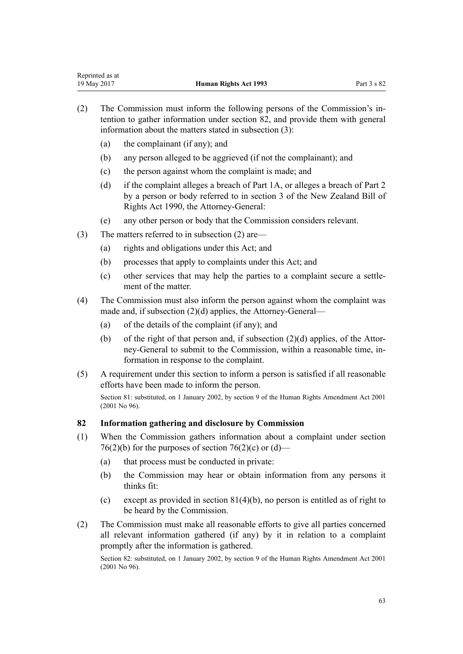- (2) The Commission must inform the following persons of the Commission's intention to gather information under section 82, and provide them with general information about the matters stated in subsection (3):
	- (a) the complainant (if any); and
	- (b) any person alleged to be aggrieved (if not the complainant); and
	- (c) the person against whom the complaint is made; and
	- (d) if the complaint alleges a breach of [Part 1A,](#page-26-0) or alleges a breach of [Part 2](#page-28-0) by a person or body referred to in [section 3](http://prd-lgnz-nlb.prd.pco.net.nz/pdflink.aspx?id=DLM224799) of the New Zealand Bill of Rights Act 1990, the Attorney-General:
	- (e) any other person or body that the Commission considers relevant.
- (3) The matters referred to in subsection (2) are—
	- (a) rights and obligations under this Act; and
	- (b) processes that apply to complaints under this Act; and
	- (c) other services that may help the parties to a complaint secure a settlement of the matter
- (4) The Commission must also inform the person against whom the complaint was made and, if subsection (2)(d) applies, the Attorney-General—
	- (a) of the details of the complaint (if any); and
	- (b) of the right of that person and, if subsection  $(2)(d)$  applies, of the Attorney-General to submit to the Commission, within a reasonable time, information in response to the complaint.
- (5) A requirement under this section to inform a person is satisfied if all reasonable efforts have been made to inform the person.

Section 81: substituted, on 1 January 2002, by [section 9](http://prd-lgnz-nlb.prd.pco.net.nz/pdflink.aspx?id=DLM121897) of the Human Rights Amendment Act 2001 (2001 No 96).

## **82 Information gathering and disclosure by Commission**

- (1) When the Commission gathers information about a complaint under [section](#page-58-0) [76\(2\)\(b\)](#page-58-0) for the purposes of [section 76\(2\)\(c\) or \(d\)—](#page-58-0)
	- (a) that process must be conducted in private:
	- (b) the Commission may hear or obtain information from any persons it thinks fit:
	- (c) except as provided in [section 81\(4\)\(b\),](#page-61-0) no person is entitled as of right to be heard by the Commission.
- (2) The Commission must make all reasonable efforts to give all parties concerned all relevant information gathered (if any) by it in relation to a complaint promptly after the information is gathered.

Section 82: substituted, on 1 January 2002, by [section 9](http://prd-lgnz-nlb.prd.pco.net.nz/pdflink.aspx?id=DLM121897) of the Human Rights Amendment Act 2001 (2001 No 96).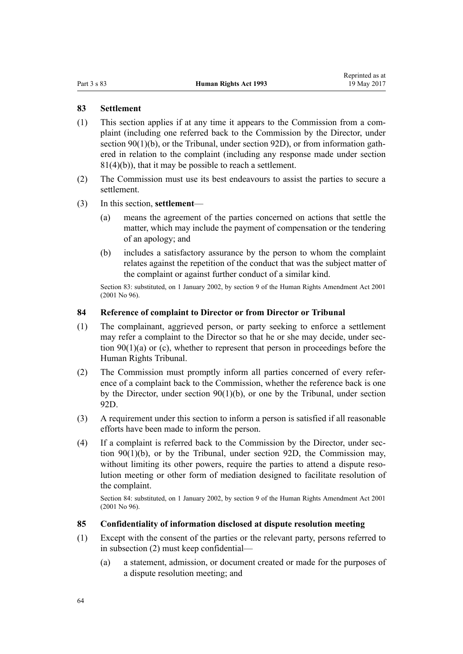#### <span id="page-63-0"></span>**83 Settlement**

- (1) This section applies if at any time it appears to the Commission from a complaint (including one referred back to the Commission by the Director, under [section 90\(1\)\(b\)](#page-65-0), or the Tribunal, under [section 92D\)](#page-70-0), or from information gathered in relation to the complaint (including any response made under [section](#page-61-0)  $81(4)(b)$ , that it may be possible to reach a settlement.
- (2) The Commission must use its best endeavours to assist the parties to secure a settlement.
- (3) In this section, **settlement**
	- (a) means the agreement of the parties concerned on actions that settle the matter, which may include the payment of compensation or the tendering of an apology; and
	- (b) includes a satisfactory assurance by the person to whom the complaint relates against the repetition of the conduct that was the subject matter of the complaint or against further conduct of a similar kind.

Section 83: substituted, on 1 January 2002, by [section 9](http://prd-lgnz-nlb.prd.pco.net.nz/pdflink.aspx?id=DLM121897) of the Human Rights Amendment Act 2001 (2001 No 96).

## **84 Reference of complaint to Director or from Director or Tribunal**

- (1) The complainant, aggrieved person, or party seeking to enforce a settlement may refer a complaint to the Director so that he or she may decide, under [sec](#page-65-0)[tion 90\(1\)\(a\) or \(c\),](#page-65-0) whether to represent that person in proceedings before the Human Rights Tribunal.
- (2) The Commission must promptly inform all parties concerned of every reference of a complaint back to the Commission, whether the reference back is one by the Director, under [section 90\(1\)\(b\),](#page-65-0) or one by the Tribunal, under [section](#page-70-0) [92D](#page-70-0).
- (3) A requirement under this section to inform a person is satisfied if all reasonable efforts have been made to inform the person.
- (4) If a complaint is referred back to the Commission by the Director, under [sec](#page-65-0)[tion 90\(1\)\(b\)](#page-65-0), or by the Tribunal, under [section 92D](#page-70-0), the Commission may, without limiting its other powers, require the parties to attend a dispute resolution meeting or other form of mediation designed to facilitate resolution of the complaint.

Section 84: substituted, on 1 January 2002, by [section 9](http://prd-lgnz-nlb.prd.pco.net.nz/pdflink.aspx?id=DLM121897) of the Human Rights Amendment Act 2001 (2001 No 96).

## **85 Confidentiality of information disclosed at dispute resolution meeting**

- (1) Except with the consent of the parties or the relevant party, persons referred to in subsection (2) must keep confidential—
	- (a) a statement, admission, or document created or made for the purposes of a dispute resolution meeting; and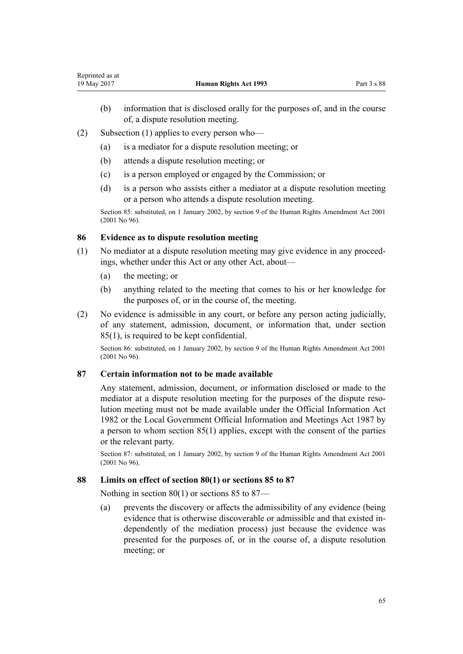- (b) information that is disclosed orally for the purposes of, and in the course of, a dispute resolution meeting.
- (2) Subsection (1) applies to every person who—
	- (a) is a mediator for a dispute resolution meeting; or
	- (b) attends a dispute resolution meeting; or
	- (c) is a person employed or engaged by the Commission; or
	- (d) is a person who assists either a mediator at a dispute resolution meeting or a person who attends a dispute resolution meeting.

Section 85: substituted, on 1 January 2002, by [section 9](http://prd-lgnz-nlb.prd.pco.net.nz/pdflink.aspx?id=DLM121897) of the Human Rights Amendment Act 2001 (2001 No 96).

## **86 Evidence as to dispute resolution meeting**

- (1) No mediator at a dispute resolution meeting may give evidence in any proceedings, whether under this Act or any other Act, about—
	- (a) the meeting; or
	- (b) anything related to the meeting that comes to his or her knowledge for the purposes of, or in the course of, the meeting.
- (2) No evidence is admissible in any court, or before any person acting judicially, of any statement, admission, document, or information that, under [section](#page-63-0) [85\(1\)](#page-63-0), is required to be kept confidential.

Section 86: substituted, on 1 January 2002, by [section 9](http://prd-lgnz-nlb.prd.pco.net.nz/pdflink.aspx?id=DLM121897) of the Human Rights Amendment Act 2001 (2001 No 96).

## **87 Certain information not to be made available**

Any statement, admission, document, or information disclosed or made to the mediator at a dispute resolution meeting for the purposes of the dispute resolution meeting must not be made available under the [Official Information Act](http://prd-lgnz-nlb.prd.pco.net.nz/pdflink.aspx?id=DLM64784) [1982](http://prd-lgnz-nlb.prd.pco.net.nz/pdflink.aspx?id=DLM64784) or the [Local Government Official Information and Meetings Act 1987](http://prd-lgnz-nlb.prd.pco.net.nz/pdflink.aspx?id=DLM122241) by a person to whom [section 85\(1\)](#page-63-0) applies, except with the consent of the parties or the relevant party.

Section 87: substituted, on 1 January 2002, by [section 9](http://prd-lgnz-nlb.prd.pco.net.nz/pdflink.aspx?id=DLM121897) of the Human Rights Amendment Act 2001 (2001 No 96).

## **88 Limits on effect of section 80(1) or sections 85 to 87**

Nothing in [section 80\(1\)](#page-61-0) or [sections 85 to 87—](#page-63-0)

(a) prevents the discovery or affects the admissibility of any evidence (being evidence that is otherwise discoverable or admissible and that existed independently of the mediation process) just because the evidence was presented for the purposes of, or in the course of, a dispute resolution meeting; or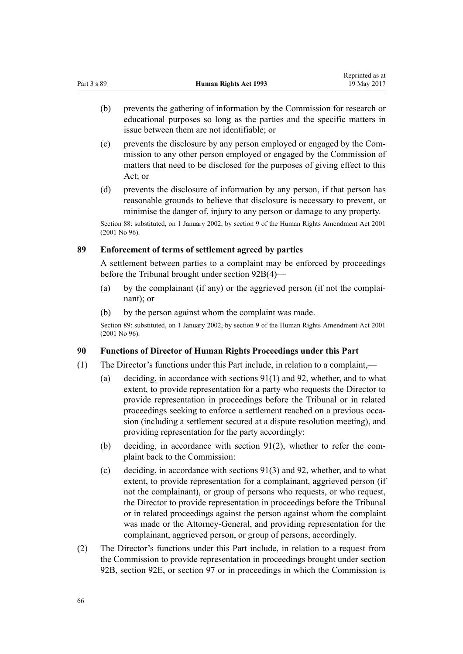- <span id="page-65-0"></span>(b) prevents the gathering of information by the Commission for research or educational purposes so long as the parties and the specific matters in issue between them are not identifiable; or
- (c) prevents the disclosure by any person employed or engaged by the Commission to any other person employed or engaged by the Commission of matters that need to be disclosed for the purposes of giving effect to this Act; or
- (d) prevents the disclosure of information by any person, if that person has reasonable grounds to believe that disclosure is necessary to prevent, or minimise the danger of, injury to any person or damage to any property.

Section 88: substituted, on 1 January 2002, by [section 9](http://prd-lgnz-nlb.prd.pco.net.nz/pdflink.aspx?id=DLM121897) of the Human Rights Amendment Act 2001 (2001 No 96).

## **89 Enforcement of terms of settlement agreed by parties**

A settlement between parties to a complaint may be enforced by proceedings before the Tribunal brought under [section 92B\(4\)](#page-68-0)—

- (a) by the complainant (if any) or the aggrieved person (if not the complainant); or
- (b) by the person against whom the complaint was made.

Section 89: substituted, on 1 January 2002, by [section 9](http://prd-lgnz-nlb.prd.pco.net.nz/pdflink.aspx?id=DLM121897) of the Human Rights Amendment Act 2001 (2001 No 96).

# **90 Functions of Director of Human Rights Proceedings under this Part**

- (1) The Director's functions under this Part include, in relation to a complaint,—
	- (a) deciding, in accordance with [sections 91\(1\)](#page-66-0) and [92,](#page-67-0) whether, and to what extent, to provide representation for a party who requests the Director to provide representation in proceedings before the Tribunal or in related proceedings seeking to enforce a settlement reached on a previous occasion (including a settlement secured at a dispute resolution meeting), and providing representation for the party accordingly:
	- (b) deciding, in accordance with [section 91\(2\)](#page-66-0), whether to refer the complaint back to the Commission:
	- (c) deciding, in accordance with [sections 91\(3\)](#page-66-0) and [92,](#page-67-0) whether, and to what extent, to provide representation for a complainant, aggrieved person (if not the complainant), or group of persons who requests, or who request, the Director to provide representation in proceedings before the Tribunal or in related proceedings against the person against whom the complaint was made or the Attorney-General, and providing representation for the complainant, aggrieved person, or group of persons, accordingly.
- (2) The Director's functions under this Part include, in relation to a request from the Commission to provide representation in proceedings brought under [section](#page-68-0) [92B](#page-68-0), [section 92E](#page-71-0), or [section 97](#page-82-0) or in proceedings in which the Commission is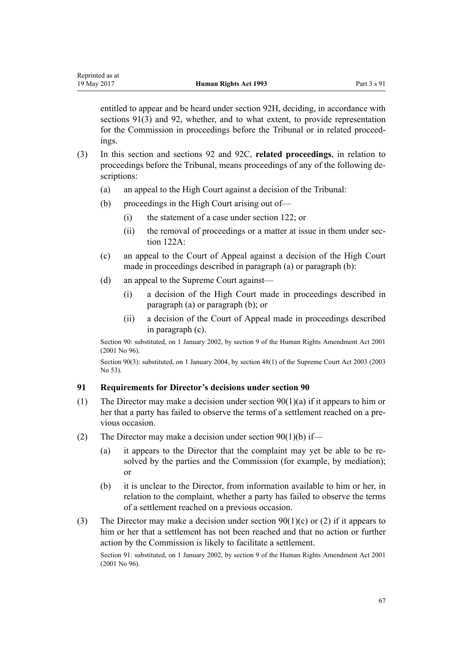<span id="page-66-0"></span>entitled to appear and be heard under [section 92H](#page-72-0), deciding, in accordance with sections 91(3) and [92,](#page-67-0) whether, and to what extent, to provide representation for the Commission in proceedings before the Tribunal or in related proceedings.

- (3) In this section and [sections 92](#page-67-0) and [92C](#page-69-0), **related proceedings**, in relation to proceedings before the Tribunal, means proceedings of any of the following descriptions:
	- (a) an appeal to the High Court against a decision of the Tribunal:
	- (b) proceedings in the High Court arising out of—
		- (i) the statement of a case under [section 122;](#page-93-0) or
		- (ii) the removal of proceedings or a matter at issue in them under [sec](#page-94-0)[tion 122A:](#page-94-0)
	- (c) an appeal to the Court of Appeal against a decision of the High Court made in proceedings described in paragraph (a) or paragraph (b):
	- (d) an appeal to the Supreme Court against—
		- (i) a decision of the High Court made in proceedings described in paragraph (a) or paragraph (b); or
		- (ii) a decision of the Court of Appeal made in proceedings described in paragraph (c).

Section 90: substituted, on 1 January 2002, by [section 9](http://prd-lgnz-nlb.prd.pco.net.nz/pdflink.aspx?id=DLM121897) of the Human Rights Amendment Act 2001 (2001 No 96).

Section 90(3): substituted, on 1 January 2004, by [section 48\(1\)](http://prd-lgnz-nlb.prd.pco.net.nz/pdflink.aspx?id=DLM214522) of the Supreme Court Act 2003 (2003) No 53).

## **91 Requirements for Director's decisions under section 90**

- (1) The Director may make a decision under [section 90\(1\)\(a\)](#page-65-0) if it appears to him or her that a party has failed to observe the terms of a settlement reached on a previous occasion.
- (2) The Director may make a decision under section  $90(1)(b)$  if—
	- (a) it appears to the Director that the complaint may yet be able to be resolved by the parties and the Commission (for example, by mediation); or
	- (b) it is unclear to the Director, from information available to him or her, in relation to the complaint, whether a party has failed to observe the terms of a settlement reached on a previous occasion.
- (3) The Director may make a decision under section  $90(1)(c)$  or (2) if it appears to him or her that a settlement has not been reached and that no action or further action by the Commission is likely to facilitate a settlement.

Section 91: substituted, on 1 January 2002, by [section 9](http://prd-lgnz-nlb.prd.pco.net.nz/pdflink.aspx?id=DLM121897) of the Human Rights Amendment Act 2001 (2001 No 96).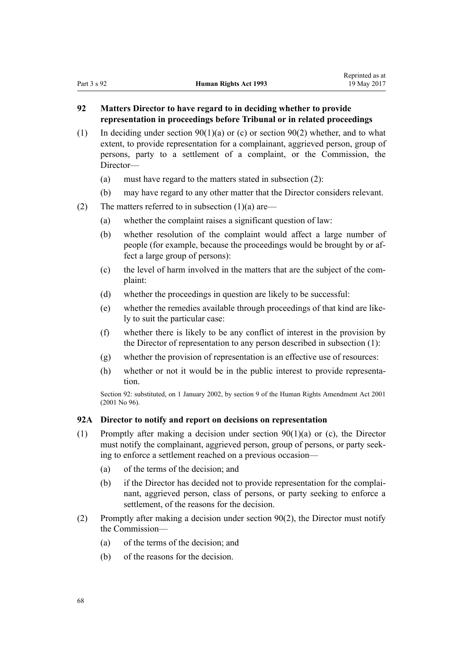# <span id="page-67-0"></span>**92 Matters Director to have regard to in deciding whether to provide representation in proceedings before Tribunal or in related proceedings**

- (1) In deciding under [section 90\(1\)\(a\) or \(c\)](#page-65-0) or [section 90\(2\)](#page-65-0) whether, and to what extent, to provide representation for a complainant, aggrieved person, group of persons, party to a settlement of a complaint, or the Commission, the Director—
	- (a) must have regard to the matters stated in subsection (2):
	- (b) may have regard to any other matter that the Director considers relevant.
- (2) The matters referred to in subsection  $(1)(a)$  are—
	- (a) whether the complaint raises a significant question of law:
	- (b) whether resolution of the complaint would affect a large number of people (for example, because the proceedings would be brought by or affect a large group of persons):
	- (c) the level of harm involved in the matters that are the subject of the complaint:
	- (d) whether the proceedings in question are likely to be successful:
	- (e) whether the remedies available through proceedings of that kind are likely to suit the particular case:
	- (f) whether there is likely to be any conflict of interest in the provision by the Director of representation to any person described in subsection (1):
	- (g) whether the provision of representation is an effective use of resources:
	- (h) whether or not it would be in the public interest to provide representation.

Section 92: substituted, on 1 January 2002, by [section 9](http://prd-lgnz-nlb.prd.pco.net.nz/pdflink.aspx?id=DLM121897) of the Human Rights Amendment Act 2001 (2001 No 96).

# **92A Director to notify and report on decisions on representation**

- (1) Promptly after making a decision under [section 90\(1\)\(a\) or \(c\),](#page-65-0) the Director must notify the complainant, aggrieved person, group of persons, or party seeking to enforce a settlement reached on a previous occasion—
	- (a) of the terms of the decision; and
	- (b) if the Director has decided not to provide representation for the complainant, aggrieved person, class of persons, or party seeking to enforce a settlement, of the reasons for the decision.
- (2) Promptly after making a decision under [section 90\(2\),](#page-65-0) the Director must notify the Commission—
	- (a) of the terms of the decision; and
	- (b) of the reasons for the decision.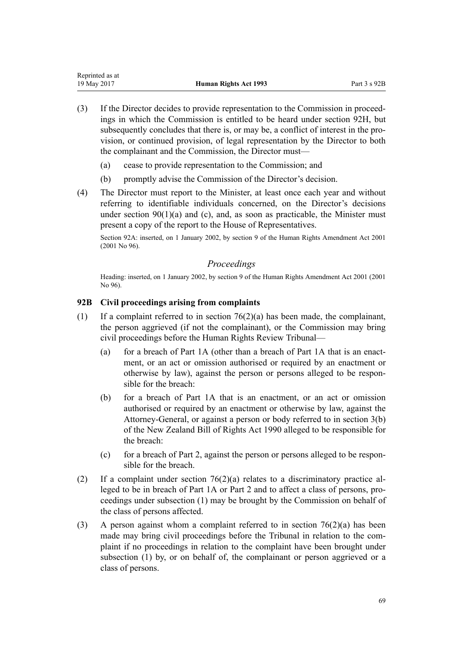- <span id="page-68-0"></span>(3) If the Director decides to provide representation to the Commission in proceedings in which the Commission is entitled to be heard under [section 92H](#page-72-0), but subsequently concludes that there is, or may be, a conflict of interest in the provision, or continued provision, of legal representation by the Director to both the complainant and the Commission, the Director must—
	- (a) cease to provide representation to the Commission; and
	- (b) promptly advise the Commission of the Director's decision.
- (4) The Director must report to the Minister, at least once each year and without referring to identifiable individuals concerned, on the Director's decisions under section  $90(1)(a)$  and (c), and, as soon as practicable, the Minister must present a copy of the report to the House of Representatives.

Section 92A: inserted, on 1 January 2002, by [section 9](http://prd-lgnz-nlb.prd.pco.net.nz/pdflink.aspx?id=DLM121897) of the Human Rights Amendment Act 2001 (2001 No 96).

# *Proceedings*

Heading: inserted, on 1 January 2002, by [section 9](http://prd-lgnz-nlb.prd.pco.net.nz/pdflink.aspx?id=DLM121897) of the Human Rights Amendment Act 2001 (2001 No 96).

## **92B Civil proceedings arising from complaints**

- (1) If a complaint referred to in section  $76(2)(a)$  has been made, the complainant, the person aggrieved (if not the complainant), or the Commission may bring civil proceedings before the Human Rights Review Tribunal—
	- (a) for a breach of [Part 1A](#page-26-0) (other than a breach of Part 1A that is an enactment, or an act or omission authorised or required by an enactment or otherwise by law), against the person or persons alleged to be responsible for the breach:
	- (b) for a breach of [Part 1A](#page-26-0) that is an enactment, or an act or omission authorised or required by an enactment or otherwise by law, against the Attorney-General, or against a person or body referred to in [section 3\(b\)](http://prd-lgnz-nlb.prd.pco.net.nz/pdflink.aspx?id=DLM224799) of the New Zealand Bill of Rights Act 1990 alleged to be responsible for the breach:
	- (c) for a breach of [Part 2](#page-28-0), against the person or persons alleged to be responsible for the breach.
- (2) If a complaint under [section 76\(2\)\(a\)](#page-58-0) relates to a discriminatory practice alleged to be in breach of [Part 1A](#page-26-0) or [Part 2](#page-28-0) and to affect a class of persons, proceedings under subsection (1) may be brought by the Commission on behalf of the class of persons affected.
- (3) A person against whom a complaint referred to in section  $76(2)(a)$  has been made may bring civil proceedings before the Tribunal in relation to the complaint if no proceedings in relation to the complaint have been brought under subsection (1) by, or on behalf of, the complainant or person aggrieved or a class of persons.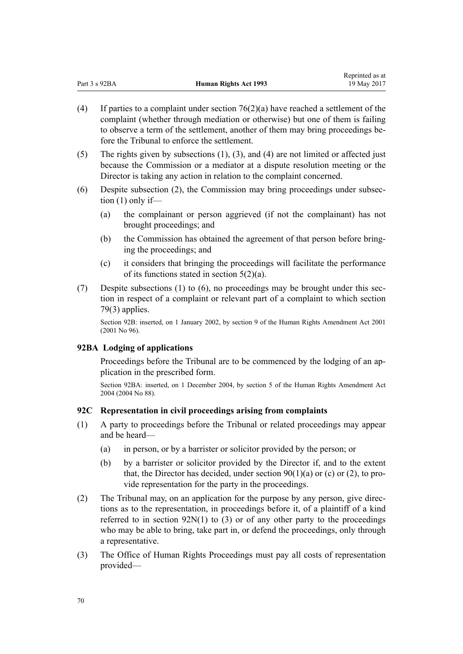<span id="page-69-0"></span>

| Part 3 s 92BA | Human Rights Act 1993 | 19 May 2017 |
|---------------|-----------------------|-------------|

Reprinted as at

- (4) If parties to a complaint under section  $76(2)(a)$  have reached a settlement of the complaint (whether through mediation or otherwise) but one of them is failing to observe a term of the settlement, another of them may bring proceedings before the Tribunal to enforce the settlement.
- (5) The rights given by subsections (1), (3), and (4) are not limited or affected just because the Commission or a mediator at a dispute resolution meeting or the Director is taking any action in relation to the complaint concerned.
- (6) Despite subsection (2), the Commission may bring proceedings under subsection (1) only if—
	- (a) the complainant or person aggrieved (if not the complainant) has not brought proceedings; and
	- (b) the Commission has obtained the agreement of that person before bringing the proceedings; and
	- (c) it considers that bringing the proceedings will facilitate the performance of its functions stated in [section 5\(2\)\(a\).](#page-11-0)
- (7) Despite subsections (1) to (6), no proceedings may be brought under this section in respect of a complaint or relevant part of a complaint to which [section](#page-59-0) [79\(3\)](#page-59-0) applies.

Section 92B: inserted, on 1 January 2002, by [section 9](http://prd-lgnz-nlb.prd.pco.net.nz/pdflink.aspx?id=DLM121897) of the Human Rights Amendment Act 2001 (2001 No 96).

# **92BA Lodging of applications**

Proceedings before the Tribunal are to be commenced by the lodging of an application in the prescribed form.

Section 92BA: inserted, on 1 December 2004, by [section 5](http://prd-lgnz-nlb.prd.pco.net.nz/pdflink.aspx?id=DLM316654) of the Human Rights Amendment Act 2004 (2004 No 88).

## **92C Representation in civil proceedings arising from complaints**

- (1) A party to proceedings before the Tribunal or related proceedings may appear and be heard—
	- (a) in person, or by a barrister or solicitor provided by the person; or
	- (b) by a barrister or solicitor provided by the Director if, and to the extent that, the Director has decided, under section  $90(1)(a)$  or (c) or (2), to provide representation for the party in the proceedings.
- (2) The Tribunal may, on an application for the purpose by any person, give directions as to the representation, in proceedings before it, of a plaintiff of a kind referred to in section  $92N(1)$  to (3) or of any other party to the proceedings who may be able to bring, take part in, or defend the proceedings, only through a representative.
- (3) The Office of Human Rights Proceedings must pay all costs of representation provided—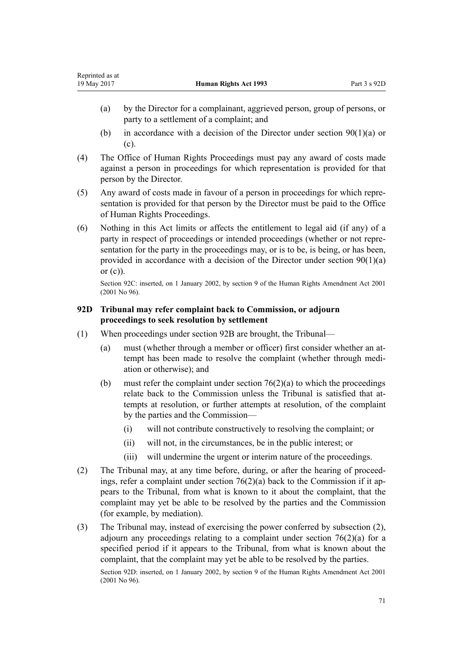- <span id="page-70-0"></span>(a) by the Director for a complainant, aggrieved person, group of persons, or party to a settlement of a complaint; and
- (b) in accordance with a decision of the Director under section  $90(1)(a)$  or [\(c\).](#page-65-0)
- (4) The Office of Human Rights Proceedings must pay any award of costs made against a person in proceedings for which representation is provided for that person by the Director.
- (5) Any award of costs made in favour of a person in proceedings for which representation is provided for that person by the Director must be paid to the Office of Human Rights Proceedings.
- (6) Nothing in this Act limits or affects the entitlement to legal aid (if any) of a party in respect of proceedings or intended proceedings (whether or not representation for the party in the proceedings may, or is to be, is being, or has been, provided in accordance with a decision of the Director under [section 90\(1\)\(a\)](#page-65-0) or  $(c)$ ).

Section 92C: inserted, on 1 January 2002, by [section 9](http://prd-lgnz-nlb.prd.pco.net.nz/pdflink.aspx?id=DLM121897) of the Human Rights Amendment Act 2001 (2001 No 96).

# **92D Tribunal may refer complaint back to Commission, or adjourn proceedings to seek resolution by settlement**

- (1) When proceedings under [section 92B](#page-68-0) are brought, the Tribunal—
	- (a) must (whether through a member or officer) first consider whether an attempt has been made to resolve the complaint (whether through mediation or otherwise); and
	- (b) must refer the complaint under section  $76(2)(a)$  to which the proceedings relate back to the Commission unless the Tribunal is satisfied that attempts at resolution, or further attempts at resolution, of the complaint by the parties and the Commission—
		- (i) will not contribute constructively to resolving the complaint; or
		- (ii) will not, in the circumstances, be in the public interest; or
		- (iii) will undermine the urgent or interim nature of the proceedings.
- (2) The Tribunal may, at any time before, during, or after the hearing of proceedings, refer a complaint under [section 76\(2\)\(a\)](#page-58-0) back to the Commission if it appears to the Tribunal, from what is known to it about the complaint, that the complaint may yet be able to be resolved by the parties and the Commission (for example, by mediation).
- (3) The Tribunal may, instead of exercising the power conferred by subsection (2), adjourn any proceedings relating to a complaint under section  $76(2)(a)$  for a specified period if it appears to the Tribunal, from what is known about the complaint, that the complaint may yet be able to be resolved by the parties.

Section 92D: inserted, on 1 January 2002, by [section 9](http://prd-lgnz-nlb.prd.pco.net.nz/pdflink.aspx?id=DLM121897) of the Human Rights Amendment Act 2001 (2001 No 96).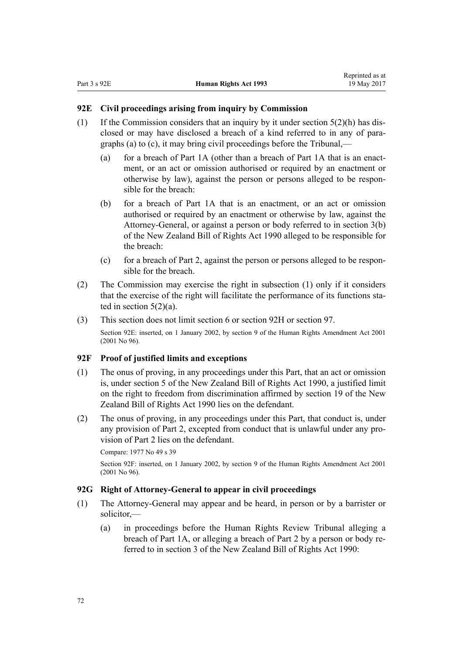## <span id="page-71-0"></span>**92E Civil proceedings arising from inquiry by Commission**

- (1) If the Commission considers that an inquiry by it under section  $5(2)(h)$  has disclosed or may have disclosed a breach of a kind referred to in any of paragraphs (a) to (c), it may bring civil proceedings before the Tribunal,—
	- (a) for a breach of [Part 1A](#page-26-0) (other than a breach of Part 1A that is an enactment, or an act or omission authorised or required by an enactment or otherwise by law), against the person or persons alleged to be responsible for the breach:
	- (b) for a breach of [Part 1A](#page-26-0) that is an enactment, or an act or omission authorised or required by an enactment or otherwise by law, against the Attorney-General, or against a person or body referred to in [section 3\(b\)](http://prd-lgnz-nlb.prd.pco.net.nz/pdflink.aspx?id=DLM224799) of the New Zealand Bill of Rights Act 1990 alleged to be responsible for the breach:
	- (c) for a breach of [Part 2](#page-28-0), against the person or persons alleged to be responsible for the breach.
- (2) The Commission may exercise the right in subsection (1) only if it considers that the exercise of the right will facilitate the performance of its functions stated in section  $5(2)(a)$ .
- (3) This section does not limit [section 6](#page-14-0) or [section 92H](#page-72-0) or [section 97](#page-82-0).

Section 92E: inserted, on 1 January 2002, by [section 9](http://prd-lgnz-nlb.prd.pco.net.nz/pdflink.aspx?id=DLM121897) of the Human Rights Amendment Act 2001 (2001 No 96).

#### **92F Proof of justified limits and exceptions**

- (1) The onus of proving, in any proceedings under this Part, that an act or omission is, under [section 5](http://prd-lgnz-nlb.prd.pco.net.nz/pdflink.aspx?id=DLM225501) of the New Zealand Bill of Rights Act 1990, a justified limit on the right to freedom from discrimination affirmed by [section 19](http://prd-lgnz-nlb.prd.pco.net.nz/pdflink.aspx?id=DLM225519) of the New Zealand Bill of Rights Act 1990 lies on the defendant.
- (2) The onus of proving, in any proceedings under this Part, that conduct is, under any provision of [Part 2](#page-28-0), excepted from conduct that is unlawful under any provision of Part 2 lies on the defendant.

Compare: 1977 No 49 s 39

Section 92F: inserted, on 1 January 2002, by [section 9](http://prd-lgnz-nlb.prd.pco.net.nz/pdflink.aspx?id=DLM121897) of the Human Rights Amendment Act 2001 (2001 No 96).

## **92G Right of Attorney-General to appear in civil proceedings**

- (1) The Attorney-General may appear and be heard, in person or by a barrister or solicitor,—
	- (a) in proceedings before the Human Rights Review Tribunal alleging a breach of [Part 1A,](#page-26-0) or alleging a breach of [Part 2](#page-28-0) by a person or body referred to in [section 3](http://prd-lgnz-nlb.prd.pco.net.nz/pdflink.aspx?id=DLM224799) of the New Zealand Bill of Rights Act 1990: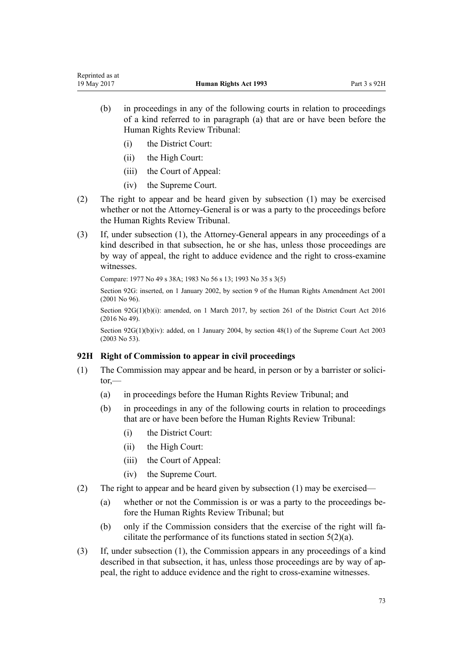- (b) in proceedings in any of the following courts in relation to proceedings of a kind referred to in paragraph (a) that are or have been before the Human Rights Review Tribunal:
	- (i) the District Court:
	- (ii) the High Court:

Reprinted as at

- (iii) the Court of Appeal:
- (iv) the Supreme Court.
- (2) The right to appear and be heard given by subsection (1) may be exercised whether or not the Attorney-General is or was a party to the proceedings before the Human Rights Review Tribunal.
- (3) If, under subsection (1), the Attorney-General appears in any proceedings of a kind described in that subsection, he or she has, unless those proceedings are by way of appeal, the right to adduce evidence and the right to cross-examine witnesses.

Compare: 1977 No 49 s 38A; 1983 No 56 s 13; 1993 No 35 s 3(5)

Section 92G: inserted, on 1 January 2002, by [section 9](http://prd-lgnz-nlb.prd.pco.net.nz/pdflink.aspx?id=DLM121897) of the Human Rights Amendment Act 2001 (2001 No 96).

Section 92G(1)(b)(i): amended, on 1 March 2017, by [section 261](http://prd-lgnz-nlb.prd.pco.net.nz/pdflink.aspx?id=DLM6942680) of the District Court Act 2016 (2016 No 49).

Section 92G(1)(b)(iv): added, on 1 January 2004, by [section 48\(1\)](http://prd-lgnz-nlb.prd.pco.net.nz/pdflink.aspx?id=DLM214522) of the Supreme Court Act 2003 (2003 No 53).

## **92H Right of Commission to appear in civil proceedings**

- (1) The Commission may appear and be heard, in person or by a barrister or solicitor,—
	- (a) in proceedings before the Human Rights Review Tribunal; and
	- (b) in proceedings in any of the following courts in relation to proceedings that are or have been before the Human Rights Review Tribunal:
		- (i) the District Court:
		- (ii) the High Court:
		- (iii) the Court of Appeal:
		- (iv) the Supreme Court.
- (2) The right to appear and be heard given by subsection (1) may be exercised—
	- (a) whether or not the Commission is or was a party to the proceedings before the Human Rights Review Tribunal; but
	- (b) only if the Commission considers that the exercise of the right will facilitate the performance of its functions stated in section  $5(2)(a)$ .
- (3) If, under subsection (1), the Commission appears in any proceedings of a kind described in that subsection, it has, unless those proceedings are by way of appeal, the right to adduce evidence and the right to cross-examine witnesses.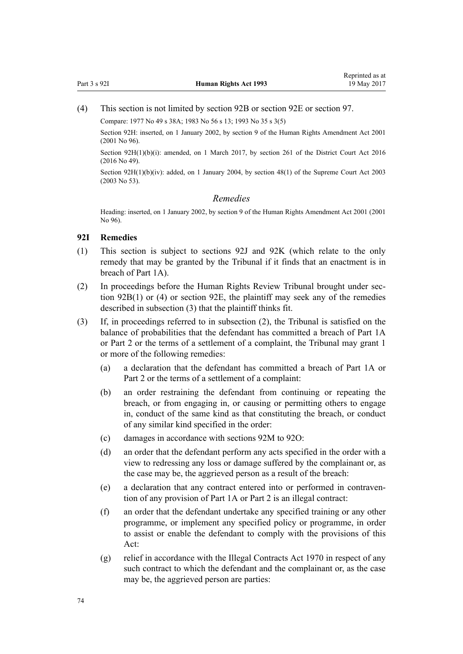## <span id="page-73-0"></span>(4) This section is not limited by [section 92B](#page-68-0) or [section 92E](#page-71-0) or [section 97](#page-82-0).

Compare: 1977 No 49 s 38A; 1983 No 56 s 13; 1993 No 35 s 3(5)

Section 92H: inserted, on 1 January 2002, by [section 9](http://prd-lgnz-nlb.prd.pco.net.nz/pdflink.aspx?id=DLM121897) of the Human Rights Amendment Act 2001 (2001 No 96).

Section 92H(1)(b)(i): amended, on 1 March 2017, by [section 261](http://prd-lgnz-nlb.prd.pco.net.nz/pdflink.aspx?id=DLM6942680) of the District Court Act 2016 (2016 No 49).

Section 92H(1)(b)(iv): added, on 1 January 2004, by [section 48\(1\)](http://prd-lgnz-nlb.prd.pco.net.nz/pdflink.aspx?id=DLM214522) of the Supreme Court Act 2003 (2003 No 53).

## *Remedies*

Heading: inserted, on 1 January 2002, by [section 9](http://prd-lgnz-nlb.prd.pco.net.nz/pdflink.aspx?id=DLM121897) of the Human Rights Amendment Act 2001 (2001 No 96).

## **92I Remedies**

- (1) This section is subject to [sections 92J](#page-74-0) and [92K](#page-74-0) (which relate to the only remedy that may be granted by the Tribunal if it finds that an enactment is in breach of Part [1A\)](#page-26-0).
- (2) In proceedings before the Human Rights Review Tribunal brought under [sec](#page-68-0)[tion 92B\(1\) or \(4\)](#page-68-0) or [section 92E,](#page-71-0) the plaintiff may seek any of the remedies described in subsection (3) that the plaintiff thinks fit.
- (3) If, in proceedings referred to in subsection (2), the Tribunal is satisfied on the balance of probabilities that the defendant has committed a breach of [Part 1A](#page-26-0) or [Part 2](#page-28-0) or the terms of a settlement of a complaint, the Tribunal may grant 1 or more of the following remedies:
	- (a) a declaration that the defendant has committed a breach of [Part 1A](#page-26-0) or [Part 2](#page-28-0) or the terms of a settlement of a complaint:
	- (b) an order restraining the defendant from continuing or repeating the breach, or from engaging in, or causing or permitting others to engage in, conduct of the same kind as that constituting the breach, or conduct of any similar kind specified in the order:
	- (c) damages in accordance with [sections 92M to 92O](#page-75-0):
	- (d) an order that the defendant perform any acts specified in the order with a view to redressing any loss or damage suffered by the complainant or, as the case may be, the aggrieved person as a result of the breach:
	- (e) a declaration that any contract entered into or performed in contravention of any provision of [Part 1A](#page-26-0) or [Part 2](#page-28-0) is an illegal contract:
	- (f) an order that the defendant undertake any specified training or any other programme, or implement any specified policy or programme, in order to assist or enable the defendant to comply with the provisions of this Act:
	- (g) relief in accordance with the [Illegal Contracts Act 1970](http://prd-lgnz-nlb.prd.pco.net.nz/pdflink.aspx?id=DLM396434) in respect of any such contract to which the defendant and the complainant or, as the case may be, the aggrieved person are parties: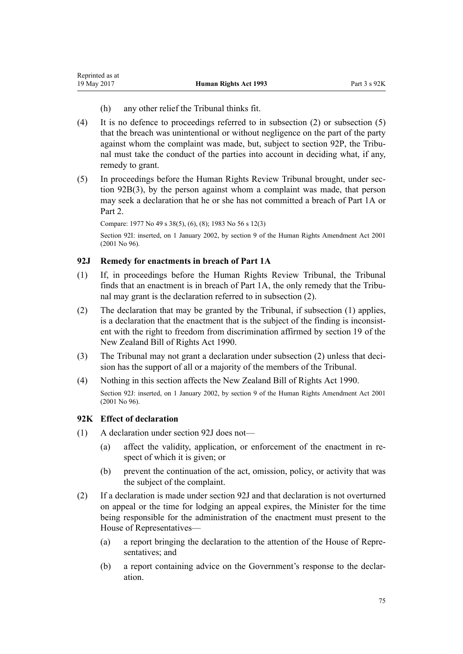- (h) any other relief the Tribunal thinks fit.
- <span id="page-74-0"></span>(4) It is no defence to proceedings referred to in subsection (2) or subsection (5) that the breach was unintentional or without negligence on the part of the party against whom the complaint was made, but, subject to [section 92P,](#page-77-0) the Tribunal must take the conduct of the parties into account in deciding what, if any, remedy to grant.
- (5) In proceedings before the Human Rights Review Tribunal brought, under [sec](#page-68-0)[tion 92B\(3\),](#page-68-0) by the person against whom a complaint was made, that person may seek a declaration that he or she has not committed a breach of [Part 1A](#page-26-0) or [Part 2](#page-28-0).

Compare: 1977 No 49 s 38(5), (6), (8); 1983 No 56 s 12(3)

Section 92I: inserted, on 1 January 2002, by [section 9](http://prd-lgnz-nlb.prd.pco.net.nz/pdflink.aspx?id=DLM121897) of the Human Rights Amendment Act 2001 (2001 No 96).

## **92J Remedy for enactments in breach of Part 1A**

- (1) If, in proceedings before the Human Rights Review Tribunal, the Tribunal finds that an enactment is in breach of [Part 1A](#page-26-0), the only remedy that the Tribunal may grant is the declaration referred to in subsection (2).
- (2) The declaration that may be granted by the Tribunal, if subsection (1) applies, is a declaration that the enactment that is the subject of the finding is inconsistent with the right to freedom from discrimination affirmed by [section 19](http://prd-lgnz-nlb.prd.pco.net.nz/pdflink.aspx?id=DLM225519) of the New Zealand Bill of Rights Act 1990.
- (3) The Tribunal may not grant a declaration under subsection (2) unless that decision has the support of all or a majority of the members of the Tribunal.
- (4) Nothing in this section affects the [New Zealand Bill of Rights Act 1990](http://prd-lgnz-nlb.prd.pco.net.nz/pdflink.aspx?id=DLM224791). Section 92J: inserted, on 1 January 2002, by [section 9](http://prd-lgnz-nlb.prd.pco.net.nz/pdflink.aspx?id=DLM121897) of the Human Rights Amendment Act 2001 (2001 No 96).

## **92K Effect of declaration**

- (1) A declaration under section 92J does not—
	- (a) affect the validity, application, or enforcement of the enactment in respect of which it is given; or
	- (b) prevent the continuation of the act, omission, policy, or activity that was the subject of the complaint.
- (2) If a declaration is made under section 92J and that declaration is not overturned on appeal or the time for lodging an appeal expires, the Minister for the time being responsible for the administration of the enactment must present to the House of Representatives—
	- (a) a report bringing the declaration to the attention of the House of Representatives; and
	- (b) a report containing advice on the Government's response to the declaration.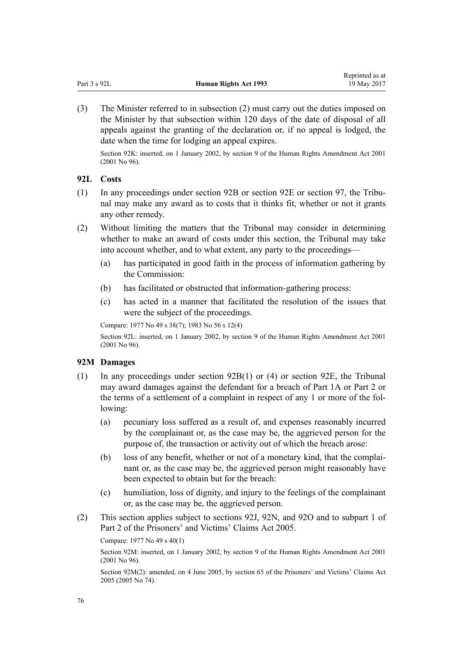Reprinted as at

<span id="page-75-0"></span>(3) The Minister referred to in subsection (2) must carry out the duties imposed on the Minister by that subsection within 120 days of the date of disposal of all appeals against the granting of the declaration or, if no appeal is lodged, the date when the time for lodging an appeal expires.

Section 92K: inserted, on 1 January 2002, by [section 9](http://prd-lgnz-nlb.prd.pco.net.nz/pdflink.aspx?id=DLM121897) of the Human Rights Amendment Act 2001 (2001 No 96).

## **92L Costs**

- (1) In any proceedings under [section 92B](#page-68-0) or [section 92E](#page-71-0) or [section 97,](#page-82-0) the Tribunal may make any award as to costs that it thinks fit, whether or not it grants any other remedy.
- (2) Without limiting the matters that the Tribunal may consider in determining whether to make an award of costs under this section, the Tribunal may take into account whether, and to what extent, any party to the proceedings—
	- (a) has participated in good faith in the process of information gathering by the Commission:
	- (b) has facilitated or obstructed that information-gathering process:
	- (c) has acted in a manner that facilitated the resolution of the issues that were the subject of the proceedings.

Compare: 1977 No 49 s 38(7); 1983 No 56 s 12(4)

Section 92L: inserted, on 1 January 2002, by [section 9](http://prd-lgnz-nlb.prd.pco.net.nz/pdflink.aspx?id=DLM121897) of the Human Rights Amendment Act 2001 (2001 No 96).

## **92M Damages**

- (1) In any proceedings under [section 92B\(1\) or \(4\)](#page-68-0) or [section 92E,](#page-71-0) the Tribunal may award damages against the defendant for a breach of [Part 1A](#page-26-0) or [Part 2](#page-28-0) or the terms of a settlement of a complaint in respect of any 1 or more of the following:
	- (a) pecuniary loss suffered as a result of, and expenses reasonably incurred by the complainant or, as the case may be, the aggrieved person for the purpose of, the transaction or activity out of which the breach arose:
	- (b) loss of any benefit, whether or not of a monetary kind, that the complainant or, as the case may be, the aggrieved person might reasonably have been expected to obtain but for the breach:
	- (c) humiliation, loss of dignity, and injury to the feelings of the complainant or, as the case may be, the aggrieved person.
- (2) This section applies subject to [sections 92J,](#page-74-0) [92N](#page-76-0), and [92O](#page-77-0) and to [subpart 1](http://prd-lgnz-nlb.prd.pco.net.nz/pdflink.aspx?id=DLM351424) of Part 2 of the Prisoners' and Victims' Claims Act 2005.

Compare: 1977 No 49 s 40(1)

Section 92M: inserted, on 1 January 2002, by [section 9](http://prd-lgnz-nlb.prd.pco.net.nz/pdflink.aspx?id=DLM121897) of the Human Rights Amendment Act 2001 (2001 No 96).

Section 92M(2): amended, on 4 June 2005, by section 65 of the Prisoners' and Victims' Claims Act 2005 (2005 No 74).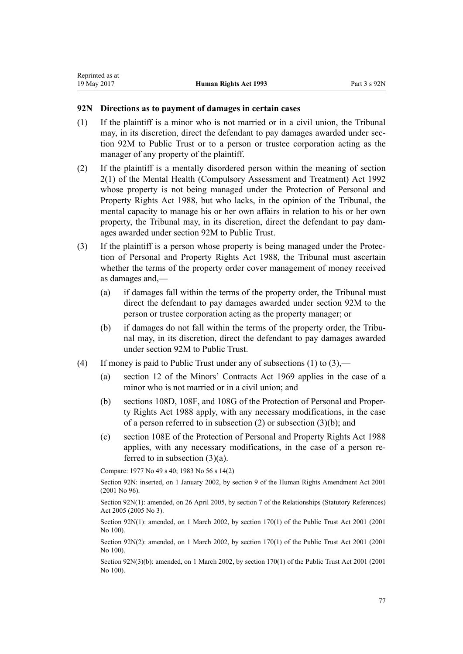## <span id="page-76-0"></span>**92N Directions as to payment of damages in certain cases**

- (1) If the plaintiff is a minor who is not married or in a civil union, the Tribunal may, in its discretion, direct the defendant to pay damages awarded under [sec](#page-75-0)[tion 92M](#page-75-0) to Public Trust or to a person or trustee corporation acting as the manager of any property of the plaintiff.
- (2) If the plaintiff is a mentally disordered person within the meaning of [section](http://prd-lgnz-nlb.prd.pco.net.nz/pdflink.aspx?id=DLM262181) [2\(1\)](http://prd-lgnz-nlb.prd.pco.net.nz/pdflink.aspx?id=DLM262181) of the Mental Health (Compulsory Assessment and Treatment) Act 1992 whose property is not being managed under the [Protection of Personal and](http://prd-lgnz-nlb.prd.pco.net.nz/pdflink.aspx?id=DLM126527) [Property Rights Act 1988](http://prd-lgnz-nlb.prd.pco.net.nz/pdflink.aspx?id=DLM126527), but who lacks, in the opinion of the Tribunal, the mental capacity to manage his or her own affairs in relation to his or her own property, the Tribunal may, in its discretion, direct the defendant to pay damages awarded under [section 92M](#page-75-0) to Public Trust.
- (3) If the plaintiff is a person whose property is being managed under the [Protec](http://prd-lgnz-nlb.prd.pco.net.nz/pdflink.aspx?id=DLM126527)[tion of Personal and Property Rights Act 1988,](http://prd-lgnz-nlb.prd.pco.net.nz/pdflink.aspx?id=DLM126527) the Tribunal must ascertain whether the terms of the property order cover management of money received as damages and,—
	- (a) if damages fall within the terms of the property order, the Tribunal must direct the defendant to pay damages awarded under [section 92M](#page-75-0) to the person or trustee corporation acting as the property manager; or
	- (b) if damages do not fall within the terms of the property order, the Tribunal may, in its discretion, direct the defendant to pay damages awarded under [section 92M](#page-75-0) to Public Trust.
- (4) If money is paid to Public Trust under any of subsections  $(1)$  to  $(3)$ ,—
	- (a) [section 12](http://prd-lgnz-nlb.prd.pco.net.nz/pdflink.aspx?id=DLM392392) of the Minors' Contracts Act 1969 applies in the case of a minor who is not married or in a civil union; and
	- (b) [sections 108D,](http://prd-lgnz-nlb.prd.pco.net.nz/pdflink.aspx?id=DLM127586) [108F](http://prd-lgnz-nlb.prd.pco.net.nz/pdflink.aspx?id=DLM127590), and [108G](http://prd-lgnz-nlb.prd.pco.net.nz/pdflink.aspx?id=DLM127592) of the Protection of Personal and Property Rights Act 1988 apply, with any necessary modifications, in the case of a person referred to in subsection (2) or subsection (3)(b); and
	- (c) [section 108E](http://prd-lgnz-nlb.prd.pco.net.nz/pdflink.aspx?id=DLM127588) of the Protection of Personal and Property Rights Act 1988 applies, with any necessary modifications, in the case of a person referred to in subsection (3)(a).

Compare: 1977 No 49 s 40; 1983 No 56 s 14(2)

Section 92N: inserted, on 1 January 2002, by [section 9](http://prd-lgnz-nlb.prd.pco.net.nz/pdflink.aspx?id=DLM121897) of the Human Rights Amendment Act 2001 (2001 No 96).

Section 92N(1): amended, on 26 April 2005, by [section 7](http://prd-lgnz-nlb.prd.pco.net.nz/pdflink.aspx?id=DLM333795) of the Relationships (Statutory References) Act 2005 (2005 No 3).

Section 92N(1): amended, on 1 March 2002, by [section 170\(1\)](http://prd-lgnz-nlb.prd.pco.net.nz/pdflink.aspx?id=DLM124529) of the Public Trust Act 2001 (2001) No 100).

Section 92N(2): amended, on 1 March 2002, by [section 170\(1\)](http://prd-lgnz-nlb.prd.pco.net.nz/pdflink.aspx?id=DLM124529) of the Public Trust Act 2001 (2001) No 100).

Section 92N(3)(b): amended, on 1 March 2002, by [section 170\(1\)](http://prd-lgnz-nlb.prd.pco.net.nz/pdflink.aspx?id=DLM124529) of the Public Trust Act 2001 (2001 No 100).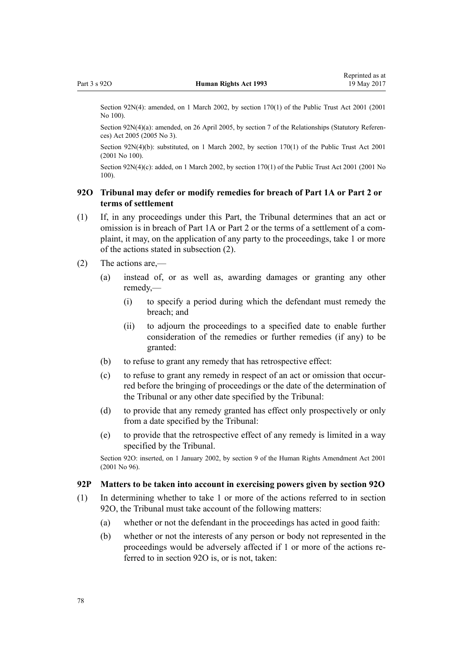<span id="page-77-0"></span>Section 92N(4): amended, on 1 March 2002, by [section 170\(1\)](http://prd-lgnz-nlb.prd.pco.net.nz/pdflink.aspx?id=DLM124529) of the Public Trust Act 2001 (2001) No 100).

Section 92N(4)(a): amended, on 26 April 2005, by [section 7](http://prd-lgnz-nlb.prd.pco.net.nz/pdflink.aspx?id=DLM333795) of the Relationships (Statutory References) Act 2005 (2005 No 3).

Section 92N(4)(b): substituted, on 1 March 2002, by [section 170\(1\)](http://prd-lgnz-nlb.prd.pco.net.nz/pdflink.aspx?id=DLM124529) of the Public Trust Act 2001 (2001 No 100).

Section 92N(4)(c): added, on 1 March 2002, by [section 170\(1\)](http://prd-lgnz-nlb.prd.pco.net.nz/pdflink.aspx?id=DLM124529) of the Public Trust Act 2001 (2001 No 100).

## **92O Tribunal may defer or modify remedies for breach of Part 1A or Part 2 or terms of settlement**

- (1) If, in any proceedings under this Part, the Tribunal determines that an act or omission is in breach of [Part 1A](#page-26-0) or [Part 2](#page-28-0) or the terms of a settlement of a complaint, it may, on the application of any party to the proceedings, take 1 or more of the actions stated in subsection (2).
- (2) The actions are,—
	- (a) instead of, or as well as, awarding damages or granting any other remedy,—
		- (i) to specify a period during which the defendant must remedy the breach; and
		- (ii) to adjourn the proceedings to a specified date to enable further consideration of the remedies or further remedies (if any) to be granted:
	- (b) to refuse to grant any remedy that has retrospective effect:
	- (c) to refuse to grant any remedy in respect of an act or omission that occurred before the bringing of proceedings or the date of the determination of the Tribunal or any other date specified by the Tribunal:
	- (d) to provide that any remedy granted has effect only prospectively or only from a date specified by the Tribunal:
	- (e) to provide that the retrospective effect of any remedy is limited in a way specified by the Tribunal.

Section 92O: inserted, on 1 January 2002, by [section 9](http://prd-lgnz-nlb.prd.pco.net.nz/pdflink.aspx?id=DLM121897) of the Human Rights Amendment Act 2001 (2001 No 96).

#### **92P Matters to be taken into account in exercising powers given by section 92O**

- (1) In determining whether to take 1 or more of the actions referred to in section 92O, the Tribunal must take account of the following matters:
	- (a) whether or not the defendant in the proceedings has acted in good faith:
	- (b) whether or not the interests of any person or body not represented in the proceedings would be adversely affected if 1 or more of the actions referred to in section 92O is, or is not, taken: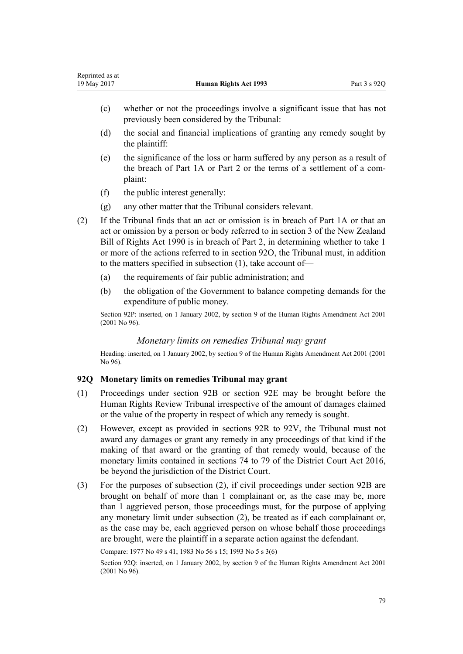- <span id="page-78-0"></span>(c) whether or not the proceedings involve a significant issue that has not previously been considered by the Tribunal:
- (d) the social and financial implications of granting any remedy sought by the plaintiff:
- (e) the significance of the loss or harm suffered by any person as a result of the breach of [Part 1A](#page-26-0) or [Part 2](#page-28-0) or the terms of a settlement of a complaint:
- (f) the public interest generally:
- (g) any other matter that the Tribunal considers relevant.
- (2) If the Tribunal finds that an act or omission is in breach of [Part 1A](#page-26-0) or that an act or omission by a person or body referred to in [section 3](http://prd-lgnz-nlb.prd.pco.net.nz/pdflink.aspx?id=DLM224799) of the New Zealand Bill of Rights Act 1990 is in breach of [Part 2,](#page-28-0) in determining whether to take 1 or more of the actions referred to in [section 92O,](#page-77-0) the Tribunal must, in addition to the matters specified in subsection (1), take account of—
	- (a) the requirements of fair public administration; and
	- (b) the obligation of the Government to balance competing demands for the expenditure of public money.

Section 92P: inserted, on 1 January 2002, by [section 9](http://prd-lgnz-nlb.prd.pco.net.nz/pdflink.aspx?id=DLM121897) of the Human Rights Amendment Act 2001 (2001 No 96).

## *Monetary limits on remedies Tribunal may grant*

Heading: inserted, on 1 January 2002, by [section 9](http://prd-lgnz-nlb.prd.pco.net.nz/pdflink.aspx?id=DLM121897) of the Human Rights Amendment Act 2001 (2001 No 96).

## **92Q Monetary limits on remedies Tribunal may grant**

- (1) Proceedings under [section 92B](#page-68-0) or [section 92E](#page-71-0) may be brought before the Human Rights Review Tribunal irrespective of the amount of damages claimed or the value of the property in respect of which any remedy is sought.
- (2) However, except as provided in [sections 92R to 92V,](#page-79-0) the Tribunal must not award any damages or grant any remedy in any proceedings of that kind if the making of that award or the granting of that remedy would, because of the monetary limits contained in [sections 74 to 79](http://prd-lgnz-nlb.prd.pco.net.nz/pdflink.aspx?id=DLM6942370) of the District Court Act 2016, be beyond the jurisdiction of the District Court.
- (3) For the purposes of subsection (2), if civil proceedings under [section 92B](#page-68-0) are brought on behalf of more than 1 complainant or, as the case may be, more than 1 aggrieved person, those proceedings must, for the purpose of applying any monetary limit under subsection (2), be treated as if each complainant or, as the case may be, each aggrieved person on whose behalf those proceedings are brought, were the plaintiff in a separate action against the defendant.

Compare: 1977 No 49 s 41; 1983 No 56 s 15; 1993 No 5 s 3(6)

Section 92Q: inserted, on 1 January 2002, by [section 9](http://prd-lgnz-nlb.prd.pco.net.nz/pdflink.aspx?id=DLM121897) of the Human Rights Amendment Act 2001 (2001 No 96).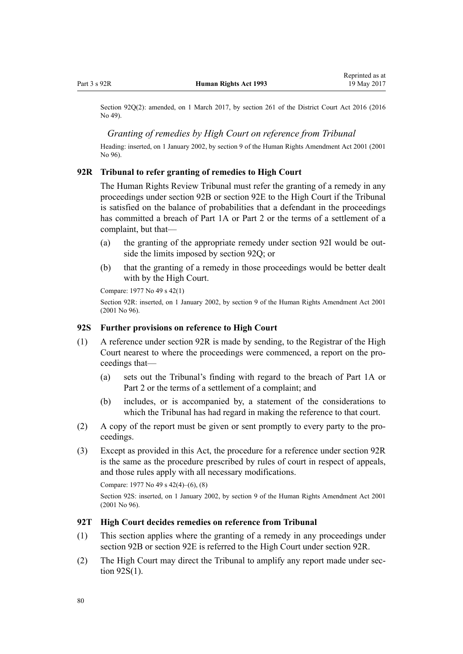<span id="page-79-0"></span>Section 92O(2): amended, on 1 March 2017, by [section 261](http://prd-lgnz-nlb.prd.pco.net.nz/pdflink.aspx?id=DLM6942680) of the District Court Act 2016 (2016) No 49).

## *Granting of remedies by High Court on reference from Tribunal*

Heading: inserted, on 1 January 2002, by [section 9](http://prd-lgnz-nlb.prd.pco.net.nz/pdflink.aspx?id=DLM121897) of the Human Rights Amendment Act 2001 (2001 No 96).

#### **92R Tribunal to refer granting of remedies to High Court**

The Human Rights Review Tribunal must refer the granting of a remedy in any proceedings under [section 92B](#page-68-0) or [section 92E](#page-71-0) to the High Court if the Tribunal is satisfied on the balance of probabilities that a defendant in the proceedings has committed a breach of [Part 1A](#page-26-0) or [Part 2](#page-28-0) or the terms of a settlement of a complaint, but that—

- (a) the granting of the appropriate remedy under [section 92I](#page-73-0) would be outside the limits imposed by [section 92Q](#page-78-0); or
- (b) that the granting of a remedy in those proceedings would be better dealt with by the High Court.

Compare: 1977 No 49 s 42(1)

Section 92R: inserted, on 1 January 2002, by [section 9](http://prd-lgnz-nlb.prd.pco.net.nz/pdflink.aspx?id=DLM121897) of the Human Rights Amendment Act 2001 (2001 No 96).

## **92S Further provisions on reference to High Court**

- (1) A reference under section 92R is made by sending, to the Registrar of the High Court nearest to where the proceedings were commenced, a report on the proceedings that—
	- (a) sets out the Tribunal's finding with regard to the breach of [Part 1A](#page-26-0) or [Part 2](#page-28-0) or the terms of a settlement of a complaint; and
	- (b) includes, or is accompanied by, a statement of the considerations to which the Tribunal has had regard in making the reference to that court.
- (2) A copy of the report must be given or sent promptly to every party to the proceedings.
- (3) Except as provided in this Act, the procedure for a reference under section 92R is the same as the procedure prescribed by rules of court in respect of appeals, and those rules apply with all necessary modifications.

Compare: 1977 No 49 s 42(4)–(6), (8)

Section 92S: inserted, on 1 January 2002, by [section 9](http://prd-lgnz-nlb.prd.pco.net.nz/pdflink.aspx?id=DLM121897) of the Human Rights Amendment Act 2001 (2001 No 96).

### **92T High Court decides remedies on reference from Tribunal**

- (1) This section applies where the granting of a remedy in any proceedings under [section 92B](#page-68-0) or [section 92E](#page-71-0) is referred to the High Court under section 92R.
- (2) The High Court may direct the Tribunal to amplify any report made under section 92S(1).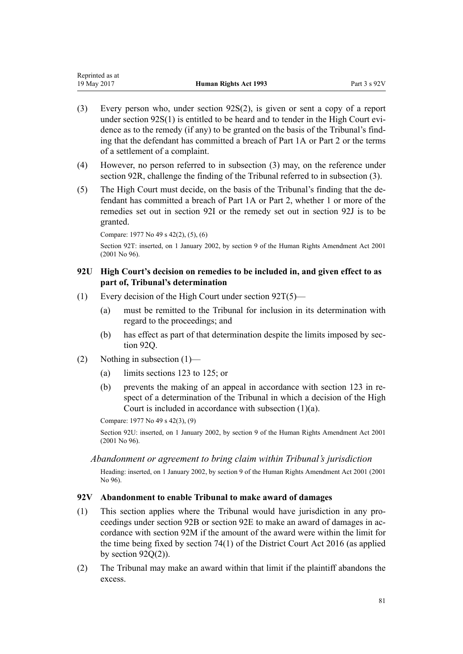| Reprinted as at |                       |                                  |
|-----------------|-----------------------|----------------------------------|
| 19 May 2017     | Human Rights Act 1993 | Part $3 \text{ s } 92 \text{ V}$ |

- (3) Every person who, under [section 92S\(2\)](#page-79-0), is given or sent a copy of a report under [section 92S\(1\)](#page-79-0) is entitled to be heard and to tender in the High Court evidence as to the remedy (if any) to be granted on the basis of the Tribunal's finding that the defendant has committed a breach of [Part 1A](#page-26-0) or [Part 2](#page-28-0) or the terms of a settlement of a complaint.
- (4) However, no person referred to in subsection (3) may, on the reference under [section 92R,](#page-79-0) challenge the finding of the Tribunal referred to in subsection (3).
- (5) The High Court must decide, on the basis of the Tribunal's finding that the defendant has committed a breach of [Part 1A](#page-26-0) or [Part 2](#page-28-0), whether 1 or more of the remedies set out in [section 92I](#page-73-0) or the remedy set out in [section 92J](#page-74-0) is to be granted.

```
Compare: 1977 No 49 s 42(2), (5), (6)
```
Representative as a set of the set of the set of the set of the set of the set of the set of the set of the set of the set of the set of the set of the set of the set of the set of the set of the set of the set of the set

Section 92T: inserted, on 1 January 2002, by [section 9](http://prd-lgnz-nlb.prd.pco.net.nz/pdflink.aspx?id=DLM121897) of the Human Rights Amendment Act 2001 (2001 No 96).

## **92U High Court's decision on remedies to be included in, and given effect to as part of, Tribunal's determination**

- (1) Every decision of the High Court under [section 92T\(5\)—](#page-79-0)
	- (a) must be remitted to the Tribunal for inclusion in its determination with regard to the proceedings; and
	- (b) has effect as part of that determination despite the limits imposed by [sec](#page-78-0)[tion 92Q.](#page-78-0)
- (2) Nothing in subsection (1)—
	- (a) limits [sections 123 to 125](#page-95-0); or
	- (b) prevents the making of an appeal in accordance with [section 123](#page-95-0) in respect of a determination of the Tribunal in which a decision of the High Court is included in accordance with subsection (1)(a).

Compare: 1977 No 49 s 42(3), (9)

Section 92U: inserted, on 1 January 2002, by [section 9](http://prd-lgnz-nlb.prd.pco.net.nz/pdflink.aspx?id=DLM121897) of the Human Rights Amendment Act 2001 (2001 No 96).

*Abandonment or agreement to bring claim within Tribunal's jurisdiction*

Heading: inserted, on 1 January 2002, by [section 9](http://prd-lgnz-nlb.prd.pco.net.nz/pdflink.aspx?id=DLM121897) of the Human Rights Amendment Act 2001 (2001 No 96).

## **92V Abandonment to enable Tribunal to make award of damages**

- (1) This section applies where the Tribunal would have jurisdiction in any proceedings under [section 92B](#page-68-0) or [section 92E](#page-71-0) to make an award of damages in accordance with [section 92M](#page-75-0) if the amount of the award were within the limit for the time being fixed by [section 74\(1\)](http://prd-lgnz-nlb.prd.pco.net.nz/pdflink.aspx?id=DLM6942370) of the District Court Act 2016 (as applied by section  $92Q(2)$ ).
- (2) The Tribunal may make an award within that limit if the plaintiff abandons the excess.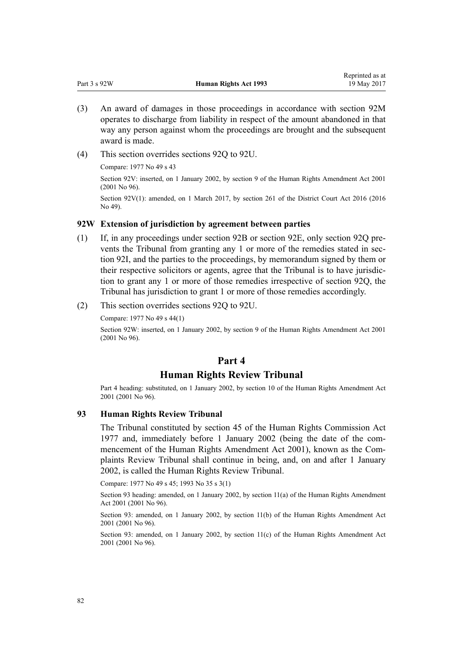| Part 3 s 92W | <b>Human Rights Act 1993</b> | <br>19 May 2017 |
|--------------|------------------------------|-----------------|
|              |                              |                 |

Reprinted as at

- (3) An award of damages in those proceedings in accordance with [section 92M](#page-75-0) operates to discharge from liability in respect of the amount abandoned in that way any person against whom the proceedings are brought and the subsequent award is made.
- (4) This section overrides [sections 92Q to 92U.](#page-78-0)

Compare: 1977 No 49 s 43

Section 92V: inserted, on 1 January 2002, by [section 9](http://prd-lgnz-nlb.prd.pco.net.nz/pdflink.aspx?id=DLM121897) of the Human Rights Amendment Act 2001 (2001 No 96).

Section 92V(1): amended, on 1 March 2017, by [section 261](http://prd-lgnz-nlb.prd.pco.net.nz/pdflink.aspx?id=DLM6942680) of the District Court Act 2016 (2016) No 49).

## **92W Extension of jurisdiction by agreement between parties**

- (1) If, in any proceedings under [section 92B](#page-68-0) or [section 92E,](#page-71-0) only [section 92Q](#page-78-0) prevents the Tribunal from granting any 1 or more of the remedies stated in [sec](#page-73-0)[tion 92I](#page-73-0), and the parties to the proceedings, by memorandum signed by them or their respective solicitors or agents, agree that the Tribunal is to have jurisdiction to grant any 1 or more of those remedies irrespective of section 92Q, the Tribunal has jurisdiction to grant 1 or more of those remedies accordingly.
- (2) This section overrides [sections 92Q to 92U.](#page-78-0)

```
Compare: 1977 No 49 s 44(1)
```
Section 92W: inserted, on 1 January 2002, by [section 9](http://prd-lgnz-nlb.prd.pco.net.nz/pdflink.aspx?id=DLM121897) of the Human Rights Amendment Act 2001 (2001 No 96).

# **Part 4 Human Rights Review Tribunal**

Part 4 heading: substituted, on 1 January 2002, by [section 10](http://prd-lgnz-nlb.prd.pco.net.nz/pdflink.aspx?id=DLM122148) of the Human Rights Amendment Act 2001 (2001 No 96).

## **93 Human Rights Review Tribunal**

The Tribunal constituted by section 45 of the Human Rights Commission Act 1977 and, immediately before 1 January 2002 (being the date of the commencement of the [Human Rights Amendment Act 2001\)](http://prd-lgnz-nlb.prd.pco.net.nz/pdflink.aspx?id=DLM121284), known as the Complaints Review Tribunal shall continue in being, and, on and after 1 January 2002, is called the Human Rights Review Tribunal.

Compare: 1977 No 49 s 45; 1993 No 35 s 3(1)

Section 93 heading: amended, on 1 January 2002, by [section 11\(a\)](http://prd-lgnz-nlb.prd.pco.net.nz/pdflink.aspx?id=DLM122150) of the Human Rights Amendment Act 2001 (2001 No 96).

Section 93: amended, on 1 January 2002, by [section 11\(b\)](http://prd-lgnz-nlb.prd.pco.net.nz/pdflink.aspx?id=DLM122150) of the Human Rights Amendment Act 2001 (2001 No 96).

Section 93: amended, on 1 January 2002, by [section 11\(c\)](http://prd-lgnz-nlb.prd.pco.net.nz/pdflink.aspx?id=DLM122150) of the Human Rights Amendment Act 2001 (2001 No 96).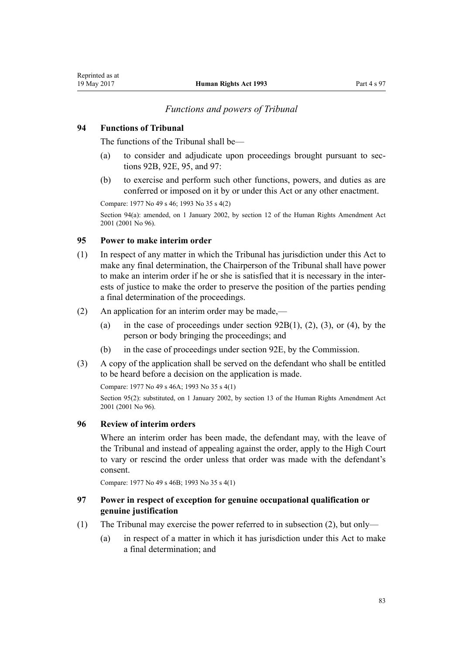## *Functions and powers of Tribunal*

## <span id="page-82-0"></span>**94 Functions of Tribunal**

The functions of the Tribunal shall be—

- (a) to consider and adjudicate upon proceedings brought pursuant to [sec](#page-68-0)[tions 92B,](#page-68-0) [92E,](#page-71-0) 95, and 97:
- (b) to exercise and perform such other functions, powers, and duties as are conferred or imposed on it by or under this Act or any other enactment.

Compare: 1977 No 49 s 46; 1993 No 35 s 4(2)

Section 94(a): amended, on 1 January 2002, by [section 12](http://prd-lgnz-nlb.prd.pco.net.nz/pdflink.aspx?id=DLM122151) of the Human Rights Amendment Act 2001 (2001 No 96).

## **95 Power to make interim order**

- (1) In respect of any matter in which the Tribunal has jurisdiction under this Act to make any final determination, the Chairperson of the Tribunal shall have power to make an interim order if he or she is satisfied that it is necessary in the interests of justice to make the order to preserve the position of the parties pending a final determination of the proceedings.
- (2) An application for an interim order may be made,—
	- (a) in the case of proceedings under section  $92B(1)$ ,  $(2)$ ,  $(3)$ , or  $(4)$ , by the person or body bringing the proceedings; and
	- (b) in the case of proceedings under [section 92E,](#page-71-0) by the Commission.
- (3) A copy of the application shall be served on the defendant who shall be entitled to be heard before a decision on the application is made.

Compare: 1977 No 49 s 46A; 1993 No 35 s 4(1)

Section 95(2): substituted, on 1 January 2002, by [section 13](http://prd-lgnz-nlb.prd.pco.net.nz/pdflink.aspx?id=DLM122152) of the Human Rights Amendment Act 2001 (2001 No 96).

## **96 Review of interim orders**

Where an interim order has been made, the defendant may, with the leave of the Tribunal and instead of appealing against the order, apply to the High Court to vary or rescind the order unless that order was made with the defendant's consent.

Compare: 1977 No 49 s 46B; 1993 No 35 s 4(1)

## **97 Power in respect of exception for genuine occupational qualification or genuine justification**

- (1) The Tribunal may exercise the power referred to in subsection (2), but only—
	- (a) in respect of a matter in which it has jurisdiction under this Act to make a final determination; and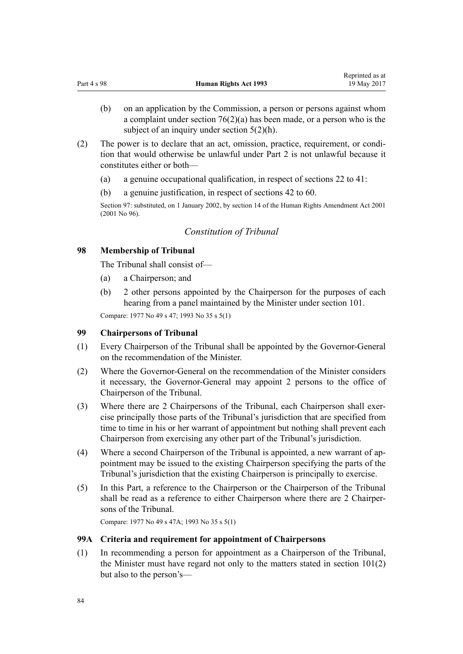- <span id="page-83-0"></span>(b) on an application by the Commission, a person or persons against whom a complaint under [section 76\(2\)\(a\)](#page-58-0) has been made, or a person who is the subject of an inquiry under section  $5(2)(h)$ .
- (2) The power is to declare that an act, omission, practice, requirement, or condition that would otherwise be unlawful under [Part 2](#page-28-0) is not unlawful because it constitutes either or both—
	- (a) a genuine occupational qualification, in respect of [sections 22 to 41](#page-31-0):
	- (b) a genuine justification, in respect of [sections 42 to 60](#page-42-0).

Section 97: substituted, on 1 January 2002, by [section 14](http://prd-lgnz-nlb.prd.pco.net.nz/pdflink.aspx?id=DLM122153) of the Human Rights Amendment Act 2001 (2001 No 96).

## *Constitution of Tribunal*

## **98 Membership of Tribunal**

The Tribunal shall consist of—

- (a) a Chairperson; and
- (b) 2 other persons appointed by the Chairperson for the purposes of each hearing from a panel maintained by the Minister under [section 101](#page-84-0).

Compare: 1977 No 49 s 47; 1993 No 35 s 5(1)

## **99 Chairpersons of Tribunal**

- (1) Every Chairperson of the Tribunal shall be appointed by the Governor-General on the recommendation of the Minister.
- (2) Where the Governor-General on the recommendation of the Minister considers it necessary, the Governor-General may appoint 2 persons to the office of Chairperson of the Tribunal.
- (3) Where there are 2 Chairpersons of the Tribunal, each Chairperson shall exercise principally those parts of the Tribunal's jurisdiction that are specified from time to time in his or her warrant of appointment but nothing shall prevent each Chairperson from exercising any other part of the Tribunal's jurisdiction.
- (4) Where a second Chairperson of the Tribunal is appointed, a new warrant of appointment may be issued to the existing Chairperson specifying the parts of the Tribunal's jurisdiction that the existing Chairperson is principally to exercise.
- (5) In this Part, a reference to the Chairperson or the Chairperson of the Tribunal shall be read as a reference to either Chairperson where there are 2 Chairpersons of the Tribunal.

Compare: 1977 No 49 s 47A; 1993 No 35 s 5(1)

## **99A Criteria and requirement for appointment of Chairpersons**

(1) In recommending a person for appointment as a Chairperson of the Tribunal, the Minister must have regard not only to the matters stated in [section 101\(2\)](#page-84-0) but also to the person's—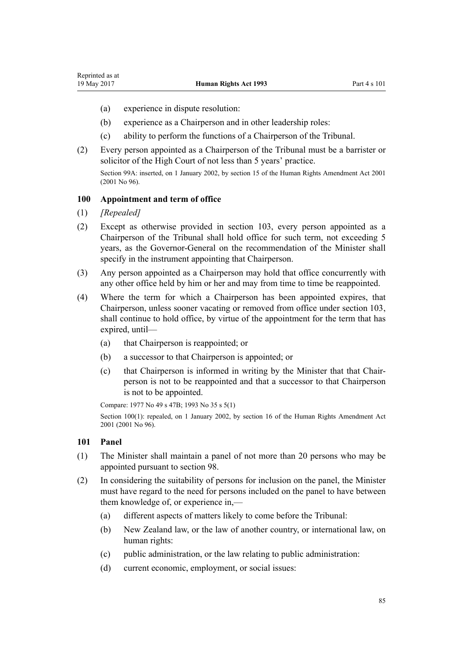- <span id="page-84-0"></span>(a) experience in dispute resolution:
- (b) experience as a Chairperson and in other leadership roles:
- (c) ability to perform the functions of a Chairperson of the Tribunal.
- (2) Every person appointed as a Chairperson of the Tribunal must be a barrister or solicitor of the High Court of not less than 5 years' practice.

Section 99A: inserted, on 1 January 2002, by [section 15](http://prd-lgnz-nlb.prd.pco.net.nz/pdflink.aspx?id=DLM122155) of the Human Rights Amendment Act 2001 (2001 No 96).

## **100 Appointment and term of office**

- (1) *[Repealed]*
- (2) Except as otherwise provided in [section 103,](#page-86-0) every person appointed as a Chairperson of the Tribunal shall hold office for such term, not exceeding 5 years, as the Governor-General on the recommendation of the Minister shall specify in the instrument appointing that Chairperson.
- (3) Any person appointed as a Chairperson may hold that office concurrently with any other office held by him or her and may from time to time be reappointed.
- (4) Where the term for which a Chairperson has been appointed expires, that Chairperson, unless sooner vacating or removed from office under [section 103](#page-86-0), shall continue to hold office, by virtue of the appointment for the term that has expired, until—
	- (a) that Chairperson is reappointed; or
	- (b) a successor to that Chairperson is appointed; or
	- (c) that Chairperson is informed in writing by the Minister that that Chairperson is not to be reappointed and that a successor to that Chairperson is not to be appointed.

Compare: 1977 No 49 s 47B; 1993 No 35 s 5(1)

Section 100(1): repealed, on 1 January 2002, by [section 16](http://prd-lgnz-nlb.prd.pco.net.nz/pdflink.aspx?id=DLM122157) of the Human Rights Amendment Act 2001 (2001 No 96).

### **101 Panel**

- (1) The Minister shall maintain a panel of not more than 20 persons who may be appointed pursuant to [section 98.](#page-83-0)
- (2) In considering the suitability of persons for inclusion on the panel, the Minister must have regard to the need for persons included on the panel to have between them knowledge of, or experience in,—
	- (a) different aspects of matters likely to come before the Tribunal:
	- (b) New Zealand law, or the law of another country, or international law, on human rights:
	- (c) public administration, or the law relating to public administration:
	- (d) current economic, employment, or social issues: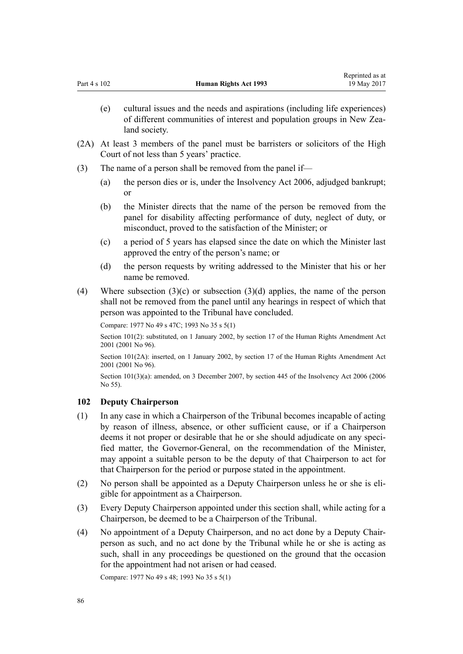- (e) cultural issues and the needs and aspirations (including life experiences) of different communities of interest and population groups in New Zealand society.
- (2A) At least 3 members of the panel must be barristers or solicitors of the High Court of not less than 5 years' practice.
- (3) The name of a person shall be removed from the panel if—
	- (a) the person dies or is, under the Insolvency Act 2006, adjudged bankrupt; or
	- (b) the Minister directs that the name of the person be removed from the panel for disability affecting performance of duty, neglect of duty, or misconduct, proved to the satisfaction of the Minister; or
	- (c) a period of 5 years has elapsed since the date on which the Minister last approved the entry of the person's name; or
	- (d) the person requests by writing addressed to the Minister that his or her name be removed.
- (4) Where subsection (3)(c) or subsection (3)(d) applies, the name of the person shall not be removed from the panel until any hearings in respect of which that person was appointed to the Tribunal have concluded.

Compare: 1977 No 49 s 47C; 1993 No 35 s 5(1)

Section 101(2): substituted, on 1 January 2002, by [section 17](http://prd-lgnz-nlb.prd.pco.net.nz/pdflink.aspx?id=DLM122158) of the Human Rights Amendment Act 2001 (2001 No 96).

Section 101(2A): inserted, on 1 January 2002, by [section 17](http://prd-lgnz-nlb.prd.pco.net.nz/pdflink.aspx?id=DLM122158) of the Human Rights Amendment Act 2001 (2001 No 96).

Section 101(3)(a): amended, on 3 December 2007, by [section 445](http://prd-lgnz-nlb.prd.pco.net.nz/pdflink.aspx?id=DLM387857) of the Insolvency Act 2006 (2006) No 55).

## **102 Deputy Chairperson**

- (1) In any case in which a Chairperson of the Tribunal becomes incapable of acting by reason of illness, absence, or other sufficient cause, or if a Chairperson deems it not proper or desirable that he or she should adjudicate on any specified matter, the Governor-General, on the recommendation of the Minister, may appoint a suitable person to be the deputy of that Chairperson to act for that Chairperson for the period or purpose stated in the appointment.
- (2) No person shall be appointed as a Deputy Chairperson unless he or she is eligible for appointment as a Chairperson.
- (3) Every Deputy Chairperson appointed under this section shall, while acting for a Chairperson, be deemed to be a Chairperson of the Tribunal.
- (4) No appointment of a Deputy Chairperson, and no act done by a Deputy Chairperson as such, and no act done by the Tribunal while he or she is acting as such, shall in any proceedings be questioned on the ground that the occasion for the appointment had not arisen or had ceased.

Compare: 1977 No 49 s 48; 1993 No 35 s 5(1)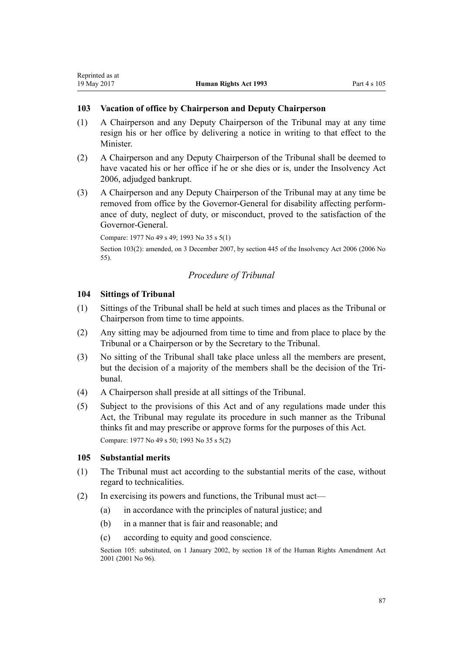## <span id="page-86-0"></span>**103 Vacation of office by Chairperson and Deputy Chairperson**

- (1) A Chairperson and any Deputy Chairperson of the Tribunal may at any time resign his or her office by delivering a notice in writing to that effect to the Minister.
- (2) A Chairperson and any Deputy Chairperson of the Tribunal shall be deemed to have vacated his or her office if he or she dies or is, under the Insolvency Act 2006, adjudged bankrupt.
- (3) A Chairperson and any Deputy Chairperson of the Tribunal may at any time be removed from office by the Governor-General for disability affecting performance of duty, neglect of duty, or misconduct, proved to the satisfaction of the Governor-General.

Compare: 1977 No 49 s 49; 1993 No 35 s 5(1)

Section 103(2): amended, on 3 December 2007, by [section 445](http://prd-lgnz-nlb.prd.pco.net.nz/pdflink.aspx?id=DLM387857) of the Insolvency Act 2006 (2006 No 55).

## *Procedure of Tribunal*

## **104 Sittings of Tribunal**

- (1) Sittings of the Tribunal shall be held at such times and places as the Tribunal or Chairperson from time to time appoints.
- (2) Any sitting may be adjourned from time to time and from place to place by the Tribunal or a Chairperson or by the Secretary to the Tribunal.
- (3) No sitting of the Tribunal shall take place unless all the members are present, but the decision of a majority of the members shall be the decision of the Tribunal.
- (4) A Chairperson shall preside at all sittings of the Tribunal.
- (5) Subject to the provisions of this Act and of any regulations made under this Act, the Tribunal may regulate its procedure in such manner as the Tribunal thinks fit and may prescribe or approve forms for the purposes of this Act. Compare: 1977 No 49 s 50; 1993 No 35 s 5(2)

### **105 Substantial merits**

- (1) The Tribunal must act according to the substantial merits of the case, without regard to technicalities.
- (2) In exercising its powers and functions, the Tribunal must act—
	- (a) in accordance with the principles of natural justice; and
	- (b) in a manner that is fair and reasonable; and
	- (c) according to equity and good conscience.

Section 105: substituted, on 1 January 2002, by [section 18](http://prd-lgnz-nlb.prd.pco.net.nz/pdflink.aspx?id=DLM122159) of the Human Rights Amendment Act 2001 (2001 No 96).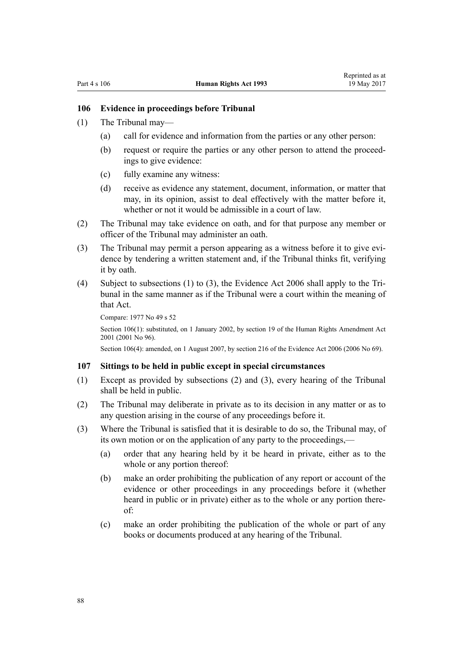## <span id="page-87-0"></span>**106 Evidence in proceedings before Tribunal**

- (1) The Tribunal may—
	- (a) call for evidence and information from the parties or any other person:
	- (b) request or require the parties or any other person to attend the proceedings to give evidence:
	- (c) fully examine any witness:
	- (d) receive as evidence any statement, document, information, or matter that may, in its opinion, assist to deal effectively with the matter before it, whether or not it would be admissible in a court of law.
- (2) The Tribunal may take evidence on oath, and for that purpose any member or officer of the Tribunal may administer an oath.
- (3) The Tribunal may permit a person appearing as a witness before it to give evidence by tendering a written statement and, if the Tribunal thinks fit, verifying it by oath.
- (4) Subject to subsections (1) to (3), the [Evidence Act 2006](http://prd-lgnz-nlb.prd.pco.net.nz/pdflink.aspx?id=DLM393462) shall apply to the Tribunal in the same manner as if the Tribunal were a court within the meaning of that Act.

```
Compare: 1977 No 49 s 52
```
Section 106(1): substituted, on 1 January 2002, by [section 19](http://prd-lgnz-nlb.prd.pco.net.nz/pdflink.aspx?id=DLM122161) of the Human Rights Amendment Act 2001 (2001 No 96).

Section 106(4): amended, on 1 August 2007, by [section 216](http://prd-lgnz-nlb.prd.pco.net.nz/pdflink.aspx?id=DLM394552) of the Evidence Act 2006 (2006 No 69).

#### **107 Sittings to be held in public except in special circumstances**

- (1) Except as provided by subsections (2) and (3), every hearing of the Tribunal shall be held in public.
- (2) The Tribunal may deliberate in private as to its decision in any matter or as to any question arising in the course of any proceedings before it.
- (3) Where the Tribunal is satisfied that it is desirable to do so, the Tribunal may, of its own motion or on the application of any party to the proceedings,—
	- (a) order that any hearing held by it be heard in private, either as to the whole or any portion thereof:
	- (b) make an order prohibiting the publication of any report or account of the evidence or other proceedings in any proceedings before it (whether heard in public or in private) either as to the whole or any portion thereof:
	- (c) make an order prohibiting the publication of the whole or part of any books or documents produced at any hearing of the Tribunal.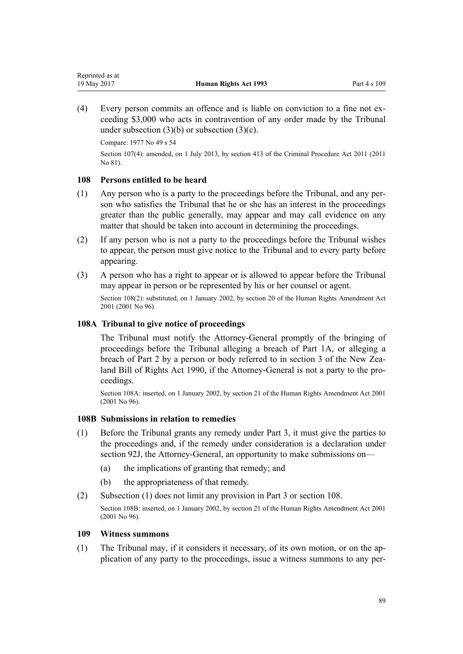<span id="page-88-0"></span>(4) Every person commits an offence and is liable on conviction to a fine not exceeding \$3,000 who acts in contravention of any order made by the Tribunal under subsection  $(3)(b)$  or subsection  $(3)(c)$ .

Compare: 1977 No 49 s 54

Section 107(4): amended, on 1 July 2013, by [section 413](http://prd-lgnz-nlb.prd.pco.net.nz/pdflink.aspx?id=DLM3360714) of the Criminal Procedure Act 2011 (2011 No 81).

## **108 Persons entitled to be heard**

- (1) Any person who is a party to the proceedings before the Tribunal, and any person who satisfies the Tribunal that he or she has an interest in the proceedings greater than the public generally, may appear and may call evidence on any matter that should be taken into account in determining the proceedings.
- (2) If any person who is not a party to the proceedings before the Tribunal wishes to appear, the person must give notice to the Tribunal and to every party before appearing.
- (3) A person who has a right to appear or is allowed to appear before the Tribunal may appear in person or be represented by his or her counsel or agent.

Section 108(2): substituted, on 1 January 2002, by [section 20](http://prd-lgnz-nlb.prd.pco.net.nz/pdflink.aspx?id=DLM122162) of the Human Rights Amendment Act 2001 (2001 No 96).

## **108A Tribunal to give notice of proceedings**

The Tribunal must notify the Attorney-General promptly of the bringing of proceedings before the Tribunal alleging a breach of [Part 1A,](#page-26-0) or alleging a breach of [Part 2](#page-28-0) by a person or body referred to in [section 3](http://prd-lgnz-nlb.prd.pco.net.nz/pdflink.aspx?id=DLM224799) of the New Zealand Bill of Rights Act 1990, if the Attorney-General is not a party to the proceedings.

Section 108A: inserted, on 1 January 2002, by [section 21](http://prd-lgnz-nlb.prd.pco.net.nz/pdflink.aspx?id=DLM122163) of the Human Rights Amendment Act 2001 (2001 No 96).

## **108B Submissions in relation to remedies**

- (1) Before the Tribunal grants any remedy under [Part 3,](#page-57-0) it must give the parties to the proceedings and, if the remedy under consideration is a declaration under [section 92J,](#page-74-0) the Attorney-General, an opportunity to make submissions on—
	- (a) the implications of granting that remedy; and
	- (b) the appropriateness of that remedy.
- (2) Subsection (1) does not limit any provision in [Part 3](#page-57-0) or section 108.

Section 108B: inserted, on 1 January 2002, by [section 21](http://prd-lgnz-nlb.prd.pco.net.nz/pdflink.aspx?id=DLM122163) of the Human Rights Amendment Act 2001 (2001 No 96).

## **109 Witness summons**

(1) The Tribunal may, if it considers it necessary, of its own motion, or on the application of any party to the proceedings, issue a witness summons to any per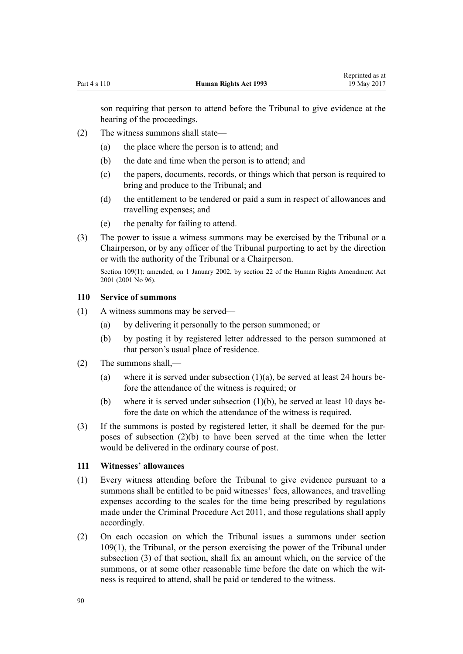<span id="page-89-0"></span>son requiring that person to attend before the Tribunal to give evidence at the hearing of the proceedings.

- (2) The witness summons shall state—
	- (a) the place where the person is to attend; and
	- (b) the date and time when the person is to attend; and
	- (c) the papers, documents, records, or things which that person is required to bring and produce to the Tribunal; and
	- (d) the entitlement to be tendered or paid a sum in respect of allowances and travelling expenses; and
	- (e) the penalty for failing to attend.
- (3) The power to issue a witness summons may be exercised by the Tribunal or a Chairperson, or by any officer of the Tribunal purporting to act by the direction or with the authority of the Tribunal or a Chairperson.

Section 109(1): amended, on 1 January 2002, by [section 22](http://prd-lgnz-nlb.prd.pco.net.nz/pdflink.aspx?id=DLM122166) of the Human Rights Amendment Act 2001 (2001 No 96).

## **110 Service of summons**

- (1) A witness summons may be served—
	- (a) by delivering it personally to the person summoned; or
	- (b) by posting it by registered letter addressed to the person summoned at that person's usual place of residence.
- (2) The summons shall,—
	- (a) where it is served under subsection  $(1)(a)$ , be served at least 24 hours before the attendance of the witness is required; or
	- (b) where it is served under subsection (1)(b), be served at least 10 days before the date on which the attendance of the witness is required.
- (3) If the summons is posted by registered letter, it shall be deemed for the purposes of subsection (2)(b) to have been served at the time when the letter would be delivered in the ordinary course of post.

### **111 Witnesses' allowances**

- (1) Every witness attending before the Tribunal to give evidence pursuant to a summons shall be entitled to be paid witnesses' fees, allowances, and travelling expenses according to the scales for the time being prescribed by regulations made under the [Criminal Procedure Act 2011,](http://prd-lgnz-nlb.prd.pco.net.nz/pdflink.aspx?id=DLM3359902) and those regulations shall apply accordingly.
- (2) On each occasion on which the Tribunal issues a summons under [section](#page-88-0) [109\(1\),](#page-88-0) the Tribunal, or the person exercising the power of the Tribunal under subsection (3) of that section, shall fix an amount which, on the service of the summons, or at some other reasonable time before the date on which the witness is required to attend, shall be paid or tendered to the witness.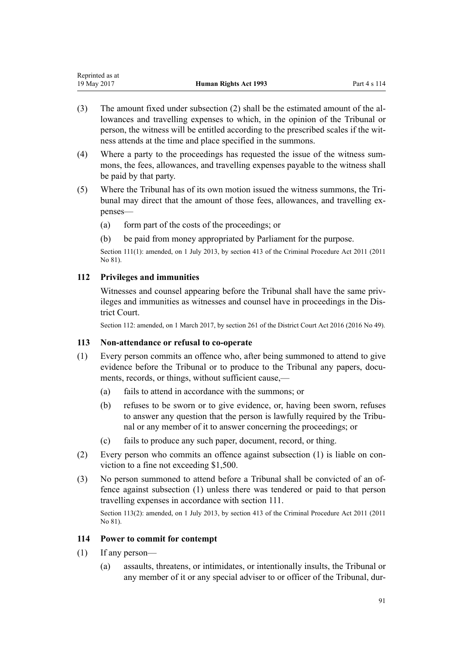| Reprinted as at |                       |              |
|-----------------|-----------------------|--------------|
| 19 May 2017     | Human Rights Act 1993 | Part 4 s 114 |

- (3) The amount fixed under subsection (2) shall be the estimated amount of the allowances and travelling expenses to which, in the opinion of the Tribunal or person, the witness will be entitled according to the prescribed scales if the witness attends at the time and place specified in the summons.
- (4) Where a party to the proceedings has requested the issue of the witness summons, the fees, allowances, and travelling expenses payable to the witness shall be paid by that party.
- (5) Where the Tribunal has of its own motion issued the witness summons, the Tribunal may direct that the amount of those fees, allowances, and travelling expenses—
	- (a) form part of the costs of the proceedings; or
	- (b) be paid from money appropriated by Parliament for the purpose.

Section 111(1): amended, on 1 July 2013, by [section 413](http://prd-lgnz-nlb.prd.pco.net.nz/pdflink.aspx?id=DLM3360714) of the Criminal Procedure Act 2011 (2011) No 81).

## **112 Privileges and immunities**

Witnesses and counsel appearing before the Tribunal shall have the same privileges and immunities as witnesses and counsel have in proceedings in the District Court.

Section 112: amended, on 1 March 2017, by [section 261](http://prd-lgnz-nlb.prd.pco.net.nz/pdflink.aspx?id=DLM6942680) of the District Court Act 2016 (2016 No 49).

## **113 Non-attendance or refusal to co-operate**

- (1) Every person commits an offence who, after being summoned to attend to give evidence before the Tribunal or to produce to the Tribunal any papers, documents, records, or things, without sufficient cause,—
	- (a) fails to attend in accordance with the summons; or
	- (b) refuses to be sworn or to give evidence, or, having been sworn, refuses to answer any question that the person is lawfully required by the Tribunal or any member of it to answer concerning the proceedings; or
	- (c) fails to produce any such paper, document, record, or thing.
- (2) Every person who commits an offence against subsection (1) is liable on conviction to a fine not exceeding \$1,500.
- (3) No person summoned to attend before a Tribunal shall be convicted of an offence against subsection (1) unless there was tendered or paid to that person travelling expenses in accordance with [section 111](#page-89-0).

Section 113(2): amended, on 1 July 2013, by [section 413](http://prd-lgnz-nlb.prd.pco.net.nz/pdflink.aspx?id=DLM3360714) of the Criminal Procedure Act 2011 (2011 No 81).

## **114 Power to commit for contempt**

- (1) If any person—
	- (a) assaults, threatens, or intimidates, or intentionally insults, the Tribunal or any member of it or any special adviser to or officer of the Tribunal, dur-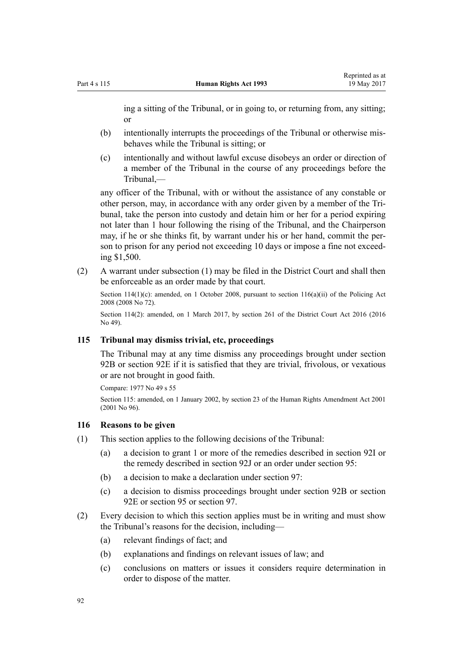ing a sitting of the Tribunal, or in going to, or returning from, any sitting; or

- (b) intentionally interrupts the proceedings of the Tribunal or otherwise misbehaves while the Tribunal is sitting; or
- (c) intentionally and without lawful excuse disobeys an order or direction of a member of the Tribunal in the course of any proceedings before the Tribunal,—

any officer of the Tribunal, with or without the assistance of any constable or other person, may, in accordance with any order given by a member of the Tribunal, take the person into custody and detain him or her for a period expiring not later than 1 hour following the rising of the Tribunal, and the Chairperson may, if he or she thinks fit, by warrant under his or her hand, commit the person to prison for any period not exceeding 10 days or impose a fine not exceeding \$1,500.

(2) A warrant under subsection (1) may be filed in the District Court and shall then be enforceable as an order made by that court.

Section 114(1)(c): amended, on 1 October 2008, pursuant to [section 116\(a\)\(ii\)](http://prd-lgnz-nlb.prd.pco.net.nz/pdflink.aspx?id=DLM1102349) of the Policing Act 2008 (2008 No 72).

Section 114(2): amended, on 1 March 2017, by [section 261](http://prd-lgnz-nlb.prd.pco.net.nz/pdflink.aspx?id=DLM6942680) of the District Court Act 2016 (2016 No 49).

## **115 Tribunal may dismiss trivial, etc, proceedings**

The Tribunal may at any time dismiss any proceedings brought under [section](#page-68-0) [92B](#page-68-0) or [section 92E](#page-71-0) if it is satisfied that they are trivial, frivolous, or vexatious or are not brought in good faith.

Compare: 1977 No 49 s 55

Section 115: amended, on 1 January 2002, by [section 23](http://prd-lgnz-nlb.prd.pco.net.nz/pdflink.aspx?id=DLM122167) of the Human Rights Amendment Act 2001 (2001 No 96).

#### **116 Reasons to be given**

- (1) This section applies to the following decisions of the Tribunal:
	- (a) a decision to grant 1 or more of the remedies described in [section 92I](#page-73-0) or the remedy described in [section 92J](#page-74-0) or an order under [section 95:](#page-82-0)
	- (b) a decision to make a declaration under [section 97:](#page-82-0)
	- (c) a decision to dismiss proceedings brought under [section 92B](#page-68-0) or [section](#page-71-0) [92E](#page-71-0) or [section 95](#page-82-0) or [section 97](#page-82-0).
- (2) Every decision to which this section applies must be in writing and must show the Tribunal's reasons for the decision, including—
	- (a) relevant findings of fact; and
	- (b) explanations and findings on relevant issues of law; and
	- (c) conclusions on matters or issues it considers require determination in order to dispose of the matter.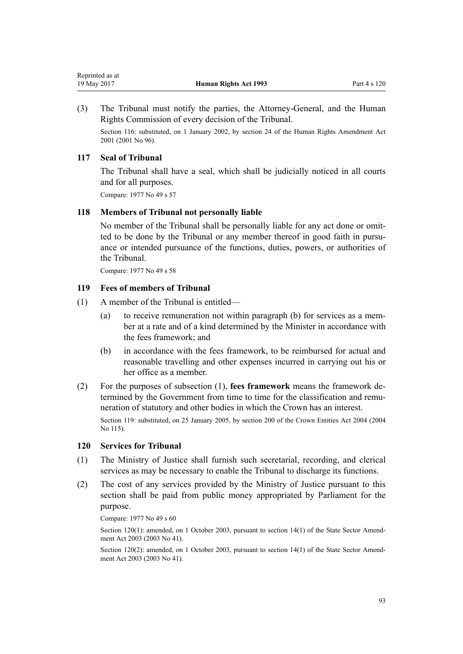(3) The Tribunal must notify the parties, the Attorney-General, and the Human Rights Commission of every decision of the Tribunal.

Section 116: substituted, on 1 January 2002, by [section 24](http://prd-lgnz-nlb.prd.pco.net.nz/pdflink.aspx?id=DLM122168) of the Human Rights Amendment Act 2001 (2001 No 96).

## **117 Seal of Tribunal**

The Tribunal shall have a seal, which shall be judicially noticed in all courts and for all purposes.

Compare: 1977 No 49 s 57

## **118 Members of Tribunal not personally liable**

No member of the Tribunal shall be personally liable for any act done or omitted to be done by the Tribunal or any member thereof in good faith in pursuance or intended pursuance of the functions, duties, powers, or authorities of the Tribunal.

Compare: 1977 No 49 s 58

## **119 Fees of members of Tribunal**

- (1) A member of the Tribunal is entitled—
	- (a) to receive remuneration not within paragraph (b) for services as a member at a rate and of a kind determined by the Minister in accordance with the fees framework; and
	- (b) in accordance with the fees framework, to be reimbursed for actual and reasonable travelling and other expenses incurred in carrying out his or her office as a member.
- (2) For the purposes of subsection (1), **fees framework** means the framework determined by the Government from time to time for the classification and remuneration of statutory and other bodies in which the Crown has an interest.

Section 119: substituted, on 25 January 2005, by [section 200](http://prd-lgnz-nlb.prd.pco.net.nz/pdflink.aspx?id=DLM331111) of the Crown Entities Act 2004 (2004 No 115).

## **120 Services for Tribunal**

- (1) The Ministry of Justice shall furnish such secretarial, recording, and clerical services as may be necessary to enable the Tribunal to discharge its functions.
- (2) The cost of any services provided by the Ministry of Justice pursuant to this section shall be paid from public money appropriated by Parliament for the purpose.

Compare: 1977 No 49 s 60

Section 120(1): amended, on 1 October 2003, pursuant to [section 14\(1\)](http://prd-lgnz-nlb.prd.pco.net.nz/pdflink.aspx?id=DLM201378) of the State Sector Amendment Act 2003 (2003 No 41).

Section 120(2): amended, on 1 October 2003, pursuant to [section 14\(1\)](http://prd-lgnz-nlb.prd.pco.net.nz/pdflink.aspx?id=DLM201378) of the State Sector Amendment Act 2003 (2003 No 41).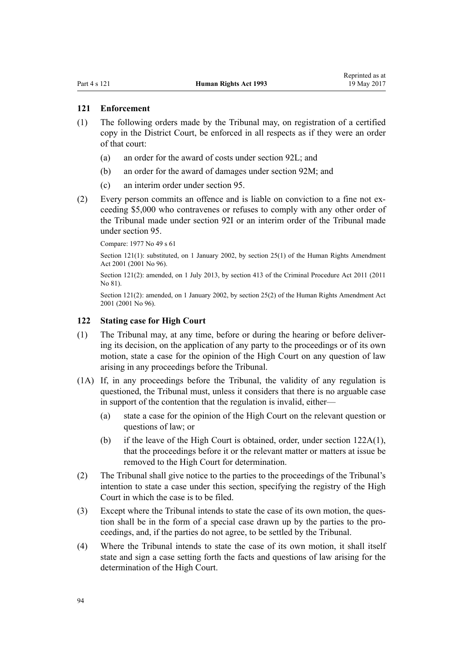## <span id="page-93-0"></span>**121 Enforcement**

- (1) The following orders made by the Tribunal may, on registration of a certified copy in the District Court, be enforced in all respects as if they were an order of that court:
	- (a) an order for the award of costs under [section 92L;](#page-75-0) and
	- (b) an order for the award of damages under [section 92M](#page-75-0); and
	- (c) an interim order under [section 95](#page-82-0).
- (2) Every person commits an offence and is liable on conviction to a fine not exceeding \$5,000 who contravenes or refuses to comply with any other order of the Tribunal made under [section 92I](#page-73-0) or an interim order of the Tribunal made under [section 95](#page-82-0).

Compare: 1977 No 49 s 61

Section 121(1): substituted, on 1 January 2002, by [section 25\(1\)](http://prd-lgnz-nlb.prd.pco.net.nz/pdflink.aspx?id=DLM122170) of the Human Rights Amendment Act 2001 (2001 No 96).

Section 121(2): amended, on 1 July 2013, by [section 413](http://prd-lgnz-nlb.prd.pco.net.nz/pdflink.aspx?id=DLM3360714) of the Criminal Procedure Act 2011 (2011 No 81).

Section 121(2): amended, on 1 January 2002, by [section 25\(2\)](http://prd-lgnz-nlb.prd.pco.net.nz/pdflink.aspx?id=DLM122170) of the Human Rights Amendment Act 2001 (2001 No 96).

## **122 Stating case for High Court**

- (1) The Tribunal may, at any time, before or during the hearing or before delivering its decision, on the application of any party to the proceedings or of its own motion, state a case for the opinion of the High Court on any question of law arising in any proceedings before the Tribunal.
- (1A) If, in any proceedings before the Tribunal, the validity of any regulation is questioned, the Tribunal must, unless it considers that there is no arguable case in support of the contention that the regulation is invalid, either—
	- (a) state a case for the opinion of the High Court on the relevant question or questions of law; or
	- (b) if the leave of the High Court is obtained, order, under [section 122A\(1\)](#page-94-0), that the proceedings before it or the relevant matter or matters at issue be removed to the High Court for determination.
- (2) The Tribunal shall give notice to the parties to the proceedings of the Tribunal's intention to state a case under this section, specifying the registry of the High Court in which the case is to be filed.
- (3) Except where the Tribunal intends to state the case of its own motion, the question shall be in the form of a special case drawn up by the parties to the proceedings, and, if the parties do not agree, to be settled by the Tribunal.
- (4) Where the Tribunal intends to state the case of its own motion, it shall itself state and sign a case setting forth the facts and questions of law arising for the determination of the High Court.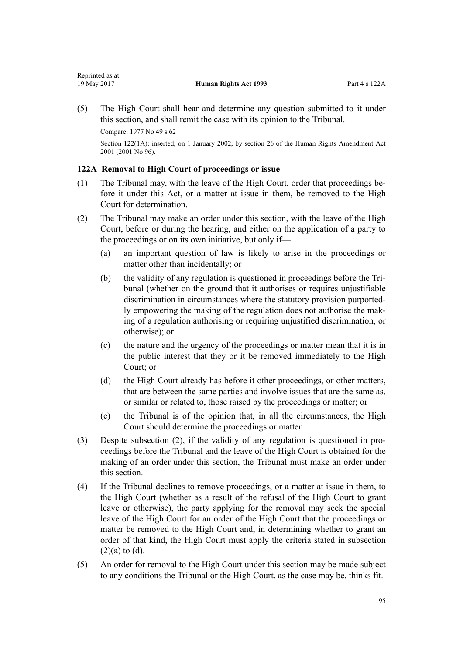<span id="page-94-0"></span>(5) The High Court shall hear and determine any question submitted to it under this section, and shall remit the case with its opinion to the Tribunal.

Compare: 1977 No 49 s 62

Section 122(1A): inserted, on 1 January 2002, by [section 26](http://prd-lgnz-nlb.prd.pco.net.nz/pdflink.aspx?id=DLM122171) of the Human Rights Amendment Act 2001 (2001 No 96).

## **122A Removal to High Court of proceedings or issue**

- (1) The Tribunal may, with the leave of the High Court, order that proceedings before it under this Act, or a matter at issue in them, be removed to the High Court for determination.
- (2) The Tribunal may make an order under this section, with the leave of the High Court, before or during the hearing, and either on the application of a party to the proceedings or on its own initiative, but only if—
	- (a) an important question of law is likely to arise in the proceedings or matter other than incidentally; or
	- (b) the validity of any regulation is questioned in proceedings before the Tribunal (whether on the ground that it authorises or requires unjustifiable discrimination in circumstances where the statutory provision purportedly empowering the making of the regulation does not authorise the making of a regulation authorising or requiring unjustified discrimination, or otherwise); or
	- (c) the nature and the urgency of the proceedings or matter mean that it is in the public interest that they or it be removed immediately to the High Court; or
	- (d) the High Court already has before it other proceedings, or other matters, that are between the same parties and involve issues that are the same as, or similar or related to, those raised by the proceedings or matter; or
	- (e) the Tribunal is of the opinion that, in all the circumstances, the High Court should determine the proceedings or matter.
- (3) Despite subsection (2), if the validity of any regulation is questioned in proceedings before the Tribunal and the leave of the High Court is obtained for the making of an order under this section, the Tribunal must make an order under this section.
- (4) If the Tribunal declines to remove proceedings, or a matter at issue in them, to the High Court (whether as a result of the refusal of the High Court to grant leave or otherwise), the party applying for the removal may seek the special leave of the High Court for an order of the High Court that the proceedings or matter be removed to the High Court and, in determining whether to grant an order of that kind, the High Court must apply the criteria stated in subsection  $(2)(a)$  to  $(d)$ .
- (5) An order for removal to the High Court under this section may be made subject to any conditions the Tribunal or the High Court, as the case may be, thinks fit.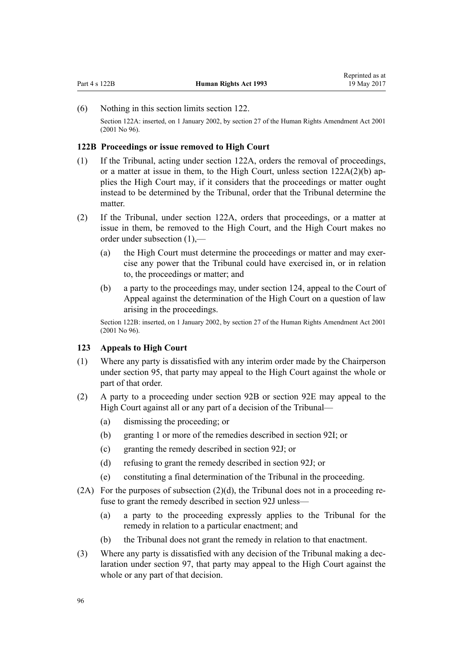<span id="page-95-0"></span>

| <b>Trophinton</b> as at<br>19 May 2017 |
|----------------------------------------|
|                                        |

(6) Nothing in this section limits [section 122](#page-93-0).

Section 122A: inserted, on 1 January 2002, by [section 27](http://prd-lgnz-nlb.prd.pco.net.nz/pdflink.aspx?id=DLM122172) of the Human Rights Amendment Act 2001 (2001 No 96).

Reprinted as at

## **122B Proceedings or issue removed to High Court**

- (1) If the Tribunal, acting under [section 122A,](#page-94-0) orders the removal of proceedings, or a matter at issue in them, to the High Court, unless [section 122A\(2\)\(b\)](#page-94-0) applies the High Court may, if it considers that the proceedings or matter ought instead to be determined by the Tribunal, order that the Tribunal determine the matter.
- (2) If the Tribunal, under [section 122A,](#page-94-0) orders that proceedings, or a matter at issue in them, be removed to the High Court, and the High Court makes no order under subsection (1),—
	- (a) the High Court must determine the proceedings or matter and may exercise any power that the Tribunal could have exercised in, or in relation to, the proceedings or matter; and
	- (b) a party to the proceedings may, under [section 124](#page-96-0), appeal to the Court of Appeal against the determination of the High Court on a question of law arising in the proceedings.

Section 122B: inserted, on 1 January 2002, by [section 27](http://prd-lgnz-nlb.prd.pco.net.nz/pdflink.aspx?id=DLM122172) of the Human Rights Amendment Act 2001 (2001 No 96).

## **123 Appeals to High Court**

- (1) Where any party is dissatisfied with any interim order made by the Chairperson under section [95](#page-82-0), that party may appeal to the High Court against the whole or part of that order.
- (2) A party to a proceeding under [section 92B](#page-68-0) or [section 92E](#page-71-0) may appeal to the High Court against all or any part of a decision of the Tribunal—
	- (a) dismissing the proceeding; or
	- (b) granting 1 or more of the remedies described in [section 92I](#page-73-0); or
	- (c) granting the remedy described in [section 92J;](#page-74-0) or
	- (d) refusing to grant the remedy described in [section 92J;](#page-74-0) or
	- (e) constituting a final determination of the Tribunal in the proceeding.
- (2A) For the purposes of subsection (2)(d), the Tribunal does not in a proceeding refuse to grant the remedy described in [section 92J](#page-74-0) unless—
	- (a) a party to the proceeding expressly applies to the Tribunal for the remedy in relation to a particular enactment; and
	- (b) the Tribunal does not grant the remedy in relation to that enactment.
- (3) Where any party is dissatisfied with any decision of the Tribunal making a declaration under [section 97,](#page-82-0) that party may appeal to the High Court against the whole or any part of that decision.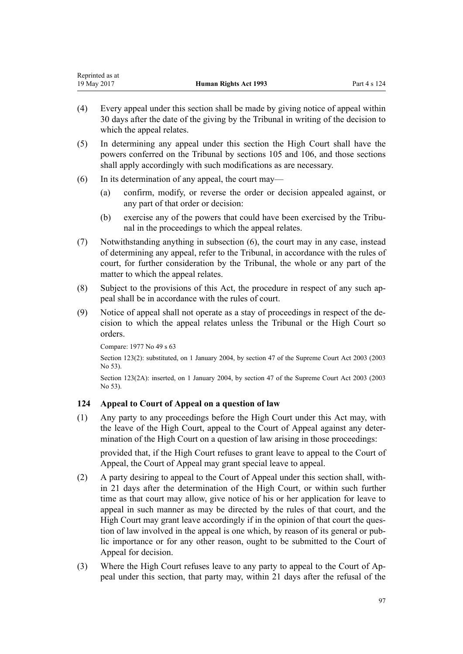<span id="page-96-0"></span>

| Reprinted as at |                              |              |
|-----------------|------------------------------|--------------|
| 19 May 2017     | <b>Human Rights Act 1993</b> | Part 4 s 124 |

- (4) Every appeal under this section shall be made by giving notice of appeal within 30 days after the date of the giving by the Tribunal in writing of the decision to which the appeal relates.
- (5) In determining any appeal under this section the High Court shall have the powers conferred on the Tribunal by [sections 105](#page-86-0) and [106](#page-87-0), and those sections shall apply accordingly with such modifications as are necessary.
- (6) In its determination of any appeal, the court may—
	- (a) confirm, modify, or reverse the order or decision appealed against, or any part of that order or decision:
	- (b) exercise any of the powers that could have been exercised by the Tribunal in the proceedings to which the appeal relates.
- (7) Notwithstanding anything in subsection (6), the court may in any case, instead of determining any appeal, refer to the Tribunal, in accordance with the rules of court, for further consideration by the Tribunal, the whole or any part of the matter to which the appeal relates.
- (8) Subject to the provisions of this Act, the procedure in respect of any such appeal shall be in accordance with the rules of court.
- (9) Notice of appeal shall not operate as a stay of proceedings in respect of the decision to which the appeal relates unless the Tribunal or the High Court so orders.

```
Compare: 1977 No 49 s 63
Section 123(2): substituted, on 1 January 2004, by section 47 of the Supreme Court Act 2003 (2003
No 53).
```
Section 123(2A): inserted, on 1 January 2004, by [section 47](http://prd-lgnz-nlb.prd.pco.net.nz/pdflink.aspx?id=DLM214520) of the Supreme Court Act 2003 (2003 No 53).

## **124 Appeal to Court of Appeal on a question of law**

- (1) Any party to any proceedings before the High Court under this Act may, with the leave of the High Court, appeal to the Court of Appeal against any determination of the High Court on a question of law arising in those proceedings: provided that, if the High Court refuses to grant leave to appeal to the Court of Appeal, the Court of Appeal may grant special leave to appeal.
- (2) A party desiring to appeal to the Court of Appeal under this section shall, within 21 days after the determination of the High Court, or within such further time as that court may allow, give notice of his or her application for leave to appeal in such manner as may be directed by the rules of that court, and the High Court may grant leave accordingly if in the opinion of that court the question of law involved in the appeal is one which, by reason of its general or public importance or for any other reason, ought to be submitted to the Court of Appeal for decision.
- (3) Where the High Court refuses leave to any party to appeal to the Court of Appeal under this section, that party may, within 21 days after the refusal of the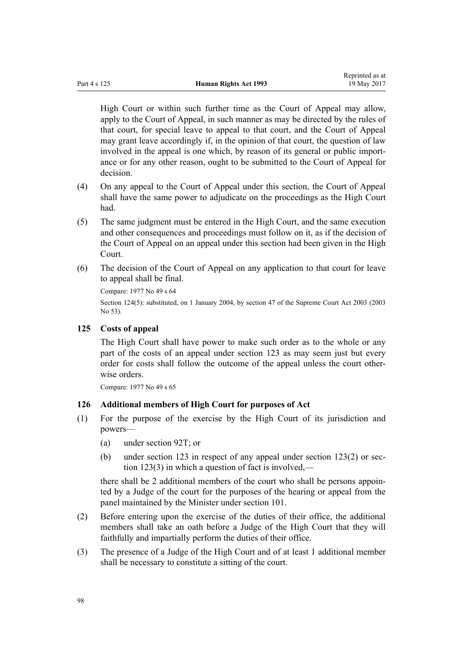High Court or within such further time as the Court of Appeal may allow, apply to the Court of Appeal, in such manner as may be directed by the rules of that court, for special leave to appeal to that court, and the Court of Appeal may grant leave accordingly if, in the opinion of that court, the question of law involved in the appeal is one which, by reason of its general or public importance or for any other reason, ought to be submitted to the Court of Appeal for decision.

- (4) On any appeal to the Court of Appeal under this section, the Court of Appeal shall have the same power to adjudicate on the proceedings as the High Court had.
- (5) The same judgment must be entered in the High Court, and the same execution and other consequences and proceedings must follow on it, as if the decision of the Court of Appeal on an appeal under this section had been given in the High Court.
- (6) The decision of the Court of Appeal on any application to that court for leave to appeal shall be final.

Compare: 1977 No 49 s 64

Section 124(5): substituted, on 1 January 2004, by [section 47](http://prd-lgnz-nlb.prd.pco.net.nz/pdflink.aspx?id=DLM214520) of the Supreme Court Act 2003 (2003 No 53).

## **125 Costs of appeal**

The High Court shall have power to make such order as to the whole or any part of the costs of an appeal under [section 123](#page-95-0) as may seem just but every order for costs shall follow the outcome of the appeal unless the court otherwise orders.

Compare: 1977 No 49 s 65

## **126 Additional members of High Court for purposes of Act**

- (1) For the purpose of the exercise by the High Court of its jurisdiction and powers—
	- (a) under [section 92T](#page-79-0); or
	- (b) under [section 123](#page-95-0) in respect of any appeal under section 123(2) or section 123(3) in which a question of fact is involved,—

there shall be 2 additional members of the court who shall be persons appointed by a Judge of the court for the purposes of the hearing or appeal from the panel maintained by the Minister under [section 101.](#page-84-0)

- (2) Before entering upon the exercise of the duties of their office, the additional members shall take an oath before a Judge of the High Court that they will faithfully and impartially perform the duties of their office.
- (3) The presence of a Judge of the High Court and of at least 1 additional member shall be necessary to constitute a sitting of the court.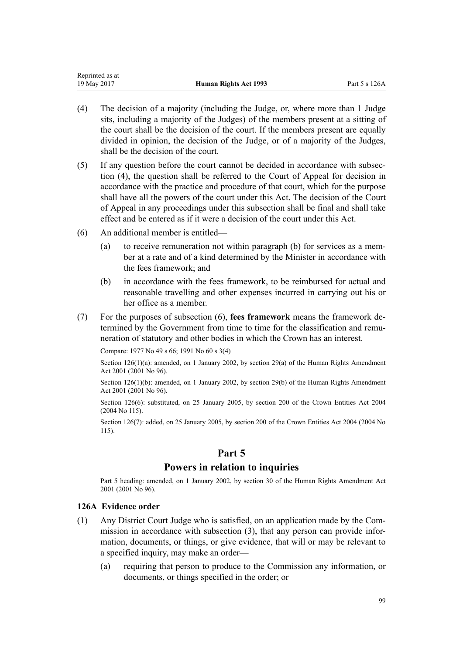<span id="page-98-0"></span>

| Reprinted as at |                              |               |
|-----------------|------------------------------|---------------|
| 19 May 2017     | <b>Human Rights Act 1993</b> | Part 5 s 126A |

- (4) The decision of a majority (including the Judge, or, where more than 1 Judge sits, including a majority of the Judges) of the members present at a sitting of the court shall be the decision of the court. If the members present are equally divided in opinion, the decision of the Judge, or of a majority of the Judges, shall be the decision of the court.
- (5) If any question before the court cannot be decided in accordance with subsection (4), the question shall be referred to the Court of Appeal for decision in accordance with the practice and procedure of that court, which for the purpose shall have all the powers of the court under this Act. The decision of the Court of Appeal in any proceedings under this subsection shall be final and shall take effect and be entered as if it were a decision of the court under this Act.
- (6) An additional member is entitled—
	- (a) to receive remuneration not within paragraph (b) for services as a member at a rate and of a kind determined by the Minister in accordance with the fees framework; and
	- (b) in accordance with the fees framework, to be reimbursed for actual and reasonable travelling and other expenses incurred in carrying out his or her office as a member.
- (7) For the purposes of subsection (6), **fees framework** means the framework determined by the Government from time to time for the classification and remuneration of statutory and other bodies in which the Crown has an interest.

Compare: 1977 No 49 s 66; 1991 No 60 [s 3\(4\)](http://prd-lgnz-nlb.prd.pco.net.nz/pdflink.aspx?id=DLM230219)

Section 126(1)(a): amended, on 1 January 2002, by [section 29\(a\)](http://prd-lgnz-nlb.prd.pco.net.nz/pdflink.aspx?id=DLM122176) of the Human Rights Amendment Act 2001 (2001 No 96).

Section 126(1)(b): amended, on 1 January 2002, by [section 29\(b\)](http://prd-lgnz-nlb.prd.pco.net.nz/pdflink.aspx?id=DLM122176) of the Human Rights Amendment Act 2001 (2001 No 96).

Section 126(6): substituted, on 25 January 2005, by [section 200](http://prd-lgnz-nlb.prd.pco.net.nz/pdflink.aspx?id=DLM331111) of the Crown Entities Act 2004 (2004 No 115).

Section 126(7): added, on 25 January 2005, by [section 200](http://prd-lgnz-nlb.prd.pco.net.nz/pdflink.aspx?id=DLM331111) of the Crown Entities Act 2004 (2004 No 115).

# **Part 5**

## **Powers in relation to inquiries**

Part 5 heading: amended, on 1 January 2002, by [section 30](http://prd-lgnz-nlb.prd.pco.net.nz/pdflink.aspx?id=DLM122178) of the Human Rights Amendment Act 2001 (2001 No 96).

## **126A Evidence order**

- (1) Any District Court Judge who is satisfied, on an application made by the Commission in accordance with subsection (3), that any person can provide information, documents, or things, or give evidence, that will or may be relevant to a specified inquiry, may make an order—
	- (a) requiring that person to produce to the Commission any information, or documents, or things specified in the order; or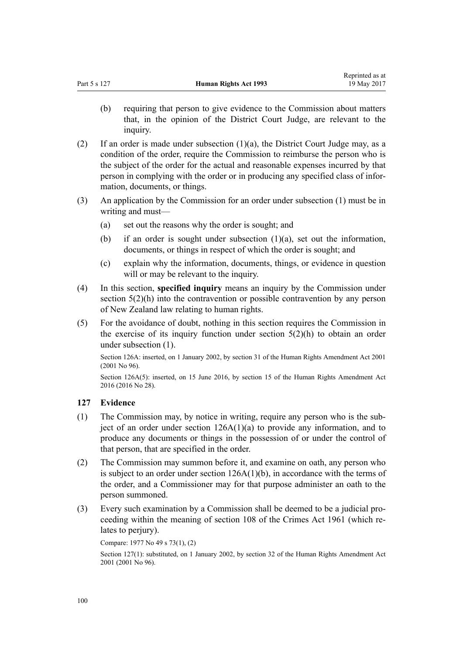<span id="page-99-0"></span>

|              |                              | Reprinted as at |
|--------------|------------------------------|-----------------|
| Part 5 s 127 | <b>Human Rights Act 1993</b> | 19 May 2017     |
|              |                              |                 |

- (b) requiring that person to give evidence to the Commission about matters that, in the opinion of the District Court Judge, are relevant to the inquiry.
- (2) If an order is made under subsection (1)(a), the District Court Judge may, as a condition of the order, require the Commission to reimburse the person who is the subject of the order for the actual and reasonable expenses incurred by that person in complying with the order or in producing any specified class of information, documents, or things.
- (3) An application by the Commission for an order under subsection (1) must be in writing and must—
	- (a) set out the reasons why the order is sought; and
	- (b) if an order is sought under subsection  $(1)(a)$ , set out the information, documents, or things in respect of which the order is sought; and
	- (c) explain why the information, documents, things, or evidence in question will or may be relevant to the inquiry.
- (4) In this section, **specified inquiry** means an inquiry by the Commission under [section 5\(2\)\(h\)](#page-11-0) into the contravention or possible contravention by any person of New Zealand law relating to human rights.
- (5) For the avoidance of doubt, nothing in this section requires the Commission in the exercise of its inquiry function under section  $5(2)(h)$  to obtain an order under subsection (1).

Section 126A: inserted, on 1 January 2002, by [section 31](http://prd-lgnz-nlb.prd.pco.net.nz/pdflink.aspx?id=DLM122179) of the Human Rights Amendment Act 2001 (2001 No 96).

Section 126A(5): inserted, on 15 June 2016, by [section 15](http://prd-lgnz-nlb.prd.pco.net.nz/pdflink.aspx?id=DLM4097529) of the Human Rights Amendment Act 2016 (2016 No 28).

## **127 Evidence**

- (1) The Commission may, by notice in writing, require any person who is the subject of an order under section  $126A(1)(a)$  to provide any information, and to produce any documents or things in the possession of or under the control of that person, that are specified in the order.
- (2) The Commission may summon before it, and examine on oath, any person who is subject to an order under [section 126A\(1\)\(b\)](#page-98-0), in accordance with the terms of the order, and a Commissioner may for that purpose administer an oath to the person summoned.
- (3) Every such examination by a Commission shall be deemed to be a judicial proceeding within the meaning of [section 108](http://prd-lgnz-nlb.prd.pco.net.nz/pdflink.aspx?id=DLM328793) of the Crimes Act 1961 (which relates to perjury).

Compare: 1977 No 49 s 73(1), (2)

Section 127(1): substituted, on 1 January 2002, by [section 32](http://prd-lgnz-nlb.prd.pco.net.nz/pdflink.aspx?id=DLM122182) of the Human Rights Amendment Act 2001 (2001 No 96).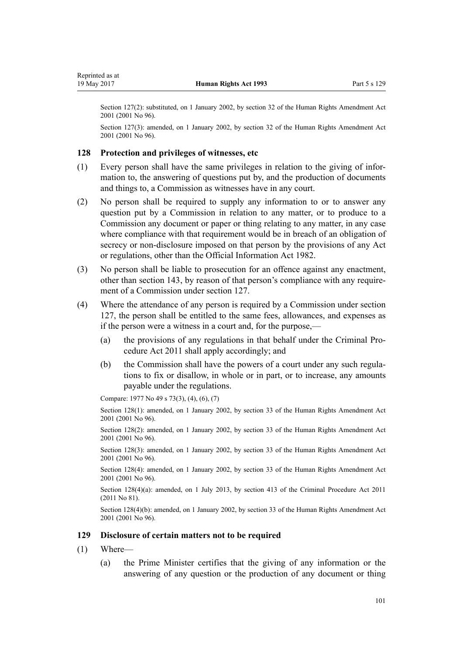Section 127(2): substituted, on 1 January 2002, by [section 32](http://prd-lgnz-nlb.prd.pco.net.nz/pdflink.aspx?id=DLM122182) of the Human Rights Amendment Act 2001 (2001 No 96).

Section 127(3): amended, on 1 January 2002, by [section 32](http://prd-lgnz-nlb.prd.pco.net.nz/pdflink.aspx?id=DLM122182) of the Human Rights Amendment Act 2001 (2001 No 96).

### **128 Protection and privileges of witnesses, etc**

- (1) Every person shall have the same privileges in relation to the giving of information to, the answering of questions put by, and the production of documents and things to, a Commission as witnesses have in any court.
- (2) No person shall be required to supply any information to or to answer any question put by a Commission in relation to any matter, or to produce to a Commission any document or paper or thing relating to any matter, in any case where compliance with that requirement would be in breach of an obligation of secrecy or non-disclosure imposed on that person by the provisions of any Act or regulations, other than the [Official Information Act 1982](http://prd-lgnz-nlb.prd.pco.net.nz/pdflink.aspx?id=DLM64784).
- (3) No person shall be liable to prosecution for an offence against any enactment, other than [section 143,](#page-107-0) by reason of that person's compliance with any requirement of a Commission under [section 127](#page-99-0).
- (4) Where the attendance of any person is required by a Commission under [section](#page-99-0) [127](#page-99-0), the person shall be entitled to the same fees, allowances, and expenses as if the person were a witness in a court and, for the purpose,—
	- (a) the provisions of any regulations in that behalf under the [Criminal Pro](http://prd-lgnz-nlb.prd.pco.net.nz/pdflink.aspx?id=DLM3359902)[cedure Act 2011](http://prd-lgnz-nlb.prd.pco.net.nz/pdflink.aspx?id=DLM3359902) shall apply accordingly; and
	- (b) the Commission shall have the powers of a court under any such regulations to fix or disallow, in whole or in part, or to increase, any amounts payable under the regulations.

Compare: 1977 No 49 s 73(3), (4), (6), (7)

Section 128(1): amended, on 1 January 2002, by [section 33](http://prd-lgnz-nlb.prd.pco.net.nz/pdflink.aspx?id=DLM122183) of the Human Rights Amendment Act 2001 (2001 No 96).

Section 128(2): amended, on 1 January 2002, by [section 33](http://prd-lgnz-nlb.prd.pco.net.nz/pdflink.aspx?id=DLM122183) of the Human Rights Amendment Act 2001 (2001 No 96).

Section 128(3): amended, on 1 January 2002, by [section 33](http://prd-lgnz-nlb.prd.pco.net.nz/pdflink.aspx?id=DLM122183) of the Human Rights Amendment Act 2001 (2001 No 96).

Section 128(4): amended, on 1 January 2002, by [section 33](http://prd-lgnz-nlb.prd.pco.net.nz/pdflink.aspx?id=DLM122183) of the Human Rights Amendment Act 2001 (2001 No 96).

Section  $128(4)(a)$ : amended, on 1 July 2013, by [section 413](http://prd-lgnz-nlb.prd.pco.net.nz/pdflink.aspx?id=DLM3360714) of the Criminal Procedure Act 2011 (2011 No 81).

Section 128(4)(b): amended, on 1 January 2002, by [section 33](http://prd-lgnz-nlb.prd.pco.net.nz/pdflink.aspx?id=DLM122183) of the Human Rights Amendment Act 2001 (2001 No 96).

#### **129 Disclosure of certain matters not to be required**

- (1) Where—
	- (a) the Prime Minister certifies that the giving of any information or the answering of any question or the production of any document or thing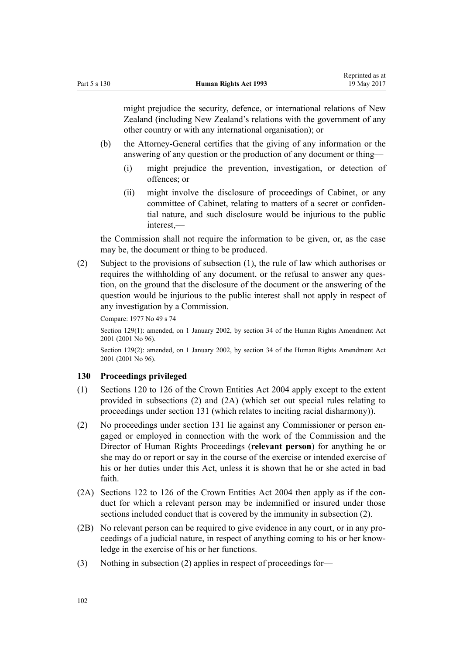might prejudice the security, defence, or international relations of New Zealand (including New Zealand's relations with the government of any other country or with any international organisation); or

- (b) the Attorney-General certifies that the giving of any information or the answering of any question or the production of any document or thing—
	- (i) might prejudice the prevention, investigation, or detection of offences; or
	- (ii) might involve the disclosure of proceedings of Cabinet, or any committee of Cabinet, relating to matters of a secret or confidential nature, and such disclosure would be injurious to the public interest,—

the Commission shall not require the information to be given, or, as the case may be, the document or thing to be produced.

(2) Subject to the provisions of subsection (1), the rule of law which authorises or requires the withholding of any document, or the refusal to answer any question, on the ground that the disclosure of the document or the answering of the question would be injurious to the public interest shall not apply in respect of any investigation by a Commission.

```
Compare: 1977 No 49 s 74
```
Section 129(1): amended, on 1 January 2002, by [section 34](http://prd-lgnz-nlb.prd.pco.net.nz/pdflink.aspx?id=DLM122184) of the Human Rights Amendment Act 2001 (2001 No 96).

Section 129(2): amended, on 1 January 2002, by [section 34](http://prd-lgnz-nlb.prd.pco.net.nz/pdflink.aspx?id=DLM122184) of the Human Rights Amendment Act 2001 (2001 No 96).

#### **130 Proceedings privileged**

- (1) [Sections 120 to 126](http://prd-lgnz-nlb.prd.pco.net.nz/pdflink.aspx?id=DLM330372) of the Crown Entities Act 2004 apply except to the extent provided in subsections (2) and (2A) (which set out special rules relating to proceedings under [section 131](#page-102-0) (which relates to inciting racial disharmony)).
- (2) No proceedings under [section 131](#page-102-0) lie against any Commissioner or person engaged or employed in connection with the work of the Commission and the Director of Human Rights Proceedings (**relevant person**) for anything he or she may do or report or say in the course of the exercise or intended exercise of his or her duties under this Act, unless it is shown that he or she acted in bad faith.
- (2A) [Sections 122 to 126](http://prd-lgnz-nlb.prd.pco.net.nz/pdflink.aspx?id=DLM330374) of the Crown Entities Act 2004 then apply as if the conduct for which a relevant person may be indemnified or insured under those sections included conduct that is covered by the immunity in subsection (2).
- (2B) No relevant person can be required to give evidence in any court, or in any proceedings of a judicial nature, in respect of anything coming to his or her knowledge in the exercise of his or her functions.
- (3) Nothing in subsection (2) applies in respect of proceedings for—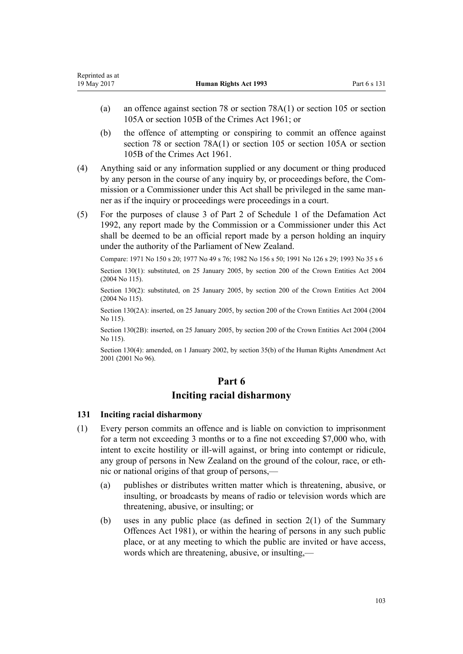- <span id="page-102-0"></span>(a) an offence against [section 78](http://prd-lgnz-nlb.prd.pco.net.nz/pdflink.aspx?id=DLM328526) or [section 78A\(1\)](http://prd-lgnz-nlb.prd.pco.net.nz/pdflink.aspx?id=DLM328528) or [section 105](http://prd-lgnz-nlb.prd.pco.net.nz/pdflink.aspx?id=DLM328753) or [section](http://prd-lgnz-nlb.prd.pco.net.nz/pdflink.aspx?id=DLM328755) [105A](http://prd-lgnz-nlb.prd.pco.net.nz/pdflink.aspx?id=DLM328755) or [section 105B](http://prd-lgnz-nlb.prd.pco.net.nz/pdflink.aspx?id=DLM328758) of the Crimes Act 1961; or
- (b) the offence of attempting or conspiring to commit an offence against [section 78](http://prd-lgnz-nlb.prd.pco.net.nz/pdflink.aspx?id=DLM328526) or [section 78A\(1\)](http://prd-lgnz-nlb.prd.pco.net.nz/pdflink.aspx?id=DLM328528) or [section 105](http://prd-lgnz-nlb.prd.pco.net.nz/pdflink.aspx?id=DLM328753) or [section 105A](http://prd-lgnz-nlb.prd.pco.net.nz/pdflink.aspx?id=DLM328755) or [section](http://prd-lgnz-nlb.prd.pco.net.nz/pdflink.aspx?id=DLM328758) [105B](http://prd-lgnz-nlb.prd.pco.net.nz/pdflink.aspx?id=DLM328758) of the Crimes Act 1961.
- (4) Anything said or any information supplied or any document or thing produced by any person in the course of any inquiry by, or proceedings before, the Commission or a Commissioner under this Act shall be privileged in the same manner as if the inquiry or proceedings were proceedings in a court.
- (5) For the purposes of [clause 3](http://prd-lgnz-nlb.prd.pco.net.nz/pdflink.aspx?id=DLM281290) of Part 2 of Schedule 1 of the Defamation Act 1992, any report made by the Commission or a Commissioner under this Act shall be deemed to be an official report made by a person holding an inquiry under the authority of the Parliament of New Zealand.

Compare: 1971 No 150 s 20; 1977 No 49 s 76; 1982 No 156 [s 50;](http://prd-lgnz-nlb.prd.pco.net.nz/pdflink.aspx?id=DLM65915) 1991 No 126 s 29; 1993 No 35 s 6

Section 130(1): substituted, on 25 January 2005, by [section 200](http://prd-lgnz-nlb.prd.pco.net.nz/pdflink.aspx?id=DLM331111) of the Crown Entities Act 2004 (2004 No 115).

Section 130(2): substituted, on 25 January 2005, by [section 200](http://prd-lgnz-nlb.prd.pco.net.nz/pdflink.aspx?id=DLM331111) of the Crown Entities Act 2004 (2004 No 115).

Section 130(2A): inserted, on 25 January 2005, by [section 200](http://prd-lgnz-nlb.prd.pco.net.nz/pdflink.aspx?id=DLM331111) of the Crown Entities Act 2004 (2004 No 115).

Section 130(2B): inserted, on 25 January 2005, by [section 200](http://prd-lgnz-nlb.prd.pco.net.nz/pdflink.aspx?id=DLM331111) of the Crown Entities Act 2004 (2004 No 115).

Section 130(4): amended, on 1 January 2002, by [section 35\(b\)](http://prd-lgnz-nlb.prd.pco.net.nz/pdflink.aspx?id=DLM122185) of the Human Rights Amendment Act 2001 (2001 No 96).

# **Part 6 Inciting racial disharmony**

## **131 Inciting racial disharmony**

- (1) Every person commits an offence and is liable on conviction to imprisonment for a term not exceeding 3 months or to a fine not exceeding \$7,000 who, with intent to excite hostility or ill-will against, or bring into contempt or ridicule, any group of persons in New Zealand on the ground of the colour, race, or ethnic or national origins of that group of persons,—
	- (a) publishes or distributes written matter which is threatening, abusive, or insulting, or broadcasts by means of radio or television words which are threatening, abusive, or insulting; or
	- (b) uses in any public place (as defined in [section 2\(1\)](http://prd-lgnz-nlb.prd.pco.net.nz/pdflink.aspx?id=DLM53387) of the Summary Offences Act 1981), or within the hearing of persons in any such public place, or at any meeting to which the public are invited or have access, words which are threatening, abusive, or insulting,—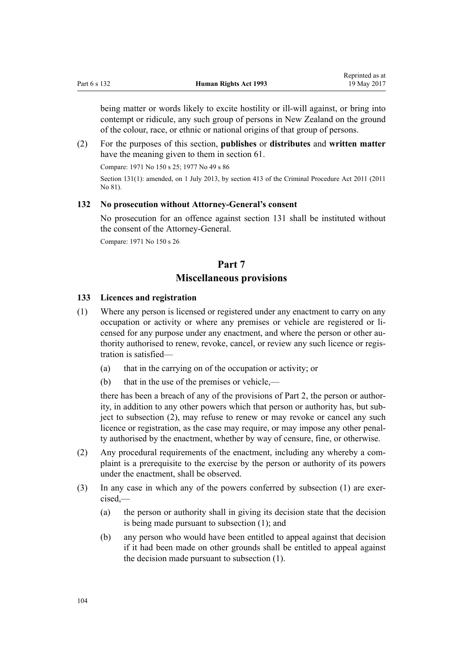being matter or words likely to excite hostility or ill-will against, or bring into contempt or ridicule, any such group of persons in New Zealand on the ground of the colour, race, or ethnic or national origins of that group of persons.

(2) For the purposes of this section, **publishes** or **distributes** and **written matter** have the meaning given to them in [section 61](#page-49-0).

Compare: 1971 No 150 s 25; 1977 No 49 s 86

Section 131(1): amended, on 1 July 2013, by [section 413](http://prd-lgnz-nlb.prd.pco.net.nz/pdflink.aspx?id=DLM3360714) of the Criminal Procedure Act 2011 (2011 No 81).

#### **132 No prosecution without Attorney-General's consent**

No prosecution for an offence against [section 131](#page-102-0) shall be instituted without the consent of the Attorney-General.

Compare: 1971 No 150 s 26

# **Part 7 Miscellaneous provisions**

### **133 Licences and registration**

- (1) Where any person is licensed or registered under any enactment to carry on any occupation or activity or where any premises or vehicle are registered or licensed for any purpose under any enactment, and where the person or other authority authorised to renew, revoke, cancel, or review any such licence or registration is satisfied—
	- (a) that in the carrying on of the occupation or activity; or
	- (b) that in the use of the premises or vehicle,—

there has been a breach of any of the provisions of [Part 2,](#page-28-0) the person or authority, in addition to any other powers which that person or authority has, but subject to subsection (2), may refuse to renew or may revoke or cancel any such licence or registration, as the case may require, or may impose any other penalty authorised by the enactment, whether by way of censure, fine, or otherwise.

- (2) Any procedural requirements of the enactment, including any whereby a complaint is a prerequisite to the exercise by the person or authority of its powers under the enactment, shall be observed.
- (3) In any case in which any of the powers conferred by subsection (1) are exercised,—
	- (a) the person or authority shall in giving its decision state that the decision is being made pursuant to subsection (1); and
	- (b) any person who would have been entitled to appeal against that decision if it had been made on other grounds shall be entitled to appeal against the decision made pursuant to subsection (1).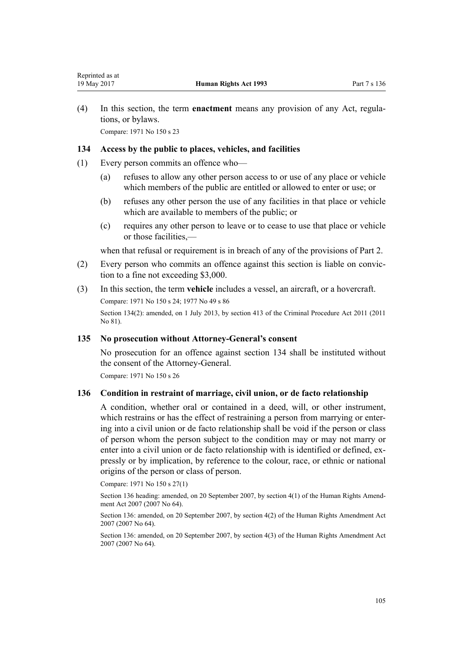(4) In this section, the term **enactment** means any provision of any Act, regulations, or bylaws. Compare: 1971 No 150 s 23

### **134 Access by the public to places, vehicles, and facilities**

- (1) Every person commits an offence who—
	- (a) refuses to allow any other person access to or use of any place or vehicle which members of the public are entitled or allowed to enter or use; or
	- (b) refuses any other person the use of any facilities in that place or vehicle which are available to members of the public; or
	- (c) requires any other person to leave or to cease to use that place or vehicle or those facilities,—

when that refusal or requirement is in breach of any of the provisions of [Part 2.](#page-28-0)

- (2) Every person who commits an offence against this section is liable on conviction to a fine not exceeding \$3,000.
- (3) In this section, the term **vehicle** includes a vessel, an aircraft, or a hovercraft.

Compare: 1971 No 150 s 24; 1977 No 49 s 86

Section 134(2): amended, on 1 July 2013, by [section 413](http://prd-lgnz-nlb.prd.pco.net.nz/pdflink.aspx?id=DLM3360714) of the Criminal Procedure Act 2011 (2011 No 81).

## **135 No prosecution without Attorney-General's consent**

No prosecution for an offence against section 134 shall be instituted without the consent of the Attorney-General.

Compare: 1971 No 150 s 26

## **136 Condition in restraint of marriage, civil union, or de facto relationship**

A condition, whether oral or contained in a deed, will, or other instrument, which restrains or has the effect of restraining a person from marrying or entering into a civil union or de facto relationship shall be void if the person or class of person whom the person subject to the condition may or may not marry or enter into a civil union or de facto relationship with is identified or defined, expressly or by implication, by reference to the colour, race, or ethnic or national origins of the person or class of person.

Compare: 1971 No 150 s 27(1)

Section 136 heading: amended, on 20 September 2007, by [section 4\(1\)](http://prd-lgnz-nlb.prd.pco.net.nz/pdflink.aspx?id=DLM968354) of the Human Rights Amendment Act 2007 (2007 No 64).

Section 136: amended, on 20 September 2007, by [section 4\(2\)](http://prd-lgnz-nlb.prd.pco.net.nz/pdflink.aspx?id=DLM968354) of the Human Rights Amendment Act 2007 (2007 No 64).

Section 136: amended, on 20 September 2007, by [section 4\(3\)](http://prd-lgnz-nlb.prd.pco.net.nz/pdflink.aspx?id=DLM968354) of the Human Rights Amendment Act 2007 (2007 No 64).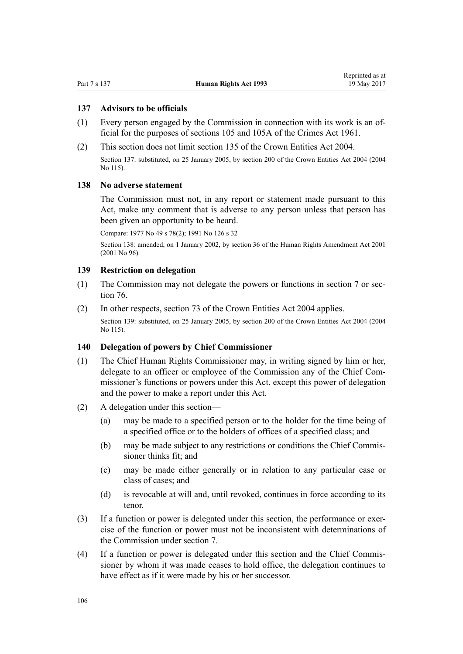#### **137 Advisors to be officials**

- (1) Every person engaged by the Commission in connection with its work is an official for the purposes of [sections 105](http://prd-lgnz-nlb.prd.pco.net.nz/pdflink.aspx?id=DLM328753) and [105A](http://prd-lgnz-nlb.prd.pco.net.nz/pdflink.aspx?id=DLM328755) of the Crimes Act 1961.
- (2) This section does not limit [section 135](http://prd-lgnz-nlb.prd.pco.net.nz/pdflink.aspx?id=DLM330503) of the Crown Entities Act 2004.

Section 137: substituted, on 25 January 2005, by [section 200](http://prd-lgnz-nlb.prd.pco.net.nz/pdflink.aspx?id=DLM331111) of the Crown Entities Act 2004 (2004 No 115).

## **138 No adverse statement**

The Commission must not, in any report or statement made pursuant to this Act, make any comment that is adverse to any person unless that person has been given an opportunity to be heard.

Compare: 1977 No 49 s 78(2); 1991 No 126 s 32

Section 138: amended, on 1 January 2002, by [section 36](http://prd-lgnz-nlb.prd.pco.net.nz/pdflink.aspx?id=DLM122187) of the Human Rights Amendment Act 2001 (2001 No 96).

#### **139 Restriction on delegation**

- (1) The Commission may not delegate the powers or functions in [section 7](#page-15-0) or [sec](#page-58-0)[tion 76](#page-58-0).
- (2) In other respects, [section 73](http://prd-lgnz-nlb.prd.pco.net.nz/pdflink.aspx?id=DLM330308) of the Crown Entities Act 2004 applies.

Section 139: substituted, on 25 January 2005, by [section 200](http://prd-lgnz-nlb.prd.pco.net.nz/pdflink.aspx?id=DLM331111) of the Crown Entities Act 2004 (2004 No 115).

### **140 Delegation of powers by Chief Commissioner**

- (1) The Chief Human Rights Commissioner may, in writing signed by him or her, delegate to an officer or employee of the Commission any of the Chief Commissioner's functions or powers under this Act, except this power of delegation and the power to make a report under this Act.
- (2) A delegation under this section—
	- (a) may be made to a specified person or to the holder for the time being of a specified office or to the holders of offices of a specified class; and
	- (b) may be made subject to any restrictions or conditions the Chief Commissioner thinks fit; and
	- (c) may be made either generally or in relation to any particular case or class of cases; and
	- (d) is revocable at will and, until revoked, continues in force according to its tenor.
- (3) If a function or power is delegated under this section, the performance or exercise of the function or power must not be inconsistent with determinations of the Commission under [section 7](#page-15-0).
- (4) If a function or power is delegated under this section and the Chief Commissioner by whom it was made ceases to hold office, the delegation continues to have effect as if it were made by his or her successor.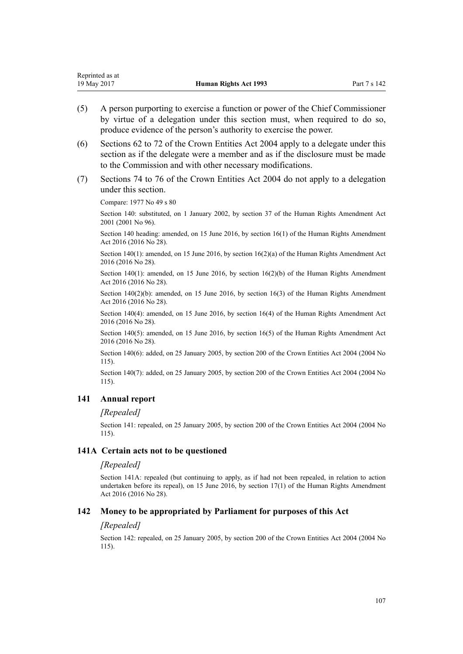| Reprinted as at |                              |              |
|-----------------|------------------------------|--------------|
| 19 May 2017     | <b>Human Rights Act 1993</b> | Part 7 s 142 |

- (5) A person purporting to exercise a function or power of the Chief Commissioner by virtue of a delegation under this section must, when required to do so, produce evidence of the person's authority to exercise the power.
- (6) [Sections 62 to 72](http://prd-lgnz-nlb.prd.pco.net.nz/pdflink.aspx?id=DLM329995) of the Crown Entities Act 2004 apply to a delegate under this section as if the delegate were a member and as if the disclosure must be made to the Commission and with other necessary modifications.
- (7) [Sections 74 to 76](http://prd-lgnz-nlb.prd.pco.net.nz/pdflink.aspx?id=DLM330309) of the Crown Entities Act 2004 do not apply to a delegation under this section.

Compare: 1977 No 49 s 80

Section 140: substituted, on 1 January 2002, by [section 37](http://prd-lgnz-nlb.prd.pco.net.nz/pdflink.aspx?id=DLM122188) of the Human Rights Amendment Act 2001 (2001 No 96).

Section 140 heading: amended, on 15 June 2016, by [section 16\(1\)](http://prd-lgnz-nlb.prd.pco.net.nz/pdflink.aspx?id=DLM4097530) of the Human Rights Amendment Act 2016 (2016 No 28).

Section 140(1): amended, on 15 June 2016, by [section 16\(2\)\(a\)](http://prd-lgnz-nlb.prd.pco.net.nz/pdflink.aspx?id=DLM4097530) of the Human Rights Amendment Act 2016 (2016 No 28).

Section 140(1): amended, on 15 June 2016, by [section 16\(2\)\(b\)](http://prd-lgnz-nlb.prd.pco.net.nz/pdflink.aspx?id=DLM4097530) of the Human Rights Amendment Act 2016 (2016 No 28).

Section 140(2)(b): amended, on 15 June 2016, by [section 16\(3\)](http://prd-lgnz-nlb.prd.pco.net.nz/pdflink.aspx?id=DLM4097530) of the Human Rights Amendment Act 2016 (2016 No 28).

Section 140(4): amended, on 15 June 2016, by [section 16\(4\)](http://prd-lgnz-nlb.prd.pco.net.nz/pdflink.aspx?id=DLM4097530) of the Human Rights Amendment Act 2016 (2016 No 28).

Section 140(5): amended, on 15 June 2016, by [section 16\(5\)](http://prd-lgnz-nlb.prd.pco.net.nz/pdflink.aspx?id=DLM4097530) of the Human Rights Amendment Act 2016 (2016 No 28).

Section 140(6): added, on 25 January 2005, by [section 200](http://prd-lgnz-nlb.prd.pco.net.nz/pdflink.aspx?id=DLM331111) of the Crown Entities Act 2004 (2004 No 115).

Section 140(7): added, on 25 January 2005, by [section 200](http://prd-lgnz-nlb.prd.pco.net.nz/pdflink.aspx?id=DLM331111) of the Crown Entities Act 2004 (2004 No 115).

#### **141 Annual report**

#### *[Repealed]*

Section 141: repealed, on 25 January 2005, by [section 200](http://prd-lgnz-nlb.prd.pco.net.nz/pdflink.aspx?id=DLM331111) of the Crown Entities Act 2004 (2004 No 115).

#### **141A Certain acts not to be questioned**

### *[Repealed]*

Section 141A: repealed (but continuing to apply, as if had not been repealed, in relation to action undertaken before its repeal), on 15 June 2016, by [section 17\(1\)](http://prd-lgnz-nlb.prd.pco.net.nz/pdflink.aspx?id=DLM4097531) of the Human Rights Amendment Act 2016 (2016 No 28).

#### **142 Money to be appropriated by Parliament for purposes of this Act**

#### *[Repealed]*

Section 142: repealed, on 25 January 2005, by [section 200](http://prd-lgnz-nlb.prd.pco.net.nz/pdflink.aspx?id=DLM331111) of the Crown Entities Act 2004 (2004 No 115).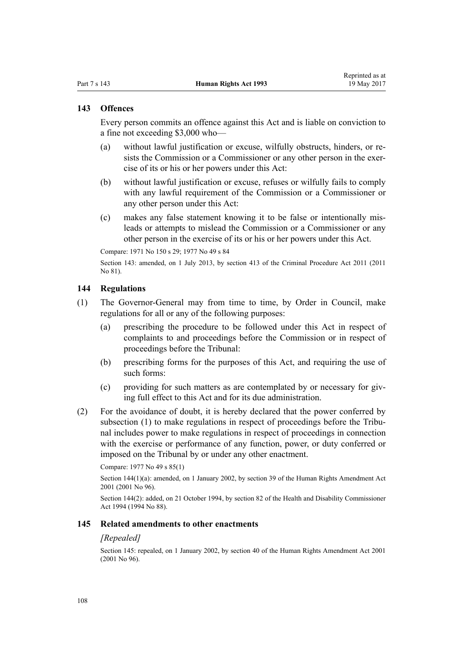### <span id="page-107-0"></span>**143 Offences**

Every person commits an offence against this Act and is liable on conviction to a fine not exceeding \$3,000 who—

- (a) without lawful justification or excuse, wilfully obstructs, hinders, or resists the Commission or a Commissioner or any other person in the exercise of its or his or her powers under this Act:
- (b) without lawful justification or excuse, refuses or wilfully fails to comply with any lawful requirement of the Commission or a Commissioner or any other person under this Act:
- (c) makes any false statement knowing it to be false or intentionally misleads or attempts to mislead the Commission or a Commissioner or any other person in the exercise of its or his or her powers under this Act.

Compare: 1971 No 150 s 29; 1977 No 49 s 84

Section 143: amended, on 1 July 2013, by [section 413](http://prd-lgnz-nlb.prd.pco.net.nz/pdflink.aspx?id=DLM3360714) of the Criminal Procedure Act 2011 (2011 No 81).

## **144 Regulations**

- (1) The Governor-General may from time to time, by Order in Council, make regulations for all or any of the following purposes:
	- (a) prescribing the procedure to be followed under this Act in respect of complaints to and proceedings before the Commission or in respect of proceedings before the Tribunal:
	- (b) prescribing forms for the purposes of this Act, and requiring the use of such forms:
	- (c) providing for such matters as are contemplated by or necessary for giving full effect to this Act and for its due administration.
- (2) For the avoidance of doubt, it is hereby declared that the power conferred by subsection (1) to make regulations in respect of proceedings before the Tribunal includes power to make regulations in respect of proceedings in connection with the exercise or performance of any function, power, or duty conferred or imposed on the Tribunal by or under any other enactment.

Compare: 1977 No 49 s 85(1)

Section 144(1)(a): amended, on 1 January 2002, by [section 39](http://prd-lgnz-nlb.prd.pco.net.nz/pdflink.aspx?id=DLM122193) of the Human Rights Amendment Act 2001 (2001 No 96).

Section 144(2): added, on 21 October 1994, by [section 82](http://prd-lgnz-nlb.prd.pco.net.nz/pdflink.aspx?id=DLM334188) of the Health and Disability Commissioner Act 1994 (1994 No 88).

## **145 Related amendments to other enactments**

#### *[Repealed]*

Section 145: repealed, on 1 January 2002, by [section 40](http://prd-lgnz-nlb.prd.pco.net.nz/pdflink.aspx?id=DLM122194) of the Human Rights Amendment Act 2001 (2001 No 96).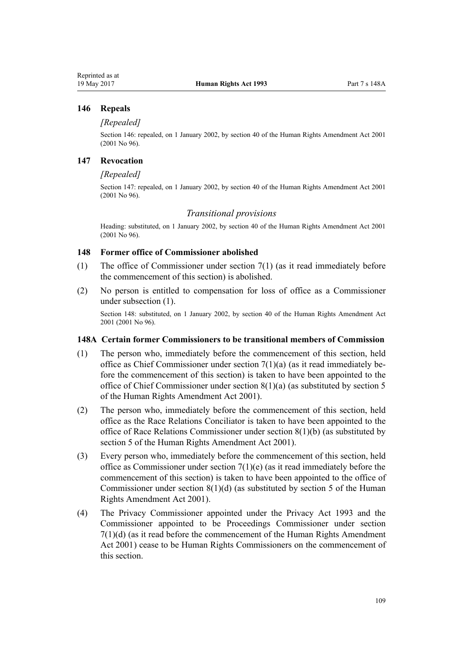#### <span id="page-108-0"></span>**146 Repeals**

#### *[Repealed]*

Section 146: repealed, on 1 January 2002, by [section 40](http://prd-lgnz-nlb.prd.pco.net.nz/pdflink.aspx?id=DLM122194) of the Human Rights Amendment Act 2001 (2001 No 96).

#### **147 Revocation**

#### *[Repealed]*

Section 147: repealed, on 1 January 2002, by [section 40](http://prd-lgnz-nlb.prd.pco.net.nz/pdflink.aspx?id=DLM122194) of the Human Rights Amendment Act 2001 (2001 No 96).

### *Transitional provisions*

Heading: substituted, on 1 January 2002, by [section 40](http://prd-lgnz-nlb.prd.pco.net.nz/pdflink.aspx?id=DLM122194) of the Human Rights Amendment Act 2001 (2001 No 96).

# **148 Former office of Commissioner abolished**

- (1) The office of Commissioner under [section 7\(1\)](#page-15-0) (as it read immediately before the commencement of this section) is abolished.
- (2) No person is entitled to compensation for loss of office as a Commissioner under subsection (1).

Section 148: substituted, on 1 January 2002, by [section 40](http://prd-lgnz-nlb.prd.pco.net.nz/pdflink.aspx?id=DLM122194) of the Human Rights Amendment Act 2001 (2001 No 96).

### **148A Certain former Commissioners to be transitional members of Commission**

- (1) The person who, immediately before the commencement of this section, held office as Chief Commissioner under section  $7(1)(a)$  (as it read immediately before the commencement of this section) is taken to have been appointed to the office of Chief Commissioner under [section 8\(1\)\(a\)](#page-15-0) (as substituted by [section 5](http://prd-lgnz-nlb.prd.pco.net.nz/pdflink.aspx?id=DLM121843) of the Human Rights Amendment Act 2001).
- (2) The person who, immediately before the commencement of this section, held office as the Race Relations Conciliator is taken to have been appointed to the office of Race Relations Commissioner under [section 8\(1\)\(b\)](#page-15-0) (as substituted by [section 5](http://prd-lgnz-nlb.prd.pco.net.nz/pdflink.aspx?id=DLM121843) of the Human Rights Amendment Act 2001).
- (3) Every person who, immediately before the commencement of this section, held office as Commissioner under [section 7\(1\)\(e\)](#page-15-0) (as it read immediately before the commencement of this section) is taken to have been appointed to the office of Commissioner under section  $8(1)(d)$  (as substituted by [section 5](http://prd-lgnz-nlb.prd.pco.net.nz/pdflink.aspx?id=DLM121843) of the Human Rights Amendment Act 2001).
- (4) The Privacy Commissioner appointed under the [Privacy Act 1993](http://prd-lgnz-nlb.prd.pco.net.nz/pdflink.aspx?id=DLM296638) and the Commissioner appointed to be Proceedings Commissioner under [section](#page-15-0) [7\(1\)\(d\)](#page-15-0) (as it read before the commencement of the [Human Rights Amendment](http://prd-lgnz-nlb.prd.pco.net.nz/pdflink.aspx?id=DLM121284) [Act 2001](http://prd-lgnz-nlb.prd.pco.net.nz/pdflink.aspx?id=DLM121284)) cease to be Human Rights Commissioners on the commencement of this section.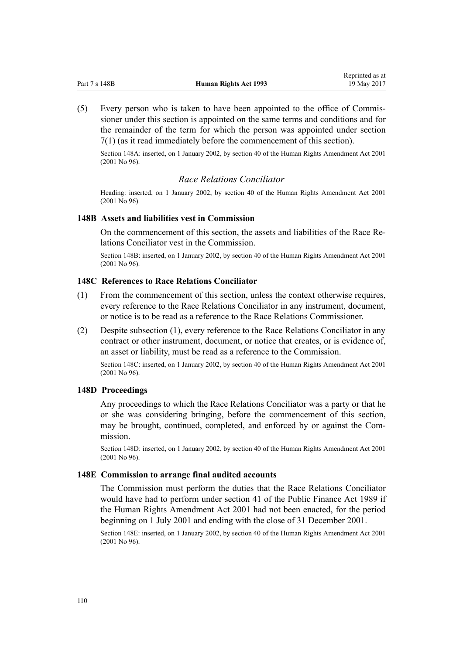(5) Every person who is taken to have been appointed to the office of Commissioner under this section is appointed on the same terms and conditions and for the remainder of the term for which the person was appointed under [section](#page-15-0) [7\(1\)](#page-15-0) (as it read immediately before the commencement of this section).

Section 148A: inserted, on 1 January 2002, by [section 40](http://prd-lgnz-nlb.prd.pco.net.nz/pdflink.aspx?id=DLM122194) of the Human Rights Amendment Act 2001 (2001 No 96).

# *Race Relations Conciliator*

Heading: inserted, on 1 January 2002, by [section 40](http://prd-lgnz-nlb.prd.pco.net.nz/pdflink.aspx?id=DLM122194) of the Human Rights Amendment Act 2001 (2001 No 96).

### **148B Assets and liabilities vest in Commission**

On the commencement of this section, the assets and liabilities of the Race Relations Conciliator vest in the Commission.

Section 148B: inserted, on 1 January 2002, by [section 40](http://prd-lgnz-nlb.prd.pco.net.nz/pdflink.aspx?id=DLM122194) of the Human Rights Amendment Act 2001 (2001 No 96).

#### **148C References to Race Relations Conciliator**

- (1) From the commencement of this section, unless the context otherwise requires, every reference to the Race Relations Conciliator in any instrument, document, or notice is to be read as a reference to the Race Relations Commissioner.
- (2) Despite subsection (1), every reference to the Race Relations Conciliator in any contract or other instrument, document, or notice that creates, or is evidence of, an asset or liability, must be read as a reference to the Commission.

Section 148C: inserted, on 1 January 2002, by [section 40](http://prd-lgnz-nlb.prd.pco.net.nz/pdflink.aspx?id=DLM122194) of the Human Rights Amendment Act 2001 (2001 No 96).

#### **148D Proceedings**

Any proceedings to which the Race Relations Conciliator was a party or that he or she was considering bringing, before the commencement of this section, may be brought, continued, completed, and enforced by or against the Commission.

Section 148D: inserted, on 1 January 2002, by [section 40](http://prd-lgnz-nlb.prd.pco.net.nz/pdflink.aspx?id=DLM122194) of the Human Rights Amendment Act 2001 (2001 No 96).

#### **148E Commission to arrange final audited accounts**

The Commission must perform the duties that the Race Relations Conciliator would have had to perform under [section 41](http://prd-lgnz-nlb.prd.pco.net.nz/pdflink.aspx?id=DLM162420) of the Public Finance Act 1989 if the [Human Rights Amendment Act 2001](http://prd-lgnz-nlb.prd.pco.net.nz/pdflink.aspx?id=DLM121284) had not been enacted, for the period beginning on 1 July 2001 and ending with the close of 31 December 2001.

Section 148E: inserted, on 1 January 2002, by [section 40](http://prd-lgnz-nlb.prd.pco.net.nz/pdflink.aspx?id=DLM122194) of the Human Rights Amendment Act 2001 (2001 No 96).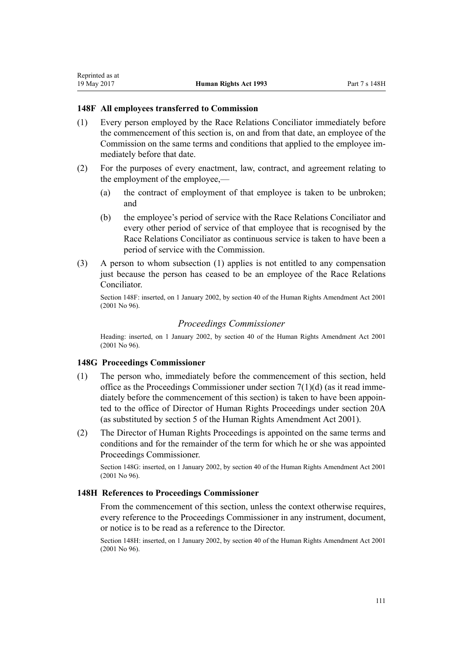# **148F All employees transferred to Commission**

- (1) Every person employed by the Race Relations Conciliator immediately before the commencement of this section is, on and from that date, an employee of the Commission on the same terms and conditions that applied to the employee immediately before that date.
- (2) For the purposes of every enactment, law, contract, and agreement relating to the employment of the employee,—
	- (a) the contract of employment of that employee is taken to be unbroken; and
	- (b) the employee's period of service with the Race Relations Conciliator and every other period of service of that employee that is recognised by the Race Relations Conciliator as continuous service is taken to have been a period of service with the Commission.
- (3) A person to whom subsection (1) applies is not entitled to any compensation just because the person has ceased to be an employee of the Race Relations Conciliator.

Section 148F: inserted, on 1 January 2002, by [section 40](http://prd-lgnz-nlb.prd.pco.net.nz/pdflink.aspx?id=DLM122194) of the Human Rights Amendment Act 2001 (2001 No 96).

# *Proceedings Commissioner*

Heading: inserted, on 1 January 2002, by [section 40](http://prd-lgnz-nlb.prd.pco.net.nz/pdflink.aspx?id=DLM122194) of the Human Rights Amendment Act 2001 (2001 No 96).

# **148G Proceedings Commissioner**

- (1) The person who, immediately before the commencement of this section, held office as the Proceedings Commissioner under [section 7\(1\)\(d\)](#page-15-0) (as it read immediately before the commencement of this section) is taken to have been appointed to the office of Director of Human Rights Proceedings under [section 20A](#page-23-0) (as substituted by [section 5](http://prd-lgnz-nlb.prd.pco.net.nz/pdflink.aspx?id=DLM121843) of the Human Rights Amendment Act 2001).
- (2) The Director of Human Rights Proceedings is appointed on the same terms and conditions and for the remainder of the term for which he or she was appointed Proceedings Commissioner.

Section 148G: inserted, on 1 January 2002, by [section 40](http://prd-lgnz-nlb.prd.pco.net.nz/pdflink.aspx?id=DLM122194) of the Human Rights Amendment Act 2001 (2001 No 96).

# **148H References to Proceedings Commissioner**

From the commencement of this section, unless the context otherwise requires, every reference to the Proceedings Commissioner in any instrument, document, or notice is to be read as a reference to the Director.

Section 148H: inserted, on 1 January 2002, by [section 40](http://prd-lgnz-nlb.prd.pco.net.nz/pdflink.aspx?id=DLM122194) of the Human Rights Amendment Act 2001 (2001 No 96).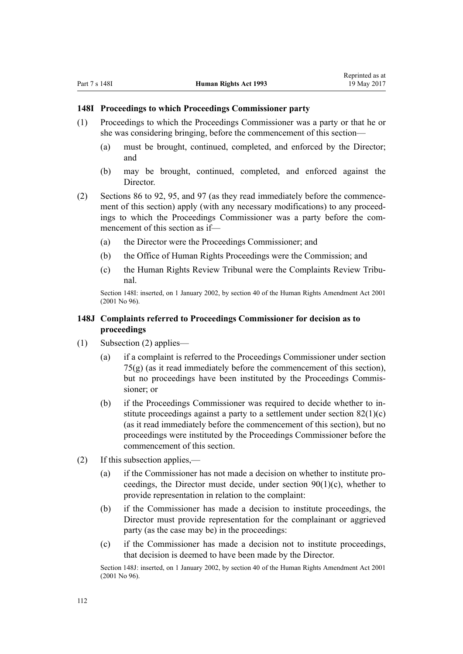# **148I Proceedings to which Proceedings Commissioner party**

- (1) Proceedings to which the Proceedings Commissioner was a party or that he or she was considering bringing, before the commencement of this section—
	- (a) must be brought, continued, completed, and enforced by the Director; and
	- (b) may be brought, continued, completed, and enforced against the Director.
- (2) [Sections 86 to 92](#page-64-0), [95,](#page-82-0) and [97](#page-82-0) (as they read immediately before the commencement of this section) apply (with any necessary modifications) to any proceedings to which the Proceedings Commissioner was a party before the commencement of this section as if—
	- (a) the Director were the Proceedings Commissioner; and
	- (b) the Office of Human Rights Proceedings were the Commission; and
	- (c) the Human Rights Review Tribunal were the Complaints Review Tribunal.

Section 148I: inserted, on 1 January 2002, by [section 40](http://prd-lgnz-nlb.prd.pco.net.nz/pdflink.aspx?id=DLM122194) of the Human Rights Amendment Act 2001 (2001 No 96).

# **148J Complaints referred to Proceedings Commissioner for decision as to proceedings**

- (1) Subsection (2) applies—
	- (a) if a complaint is referred to the Proceedings Commissioner under [section](#page-57-0)  $75(g)$  (as it read immediately before the commencement of this section), but no proceedings have been instituted by the Proceedings Commissioner: or
	- (b) if the Proceedings Commissioner was required to decide whether to institute proceedings against a party to a settlement under [section 82\(1\)\(c\)](#page-62-0) (as it read immediately before the commencement of this section), but no proceedings were instituted by the Proceedings Commissioner before the commencement of this section.
- (2) If this subsection applies,—
	- (a) if the Commissioner has not made a decision on whether to institute proceedings, the Director must decide, under [section 90\(1\)\(c\)](#page-65-0), whether to provide representation in relation to the complaint:
	- (b) if the Commissioner has made a decision to institute proceedings, the Director must provide representation for the complainant or aggrieved party (as the case may be) in the proceedings:
	- (c) if the Commissioner has made a decision not to institute proceedings, that decision is deemed to have been made by the Director.

Section 148J: inserted, on 1 January 2002, by [section 40](http://prd-lgnz-nlb.prd.pco.net.nz/pdflink.aspx?id=DLM122194) of the Human Rights Amendment Act 2001 (2001 No 96).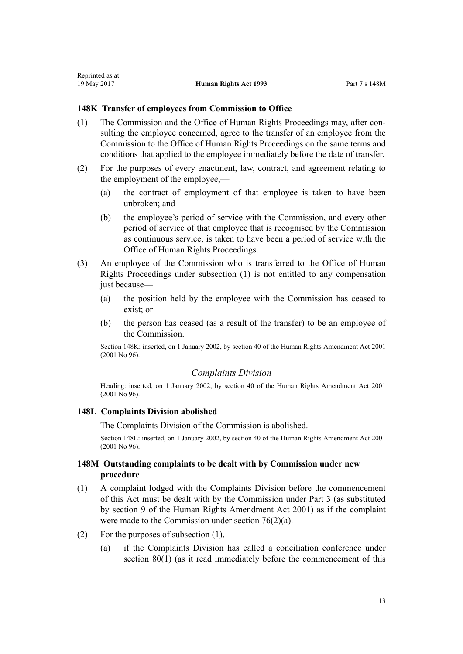#### **148K Transfer of employees from Commission to Office**

Reprinted as at

- (1) The Commission and the Office of Human Rights Proceedings may, after consulting the employee concerned, agree to the transfer of an employee from the Commission to the Office of Human Rights Proceedings on the same terms and conditions that applied to the employee immediately before the date of transfer.
- (2) For the purposes of every enactment, law, contract, and agreement relating to the employment of the employee,—
	- (a) the contract of employment of that employee is taken to have been unbroken; and
	- (b) the employee's period of service with the Commission, and every other period of service of that employee that is recognised by the Commission as continuous service, is taken to have been a period of service with the Office of Human Rights Proceedings.
- (3) An employee of the Commission who is transferred to the Office of Human Rights Proceedings under subsection (1) is not entitled to any compensation just because—
	- (a) the position held by the employee with the Commission has ceased to exist; or
	- (b) the person has ceased (as a result of the transfer) to be an employee of the Commission.

Section 148K: inserted, on 1 January 2002, by [section 40](http://prd-lgnz-nlb.prd.pco.net.nz/pdflink.aspx?id=DLM122194) of the Human Rights Amendment Act 2001 (2001 No 96).

#### *Complaints Division*

Heading: inserted, on 1 January 2002, by [section 40](http://prd-lgnz-nlb.prd.pco.net.nz/pdflink.aspx?id=DLM122194) of the Human Rights Amendment Act 2001 (2001 No 96).

#### **148L Complaints Division abolished**

The Complaints Division of the Commission is abolished.

Section 148L: inserted, on 1 January 2002, by [section 40](http://prd-lgnz-nlb.prd.pco.net.nz/pdflink.aspx?id=DLM122194) of the Human Rights Amendment Act 2001 (2001 No 96).

# **148M Outstanding complaints to be dealt with by Commission under new procedure**

- (1) A complaint lodged with the Complaints Division before the commencement of this Act must be dealt with by the Commission under [Part 3](#page-57-0) (as substituted by [section 9](http://prd-lgnz-nlb.prd.pco.net.nz/pdflink.aspx?id=DLM121897) of the Human Rights Amendment Act 2001) as if the complaint were made to the Commission under [section 76\(2\)\(a\)](#page-58-0).
- (2) For the purposes of subsection (1),—
	- (a) if the Complaints Division has called a conciliation conference under [section 80\(1\)](#page-61-0) (as it read immediately before the commencement of this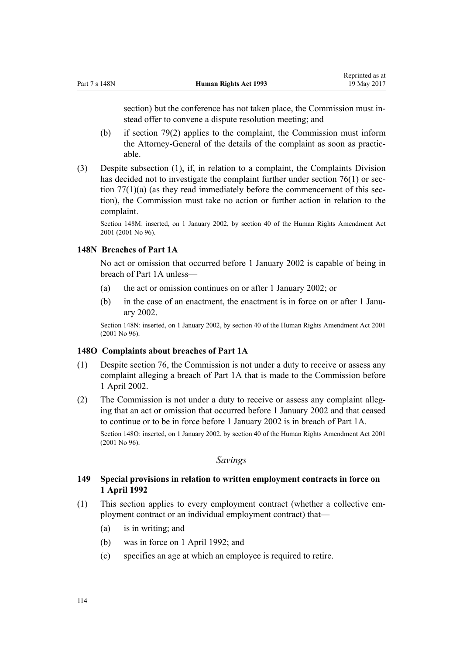section) but the conference has not taken place, the Commission must instead offer to convene a dispute resolution meeting; and

- (b) if [section 79\(2\)](#page-59-0) applies to the complaint, the Commission must inform the Attorney-General of the details of the complaint as soon as practicable.
- (3) Despite subsection (1), if, in relation to a complaint, the Complaints Division has decided not to investigate the complaint further under [section 76\(1\)](#page-58-0) or [sec](#page-58-0)[tion 77\(1\)\(a\)](#page-58-0) (as they read immediately before the commencement of this section), the Commission must take no action or further action in relation to the complaint.

Section 148M: inserted, on 1 January 2002, by [section 40](http://prd-lgnz-nlb.prd.pco.net.nz/pdflink.aspx?id=DLM122194) of the Human Rights Amendment Act 2001 (2001 No 96).

# **148N Breaches of Part 1A**

No act or omission that occurred before 1 January 2002 is capable of being in breach of [Part 1A](#page-26-0) unless—

- (a) the act or omission continues on or after 1 January 2002; or
- (b) in the case of an enactment, the enactment is in force on or after 1 January 2002.

Section 148N: inserted, on 1 January 2002, by [section 40](http://prd-lgnz-nlb.prd.pco.net.nz/pdflink.aspx?id=DLM122194) of the Human Rights Amendment Act 2001 (2001 No 96).

# **148O Complaints about breaches of Part 1A**

- (1) Despite [section 76](#page-58-0), the Commission is not under a duty to receive or assess any complaint alleging a breach of [Part 1A](#page-26-0) that is made to the Commission before 1 April 2002.
- (2) The Commission is not under a duty to receive or assess any complaint alleging that an act or omission that occurred before 1 January 2002 and that ceased to continue or to be in force before 1 January 2002 is in breach of [Part 1A.](#page-26-0) Section 148O: inserted, on 1 January 2002, by [section 40](http://prd-lgnz-nlb.prd.pco.net.nz/pdflink.aspx?id=DLM122194) of the Human Rights Amendment Act 2001 (2001 No 96).

# *Savings*

# **149 Special provisions in relation to written employment contracts in force on 1 April 1992**

- (1) This section applies to every employment contract (whether a collective employment contract or an individual employment contract) that—
	- (a) is in writing; and
	- (b) was in force on 1 April 1992; and
	- (c) specifies an age at which an employee is required to retire.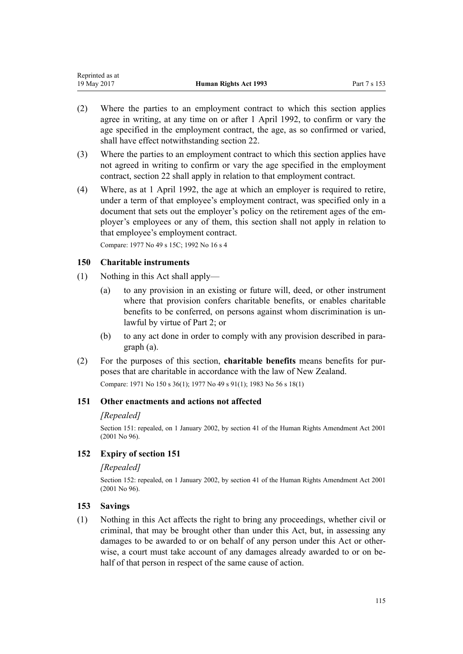| Reprinted as at |                       |              |
|-----------------|-----------------------|--------------|
| 19 May 2017     | Human Rights Act 1993 | Part 7 s 153 |

- (2) Where the parties to an employment contract to which this section applies agree in writing, at any time on or after 1 April 1992, to confirm or vary the age specified in the employment contract, the age, as so confirmed or varied, shall have effect notwithstanding [section 22](#page-31-0).
- (3) Where the parties to an employment contract to which this section applies have not agreed in writing to confirm or vary the age specified in the employment contract, [section 22](#page-31-0) shall apply in relation to that employment contract.
- (4) Where, as at 1 April 1992, the age at which an employer is required to retire, under a term of that employee's employment contract, was specified only in a document that sets out the employer's policy on the retirement ages of the employer's employees or any of them, this section shall not apply in relation to that employee's employment contract.

Compare: 1977 No 49 s 15C; 1992 No 16 s 4

## **150 Charitable instruments**

- (1) Nothing in this Act shall apply—
	- (a) to any provision in an existing or future will, deed, or other instrument where that provision confers charitable benefits, or enables charitable benefits to be conferred, on persons against whom discrimination is unlawful by virtue of [Part 2](#page-28-0); or
	- (b) to any act done in order to comply with any provision described in paragraph (a).
- (2) For the purposes of this section, **charitable benefits** means benefits for purposes that are charitable in accordance with the law of New Zealand.

Compare: 1971 No 150 s 36(1); 1977 No 49 s 91(1); 1983 No 56 s 18(1)

#### **151 Other enactments and actions not affected**

#### *[Repealed]*

Section 151: repealed, on 1 January 2002, by [section 41](http://prd-lgnz-nlb.prd.pco.net.nz/pdflink.aspx?id=DLM122515) of the Human Rights Amendment Act 2001 (2001 No 96).

# **152 Expiry of section 151**

#### *[Repealed]*

Section 152: repealed, on 1 January 2002, by [section 41](http://prd-lgnz-nlb.prd.pco.net.nz/pdflink.aspx?id=DLM122515) of the Human Rights Amendment Act 2001 (2001 No 96).

# **153 Savings**

(1) Nothing in this Act affects the right to bring any proceedings, whether civil or criminal, that may be brought other than under this Act, but, in assessing any damages to be awarded to or on behalf of any person under this Act or otherwise, a court must take account of any damages already awarded to or on behalf of that person in respect of the same cause of action.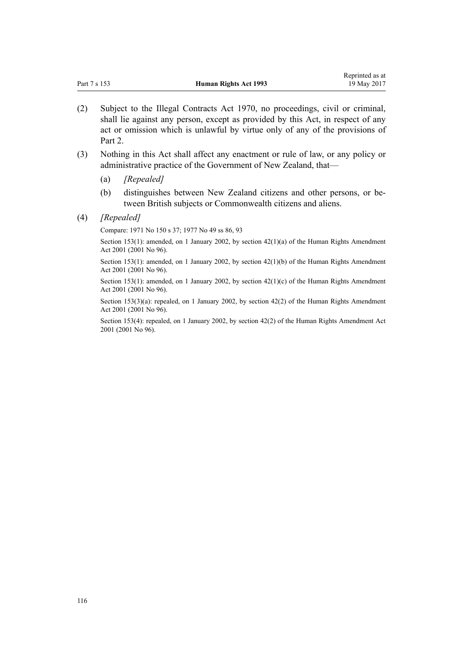| Part 7 s 153 | <b>Human Rights Act 1993</b> | 19 May 2017 |
|--------------|------------------------------|-------------|
|              |                              |             |

Reprinted as at

- (2) Subject to the [Illegal Contracts Act 1970](http://prd-lgnz-nlb.prd.pco.net.nz/pdflink.aspx?id=DLM396434), no proceedings, civil or criminal, shall lie against any person, except as provided by this Act, in respect of any act or omission which is unlawful by virtue only of any of the provisions of [Part 2](#page-28-0).
- (3) Nothing in this Act shall affect any enactment or rule of law, or any policy or administrative practice of the Government of New Zealand, that—
	- (a) *[Repealed]*
	- (b) distinguishes between New Zealand citizens and other persons, or between British subjects or Commonwealth citizens and aliens.
- (4) *[Repealed]*

Compare: 1971 No 150 s 37; 1977 No 49 ss 86, 93

Section 153(1): amended, on 1 January 2002, by [section 42\(1\)\(a\)](http://prd-lgnz-nlb.prd.pco.net.nz/pdflink.aspx?id=DLM122516) of the Human Rights Amendment Act 2001 (2001 No 96).

Section 153(1): amended, on 1 January 2002, by [section 42\(1\)\(b\)](http://prd-lgnz-nlb.prd.pco.net.nz/pdflink.aspx?id=DLM122516) of the Human Rights Amendment Act 2001 (2001 No 96).

Section 153(1): amended, on 1 January 2002, by section  $42(1)(c)$  of the Human Rights Amendment Act 2001 (2001 No 96).

Section 153(3)(a): repealed, on 1 January 2002, by [section 42\(2\)](http://prd-lgnz-nlb.prd.pco.net.nz/pdflink.aspx?id=DLM122516) of the Human Rights Amendment Act 2001 (2001 No 96).

Section 153(4): repealed, on 1 January 2002, by [section 42\(2\)](http://prd-lgnz-nlb.prd.pco.net.nz/pdflink.aspx?id=DLM122516) of the Human Rights Amendment Act 2001 (2001 No 96).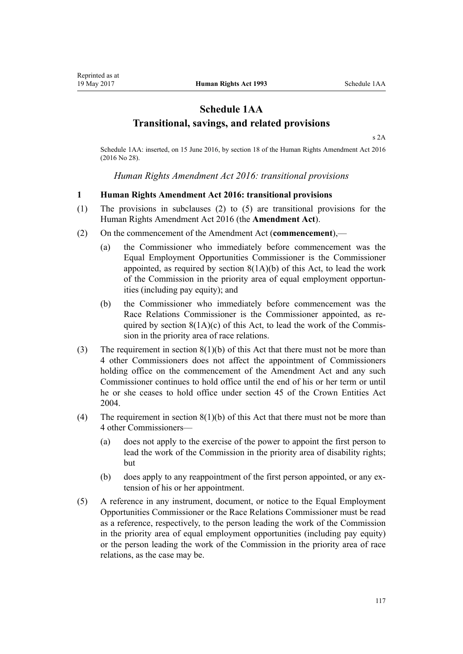# **Schedule 1AA Transitional, savings, and related provisions**

[s 2A](#page-10-0)

Schedule 1AA: inserted, on 15 June 2016, by [section 18](http://prd-lgnz-nlb.prd.pco.net.nz/pdflink.aspx?id=DLM6069203) of the Human Rights Amendment Act 2016 (2016 No 28).

*Human Rights Amendment Act 2016: transitional provisions*

# **1 Human Rights Amendment Act 2016: transitional provisions**

- (1) The provisions in subclauses (2) to (5) are transitional provisions for the [Human Rights Amendment Act 2016](http://prd-lgnz-nlb.prd.pco.net.nz/pdflink.aspx?id=DLM4097502) (the **Amendment Act**).
- (2) On the commencement of the Amendment Act (**commencement**),—
	- (a) the Commissioner who immediately before commencement was the Equal Employment Opportunities Commissioner is the Commissioner appointed, as required by section  $8(1A)(b)$  of this Act, to lead the work of the Commission in the priority area of equal employment opportunities (including pay equity); and
	- (b) the Commissioner who immediately before commencement was the Race Relations Commissioner is the Commissioner appointed, as required by section  $8(1A)(c)$  of this Act, to lead the work of the Commission in the priority area of race relations.
- (3) The requirement in section  $8(1)(b)$  of this Act that there must not be more than 4 other Commissioners does not affect the appointment of Commissioners holding office on the commencement of the Amendment Act and any such Commissioner continues to hold office until the end of his or her term or until he or she ceases to hold office under [section 45](http://prd-lgnz-nlb.prd.pco.net.nz/pdflink.aspx?id=DLM329972) of the Crown Entities Act 2004.
- (4) The requirement in section  $8(1)(b)$  of this Act that there must not be more than 4 other Commissioners—
	- (a) does not apply to the exercise of the power to appoint the first person to lead the work of the Commission in the priority area of disability rights; but
	- (b) does apply to any reappointment of the first person appointed, or any extension of his or her appointment.
- (5) A reference in any instrument, document, or notice to the Equal Employment Opportunities Commissioner or the Race Relations Commissioner must be read as a reference, respectively, to the person leading the work of the Commission in the priority area of equal employment opportunities (including pay equity) or the person leading the work of the Commission in the priority area of race relations, as the case may be.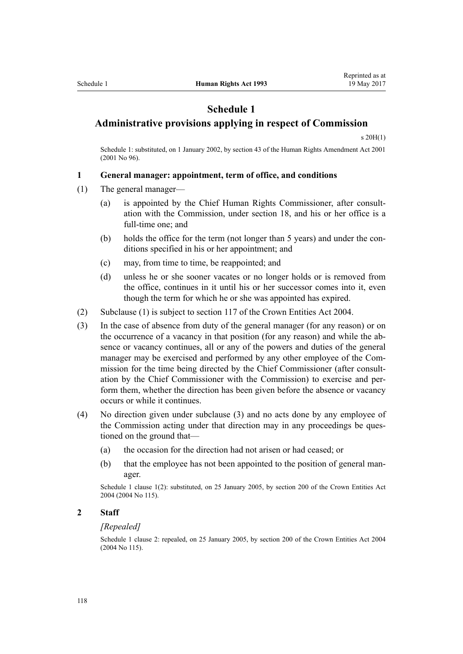# **Schedule 1**

# **Administrative provisions applying in respect of Commission**

[s 20H\(1\)](#page-26-0)

Schedule 1: substituted, on 1 January 2002, by [section 43](http://prd-lgnz-nlb.prd.pco.net.nz/pdflink.aspx?id=DLM122517) of the Human Rights Amendment Act 2001 (2001 No 96).

# **1 General manager: appointment, term of office, and conditions**

- (1) The general manager—
	- (a) is appointed by the Chief Human Rights Commissioner, after consultation with the Commission, under [section 18,](#page-22-0) and his or her office is a full-time one; and
	- (b) holds the office for the term (not longer than 5 years) and under the conditions specified in his or her appointment; and
	- (c) may, from time to time, be reappointed; and
	- (d) unless he or she sooner vacates or no longer holds or is removed from the office, continues in it until his or her successor comes into it, even though the term for which he or she was appointed has expired.
- (2) Subclause (1) is subject to [section 117](http://prd-lgnz-nlb.prd.pco.net.nz/pdflink.aspx?id=DLM330367) of the Crown Entities Act 2004.
- (3) In the case of absence from duty of the general manager (for any reason) or on the occurrence of a vacancy in that position (for any reason) and while the absence or vacancy continues, all or any of the powers and duties of the general manager may be exercised and performed by any other employee of the Commission for the time being directed by the Chief Commissioner (after consultation by the Chief Commissioner with the Commission) to exercise and perform them, whether the direction has been given before the absence or vacancy occurs or while it continues.
- (4) No direction given under subclause (3) and no acts done by any employee of the Commission acting under that direction may in any proceedings be questioned on the ground that—
	- (a) the occasion for the direction had not arisen or had ceased; or
	- (b) that the employee has not been appointed to the position of general manager.

Schedule 1 clause 1(2): substituted, on 25 January 2005, by [section 200](http://prd-lgnz-nlb.prd.pco.net.nz/pdflink.aspx?id=DLM331111) of the Crown Entities Act 2004 (2004 No 115).

# **2 Staff**

#### *[Repealed]*

Schedule 1 clause 2: repealed, on 25 January 2005, by [section 200](http://prd-lgnz-nlb.prd.pco.net.nz/pdflink.aspx?id=DLM331111) of the Crown Entities Act 2004 (2004 No 115).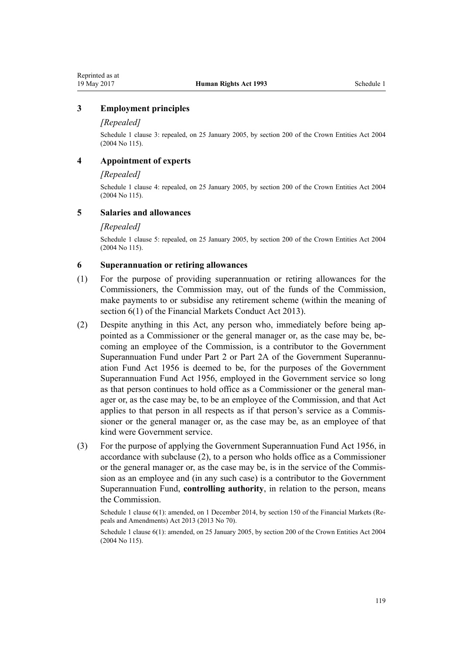# **3 Employment principles**

#### *[Repealed]*

Schedule 1 clause 3: repealed, on 25 January 2005, by [section 200](http://prd-lgnz-nlb.prd.pco.net.nz/pdflink.aspx?id=DLM331111) of the Crown Entities Act 2004 (2004 No 115).

### **4 Appointment of experts**

#### *[Repealed]*

Schedule 1 clause 4: repealed, on 25 January 2005, by [section 200](http://prd-lgnz-nlb.prd.pco.net.nz/pdflink.aspx?id=DLM331111) of the Crown Entities Act 2004 (2004 No 115).

## **5 Salaries and allowances**

#### *[Repealed]*

Schedule 1 clause 5: repealed, on 25 January 2005, by [section 200](http://prd-lgnz-nlb.prd.pco.net.nz/pdflink.aspx?id=DLM331111) of the Crown Entities Act 2004 (2004 No 115).

### **6 Superannuation or retiring allowances**

- (1) For the purpose of providing superannuation or retiring allowances for the Commissioners, the Commission may, out of the funds of the Commission, make payments to or subsidise any retirement scheme (within the meaning of [section 6\(1\)](http://prd-lgnz-nlb.prd.pco.net.nz/pdflink.aspx?id=DLM4090590) of the Financial Markets Conduct Act 2013).
- (2) Despite anything in this Act, any person who, immediately before being appointed as a Commissioner or the general manager or, as the case may be, becoming an employee of the Commission, is a contributor to the Government Superannuation Fund under [Part 2](http://prd-lgnz-nlb.prd.pco.net.nz/pdflink.aspx?id=DLM446395) or [Part 2A](http://prd-lgnz-nlb.prd.pco.net.nz/pdflink.aspx?id=DLM446842) of the Government Superannuation Fund Act 1956 is deemed to be, for the purposes of the [Government](http://prd-lgnz-nlb.prd.pco.net.nz/pdflink.aspx?id=DLM446000) [Superannuation Fund Act 1956](http://prd-lgnz-nlb.prd.pco.net.nz/pdflink.aspx?id=DLM446000), employed in the Government service so long as that person continues to hold office as a Commissioner or the general manager or, as the case may be, to be an employee of the Commission, and that Act applies to that person in all respects as if that person's service as a Commissioner or the general manager or, as the case may be, as an employee of that kind were Government service.
- (3) For the purpose of applying the [Government Superannuation Fund Act 1956](http://prd-lgnz-nlb.prd.pco.net.nz/pdflink.aspx?id=DLM446000), in accordance with subclause (2), to a person who holds office as a Commissioner or the general manager or, as the case may be, is in the service of the Commission as an employee and (in any such case) is a contributor to the Government Superannuation Fund, **controlling authority**, in relation to the person, means the Commission.

Schedule 1 clause 6(1): amended, on 1 December 2014, by [section 150](http://prd-lgnz-nlb.prd.pco.net.nz/pdflink.aspx?id=DLM5561603) of the Financial Markets (Repeals and Amendments) Act 2013 (2013 No 70).

Schedule 1 clause 6(1): amended, on 25 January 2005, by [section 200](http://prd-lgnz-nlb.prd.pco.net.nz/pdflink.aspx?id=DLM331111) of the Crown Entities Act 2004 (2004 No 115).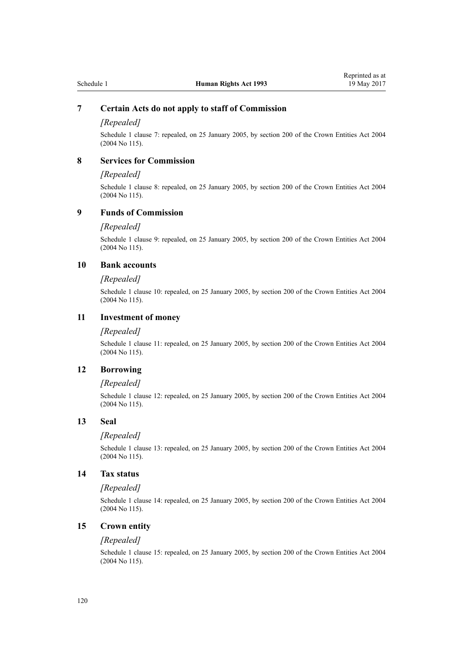# **7 Certain Acts do not apply to staff of Commission**

# *[Repealed]*

Schedule 1 clause 7: repealed, on 25 January 2005, by [section 200](http://prd-lgnz-nlb.prd.pco.net.nz/pdflink.aspx?id=DLM331111) of the Crown Entities Act 2004 (2004 No 115).

#### **8 Services for Commission**

#### *[Repealed]*

Schedule 1 clause 8: repealed, on 25 January 2005, by [section 200](http://prd-lgnz-nlb.prd.pco.net.nz/pdflink.aspx?id=DLM331111) of the Crown Entities Act 2004 (2004 No 115).

#### **9 Funds of Commission**

#### *[Repealed]*

Schedule 1 clause 9: repealed, on 25 January 2005, by [section 200](http://prd-lgnz-nlb.prd.pco.net.nz/pdflink.aspx?id=DLM331111) of the Crown Entities Act 2004 (2004 No 115).

# **10 Bank accounts**

#### *[Repealed]*

Schedule 1 clause 10: repealed, on 25 January 2005, by [section 200](http://prd-lgnz-nlb.prd.pco.net.nz/pdflink.aspx?id=DLM331111) of the Crown Entities Act 2004 (2004 No 115).

#### **11 Investment of money**

#### *[Repealed]*

Schedule 1 clause 11: repealed, on 25 January 2005, by [section 200](http://prd-lgnz-nlb.prd.pco.net.nz/pdflink.aspx?id=DLM331111) of the Crown Entities Act 2004 (2004 No 115).

### **12 Borrowing**

#### *[Repealed]*

Schedule 1 clause 12: repealed, on 25 January 2005, by [section 200](http://prd-lgnz-nlb.prd.pco.net.nz/pdflink.aspx?id=DLM331111) of the Crown Entities Act 2004 (2004 No 115).

### **13 Seal**

#### *[Repealed]*

Schedule 1 clause 13: repealed, on 25 January 2005, by [section 200](http://prd-lgnz-nlb.prd.pco.net.nz/pdflink.aspx?id=DLM331111) of the Crown Entities Act 2004 (2004 No 115).

### **14 Tax status**

#### *[Repealed]*

Schedule 1 clause 14: repealed, on 25 January 2005, by [section 200](http://prd-lgnz-nlb.prd.pco.net.nz/pdflink.aspx?id=DLM331111) of the Crown Entities Act 2004 (2004 No 115).

# **15 Crown entity**

### *[Repealed]*

Schedule 1 clause 15: repealed, on 25 January 2005, by [section 200](http://prd-lgnz-nlb.prd.pco.net.nz/pdflink.aspx?id=DLM331111) of the Crown Entities Act 2004 (2004 No 115).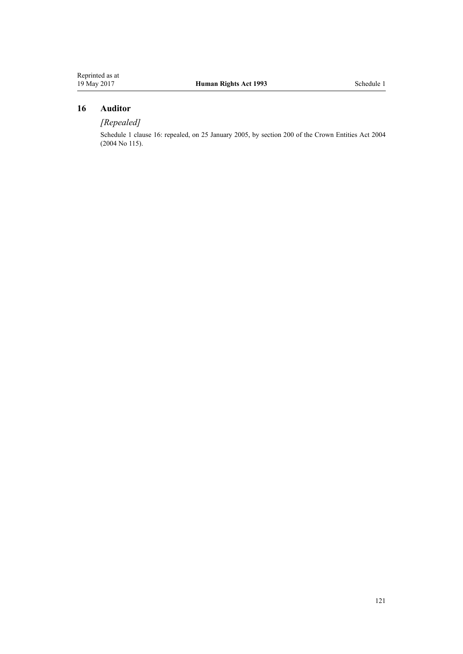# **16 Auditor**

# *[Repealed]*

Schedule 1 clause 16: repealed, on 25 January 2005, by [section 200](http://prd-lgnz-nlb.prd.pco.net.nz/pdflink.aspx?id=DLM331111) of the Crown Entities Act 2004 (2004 No 115).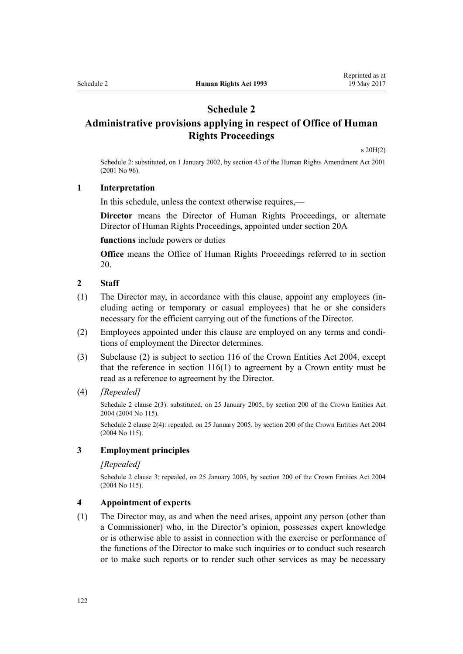# **Schedule 2**

# **Administrative provisions applying in respect of Office of Human Rights Proceedings**

[s 20H\(2\)](#page-26-0)

Schedule 2: substituted, on 1 January 2002, by [section 43](http://prd-lgnz-nlb.prd.pco.net.nz/pdflink.aspx?id=DLM122517) of the Human Rights Amendment Act 2001 (2001 No 96).

# **1 Interpretation**

In this schedule, unless the context otherwise requires,—

**Director** means the Director of Human Rights Proceedings, or alternate Director of Human Rights Proceedings, appointed under [section 20A](#page-23-0)

**functions** include powers or duties

**Office** means the Office of Human Rights Proceedings referred to in [section](#page-22-0) [20.](#page-22-0)

# **2 Staff**

- (1) The Director may, in accordance with this clause, appoint any employees (including acting or temporary or casual employees) that he or she considers necessary for the efficient carrying out of the functions of the Director.
- (2) Employees appointed under this clause are employed on any terms and conditions of employment the Director determines.
- (3) Subclause (2) is subject to [section 116](http://prd-lgnz-nlb.prd.pco.net.nz/pdflink.aspx?id=DLM330366) of the Crown Entities Act 2004, except that the reference in section  $116(1)$  to agreement by a Crown entity must be read as a reference to agreement by the Director.
- (4) *[Repealed]*

Schedule 2 clause 2(3): substituted, on 25 January 2005, by [section 200](http://prd-lgnz-nlb.prd.pco.net.nz/pdflink.aspx?id=DLM331111) of the Crown Entities Act 2004 (2004 No 115).

Schedule 2 clause 2(4): repealed, on 25 January 2005, by [section 200](http://prd-lgnz-nlb.prd.pco.net.nz/pdflink.aspx?id=DLM331111) of the Crown Entities Act 2004 (2004 No 115).

# **3 Employment principles**

# *[Repealed]*

Schedule 2 clause 3: repealed, on 25 January 2005, by [section 200](http://prd-lgnz-nlb.prd.pco.net.nz/pdflink.aspx?id=DLM331111) of the Crown Entities Act 2004 (2004 No 115).

# **4 Appointment of experts**

(1) The Director may, as and when the need arises, appoint any person (other than a Commissioner) who, in the Director's opinion, possesses expert knowledge or is otherwise able to assist in connection with the exercise or performance of the functions of the Director to make such inquiries or to conduct such research or to make such reports or to render such other services as may be necessary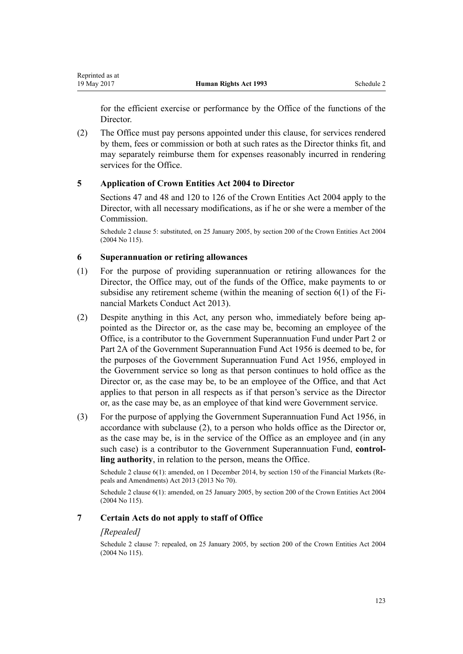for the efficient exercise or performance by the Office of the functions of the Director.

(2) The Office must pay persons appointed under this clause, for services rendered by them, fees or commission or both at such rates as the Director thinks fit, and may separately reimburse them for expenses reasonably incurred in rendering services for the Office.

# **5 Application of Crown Entities Act 2004 to Director**

[Sections 47](http://prd-lgnz-nlb.prd.pco.net.nz/pdflink.aspx?id=DLM329975) and [48](http://prd-lgnz-nlb.prd.pco.net.nz/pdflink.aspx?id=DLM329976) and [120 to 126](http://prd-lgnz-nlb.prd.pco.net.nz/pdflink.aspx?id=DLM330372) of the Crown Entities Act 2004 apply to the Director, with all necessary modifications, as if he or she were a member of the Commission.

Schedule 2 clause 5: substituted, on 25 January 2005, by [section 200](http://prd-lgnz-nlb.prd.pco.net.nz/pdflink.aspx?id=DLM331111) of the Crown Entities Act 2004 (2004 No 115).

## **6 Superannuation or retiring allowances**

- (1) For the purpose of providing superannuation or retiring allowances for the Director, the Office may, out of the funds of the Office, make payments to or subsidise any retirement scheme (within the meaning of [section 6\(1\)](http://prd-lgnz-nlb.prd.pco.net.nz/pdflink.aspx?id=DLM4090590) of the Financial Markets Conduct Act 2013).
- (2) Despite anything in this Act, any person who, immediately before being appointed as the Director or, as the case may be, becoming an employee of the Office, is a contributor to the Government Superannuation Fund under [Part 2](http://prd-lgnz-nlb.prd.pco.net.nz/pdflink.aspx?id=DLM446395) or [Part 2A](http://prd-lgnz-nlb.prd.pco.net.nz/pdflink.aspx?id=DLM446842) of the Government Superannuation Fund Act 1956 is deemed to be, for the purposes of the [Government Superannuation Fund Act 1956](http://prd-lgnz-nlb.prd.pco.net.nz/pdflink.aspx?id=DLM446000), employed in the Government service so long as that person continues to hold office as the Director or, as the case may be, to be an employee of the Office, and that Act applies to that person in all respects as if that person's service as the Director or, as the case may be, as an employee of that kind were Government service.
- (3) For the purpose of applying the [Government Superannuation Fund Act 1956](http://prd-lgnz-nlb.prd.pco.net.nz/pdflink.aspx?id=DLM446000), in accordance with subclause (2), to a person who holds office as the Director or, as the case may be, is in the service of the Office as an employee and (in any such case) is a contributor to the Government Superannuation Fund, **controlling authority**, in relation to the person, means the Office.

Schedule 2 clause 6(1): amended, on 1 December 2014, by [section 150](http://prd-lgnz-nlb.prd.pco.net.nz/pdflink.aspx?id=DLM5561603) of the Financial Markets (Repeals and Amendments) Act 2013 (2013 No 70).

Schedule 2 clause 6(1): amended, on 25 January 2005, by [section 200](http://prd-lgnz-nlb.prd.pco.net.nz/pdflink.aspx?id=DLM331111) of the Crown Entities Act 2004 (2004 No 115).

# **7 Certain Acts do not apply to staff of Office**

#### *[Repealed]*

Schedule 2 clause 7: repealed, on 25 January 2005, by [section 200](http://prd-lgnz-nlb.prd.pco.net.nz/pdflink.aspx?id=DLM331111) of the Crown Entities Act 2004 (2004 No 115).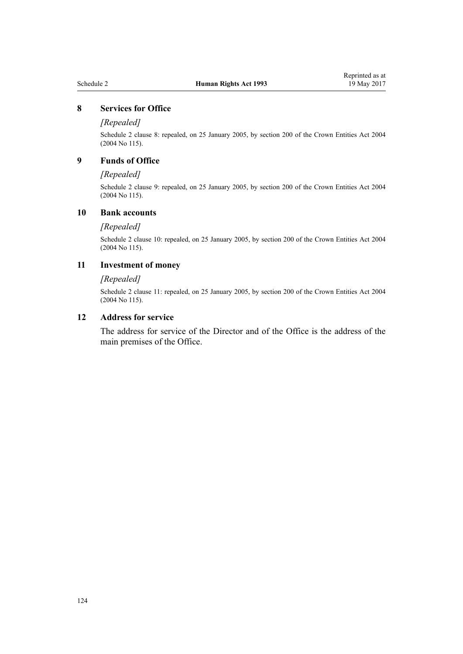# **8 Services for Office**

#### *[Repealed]*

Schedule 2 clause 8: repealed, on 25 January 2005, by [section 200](http://prd-lgnz-nlb.prd.pco.net.nz/pdflink.aspx?id=DLM331111) of the Crown Entities Act 2004 (2004 No 115).

# **9 Funds of Office**

# *[Repealed]*

Schedule 2 clause 9: repealed, on 25 January 2005, by [section 200](http://prd-lgnz-nlb.prd.pco.net.nz/pdflink.aspx?id=DLM331111) of the Crown Entities Act 2004 (2004 No 115).

### **10 Bank accounts**

#### *[Repealed]*

Schedule 2 clause 10: repealed, on 25 January 2005, by [section 200](http://prd-lgnz-nlb.prd.pco.net.nz/pdflink.aspx?id=DLM331111) of the Crown Entities Act 2004 (2004 No 115).

# **11 Investment of money**

## *[Repealed]*

Schedule 2 clause 11: repealed, on 25 January 2005, by [section 200](http://prd-lgnz-nlb.prd.pco.net.nz/pdflink.aspx?id=DLM331111) of the Crown Entities Act 2004 (2004 No 115).

### **12 Address for service**

The address for service of the Director and of the Office is the address of the main premises of the Office.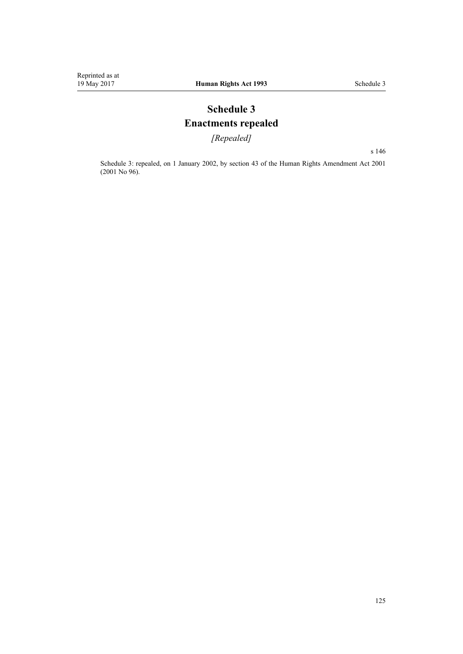# **Schedule 3 Enactments repealed**

*[Repealed]*

[s 146](#page-108-0)

Schedule 3: repealed, on 1 January 2002, by [section 43](http://prd-lgnz-nlb.prd.pco.net.nz/pdflink.aspx?id=DLM122517) of the Human Rights Amendment Act 2001 (2001 No 96).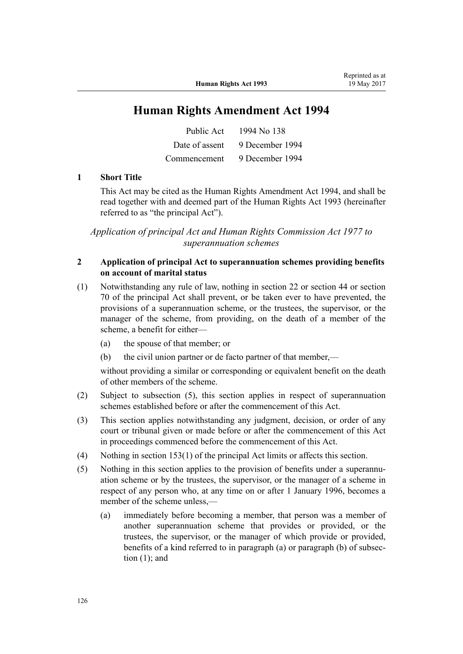# **Human Rights Amendment Act 1994**

| Public Act     | 1994 No 138     |
|----------------|-----------------|
| Date of assent | 9 December 1994 |
| Commencement   | 9 December 1994 |

#### **1 Short Title**

This Act may be cited as the [Human Rights Amendment Act 1994](http://prd-lgnz-nlb.prd.pco.net.nz/pdflink.aspx?id=DLM345299), and shall be read together with and deemed part of the Human Rights Act 1993 (hereinafter referred to as "the principal Act").

*Application of principal Act and Human Rights Commission Act 1977 to superannuation schemes*

# **2 Application of principal Act to superannuation schemes providing benefits on account of marital status**

- (1) Notwithstanding any rule of law, nothing in section 22 or section 44 or section 70 of the principal Act shall prevent, or be taken ever to have prevented, the provisions of a superannuation scheme, or the trustees, the supervisor, or the manager of the scheme, from providing, on the death of a member of the scheme, a benefit for either-
	- (a) the spouse of that member; or
	- (b) the civil union partner or de facto partner of that member,—

without providing a similar or corresponding or equivalent benefit on the death of other members of the scheme.

- (2) Subject to subsection (5), this section applies in respect of superannuation schemes established before or after the commencement of this Act.
- (3) This section applies notwithstanding any judgment, decision, or order of any court or tribunal given or made before or after the commencement of this Act in proceedings commenced before the commencement of this Act.
- (4) Nothing in section 153(1) of the principal Act limits or affects this section.
- (5) Nothing in this section applies to the provision of benefits under a superannuation scheme or by the trustees, the supervisor, or the manager of a scheme in respect of any person who, at any time on or after 1 January 1996, becomes a member of the scheme unless,—
	- (a) immediately before becoming a member, that person was a member of another superannuation scheme that provides or provided, or the trustees, the supervisor, or the manager of which provide or provided, benefits of a kind referred to in paragraph (a) or paragraph (b) of subsection  $(1)$ ; and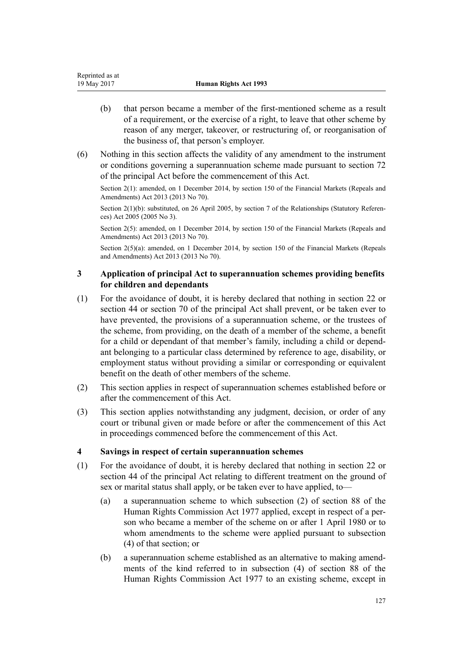- (b) that person became a member of the first-mentioned scheme as a result of a requirement, or the exercise of a right, to leave that other scheme by reason of any merger, takeover, or restructuring of, or reorganisation of the business of, that person's employer.
- (6) Nothing in this section affects the validity of any amendment to the instrument or conditions governing a superannuation scheme made pursuant to section 72 of the principal Act before the commencement of this Act.

Section 2(1): amended, on 1 December 2014, by [section 150](http://prd-lgnz-nlb.prd.pco.net.nz/pdflink.aspx?id=DLM5561603) of the Financial Markets (Repeals and Amendments) Act 2013 (2013 No 70).

Section 2(1)(b): substituted, on 26 April 2005, by [section 7](http://prd-lgnz-nlb.prd.pco.net.nz/pdflink.aspx?id=DLM333795) of the Relationships (Statutory References) Act 2005 (2005 No 3).

Section 2(5): amended, on 1 December 2014, by [section 150](http://prd-lgnz-nlb.prd.pco.net.nz/pdflink.aspx?id=DLM5561603) of the Financial Markets (Repeals and Amendments) Act 2013 (2013 No 70).

Section 2(5)(a): amended, on 1 December 2014, by [section 150](http://prd-lgnz-nlb.prd.pco.net.nz/pdflink.aspx?id=DLM5561603) of the Financial Markets (Repeals and Amendments) Act 2013 (2013 No 70).

# **3 Application of principal Act to superannuation schemes providing benefits for children and dependants**

- (1) For the avoidance of doubt, it is hereby declared that nothing in section 22 or section 44 or section 70 of the principal Act shall prevent, or be taken ever to have prevented, the provisions of a superannuation scheme, or the trustees of the scheme, from providing, on the death of a member of the scheme, a benefit for a child or dependant of that member's family, including a child or dependant belonging to a particular class determined by reference to age, disability, or employment status without providing a similar or corresponding or equivalent benefit on the death of other members of the scheme.
- (2) This section applies in respect of superannuation schemes established before or after the commencement of this Act.
- (3) This section applies notwithstanding any judgment, decision, or order of any court or tribunal given or made before or after the commencement of this Act in proceedings commenced before the commencement of this Act.

# **4 Savings in respect of certain superannuation schemes**

- (1) For the avoidance of doubt, it is hereby declared that nothing in section 22 or section 44 of the principal Act relating to different treatment on the ground of sex or marital status shall apply, or be taken ever to have applied, to—
	- (a) a superannuation scheme to which subsection (2) of section 88 of the Human Rights Commission Act 1977 applied, except in respect of a person who became a member of the scheme on or after 1 April 1980 or to whom amendments to the scheme were applied pursuant to subsection (4) of that section; or
	- (b) a superannuation scheme established as an alternative to making amendments of the kind referred to in subsection (4) of section 88 of the Human Rights Commission Act 1977 to an existing scheme, except in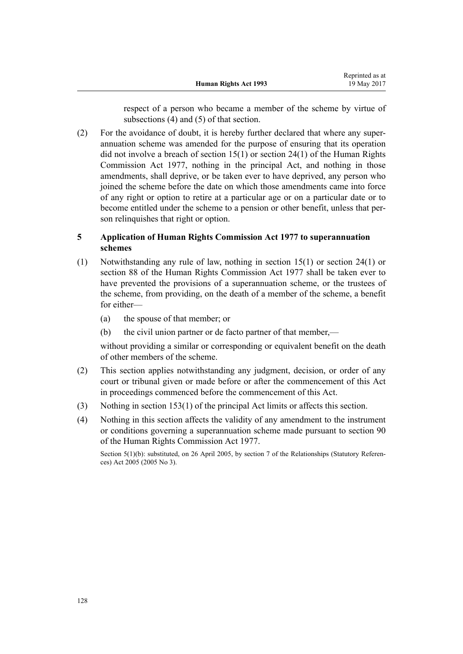respect of a person who became a member of the scheme by virtue of subsections (4) and (5) of that section.

(2) For the avoidance of doubt, it is hereby further declared that where any superannuation scheme was amended for the purpose of ensuring that its operation did not involve a breach of section  $15(1)$  or section  $24(1)$  of the Human Rights Commission Act 1977, nothing in the principal Act, and nothing in those amendments, shall deprive, or be taken ever to have deprived, any person who joined the scheme before the date on which those amendments came into force of any right or option to retire at a particular age or on a particular date or to become entitled under the scheme to a pension or other benefit, unless that person relinquishes that right or option.

# **5 Application of Human Rights Commission Act 1977 to superannuation schemes**

- (1) Notwithstanding any rule of law, nothing in section 15(1) or section 24(1) or section 88 of the Human Rights Commission Act 1977 shall be taken ever to have prevented the provisions of a superannuation scheme, or the trustees of the scheme, from providing, on the death of a member of the scheme, a benefit for either—
	- (a) the spouse of that member; or
	- (b) the civil union partner or de facto partner of that member,—

without providing a similar or corresponding or equivalent benefit on the death of other members of the scheme.

- (2) This section applies notwithstanding any judgment, decision, or order of any court or tribunal given or made before or after the commencement of this Act in proceedings commenced before the commencement of this Act.
- (3) Nothing in section 153(1) of the principal Act limits or affects this section.
- (4) Nothing in this section affects the validity of any amendment to the instrument or conditions governing a superannuation scheme made pursuant to section 90 of the Human Rights Commission Act 1977.

Section 5(1)(b): substituted, on 26 April 2005, by [section 7](http://prd-lgnz-nlb.prd.pco.net.nz/pdflink.aspx?id=DLM333795) of the Relationships (Statutory References) Act 2005 (2005 No 3).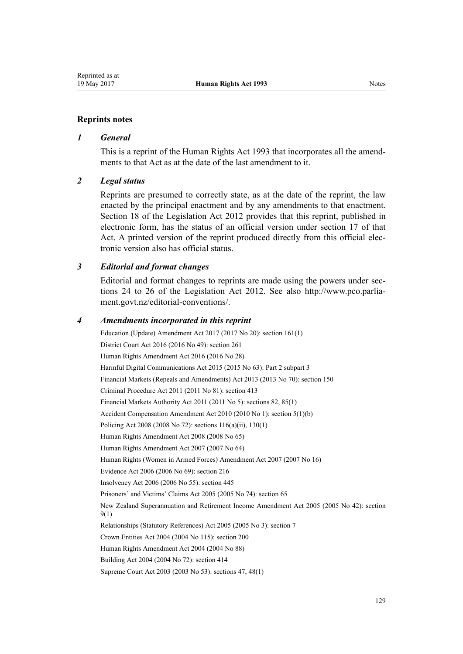## **Reprints notes**

### *1 General*

This is a reprint of the Human Rights Act 1993 that incorporates all the amendments to that Act as at the date of the last amendment to it.

#### *2 Legal status*

Reprints are presumed to correctly state, as at the date of the reprint, the law enacted by the principal enactment and by any amendments to that enactment. [Section 18](http://prd-lgnz-nlb.prd.pco.net.nz/pdflink.aspx?id=DLM2998516) of the Legislation Act 2012 provides that this reprint, published in electronic form, has the status of an official version under [section 17](http://prd-lgnz-nlb.prd.pco.net.nz/pdflink.aspx?id=DLM2998515) of that Act. A printed version of the reprint produced directly from this official electronic version also has official status.

## *3 Editorial and format changes*

Editorial and format changes to reprints are made using the powers under [sec](http://prd-lgnz-nlb.prd.pco.net.nz/pdflink.aspx?id=DLM2998532)[tions 24 to 26](http://prd-lgnz-nlb.prd.pco.net.nz/pdflink.aspx?id=DLM2998532) of the Legislation Act 2012. See also [http://www.pco.parlia](http://www.pco.parliament.govt.nz/editorial-conventions/)[ment.govt.nz/editorial-conventions/](http://www.pco.parliament.govt.nz/editorial-conventions/).

#### *4 Amendments incorporated in this reprint*

Education (Update) Amendment Act 2017 (2017 No 20): [section 161\(1\)](http://prd-lgnz-nlb.prd.pco.net.nz/pdflink.aspx?id=DLM6929049) District Court Act 2016 (2016 No 49): [section 261](http://prd-lgnz-nlb.prd.pco.net.nz/pdflink.aspx?id=DLM6942680) [Human Rights Amendment Act 2016](http://prd-lgnz-nlb.prd.pco.net.nz/pdflink.aspx?id=DLM4097502) (2016 No 28) Harmful Digital Communications Act 2015 (2015 No 63): Part 2 [subpart 3](http://prd-lgnz-nlb.prd.pco.net.nz/pdflink.aspx?id=DLM5711878) Financial Markets (Repeals and Amendments) Act 2013 (2013 No 70): [section 150](http://prd-lgnz-nlb.prd.pco.net.nz/pdflink.aspx?id=DLM5561603) Criminal Procedure Act 2011 (2011 No 81): [section 413](http://prd-lgnz-nlb.prd.pco.net.nz/pdflink.aspx?id=DLM3360714) Financial Markets Authority Act 2011 (2011 No 5): [sections 82,](http://prd-lgnz-nlb.prd.pco.net.nz/pdflink.aspx?id=DLM3231793) [85\(1\)](http://prd-lgnz-nlb.prd.pco.net.nz/pdflink.aspx?id=DLM3231795) Accident Compensation Amendment Act 2010 (2010 No 1): [section 5\(1\)\(b\)](http://prd-lgnz-nlb.prd.pco.net.nz/pdflink.aspx?id=DLM2773701) Policing Act 2008 (2008 No 72): [sections 116\(a\)\(ii\),](http://prd-lgnz-nlb.prd.pco.net.nz/pdflink.aspx?id=DLM1102349) [130\(1\)](http://prd-lgnz-nlb.prd.pco.net.nz/pdflink.aspx?id=DLM1102383) [Human Rights Amendment Act 2008](http://prd-lgnz-nlb.prd.pco.net.nz/pdflink.aspx?id=DLM1582300) (2008 No 65) [Human Rights Amendment Act 2007](http://prd-lgnz-nlb.prd.pco.net.nz/pdflink.aspx?id=DLM968347) (2007 No 64) [Human Rights \(Women in Armed Forces\) Amendment Act 2007](http://prd-lgnz-nlb.prd.pco.net.nz/pdflink.aspx?id=DLM405107) (2007 No 16) Evidence Act 2006 (2006 No 69): [section 216](http://prd-lgnz-nlb.prd.pco.net.nz/pdflink.aspx?id=DLM394552) Insolvency Act 2006 (2006 No 55): [section 445](http://prd-lgnz-nlb.prd.pco.net.nz/pdflink.aspx?id=DLM387857) Prisoners' and Victims' Claims Act 2005 (2005 No 74): section 65 New Zealand Superannuation and Retirement Income Amendment Act 2005 (2005 No 42): [section](http://prd-lgnz-nlb.prd.pco.net.nz/pdflink.aspx?id=DLM346494) [9\(1\)](http://prd-lgnz-nlb.prd.pco.net.nz/pdflink.aspx?id=DLM346494) Relationships (Statutory References) Act 2005 (2005 No 3): [section 7](http://prd-lgnz-nlb.prd.pco.net.nz/pdflink.aspx?id=DLM333795) Crown Entities Act 2004 (2004 No 115): [section 200](http://prd-lgnz-nlb.prd.pco.net.nz/pdflink.aspx?id=DLM331111) Human Rights Amendment Act 2004 (2004 No 88) Building Act 2004 (2004 No 72): [section 414](http://prd-lgnz-nlb.prd.pco.net.nz/pdflink.aspx?id=DLM309090) Supreme Court Act 2003 (2003 No 53): [sections 47, 48\(1\)](http://prd-lgnz-nlb.prd.pco.net.nz/pdflink.aspx?id=DLM214520)